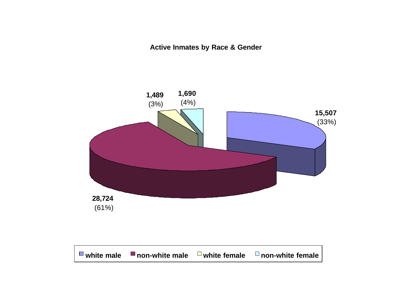**Active Inmates by Race & Gender**

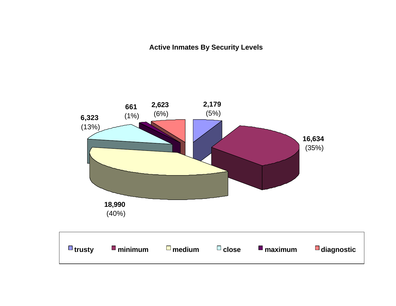**Active Inmates By Security Levels**

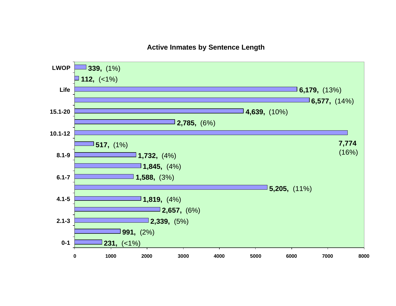#### **Active Inmates by Sentence Length**

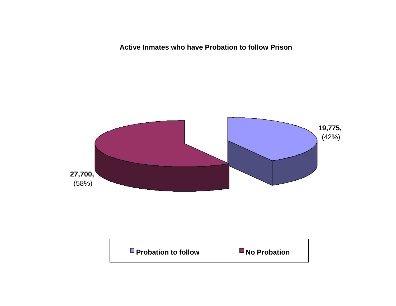**Active Inmates who have Probation to follow Prison**



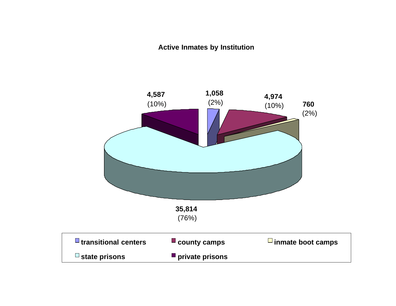#### **Active Inmates by Institution**

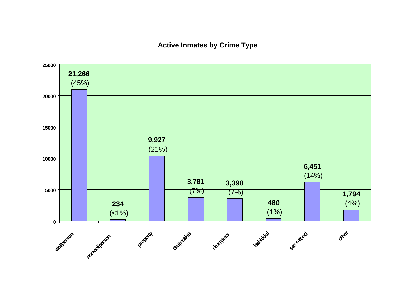#### **Active Inmates by Crime Type**

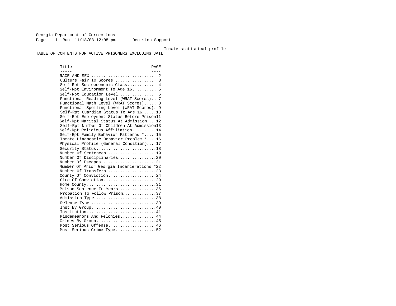Georgia Department of Corrections Page 1 Run  $11/18/03$  12:08 pm Decision Support

#### Inmate statistical profile

TABLE OF CONTENTS FOR ACTIVE PRISONERS EXCLUDING JAIL

Title PAGE ----- ---- RACE AND SEX............................ 2 Culture Fair IQ Scores.................. 3 Self-Rpt Socioeconomic Class............ 4 Self-Rpt Environment To Age 16.......... 5 Self-Rpt Education Level................ 6 Functional Reading Level (WRAT Scores).. 7 Functional Math Level (WRAT Scores)..... 8 Functional Spelling Level (WRAT Scores). 9 Self-Rpt Guardian Status To Age 16......10 Self-Rpt Employment Status Before Prison11 Self-Rpt Marital Status At Admission....12 Self-Rpt Number Of Children At Admission13 Self-Rpt Religious Affiliation..........14 Self-Rpt Family Behavior Patterns \*.....15 Inmate Diagnostic Behavior Problem \*....16 Physical Profile (General Condition)....17 Security Status............................18 Number Of Sentences.....................19 Number Of Disciplinaries................20 Number Of Escapes.........................21 Number Of Prior Georgia Incarcerations \*22 Number Of Transfers.....................23 County Of Conviction....................24 Circ Of Conviction........................29 Home County.................................31 Prison Sentence In Years................36 Probation To Follow Prison..............37 Admission Type..............................38 Release Type................................39 Inst By Group.............................40 Institution.............................41 Misdemeanors And Felonies...............44 Crimes By Group...........................45 Most Serious Offense....................46 Most Serious Crime Type.................52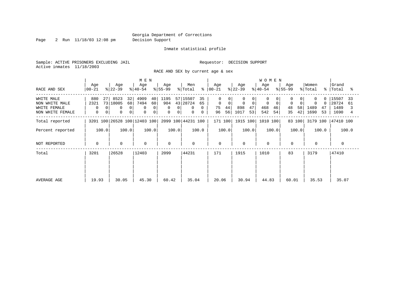Page 2 Run 11/18/03 12:08 pm Decision Support

#### Inmate statistical profile

Sample: ACTIVE PRISONERS EXCLUDING JAIL **Requestor: DECISION SUPPORT** Active inmates 11/18/2003

RACE AND SEX by current age & sex

|                                                                  |                                                                |                                                                                          | M E N                                               |                                 |                                                                                   |                                                      |                                             | <b>WOMEN</b>                     |                           |                                           |                                            |
|------------------------------------------------------------------|----------------------------------------------------------------|------------------------------------------------------------------------------------------|-----------------------------------------------------|---------------------------------|-----------------------------------------------------------------------------------|------------------------------------------------------|---------------------------------------------|----------------------------------|---------------------------|-------------------------------------------|--------------------------------------------|
| RACE AND SEX                                                     | Age<br>$ 00-21 $                                               | Age<br>$ 22-39 $                                                                         | Age<br>$ 40-54 $                                    | Age<br>$ 55-99 $                | Men<br>% Total                                                                    | Age<br>$8   00 - 21$                                 | Age<br>$ 22-39 $                            | Age<br>$ 40-54 $                 | Age<br>$8155 - 99$        | Women<br>% Total<br>°≈                    | Grand<br>Total<br>°≈                       |
| WHITE MALE<br>NON WHITE MALE<br>WHITE FEMALE<br>NON WHITE FEMALE | 880<br>27<br>2321<br>$\Omega$<br>$\Omega$<br>$\mathbf{0}$<br>0 | 8523<br>32<br>73 18005<br>68<br>$\Omega$<br>$\mathbf 0$<br>$\mathbf 0$<br>0 <sup>1</sup> | 4909<br>40<br>7494<br>60<br>0<br>$\Omega$<br>0<br>0 | 1195<br>904<br>0<br>0<br>0<br>0 | 57 15507<br>35<br>43 28724<br>65<br>$\Omega$<br>$\mathbf{0}$<br>$\mathbf{0}$<br>0 | $\Omega$<br>$\mathbf 0$<br>0<br>44<br>75<br>56<br>96 | $\mathbf 0$<br>0<br>898<br>47<br>1017<br>53 | 0<br>0<br>468<br>46<br>542<br>54 | 0<br>48<br>58<br>42<br>35 | $\Omega$<br>0<br>1489<br>47<br>1690<br>53 | 15507<br>33<br>28724<br>61<br>1489<br>1690 |
| Total reported                                                   |                                                                | 3201 100 26528 100 12403 100                                                             |                                                     |                                 | 2099 100 44231 100                                                                | 171 100                                              | 1915 100                                    | 1010 100                         | 83 100                    | 3179 100                                  | 47410 100                                  |
| Percent reported                                                 | 100.0                                                          | 100.0                                                                                    | 100.0                                               | 100.0                           | 100.0                                                                             | 100.0                                                | 100.0                                       | 100.0                            | 100.0                     | 100.0                                     | 100.0                                      |
| NOT REPORTED                                                     | 0                                                              | $\mathbf 0$                                                                              | $\mathbf 0$                                         | $\mathbf 0$                     | $\mathbf 0$                                                                       | $\mathbf 0$                                          | $\Omega$                                    | $\mathbf 0$                      | $\mathbf 0$               | $\mathbf 0$                               | $\Omega$                                   |
| Total                                                            | 26528<br>3201                                                  |                                                                                          | 12403                                               | 2099                            | 44231                                                                             | 171                                                  | 1915                                        | 1010                             | 83                        | 3179                                      | 47410                                      |
| AVERAGE AGE                                                      | 19.93                                                          | 30.05                                                                                    | 45.30                                               | 60.42                           | 35.04                                                                             | 20.06                                                | 30.94                                       | 44.83                            | 60.01                     | 35.53                                     | 35.07                                      |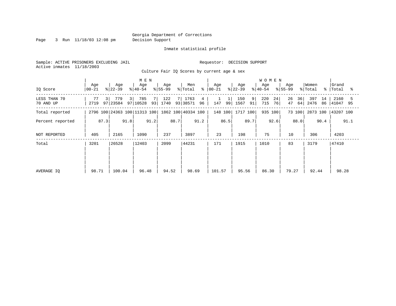Page 3 Run 11/18/03 12:08 pm Decision Support

Inmate statistical profile

Sample: ACTIVE PRISONERS EXCLUDING JAIL **Requestor: DECISION SUPPORT** Active inmates 11/18/2003

Culture Fair IQ Scores by current age & sex

|                           |                  |                       | M E N                        |                     |                               |                      |                         | <b>WOMEN</b>           |                      |                         |                      |
|---------------------------|------------------|-----------------------|------------------------------|---------------------|-------------------------------|----------------------|-------------------------|------------------------|----------------------|-------------------------|----------------------|
| IQ Score                  | Age<br>$00 - 21$ | Age<br>$ 22-39 $      | Age<br>$ 40-54 $             | Age<br>$ 55-99$     | Men<br>% Total                | Age<br>$8   00 - 21$ | Age<br>$ 22-39 $        | Age<br>$ 40-54 $       | Age<br>$ 55-99 $     | Women<br>% Total<br>°≈  | Grand<br>Total<br>°≈ |
| LESS THAN 70<br>70 AND UP | 3<br>77<br>2719  | 779<br>3 <br>97 23584 | 785<br>97 10528              | 122<br>7<br>93 1740 | 1763<br>4<br>93   38571<br>96 | 99<br>147            | 150<br>9 <br>1567<br>91 | 220<br>24<br>76<br>715 | 26<br>36<br>47<br>64 | 397<br>14<br>2476<br>86 | 2160<br> 41047 95    |
| Total reported            |                  |                       | 2796 100 24363 100 11313 100 |                     | 1862 100 40334 100            | 148 100              | 1717 100                | 935 100                | 73 100               | 2873 100                | 43207 100            |
| Percent reported          | 87.3             | 91.8                  | 91.2                         | 88.7                | 91.2                          | 86.5                 | 89.7                    | 92.6                   | 88.0                 | 90.4                    | 91.1                 |
| NOT REPORTED              | 405              | 2165                  | 1090                         | 237                 | 3897                          | 23                   | 198                     | 75                     | 10                   | 306                     | 4203                 |
| Total                     | 3201             | 26528                 | 12403                        | 2099                | 44231                         | 171                  | 1915                    | 1010                   | 83                   | 3179                    | 47410                |
|                           |                  |                       |                              |                     |                               |                      |                         |                        |                      |                         |                      |
|                           |                  |                       |                              |                     |                               |                      |                         |                        |                      |                         |                      |
| AVERAGE IQ                | 98.71            | 100.04                | 96.48                        | 94.52               | 98.69                         | 101.57               | 95.56                   | 86.30                  | 79.27                | 92.44                   | 98.28                |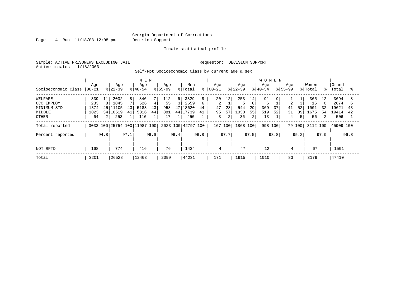Page 4 Run 11/18/03 12:08 pm Decision Support

#### Inmate statistical profile

Sample: ACTIVE PRISONERS EXCLUDING JAIL **Requestor: DECISION SUPPORT** Active inmates 11/18/2003

Self-Rpt Socioeconomic Class by current age & sex

|                     |                  |      |                         |                | M E N            |      |                  |                |                    |      |                   |                |                  |                | <b>WOMEN</b>     |      |                    |        |                  |             |                 |      |
|---------------------|------------------|------|-------------------------|----------------|------------------|------|------------------|----------------|--------------------|------|-------------------|----------------|------------------|----------------|------------------|------|--------------------|--------|------------------|-------------|-----------------|------|
| Socioeconomic Class | Age<br>$ 00-21 $ |      | Age<br>$8 22-39$        |                | Age<br>$8 40-54$ |      | Age<br>$8 55-99$ |                | Men<br>% Total     | ి    | Age<br>$ 00 - 21$ |                | Age<br>$8 22-39$ |                | Age<br>$8 40-54$ |      | Age<br>$8155 - 99$ |        | Women<br>% Total | $\approx$ 1 | Grand<br> Total | ႜ    |
| WELFARE             | 339              | 11   | 2032                    | 8 <sup>1</sup> | 846              |      | 112              | 6              | 3329               | 8    | 20                | 12             | 253              | 14             | 91               | 9    |                    |        | 365              | 12          | 3694            | 8    |
| OCC EMPLOY          | 233              | 8    | 1845                    |                | 526              | 4    | 55               | $\overline{3}$ | 2659               | 6    | 2                 |                |                  | 0              | 6                |      | 2                  |        | 15               |             | 2674            | h    |
| MINIMUM STD         | 1374             |      | 45 11105                | 43             | 5183             | 43   | 958              |                | 47 18620           | 44   | 47                | 28             | 544              | 29             | 369              | 37   | 41                 | 52     | 1001             | 32          | 19621           | 43   |
| MIDDLE              | 1023             |      | 34 10519                | 41             | 5316             | 44   | 881              |                | 44 17739           | 41   | 95                | 57             | 1030             | 55             | 519              | 52   | 31                 | 39     | 1675             | 54          | 19414           | 42   |
| OTHER               | 64               | 2    | 253                     |                | 116              |      | 17               |                | 450                |      | 3                 | $\overline{2}$ | 36               | $\overline{2}$ | 13               |      | 4                  | 5      | 56               | 2           | 506             |      |
| Total reported      | 3033             |      | 100 25754 100 11987 100 |                |                  |      |                  |                | 2023 100 42797 100 |      | 167 100           |                | 1868 100         |                | 998              | 100  |                    | 79 100 | 3112 100         |             | 45909 100       |      |
| Percent reported    |                  | 94.8 |                         | 97.1           |                  | 96.6 |                  | 96.4           |                    | 96.8 |                   | 97.7           |                  | 97.5           |                  | 98.8 |                    | 95.2   |                  | 97.9        |                 | 96.8 |
| NOT RPTD            | 168              |      | 774                     |                | 416              |      | 76               |                | 1434               |      | 4                 |                | 47               |                | 12               |      | 4                  |        | 67               |             | 1501            |      |
| Total               | 3201             |      | 26528                   |                | 12403            |      | 2099             |                | 44231              |      | 171               |                | 1915             |                | 1010             |      | 83                 |        | 3179             |             | 47410           |      |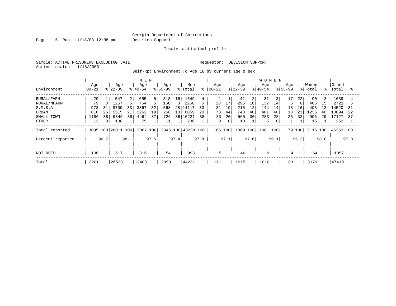Page 5 Run 11/18/03 12:08 pm Decision Support

Inmate statistical profile

Sample: ACTIVE PRISONERS EXCLUDING JAIL **Requestor: DECISION SUPPORT** Active inmates 11/18/2003

Self-Rpt Environment To Age 16 by current age & sex

|                  |                  |                |                  |      | MEN                          |      |                    |      |                |      |                  |             |                  |      | <b>WOMEN</b>    |                |                    |        |                  |             |                |      |
|------------------|------------------|----------------|------------------|------|------------------------------|------|--------------------|------|----------------|------|------------------|-------------|------------------|------|-----------------|----------------|--------------------|--------|------------------|-------------|----------------|------|
| Environment      | Age<br>$00 - 21$ |                | Age<br>$ 22-39 $ |      | Age<br>$ 40-54 $             |      | Age<br>$8155 - 99$ |      | Men<br>% Total | ి    | Aqe<br>$00 - 21$ |             | Age<br>$ 22-39 $ |      | Age<br>$ 40-54$ |                | Age<br>$8155 - 99$ |        | Women<br>% Total | $\approx$ 1 | Grand<br>Total | °    |
| RURAL/FARM       | 29               |                | 547              | 2    | 655                          | 5    | 318                | 16   | 1549           |      |                  |             | 41               | 2    | 31              | 3 <sup>1</sup> | 17                 | 22     | 90               | 3           | 1639           | 4    |
| RURAL/NFARM      | 79               |                | 1257             |      | 764                          | 6    | 156                | 8    | 2256           |      | 28               | 17          | 295              | 16   | 137             | 14             | 5                  | 6      | 465              | 15          | 2721           | 6    |
| S.M.S.A          | 973              | 31             | 8709             | 33   | 3867                         | 32   | 568                | 28   | 14117          | 33   | 31               | 19          | 215              | 12   | 144             | 14             | 13                 | 16     | 403              | 13          | L4520          | 31   |
| URBAN            | 816              | 26             | 5515             | 21   | 2262                         | 19   | 266                | 13   | 8859           | 20   | 73               | 44          | 743              | 40   | 401             | 40             | 18                 | 23     | 1235             | 40          | 10094          | 22   |
| SMALL TOWN       | 1186             | 38             | 9845             | 38   | 4464                         | 37   | 726                | 36   | 16221          | 38   | 33               | 20          | 565              | 30   | 283             | 28             | 25                 | 32     | 906              | 29          | 17127          | 37   |
| OTHER            | 12               | 0 <sup>1</sup> | 138              |      | 75                           |      | 11                 |      | 236            |      | 0                | $\mathbf 0$ | 10               |      | 5               |                |                    |        | 16               |             | 252            |      |
| Total reported   |                  |                |                  |      | 3095 100 26011 100 12087 100 |      | 2045 100           |      | 43238 100      |      | 166 100          |             | 1869 100         |      | 1001            | 100            |                    | 79 100 | 3115 100         |             | 46353 100      |      |
| Percent reported |                  | 96.7           |                  | 98.1 |                              | 97.5 |                    | 97.4 |                | 97.8 |                  | 97.1        |                  | 97.6 |                 | 99.1           |                    | 95.2   |                  | 98.0        |                | 97.8 |
|                  |                  |                |                  |      |                              |      |                    |      |                |      |                  |             |                  |      |                 |                |                    |        |                  |             |                |      |
| NOT RPTD         | 106              |                | 517              |      | 316                          |      | 54                 |      | 993            |      | 5                |             | 46               |      | 9               |                | 4                  |        | 64               |             | 1057           |      |
| Total            | 3201             |                | 26528            |      | 12403                        |      | 2099               |      | 44231          |      | 171              |             | 1915             |      | 1010            |                | 83                 |        | 3179             |             | 47410          |      |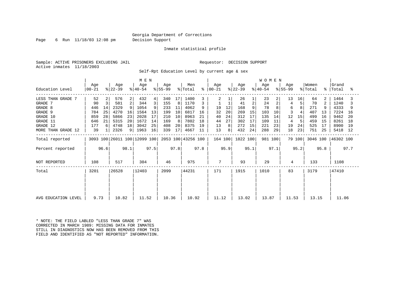Page 6 Run 11/18/03 12:08 pm Decision Support

Inmate statistical profile

Sample: ACTIVE PRISONERS EXCLUDING JAIL **Requestor: DECISION SUPPORT** Active inmates 11/18/2003

Self-Rpt Education Level by current age & sex

|                     |                        |                                              | M E N            |    |                  |      |                  |                 |                    |      | <b>WOMEN</b>   |      |                  |                |                  |      |                  |        |                  |      |                    |      |
|---------------------|------------------------|----------------------------------------------|------------------|----|------------------|------|------------------|-----------------|--------------------|------|----------------|------|------------------|----------------|------------------|------|------------------|--------|------------------|------|--------------------|------|
| Education Level     | Age<br>  00-21         |                                              | Age<br>$ 22-39 $ |    | Age<br>$ 40-54 $ |      | Age<br>$ 55-99 $ |                 | Men<br>% Total     | ៖    | Aqe<br>  00-21 |      | Age<br>$ 22-39 $ |                | Aqe<br>$ 40-54 $ |      | Age<br>$ 55-99 $ |        | Women<br>% Total |      | Grand<br>%   Total | ႜ    |
| LESS THAN GRADE 7   | 52                     | 2                                            | 576              | 2  | 432              | 4    | 340              | 17 <sup>1</sup> | 1400               |      | 2              |      | 26               |                | 23               | 2    | 13               | 16     | 64               | 2    | 1464               |      |
| GRADE 7             | 90                     | 3                                            | 581              | 2  | 344              | 3    | 155              | 8               | 1170               |      |                |      | 41               | $\overline{2}$ | 24               | 2    | 4                | 5      | 70               | 2    | 1240               |      |
| GRADE 8             | 446                    | 14                                           | 2329             |    | 1054             | 9    | 233              | 11              | 4062               |      | 19             | 12   | 168              |                | 78               |      | 6                |        | 271              |      | 4333               |      |
| GRADE 9             | 784                    | 25                                           | 4270             | 16 | 1564             | 13   | 199              | 10              | 6817               | 16   | 32             | 20   | 269              | 15             | 103              | 10   |                  |        | 407              | 13   | 7224               | 16   |
| GRADE 10            | 859                    | 28                                           | 5866             | 23 | 2028             | 17   | 210              | 10              | 8963               | 21   | 40             | 24   | 312              | 17             | 135              | 14   | 12               | 15     | 499              | 16   | 9462               | 20   |
| GRADE 11            | 646                    | 21                                           | 5315             | 20 | 1672             | 14   | 169              | 8               | 7802               | 18   | 44             | 27   | 302              | 17             | 109              | 11   | 4                | 5      | 459              | 15   | 8261               | 18   |
| GRADE 12            | 177                    |                                              | 4748             | 18 | 3042             | 25   | 408              | 20              | 8375               | 19   | 13             | 8    | 272              | 15             | 221              | 23   | 19               | 24     | 525              | 17   | 8900               | -19  |
| MORE THAN GRADE 12  | 39                     |                                              | 2326             | 9  | 1963             | 16   | 339              | 17              | 4667               | 11   | 13             | 8    | 432              | 24             | 288              | 29   | 18               | 23     | 751              | 25   | 5418               | 12   |
| Total reported      |                        |                                              |                  |    |                  |      |                  |                 | 2053 100 43256 100 |      | 164 100        |      | 1822 100         |                | 981 100          |      |                  | 79 100 | 3046 100         |      | 46302 100          |      |
| Percent reported    |                        | 3093 100 26011 100 12099 100<br>98.1<br>96.6 |                  |    |                  | 97.5 |                  | 97.8            |                    | 97.8 |                | 95.9 |                  | 95.1           |                  | 97.1 |                  | 95.2   |                  | 95.8 |                    | 97.7 |
| NOT REPORTED        | 108                    |                                              | 517              |    | 304              |      | 46               |                 | 975                |      |                |      | 93               |                | 29               |      | 4                |        | 133              |      | 1108               |      |
| Total               | 26528<br>12403<br>3201 |                                              |                  |    | 2099             |      | 44231            |                 | 171                |      | 1915           |      | 1010             |                | 83               |      | 3179             |        | 47410            |      |                    |      |
|                     |                        |                                              |                  |    |                  |      |                  |                 |                    |      |                |      |                  |                |                  |      |                  |        |                  |      |                    |      |
| AVG EDUCATION LEVEL | 9.73                   |                                              | 10.82            |    | 11.52            |      | 10.36            |                 | 10.92              |      | 11.12          |      | 13.02            |                | 13.87            |      | 11.53            |        | 13.15            |      | 11.06              |      |

\* NOTE: THE FIELD LABLED "LESS THAN GRADE 7" WAS CORRECTED IN MARCH 1989: MISSING DATA FOR INMATES STILL IN DIAGNOSTICS NOW HAS BEEN REMOVED FROM THIS FIELD AND IDENTIFIED AS "NOT REPORTED" INFORMATION.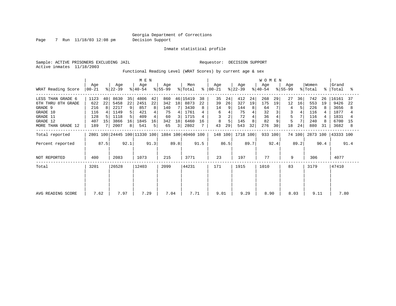Page 7 Run 11/18/03 12:08 pm Decision Support

Inmate statistical profile

Sample: ACTIVE PRISONERS EXCLUDING JAIL **Requestor: DECISION SUPPORT** Active inmates 11/18/2003

Functional Reading Level (WRAT Scores) by current age & sex

| WRAT Reading Score                                                                                           | M E N<br>Men<br>Age<br>Age<br>Age<br>Age<br>$ 55-99 $<br>$ 22-39 $<br>% Total<br>$ 40-54 $<br>$ 00-21 $ |                     |                                                      |                          |                                                  |                               |                                            |                    | ⊱                                                        | Age<br>$ 00-21 $ |                                | Age<br>$ 22-39 $ |                                             | <b>WOMEN</b><br>Age<br>$ 40-54 $ |                                           | Aqe<br>$ 55-99 $ |                          | Women<br>% Total |                                               | Grand<br>%   Total | ႜ                                                     |                      |
|--------------------------------------------------------------------------------------------------------------|---------------------------------------------------------------------------------------------------------|---------------------|------------------------------------------------------|--------------------------|--------------------------------------------------|-------------------------------|--------------------------------------------|--------------------|----------------------------------------------------------|------------------|--------------------------------|------------------|---------------------------------------------|----------------------------------|-------------------------------------------|------------------|--------------------------|------------------|-----------------------------------------------|--------------------|-------------------------------------------------------|----------------------|
| LESS THAN GRADE 6<br>6TH THRU 8TH GRADE<br>GRADE 9<br>GRADE 10<br>GRADE 11<br>GRADE 12<br>MORE THAN GRADE 12 | 1123<br>622<br>216<br>116<br>128<br>407<br>189                                                          | 40<br>22<br>8<br>15 | 8630<br>5458<br>2217<br>1149<br>1118<br>3866<br>2007 | 35<br>22<br>9<br>16<br>8 | 4806<br>2451<br>857<br>421<br>409<br>1845<br>541 | 42<br>22<br>8<br>4<br>16<br>5 | 860<br>342<br>140<br>75<br>60<br>342<br>65 | 18<br>3<br>18<br>3 | 46 15419<br>8873<br>3430<br>1761<br>1715<br>6460<br>2802 | 38<br>22<br>16   | 35<br>39<br>14<br>6<br>8<br>43 | 24<br>26<br>29   | 412<br>327<br>144<br>75<br>72<br>145<br>543 | 24<br>19<br>8<br>32              | 268<br>175<br>64<br>32<br>36<br>82<br>276 | 29<br>19<br>30   | 27<br>12<br>5<br>5<br>18 | 36<br>16<br>24   | 742<br>553<br>226<br>116<br>116<br>240<br>880 | 26<br>19<br>31     | 16161<br>9426<br>3656<br>1877<br>1831<br>6700<br>3682 | 37<br>-22<br>15<br>8 |
| Total reported<br>Percent reported                                                                           |                                                                                                         | 87.5                |                                                      | 92.1                     | 2801 100 24445 100 11330 100                     | 91.3                          |                                            | 89.8               | 1884 100 40460 100                                       | 91.5             | 148 100                        | 86.5             | 1718 100                                    | 89.7                             | 933 100                                   | 92.4             |                          | 74 100<br>89.2   | 2873 100                                      | 90.4               | 43333 100                                             | 91.4                 |
| NOT REPORTED                                                                                                 | 400                                                                                                     |                     | 2083                                                 |                          | 1073                                             |                               | 215                                        |                    | 3771                                                     |                  | 23                             |                  | 197                                         |                                  | 77                                        |                  | 9                        |                  | 306                                           |                    | 4077                                                  |                      |
| Total                                                                                                        | 3201                                                                                                    |                     | 26528                                                |                          | 12403                                            |                               | 2099                                       |                    | 44231                                                    |                  | 171                            |                  | 1915                                        |                                  | 1010                                      |                  | 83                       |                  | 3179                                          |                    | 47410                                                 |                      |
| AVG READING SCORE                                                                                            | 7.62                                                                                                    |                     | 7.97                                                 |                          | 7.29                                             |                               | 7.04                                       |                    | 7.71                                                     |                  | 9.01                           |                  | 9.29                                        |                                  | 8.90                                      |                  | 8.03                     |                  | 9.11                                          |                    | 7.80                                                  |                      |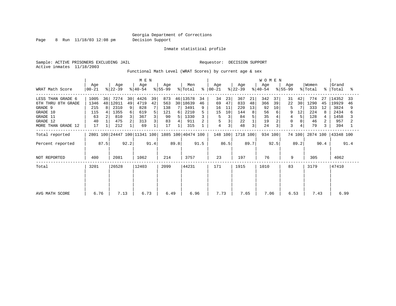Page 8 Run 11/18/03 12:08 pm Decision Support

Inmate statistical profile

Sample: ACTIVE PRISONERS EXCLUDING JAIL **Requestor: DECISION SUPPORT** Active inmates 11/18/2003

Functional Math Level (WRAT Scores) by current age & sex

| WRAT Math Score                                                                                              | M E N<br>Age<br>Age<br>Age<br>Age<br>$ 22-39 $<br>$8 55-99$<br>$ 00 - 21 $<br>$ 40-54 $ |              |                                                    |                    |                                                |               |                                            |               | Men<br>% Total                                             | ိ             | Age<br>$ 00-21 $                                 |                                             | Age<br>$ 22-39 $                           |                     | <b>WOMEN</b><br>Age<br>$8 40-54$         |                     | Aqe<br>$ 55-99 $                  |                | Women<br>% Total                             | $\approx$ 1    | Grand<br>Total                                       | °≈       |
|--------------------------------------------------------------------------------------------------------------|-----------------------------------------------------------------------------------------|--------------|----------------------------------------------------|--------------------|------------------------------------------------|---------------|--------------------------------------------|---------------|------------------------------------------------------------|---------------|--------------------------------------------------|---------------------------------------------|--------------------------------------------|---------------------|------------------------------------------|---------------------|-----------------------------------|----------------|----------------------------------------------|----------------|------------------------------------------------------|----------|
| LESS THAN GRADE 6<br>6TH THRU 8TH GRADE<br>GRADE 9<br>GRADE 10<br>GRADE 11<br>GRADE 12<br>MORE THAN GRADE 12 | 1005<br>1346<br>215<br>115<br>63<br>40<br>17                                            | 36<br>48     | 7274<br>12011<br>2310<br>1355<br>810<br>475<br>212 | 30<br>49<br>9<br>6 | 4426<br>4719<br>828<br>619<br>367<br>313<br>69 | 39<br>42<br>5 | 873<br>563<br>138<br>121<br>90<br>83<br>17 | 6 I<br>5<br>4 | 46 13578<br>30 18639<br>3491<br>2210<br>1330<br>911<br>315 | 34<br>46<br>9 | 34<br>69<br>16<br>15<br>5<br>5<br>$\overline{4}$ | 23<br>47<br>11<br>10<br>3<br>$\overline{3}$ | 367<br>833<br>220<br>144<br>84<br>22<br>48 | 21<br>48<br>13<br>8 | 342<br>366<br>92<br>56<br>35<br>19<br>24 | 37<br>39<br>10<br>6 | 31<br>22<br>5<br>9<br>4<br>0<br>3 | 42<br>30<br>12 | 774<br>1290<br>333<br>224<br>128<br>46<br>79 | 27<br>45<br>12 | 14352<br>19929<br>3824<br>2434<br>1458<br>957<br>394 | 33<br>46 |
| Total reported<br>Percent reported                                                                           | 2801 100 24447 100 11341 100                                                            |              |                                                    | 92.2               |                                                | 91.4          |                                            | 89.8          | 1885 100 40474 100                                         | 91.5          | 148 100                                          | 86.5                                        | 1718 100                                   | 89.7                | 934 100                                  | 92.5                |                                   | 74 100<br>89.2 | 2874 100                                     | 90.4           | 43348 100                                            | 91.4     |
| NOT REPORTED                                                                                                 | 400                                                                                     | 87.5<br>2081 |                                                    | 1062               |                                                | 214           |                                            | 3757          |                                                            | 23            |                                                  | 197                                         |                                            | 76                  |                                          | 9                   |                                   | 305            |                                              | 4062           |                                                      |          |
| Total                                                                                                        | 3201                                                                                    |              | 26528                                              |                    | 12403                                          |               | 2099                                       |               | 44231                                                      |               | 171                                              |                                             | 1915                                       |                     | 1010                                     |                     | 83                                |                | 3179                                         |                | 47410                                                |          |
| AVG MATH SCORE                                                                                               | 6.76                                                                                    |              | 7.13                                               |                    | 6.73                                           |               | 6.49                                       |               | 6.96                                                       |               | 7.73                                             |                                             | 7.65                                       |                     | 7.06                                     |                     | 6.53                              |                | 7.43                                         |                | 6.99                                                 |          |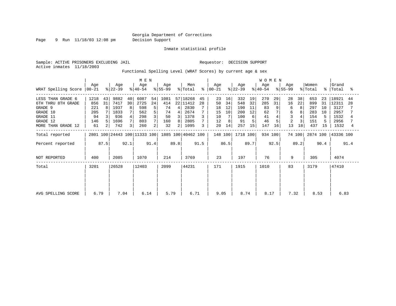Page 9 Run 11/18/03 12:08 pm Decision Support

Inmate statistical profile

Active inmates 11/18/2003

Sample: ACTIVE PRISONERS EXCLUDING JAIL **Requestor: DECISION SUPPORT** 

Functional Spelling Level (WRAT Scores) by current age & sex

|                      | M E N                        |                |                  |                |                              |      |                  |        |                            |      |                  |      |                  |      | <b>WOMEN</b>     |      |                     |        |                  |      |                    |      |
|----------------------|------------------------------|----------------|------------------|----------------|------------------------------|------|------------------|--------|----------------------------|------|------------------|------|------------------|------|------------------|------|---------------------|--------|------------------|------|--------------------|------|
| WRAT Spelling Score  | Age<br>$ 00-21 $             |                | Age<br>$ 22-39 $ |                | Age<br>$ 40-54 $             |      | Age<br>$ 55-99 $ |        | Men<br>$\frac{1}{2}$ Total | ∻    | Age<br>$ 00-21 $ |      | Age<br>$ 22-39 $ |      | Age<br>$ 40-54 $ |      | Aqe<br>$ 55-99 $    |        | Women<br>% Total |      | Grand<br>%   Total | ႜ    |
| LESS THAN GRADE 6    | 1218                         | 43             | 9882             | 40             | 6087                         | 54   | 1081             |        | 57 18268                   | 45   | 23               | 16   | 332              | 19   | 270              | 29   | 28                  | 38     | 653              | 23   | 18921              | 44   |
| 6TH THRU 8TH GRADE   | 856                          | 31             | 7417             | 30             | 2725                         | 24   | 414              |        | 22 11412                   | 28   | 50               | 34   | 548              | 32   | 285              | 31   | 16                  | 22     | 899              | 31   | 12311              | 28   |
| GRADE 9              | 221                          | 8              | 1937             | 8              | 598                          | 5    | 74               | 4      | 2830                       |      | 18               | 12   | 190              | 11   | 83               | 9    | 6                   | 8      | 297              | 10   | 3127               |      |
| GRADE 10             | 205                          |                | 1833             |                | 562                          | 5    | 74               | 4      | 2674                       |      | 15               | 10   | 200              | 12   | 62               |      | 6                   |        | 283              | 10   | 2957               |      |
| GRADE 11<br>GRADE 12 | 94<br>146                    |                | 936<br>1696      | 4<br>7         | 298<br>803                   | 3    | 50               | 3<br>8 | 1378<br>2805               |      | 10<br>12         | 8    | 100<br>91        | 6    | 41<br>46         |      | 3<br>$\overline{2}$ | 3      | 154<br>151       | 5.   | 1532<br>2956       |      |
| MORE THAN GRADE 12   | 61                           | $\overline{2}$ | 742              | 3 <sub>1</sub> | 260                          | 2    | 160<br>32        | 2      | 1095                       |      | 20               | 14   | 257              | 15   | 147              | 16   | 13                  | 18     | 437              | 15   | 1532               | 4    |
| Total reported       |                              |                |                  |                | 2801 100 24443 100 11333 100 |      |                  |        | 1885 100 40462 100         |      | 148 100          |      | 1718 100         |      | 934 100          |      |                     | 74 100 |                  |      | 2874 100 43336 100 |      |
| Percent reported     |                              | 87.5           |                  | 92.1           |                              | 91.4 |                  | 89.8   |                            | 91.5 |                  | 86.5 |                  | 89.7 |                  | 92.5 |                     | 89.2   |                  | 90.4 |                    | 91.4 |
| NOT REPORTED         | 400                          |                | 2085             |                | 1070                         |      | 214              |        | 3769                       |      | 23               |      | 197              |      | 76               |      | 9                   |        | 305              |      | 4074               |      |
| Total                | 3201                         |                | 26528            |                | 12403                        |      | 2099             |        | 44231                      |      | 171              |      | 1915             |      | 1010             |      | 83                  |        | 3179             |      | 47410              |      |
|                      |                              |                |                  |                |                              |      |                  |        |                            |      |                  |      |                  |      |                  |      |                     |        |                  |      |                    |      |
|                      | 6.14<br>6.79<br>7.04<br>5.79 |                |                  |                |                              |      |                  |        |                            |      |                  |      |                  |      |                  |      |                     |        |                  |      |                    |      |
| AVG SPELLING SCORE   |                              |                |                  |                |                              |      |                  |        | 6.71                       |      | 9.05             |      | 8.74             |      | 8.17             |      | 7.32                |        | 8.53             |      | 6.83               |      |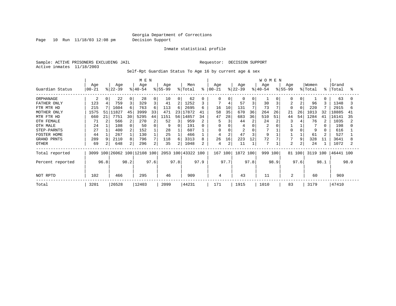Page 10 Run 11/18/03 12:08 pm Decision Support

#### Inmate statistical profile

Sample: ACTIVE PRISONERS EXCLUDING JAIL **Requestor: DECISION SUPPORT** Active inmates 11/18/2003

Self-Rpt Guardian Status To Age 16 by current age & sex

|                    |                  |      |                  |      | M E N                        |      |                 |      |                    |      |                   |      |                  |              | WOMEN            |      |                  |      |                  |           |                |      |
|--------------------|------------------|------|------------------|------|------------------------------|------|-----------------|------|--------------------|------|-------------------|------|------------------|--------------|------------------|------|------------------|------|------------------|-----------|----------------|------|
| Guardian Status    | Age<br>$00 - 21$ |      | Age<br>$ 22-39 $ |      | Age<br>$ 40-54 $             |      | Age<br>$ 55-99$ |      | Men<br>% Total     | ⊱    | Age<br>$ 00 - 21$ |      | Age<br>$ 22-39 $ |              | Age<br>$8 40-54$ |      | Age<br>$8 55-99$ |      | Women<br>% Total | $\approx$ | Grand<br>Total | °    |
| ORPHANAGE          | 2                | 0    | 22               | 0    | 28                           | 0    | 10              | 0    | 62                 |      | 0                 | O    | 0                | $\mathbf{0}$ |                  |      |                  |      |                  |           | 63             |      |
| FATHER ONLY        | 123              | 4    | 759              | 3    | 329                          | 3    | 41              |      | 1252               |      |                   |      | 57               | 3            | 30               |      |                  |      | 96               |           | 1348           |      |
| FTR MTR HD         | 215              |      | 1604             | 6    | 763                          | 6    | 113             | 6    | 2695               | 6    | 16                | 10   | 131              |              | 73               |      |                  |      | 220              |           | 2915           | 6    |
| MOTHER ONLY        | 1575             | 51   | 1827             | 45   | 3999                         | 33   | 471             |      | 23 17872           | 41   | 58                | 35   | 670              | 36           | 264              | 26   | 21               | 26   | 1013             | 32        | 18885          | 41   |
| MTR FTR HD         | 660              | 21   | 7751             | 30   | 5295                         | 44   | 1151            | 56   | 14857              | 34   | 47                | 28   | 683              | 36           | 510              | 51   | 44               | 54   | 1284             | 41        | 16141          | 35   |
| OTH FEMALE         | 71               |      | 566              | 2    | 270                          |      | 52              | 3    | 959                |      | 5                 |      | 44               |              | 24               |      |                  |      | 76               |           | 1035           |      |
| OTH MALE           | 24               |      | 108              | 0    | 50                           |      | 9               | 0    | 191                |      | U                 |      | 4                |              | 2                |      |                  |      |                  |           | 198            |      |
| STEP-PARNTS        | 27               |      | 400              | 2    | 152                          |      | 28              |      | 607                |      |                   |      |                  |              |                  |      |                  |      | 9                |           | 616            |      |
| <b>FOSTER HOME</b> | 44               |      | 267              |      | 130                          |      | 25              |      | 466                |      |                   |      | 47               |              | 9                |      |                  |      | 61               |           | 527            |      |
| GRAND PRNTS        | 289              | 9    | 2110             | 8    | 796                          | 7    | 118             | 6    | 3313               | 8    | 26                | 16   | 223              | 12           | 72               |      |                  | 9    | 328              | 11        | 3641           |      |
| OTHER              | 69               |      | 648              | 2    | 296                          | 2    | 35              |      | 1048               |      | 4                 | 2    | 11               |              | 7                |      | $\overline{2}$   |      | 24               |           | 1072           |      |
| Total reported     |                  |      |                  |      | 3099 100 26062 100 12108 100 |      |                 |      | 2053 100 43322 100 |      | 167 100           |      | 1872 100         |              | 999 100          |      | 81 100           |      | 3119 100         |           | 46441 100      |      |
| Percent reported   |                  | 96.8 |                  | 98.2 |                              | 97.6 |                 | 97.8 |                    | 97.9 |                   | 97.7 |                  | 97.8         |                  | 98.9 |                  | 97.6 |                  | 98.1      |                | 98.0 |
| NOT RPTD           | 102              |      | 466              |      | 295                          |      | 46              |      | 909                |      | 4                 |      | 43               |              | 11               |      | 2                |      | 60               |           | 969            |      |
| Total              | 3201             |      | 26528            |      | 12403                        |      | 2099            |      | 44231              |      | 171               |      | 1915             |              | 1010             |      | 83               |      | 3179             |           | 47410          |      |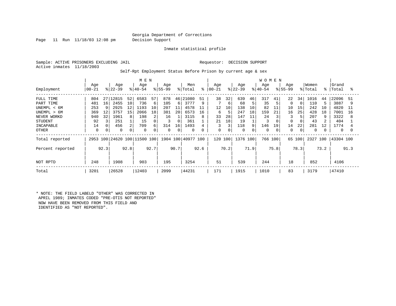Page 11 Run 11/18/03 12:08 pm Decision Support

Inmate statistical profile

Sample: ACTIVE PRISONERS EXCLUDING JAIL **Requestor: DECISION SUPPORT** Active inmates 11/18/2003

Self-Rpt Employment Status Before Prison by current age & sex

|                  |           |      |           |      | M E N                   |      |          |      |                    |      |          |      |           |      | <b>WOMEN</b> |      |             |          |             |      |           |      |
|------------------|-----------|------|-----------|------|-------------------------|------|----------|------|--------------------|------|----------|------|-----------|------|--------------|------|-------------|----------|-------------|------|-----------|------|
|                  | Age       |      | Age       |      | Age                     |      | Age      |      | Men                |      | Age      |      | Age       |      | Age          |      | Age         |          | Women       |      | Grand     |      |
| Employment       | $00 - 21$ |      | $ 22-39 $ |      | $8140 - 54$             |      | $ 55-99$ |      | % Total            | ႜ    | $ 00-21$ |      | $ 22-39 $ |      | $ 40-54$     |      | $ 55-99 $   |          | % Total     | %ะ   | Total     | ႜ    |
| FULL TIME        | 804       | 27   | 12815     | 52   | 6583                    | 57   | 878      | 46   | 21080              | 51   | 38       | 32   | 639       | 46   | 317          | 41   | 22          | 34       | 1016        | 44   | 22096     | 51   |
| PART TIME        | 481       | 16   | 2455      | 10   | 736                     | 6    | 105      | 6    | 3777               | 9    |          | 6    | 68        |      | 35           |      | $\mathbf 0$ | $\Omega$ | 110         |      | 3887      | 9    |
| UNEMPL < 6M      | 253       |      | 2925      | 12   | 1193                    | 10   | 207      | 11   | 4578               |      | 12       | 10   | 138       | 10   | 82           | 11   | 10          | 15       | 242         | 10   | 4820      | 11   |
| UNEMPL > 6M      | 369       | 12   | 3757      | 15   | 2066                    | 18   | 381      | 20   | 6573               | 16   | 6        | 5    | 247       | 18   | 159          | 21   | 16          | 25       | 428         | 18   | 7001      | 16   |
| NEVER WORKD      | 940       | 32   | 1961      | 8    | 198                     | 2    | 16       |      | 3115               | 8    | 33       | 28   | 147       | 11   | 24           |      |             | 5        | 207         | 9    | 3322      | 8    |
| <b>STUDENT</b>   | 92        |      | 251       |      | 15                      | 0    |          |      | 361                |      | 21       | 18   | 19        |      | 3            |      | 0           |          | 43          |      | 404       |      |
| INCAPABLE        | 14        |      | 456       |      | 709                     | 6    | 314      | 16   | 1493               |      | 3        | 3    | 118       | 9    | 146          | 19   | 14          | 22       | 281         | 12   | 1774      |      |
| OTHER            | 0         |      | 0         |      | 0                       | 0    | $\Omega$ |      | $\Omega$           | 0    | 0        | 0    | 0         |      | $\Omega$     |      | 0           | 0        | $\mathbf 0$ |      | 0         |      |
| Total reported   | 2953      |      |           |      | 100 24620 100 11500 100 |      |          |      | 1904 100 40977 100 |      | 120 100  |      | 1376 100  |      | 766          | 100  | 65 100      |          | 2327        | 100  | 43304 100 |      |
| Percent reported |           | 92.3 |           | 92.8 |                         | 92.7 |          | 90.7 |                    | 92.6 |          | 70.2 |           | 71.9 |              | 75.8 |             | 78.3     |             | 73.2 |           | 91.3 |
| NOT RPTD         | 248       |      | 1908      |      | 903                     |      | 195      |      | 3254               |      | 51       |      | 539       |      | 244          |      | 18          |          | 852         |      | 4106      |      |
| Total            | 3201      |      | 26528     |      | 12403                   |      | 2099     |      | 44231              |      | 171      |      | 1915      |      | 1010         |      | 83          |          | 3179        |      | 47410     |      |

\* NOTE: THE FIELD LABELD "OTHER" WAS CORRECTED IN APRIL 1989; INMATES CODED "PRE-OTIS NOT REPORTED" NOW HAVE BEEN REMOVED FROM THIS FIELD AND IDENTIFIED AS "NOT REPORTED".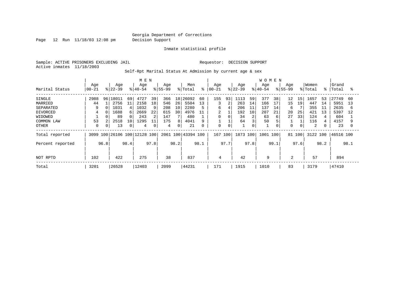Page 12 Run 11/18/03 12:08 pm Decision Support

Inmate statistical profile

Sample: ACTIVE PRISONERS EXCLUDING JAIL **Requestor: DECISION SUPPORT** Active inmates 11/18/2003

Self-Rpt Marital Status At Admission by current age & sex

|                  |           |      |           |      | M E N                   |                |             |                 |               |      |           |             |           |      | <b>WOMEN</b> |      |             |      |         |           |           |      |
|------------------|-----------|------|-----------|------|-------------------------|----------------|-------------|-----------------|---------------|------|-----------|-------------|-----------|------|--------------|------|-------------|------|---------|-----------|-----------|------|
|                  | Age       |      | Age       |      | Age                     |                | Age         |                 | Men           |      | Age       |             | Age       |      | Age          |      | Age         |      | Women   |           | Grand     |      |
| Marital Status   | $00 - 21$ |      | $8 22-39$ |      | $8 40-54$               |                | $8155 - 99$ |                 | % Total       | ႜ    | $ 00-21 $ |             | $8 22-39$ |      | $8 40-54$    |      | $8155 - 99$ |      | % Total | $\approx$ | Total     | °≈   |
| SINGLE           | 2988      | 96   | 18011     | 69   | 4727                    | 39             | 366         | 18 <sup>1</sup> | 26092         | 60   | 155       | 93          | 1113      | 59   | 377          | 38   | $12 \,$     | 15   | 1657    | 53        | 27749     | 60   |
| MARRIED          | 44        |      | 2756      | 11   | 2158                    | 18             | 546         | 26              | 5504          | 13   | 3         | 2           | 263       | 14   | 166          | 17   | 15          | 19   | 447     | 14        | 5951      | 13   |
| SEPARATED        | 9         |      | 1031      |      | 1032                    | 9              | 208         | 10              | 2280          | 5    | 6         | 4           | 206       | 11   | 137          | 14   | 6           |      | 355     | 11        | 2635      | 6    |
| <b>DIVORCED</b>  | 4         |      | 1688      |      | 2669                    | 22             | 615         | 30              | 4976          | 11   | 2         |             | 192       | 10   | 207          | 21   | 20          | 25   | 421     | 13        | 5397      | 12   |
| WIDOWED          |           |      | 89        |      | 243                     | $\overline{c}$ | 147         |                 | 480           |      | 0         |             | 34        | 2    | 63           | 6    | 27          | 33   | 124     |           | 604       |      |
| COMMON LAW       | 53        |      | 2518      | 10   | 1295                    | 11             | 175         | 8               | 4041          | 9    |           |             | 64        |      | 50           |      |             |      | 116     |           | 4157      |      |
| OTHER            | $\Omega$  | 0    | 13        |      | 4                       | 0              | 4           | 0               | 21            | 0    | 0         | $\mathbf 0$ |           | 0    |              |      | 0           | 0    | 2       |           | 23        |      |
| Total reported   | 3099      |      |           |      | 100 26106 100 12128 100 |                | 2061        |                 | 100 43394 100 |      | 167       | 100         | 1873 100  |      | 1001         | 100  | 81 100      |      | 3122    | 100       | 46516 100 |      |
| Percent reported |           | 96.8 |           | 98.4 |                         | 97.8           |             | 98.2            |               | 98.1 |           | 97.7        |           | 97.8 |              | 99.1 |             | 97.6 |         | 98.2      |           | 98.1 |
|                  |           |      |           |      |                         |                |             |                 |               |      |           |             |           |      |              |      |             |      |         |           |           |      |
| NOT RPTD         | 102       |      | 422       |      | 275                     |                | 38          |                 | 837           |      | 4         |             | 42        |      | 9            |      | 2           |      | 57      |           | 894       |      |
| Total            | 3201      |      | 26528     |      | 12403                   |                | 2099        |                 | 44231         |      | 171       |             | 1915      |      | 1010         |      | 83          |      | 3179    |           | 47410     |      |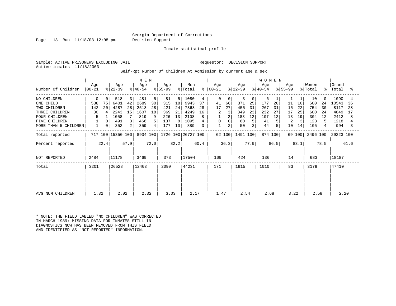Page 13 Run 11/18/03 12:08 pm Decision Support

Inmate statistical profile

Sample: ACTIVE PRISONERS EXCLUDING JAIL **Requestor: DECISION SUPPORT** Active inmates 11/18/2003

Self-Rpt Number Of Children At Admission by current age & sex

|                      |                  |       |                   |      | M E N            |      |                  |       |                    |      |                |        |                  |      | WOMEN            |      |                  |        |                  |             |                |      |
|----------------------|------------------|-------|-------------------|------|------------------|------|------------------|-------|--------------------|------|----------------|--------|------------------|------|------------------|------|------------------|--------|------------------|-------------|----------------|------|
| Number Of Children   | Age<br>$00 - 21$ |       | Age<br>$ 22-39 $  |      | Age<br>$ 40-54 $ |      | Age<br>$ 55-99 $ |       | Men<br>% Total     | ፟፠   | Age<br>  00-21 |        | Age<br>$ 22-39 $ |      | Age<br>$ 40-54 $ |      | Age<br>$ 55-99 $ |        | Women<br>% Total | $\approx$ 1 | Grand<br>Total | ႜ    |
| NO CHILDREN          | 0                | 0     | 518               | 3    | 481              | 5    | 81               | 5     | 1080               | 4    | 0              | 0      | 3                | 0    | 6                |      |                  |        | 10               | $\Omega$    | 1090           |      |
| ONE CHILD            | 538              | 75    | 6401              | 42   | 2689             | 30   | 315              | 18    | 9943               | 37   | 41             | 66     | 371              | 25   | 177              | 20   | 11               | 16     | 600              | 24          | 10543          | 36   |
| TWO CHILDREN         | 142              | 20    | 4287              | 28   | 2513             | 28   | 421              | 24    | 7363               | 28   | 17             | 27     | 455              | 31   | 267              | 31   | 15               | 22     | 754              | 30          | 8117           | 28   |
| THREE CHILDREN       | 30               |       | 2243              | 15   | 1607             | 18   | 369              | 21    | 4249               | 16   |                |        | 349              | 23   | 232              | 27   | 17               | 25     | 600              | 24          | 4849           | 17   |
| <b>FOUR CHILDREN</b> | 5                |       | 1058              |      | 819              | 9    | 226              | 13    | 2108               |      |                |        | 183              | 12   | 107              | 12   | 13               | 19     | 304              | 12          | 2412           | 8    |
| FIVE CHILDREN        |                  | 0     | 491               | 3    | 466              | 5    | 137              | 8     | 1095               |      | 0              |        | 80               |      | 41               |      | 2                |        | 123              | 5.          | 1218           |      |
| MORE THAN 5 CHILDREN |                  | 0     | 352               | 2    | 359              | 4    | 177              | 10    | 889                | 3    | $\mathbf 1$    | 2      | 50               |      | 44               | 5    | 10               | 14     | 105              |             | 994            |      |
| Total reported       |                  |       | 717 100 15350 100 |      | 8934 100         |      |                  |       | 1726 100 26727 100 |      |                | 62 100 | 1491 100         |      | 874 100          |      |                  | 69 100 | 2496 100         |             | 29223 100      |      |
| Percent reported     |                  | 22.4  |                   | 57.9 |                  | 72.0 |                  | 82.2  |                    | 60.4 |                | 36.3   |                  | 77.9 |                  | 86.5 |                  | 83.1   |                  | 78.5        |                | 61.6 |
| NOT REPORTED         | 2484             | 11178 |                   | 3469 |                  | 373  |                  | 17504 |                    | 109  |                | 424    |                  | 136  |                  | 14   |                  | 683    |                  | 18187       |                |      |
| Total                | 3201             |       | 26528             |      | 12403            |      | 2099             |       | 44231              |      | 171            |        | 1915             |      | 1010             |      | 83               |        | 3179             |             | 47410          |      |
|                      |                  |       |                   |      |                  |      |                  |       |                    |      |                |        |                  |      |                  |      |                  |        |                  |             |                |      |
| AVG NUM CHILDREN     | 1.32             |       | 2.02              |      | 2.32             |      | 3.03             |       | 2.17               |      | 1.47           |        | 2.54             |      | 2.68             |      | 3.22             |        | 2.58             |             | 2.20           |      |

\* NOTE: THE FIELD LABLED "NO CHILDREN" WAS CORRECTED IN MARCH 1989: MISSING DATA FOR INMATES STILL IN DIAGNOSTICS NOW HAS BEEN REMOVED FROM THIS FIELD AND IDENTIFIED AS "NOT REPORTED" INFORMATION.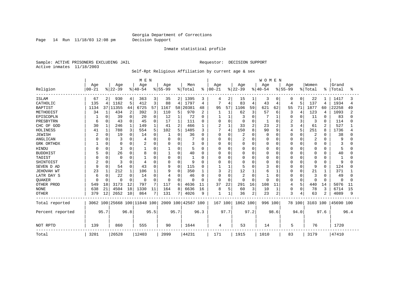Page 14 Run 11/18/03 12:08 pm Decision Support

#### Inmate statistical profile

Sample: ACTIVE PRISONERS EXCLUDING JAIL **Requestor: DECISION SUPPORT** Active inmates 11/18/2003

#### Self-Rpt Religious Affiliation by current age & sex

|                  |           |          |                              |          | M E N     |             |             |          |                    |           |             |                |          |                | WOMEN    |                |             |                |                |          |              |      |
|------------------|-----------|----------|------------------------------|----------|-----------|-------------|-------------|----------|--------------------|-----------|-------------|----------------|----------|----------------|----------|----------------|-------------|----------------|----------------|----------|--------------|------|
|                  | Age       |          | Age                          |          | Age       |             | Age         |          | Men                |           | Age         |                | Age      |                | Age      |                | Age         |                | Women          |          | Grand        |      |
| Religion         | $00 - 21$ |          | $8 22-39$                    |          | $8 40-54$ |             | $8155 - 99$ |          | % Total            | $\approx$ | $00 - 21$   |                | $ 22-39$ |                | $ 40-54$ |                | $8155 - 99$ |                | % Total        | ႜ        | Total        | °    |
| <b>ISLAM</b>     | 67        | 2        | 930                          | 4        | 363       | 3           | 35          | 2        | 1395               | 3         | 4           | 2              | 15       | 1              | 3        | 0              | 0           | 0              | 22             |          | 1417         |      |
| CATHOLIC         | 135       | 4        | 1162                         | 5        | 412       | 3           | 88          | 4        | 1797               | 4         |             | $\overline{4}$ | 83       | $\overline{4}$ | 43       | 4              | 4           | 5              | 137            | 4        | 1934         | 4    |
| <b>BAPTIST</b>   | 1134      |          | 37 11355                     | 44       | 6725      | 57          | 1167        | 58       | 20381              | 48        | 95          | 57             | 1106     | 59             | 621      | 62             | 55          | 71             | 1877           | 60       | 22258        | 49   |
| METHODIST        | 34        |          | 434                          | 2        | 392       | 3           | 110         | 5        | 970                | 2         |             |                | 62       | 3              | 57       | 6              | 3           | 4              | 123            | 4        | 1093         |      |
| EPISCOPLN        |           | $\Omega$ | 39                           | 0        | 20        | 0           | 12          |          | 72                 | 0         |             |                | 3        | $\Omega$       |          |                | 0           | 0              | 11             | $\Omega$ | 83           |      |
| PRESBYTRN        | 6         | $\Omega$ | 43                           | 0        | 45        | $\mathbf 0$ | 17          |          | 111                | 0         |             | $\mathbf 0$    | $\Omega$ | $\Omega$       |          | 0              | 2           | 3              | 3              | 0        | 114          |      |
| CHC OF GOD       | 30        |          | 246                          |          | 149       | 1           | 41          | 2        | 466                |           | 2           | $\mathbf{1}$   | 33       | $\overline{2}$ | 23       | $\overline{2}$ | 3           | $\overline{4}$ | 61             | 2        | 527          |      |
| HOLINESS         | 41        |          | 788                          | 3        | 554       | 5           | 102         | 5        | 1485               | 3         |             | $\overline{4}$ | 150      | 8              | 90       | $\mathsf{Q}$   | 4           | 5              | 251            | 8        | 1736         |      |
| <b>JEWISH</b>    | 2         | $\Omega$ | 19                           | $\Omega$ | 14        | $\Omega$    |             | O        | 36                 | $\Omega$  | $\Omega$    | $\Omega$       | 2        | $\cap$         | $\Omega$ | $\Omega$       | O           | $\Omega$       | $\overline{2}$ | $\Omega$ | 38           |      |
| ANGLICAN         |           | $\Omega$ | З                            | 0        |           | O           | $\Omega$    | 0        |                    | U         | O           | $\Omega$       | 2        | $\Omega$       | O        | 0              | N           | $\Omega$       | 2              | O        | 9            |      |
| GRK ORTHDX       |           | $\Omega$ | $\Omega$                     | 0        |           | 0           | $\Omega$    | 0        | 3                  | 0         |             | $\Omega$       | $\Omega$ | $\Omega$       | O        | 0              | N           | $\Omega$       | $\Omega$       | 0        | 3            |      |
| HINDU            |           | $\Omega$ | 3                            | $\Omega$ |           | $\Omega$    | -1          | 0        | 5                  | 0         | U           | $\Omega$       | U        | $\Omega$       | U        | 0              | N           | $\Omega$       | 0              | O        | 5            |      |
| <b>BUDDHIST</b>  |           | $\Omega$ | 26                           | O        |           | O           |             | 0        | 40                 | U         |             | $\Omega$       |          | $\Omega$       |          | 0              |             | $\Omega$       | U              | O        | 40           |      |
| TAOIST           |           | $\Omega$ | 0                            | 0        |           | $\Omega$    | $\Omega$    | 0        | 1                  | U         |             | $\Omega$       |          | $\cap$         |          | $\Omega$       | N           | $\Omega$       | 0              | $\Omega$ |              |      |
| SHINTOIST        | 2         | $\Omega$ | 3                            | 0        |           | $\Omega$    | $\Omega$    | 0        | 9                  | U         |             | $\Omega$       | $\Omega$ | ∩              | O        | $\Omega$       | 0           | $\Omega$       | 0              | $\Omega$ | 9            |      |
| SEVEN D AD       | 9         | $\Omega$ | 54                           | $\Omega$ | 43        | $\cap$      | 9           | 0        | 115                | O         |             |                |          | U              |          | $\Omega$       | U           | $\Omega$       | 9              | $\Omega$ | 124          |      |
| JEHOVAH WT       | 23        |          | 212                          |          | 106       |             | 9           | $\Omega$ | 350                |           | ζ           | $\overline{c}$ | 12       |                | б        |                | U           | $\Omega$       | 21             | -1       | 371          |      |
| LATR DAY S       | 6         |          | 22                           | U        | 14        | 0           | 4           | 0        | 46                 | O         | $\cap$      | $\Omega$       | 2        | $\cap$         |          | $\Omega$       | Ω           | $\Omega$       | 3              | O        | 49           |      |
| <b>OUAKER</b>    |           |          | $\Omega$                     | $\Omega$ | $\Omega$  | 0           | O           | O        | $\Omega$           | 0         |             | 0              | $\Omega$ | $\Omega$       | U        | $\Omega$       | O           | $\Omega$       | 0              | $\Omega$ | <sup>0</sup> |      |
| OTHER PROD       | 549       | 18       | 3173                         | 12       | 797       | 7           | 117         | 6        | 4636               | 11        | 37          | 22             | 291      | 16             | 108      | 11             | 4           | 5              | 440            | 14       | 5076         | 11   |
| <b>NONE</b>      | 638       | 21       | 4504                         | 18       | 1330      | 11          | 164         | 8        | 6636               | 16        | 8           | 5              | 60       | 3              | 10       | 1              | 0           | $\mathbf 0$    | 78             | 3        | 6714         | 15   |
| <b>OTHER</b>     | 379       | 12       | 2652                         | 10       | 864       | 7           | 131         | 7        | 4026               | 9         | $\mathbf 1$ |                | 36       | 2              | 23       | $\overline{a}$ | 3           | 4              | 63             |          | 4089         | 9    |
| Total reported   |           |          | 3062 100 25668 100 11848 100 |          |           |             |             |          | 2009 100 42587 100 |           | 167 100     |                | 1862 100 |                | 996 100  |                |             | 78 100         | 3103 100       |          | 45690 100    |      |
| Percent reported |           | 95.7     |                              | 96.8     |           | 95.5        |             | 95.7     |                    | 96.3      |             | 97.7           |          | 97.2           |          | 98.6           |             | 94.0           |                | 97.6     |              | 96.4 |
| NOT RPTD         | 139       |          | 860                          |          | 555       |             | 90          |          | 1644               |           | 4           |                | 53       |                | 14       |                | 5           |                | 76             |          | 1720         |      |
| Total            | 3201      |          | 26528                        |          | 12403     |             | 2099        |          | 44231              |           | 171         |                | 1915     |                | 1010     |                | 83          |                | 3179           |          | 47410        |      |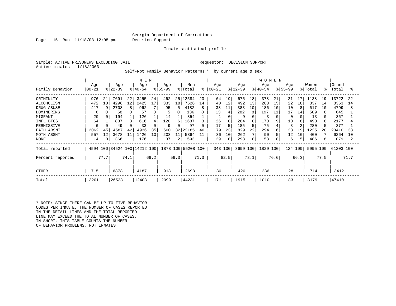Page 15 Run 11/18/03 12:08 pm Decision Support

Inmate statistical profile

Sample: ACTIVE PRISONERS EXCLUDING JAIL REGUESTOR: DECISION SUPPORT Active inmates 11/18/2003

Self-Rpt Family Behavior Patterns \* by current age & sex

|                                                                                                                       | M E N                                                  |                      |                                                                |                                     |                                                               |                                       |                                                       |                                          |                                                                       |                                          |                                              |                                           |                                                           |                                                       | <b>WOMEN</b>                                            |                                      |                                                             |                                 |                                                              |                      |                                                                     |                      |
|-----------------------------------------------------------------------------------------------------------------------|--------------------------------------------------------|----------------------|----------------------------------------------------------------|-------------------------------------|---------------------------------------------------------------|---------------------------------------|-------------------------------------------------------|------------------------------------------|-----------------------------------------------------------------------|------------------------------------------|----------------------------------------------|-------------------------------------------|-----------------------------------------------------------|-------------------------------------------------------|---------------------------------------------------------|--------------------------------------|-------------------------------------------------------------|---------------------------------|--------------------------------------------------------------|----------------------|---------------------------------------------------------------------|----------------------|
| Family Behavior                                                                                                       | Age<br>$00 - 21$                                       |                      | Age<br>$ 22-39 $                                               |                                     | Age<br>$ 40-54 $                                              |                                       | Age<br>$ 55-99 $                                      |                                          | Men<br>% Total                                                        | °                                        | Age<br>$ 00-21 $                             |                                           | Age<br>$ 22-39 $                                          |                                                       | Age<br>$ 40-54 $                                        |                                      | Age<br>$8155 - 99$                                          |                                 | Women<br>% Total                                             | $\approx$            | Grand<br>Total                                                      | °                    |
| CRIMINLTY<br>ALCOHOLISM<br>DRUG ABUSE<br>DOMINERING<br>MIGRANT<br>INFL BTGS<br>PERMISSIVE<br>FATH ABSNT<br>MOTH ABSNT | 976<br>472<br>417<br>6<br>20<br>64<br>6<br>2062<br>557 | 21<br>10<br>45<br>12 | 7691<br>4296<br>2708<br>68<br>194<br>887<br>49<br>4587<br>3678 | 22<br>$12 \overline{ }$<br>42<br>11 | 3455<br>2425<br>962<br>57<br>126<br>616<br>33<br>4936<br>1426 | 24<br>17<br>4<br>$\Omega$<br>35<br>10 | 462<br>333<br>95<br>5<br>14<br>120<br>9<br>600<br>203 | 18<br>5<br>6<br><sup>0</sup><br>32<br>11 | 25 12584<br>7526<br>4182<br>136<br>354<br>1687<br>97<br>22185<br>5864 | 23<br>14<br>8<br>0<br>3<br>0<br>40<br>11 | 64<br>40<br>38<br>13<br>26<br>17<br>79<br>36 | 19<br>12<br>11<br>4<br>8<br>5<br>23<br>10 | 675<br>492<br>383<br>282<br>9<br>284<br>185<br>829<br>262 | 18<br>13<br>10<br>8<br>8<br>5<br>22<br>7 <sub>1</sub> | 378<br>283<br>186<br>197<br>3<br>170<br>75<br>294<br>90 | 21<br>15<br>10<br>11<br>9<br>16<br>5 | 21<br>22<br>10<br>17<br><sup>0</sup><br>10<br>3<br>23<br>12 | 17<br>18<br>14<br>8<br>19<br>10 | 1138<br>837<br>617<br>509<br>13<br>490<br>280<br>1225<br>400 | 19<br>14<br>10<br>20 | 13722<br>8363<br>4799<br>645<br>367<br>2177<br>377<br>23410<br>6264 | 22<br>14<br>38<br>10 |
| NONE<br>Total reported                                                                                                | 14                                                     | 0                    | 366                                                            |                                     | 176<br>4594 100 34524 100 14212 100                           |                                       | 37                                                    | 2                                        | 593<br>1878 100 55208 100                                             |                                          | 29<br>343 100                                | 8                                         | 298<br>3699 100                                           | 8 <sup>1</sup>                                        | 153<br>1829                                             | 8<br>100                             | 6<br>124 100                                                |                                 | 486<br>5995 100                                              |                      | 1079<br>61203 100                                                   |                      |
| Percent reported                                                                                                      |                                                        | 77.7                 |                                                                | 74.1                                |                                                               | 66.2                                  |                                                       | 56.3                                     |                                                                       | 71.3                                     |                                              | 82.5                                      |                                                           | 78.1                                                  |                                                         | 76.6                                 |                                                             | 66.3                            |                                                              | 77.5                 |                                                                     | 71.7                 |
| <b>OTHER</b>                                                                                                          | 715                                                    |                      | 6878                                                           |                                     | 4187                                                          |                                       | 918                                                   |                                          | 12698                                                                 |                                          | 30                                           |                                           | 420                                                       |                                                       | 236                                                     |                                      | 28                                                          |                                 | 714                                                          |                      | 13412                                                               |                      |
| Total                                                                                                                 | 3201                                                   |                      | 26528                                                          |                                     | 12403                                                         |                                       | 2099                                                  |                                          | 44231                                                                 |                                          | 171                                          |                                           | 1915                                                      |                                                       | 1010                                                    |                                      | 83                                                          |                                 | 3179                                                         |                      | 47410                                                               |                      |

\* NOTE: SINCE THERE CAN BE UP TO FIVE BEHAVIOR CODES PER INMATE, THE NUMBER OF CASES REPORTED IN THE DETAIL LINES AND THE TOTAL REPORTED LINE MAY EXCEED THE TOTAL NUMBER OF CASES. IN SHORT, THIS TABLE COUNTS THE NUMBER OF BEHAVIOR PROBLEMS, NOT INMATES.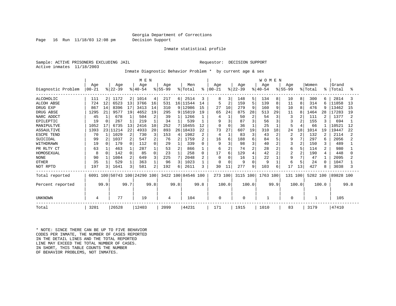Page 16 Run 11/18/03 12:08 pm Decision Support

#### Inmate statistical profile

Sample: ACTIVE PRISONERS EXCLUDING JAIL REGUESTOR: DECISION SUPPORT Active inmates 11/18/2003

Inmate Diagnostic Behavior Problem \* by current age & sex

|                    |           |              |           |      | M E N                   |        |          |                 |                    |              |          |                |           |                | <b>WOMEN</b> |                |          |                |          |                |           |      |
|--------------------|-----------|--------------|-----------|------|-------------------------|--------|----------|-----------------|--------------------|--------------|----------|----------------|-----------|----------------|--------------|----------------|----------|----------------|----------|----------------|-----------|------|
|                    | Age       |              | Age       |      | Age                     |        | Age      |                 | Men                |              | Age      |                | Age       |                | Aqe          |                | Age      |                | Women    |                | Grand     |      |
| Diagnostic Problem | $00 - 21$ |              | $ 22-39 $ |      | $ 40-54$                |        | $ 55-99$ |                 | % Total            | ៖            | $ 00-21$ |                | $ 22-39 $ |                | $ 40-54$     |                | $ 55-99$ |                | % Total  | ፠              | Total     | န္   |
| <b>ALCOHOLIC</b>   | 111       |              | 1172      | 2    | 1014                    | 4      | 217      | 61              | 2514               | 3            | 8        | 3              | 148       | 5              | 134          | 8              | 10       | 8              | 300      | 6              | 2814      |      |
| <b>ALCOH ABSE</b>  | 724       | 12           | 6523      | 13   | 3766                    | 16     | 531      |                 | 16 11544           | 14           |          | $\overline{2}$ | 159       | 5              | 139          | 8              | 11       | 8              | 314      | 6              | 11858     | 13   |
| DRUG EXP           | 867       | 14           | 8396      | 17   | 3413                    | 14     | 310      |                 | 9 12986            | 15           | 27       | 10             | 279       | 9              | 160          | 9              | 10       | 8              | 476      | -9             | 13462     | 15   |
| DRUG ABSE          | 1295      | 21           | 9577      | 19   | 4652                    | 19     | 295      |                 | 9 15819            | 19           | 65       | 24             | 875       | 28             | 513          | 29             | 11       |                | 1464     | 28             | 17283     | 19   |
| NARC ADDCT         | 45        | 1            | 678       |      | 504                     | 2      | 39       |                 | 1266               |              | 4        | $\mathbf 1$    | 50        | $\overline{2}$ | 54           | 3              | 3        |                | 111      | 2              | 1377      |      |
| EPILEPTIC          | 19        | $\Omega$     | 267       |      | 219                     |        | 34       |                 | 539                |              | 9        | 3              | 87        | 3              | 56           |                |          |                | 155      | 3              | 694       |      |
| MANIPULTVE         | 1052      | 17           | 6735      | 13   | 2416                    | 10     | 252      |                 | 7 10455            | 12           |          | $\mathbf 0$    | 36        |                | 25           |                | 5        |                | 66       |                | 10521     | 12   |
| <b>ASSAULTIVE</b>  | 1393      |              | 23 11214  | 22   | 4933                    | 20     | 893      | 26 <sub>1</sub> | 18433              | 22           | 73       | 27             | 607       | 19             | 310          | 18             | 24       | 18             | 1014     | 19             | 19447     | 22   |
| ESCPE TEND         | 70        |              | 1029      | 2    | 730                     | 3      | 153      | 4               | 1982               | 2            | 4        | $\mathbf{1}$   | 83        | 3              | 43           | $\overline{c}$ | 2        | 2              | 132      |                | 2114      |      |
| SUICIDAL           | 99        |              | 1037      |      | 547                     | 2      | 76       | 2               | 1759               | 2            | 16       | 6              | 188       | 6              | 84           |                | 9        | 7              | 297      | 6              | 2056      |      |
| WITHDRAWN          | 19        | <sup>n</sup> | 179       |      | 112                     | 0      | 29       |                 | 339                | 0            | 9        | 3              | 98        | 3              | 40           | $\overline{c}$ | 3        | $\overline{2}$ | 150      | 3              | 489       |      |
| PR RLTY CT         | 63        |              | 463       |      | 287                     |        | 53       | 2               | 866                |              | 6        | 2              | 74        | $\overline{a}$ | 28           | $\overline{c}$ | 6        | 5              | 114      | 2              | 980       |      |
| HOMOSEXUAL         | 8         | $\Omega$     | 142       |      | 85                      | $\cap$ | 23       |                 | 258                | 0            | 17       | 6              | 129       | $\overline{4}$ | 42           | $\overline{c}$ | 2        | $\overline{2}$ | 190      | $\overline{4}$ | 448       |      |
| <b>NONE</b>        | 90        |              | 1084      |      | 649                     | 3      | 225      |                 | 2048               | $\mathbf{2}$ | $\Omega$ | $\Omega$       | 16        | $\mathbf{1}$   | 22           |                | 9        | 7              | 47       |                | 2095      |      |
| <b>OTHER</b>       | 35        |              | 529       |      | 363                     |        | 96       |                 | 1023               |              | $\Omega$ | $\mathbf 0$    |           | $\Omega$       | 9            |                | 6        |                | 24       | $\Omega$       | 1047      |      |
| NOT RPTD           | 197       |              | 1641      |      | 581                     | 2      | 192      | 6               | 2611               | 3            | 30       | 11             | 277       | 9              | 103          | 6              | 17       | 13             | 427      | 8              | 3038      |      |
| Total reported     | 6091      |              |           |      | 100 50743 100 24290 100 |        |          |                 | 3422 100 84546 100 |              | 273 100  |                | 3115 100  |                | 1763 100     |                | 131 100  |                | 5282 100 |                | 89828 100 |      |
| Percent reported   |           | 99.9         |           | 99.7 |                         | 99.8   |          | 99.8            |                    | 99.8         |          | 100.0          |           | 100.0          |              | 99.9           |          | 100.0          |          | 100.0          |           | 99.8 |
|                    |           |              |           |      |                         |        |          |                 |                    |              |          |                |           |                |              |                |          |                |          |                |           |      |
| UNKNOWN            | 4         |              | 77        |      | 19                      |        | 4        |                 | 104                |              | 0        |                | 0         |                |              |                | 0        |                |          |                | 105       |      |
| Total              | 3201      |              | 26528     |      | 12403                   |        | 2099     |                 | 44231              |              | 171      |                | 1915      |                | 1010         |                | 83       |                | 3179     |                | 47410     |      |

\* NOTE: SINCE THERE CAN BE UP TO FIVE BEHAVIOR CODES PER INMATE, THE NUMBER OF CASES REPORTED IN THE DETAIL LINES AND THE TOTAL REPORTED LINE MAY EXCEED THE TOTAL NUMBER OF CASES. IN SHORT, THIS TABLE COUNTS THE NUMBER OF BEHAVIOR PROBLEMS, NOT INMATES.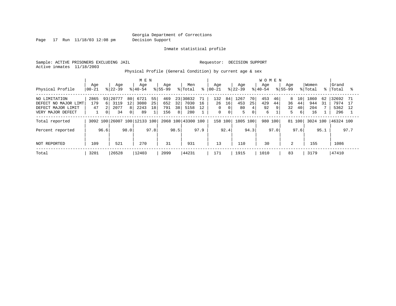Page 17 Run 11/18/03 12:08 pm Decision Support

Inmate statistical profile

Sample: ACTIVE PRISONERS EXCLUDING JAIL **Requestor: DECISION SUPPORT** Active inmates 11/18/2003

Physical Profile (General Condition) by current age & sex

|                      | M E N     |                |           |                |                              |      |             |      |                    |      |             |             |           | <b>WOMEN</b> |          |      |                |      |          |      |           |      |
|----------------------|-----------|----------------|-----------|----------------|------------------------------|------|-------------|------|--------------------|------|-------------|-------------|-----------|--------------|----------|------|----------------|------|----------|------|-----------|------|
|                      | Age       |                | Age       |                | Age                          |      | Age         |      | Men                |      | Age         |             | Age       |              | Age      |      | Age            |      | Women    |      | Grand     |      |
| Physical Profile     | $00 - 21$ |                | $ 22-39 $ |                | $8 40-54$                    |      | $8155 - 99$ |      | % Total            | ⊱    | 00-21       |             | $ 22-39 $ |              | $ 40-54$ |      | $8155 - 99$    |      | % Total  | ႜႜ   | Total     |      |
| NO LIMITATION        | 2865      | 93             | 20777     | 80             | 6721                         | 55   | 469         |      | 23 30832           | 71   | 132         | 84          | ⊥267      | 70           | 453      | 46   | 8              | 10   | 1860     | 62   | 32692     | -71  |
| DEFECT NO MAJOR LIMT | 179       | 6              | 3119      | 12             | 3080                         | 25   | 652         | 32   | 7030               | 16   | 26          | 16          | 453       | 25           | 429      | 44   | 36             | 44   | 944      | 31   | 7974      | 17   |
| DEFECT MAJOR LIMIT   | 47        |                | 2077      | 81             | 2243                         | 18   | 791         | 38   | 5158               | 12   | $\Omega$    | 0           | 80        | $4 \,$       | 92       | 9    | 32             | 40   | 204      |      | 5362      | 12   |
| VERY MAJOR DEFECT    |           | 0 <sup>1</sup> | 34        | $\overline{0}$ | 89                           |      | 156         | 8    | 280                |      | $\mathbf 0$ | $\mathbf 0$ | 5         | 0            | 6        |      | 5              | 6    | 16       |      | 296       |      |
| Total reported       |           |                |           |                | 3092 100 26007 100 12133 100 |      |             |      | 2068 100 43300 100 |      | 158 100     |             | 1805 100  |              | 980      | 100  | 81 100         |      | 3024 100 |      | 46324 100 |      |
| Percent reported     |           | 96.6           |           | 98.0           |                              | 97.8 |             | 98.5 |                    | 97.9 |             | 92.4        |           | 94.3         |          | 97.0 |                | 97.6 |          | 95.1 |           | 97.7 |
| NOT REPORTED         | 109       |                | 521       |                | 270                          |      | 31          |      | 931                |      | 13          |             | 110       |              | 30       |      | $\overline{2}$ |      | 155      |      | 1086      |      |
| Total                | 3201      |                | 26528     |                | 12403                        |      | 2099        |      | 44231              |      | 171         |             | 1915      |              | 1010     |      | 83             |      | 3179     |      | 47410     |      |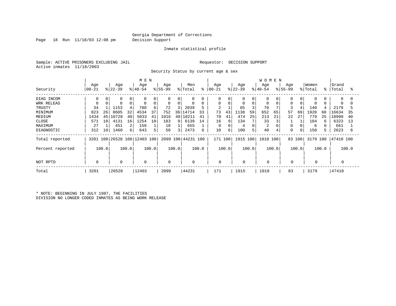Page 18 Run 11/18/03 12:08 pm Decision Support

#### Inmate statistical profile

Sample: ACTIVE PRISONERS EXCLUDING JAIL **Requestor: DECISION SUPPORT** Active inmates 11/18/2003

Security Status by current age & sex

|                  |                |       |                  |       | M E N                        |       |                 |       |                            |       |                   |       |                  |             | <b>WOMEN</b>     |       |                    |       |                  |       |                |       |
|------------------|----------------|-------|------------------|-------|------------------------------|-------|-----------------|-------|----------------------------|-------|-------------------|-------|------------------|-------------|------------------|-------|--------------------|-------|------------------|-------|----------------|-------|
| Security         | Age<br>  00-21 |       | Age<br>$ 22-39 $ |       | Age<br>$ 40-54$              |       | Age<br>$ 55-99$ |       | Men<br>$\frac{1}{2}$ Total | နွ    | Age<br>$ 00 - 21$ |       | Age<br>$ 22-39 $ |             | Age<br>$ 40-54 $ |       | Age<br>$8155 - 99$ |       | Women<br>% Total | °≈    | Grand<br>Total | °     |
| DIAG INCOM       | 0              | 0     |                  |       | 0                            |       | 0               | 0     | 0                          |       | 0                 |       | 0                | 0           | 0                |       |                    |       | 0                |       | $\Omega$       | 0     |
| WRK RELEAS       |                |       |                  |       | $\mathbf 0$                  | 0     | 0               | 0     | $\mathbf 0$                |       | 0                 | 0     |                  | $\mathbf 0$ | 0                |       | $\Omega$           |       | $\Omega$         |       |                |       |
| TRUSTY           | 34             |       | 1153             |       | 780                          | 6     | 72              |       | 2039                       |       | $\overline{2}$    |       | 65               |             | 70               |       | 3                  |       | 140              |       | 2179           |       |
| MINIMUM          | 823            | 26    | 8605             | 32    | 4534                         | 37    | 752             | 36    | 14714                      | 33    | 73                | 43    | .138             | 59          | 652              | 65    | 57                 | 69    | 1920             | 60    | 16634          | 35    |
| MEDIUM           | 1434           | 45    | 10728            | 40    | 5033                         | 41    | 1016            | 48    | 18211                      | 41    | 70                | 41    | 474              | 25          | 213              | 21    | 22                 | 27    | 779              | -25   | 18990          | 40    |
| CLOSE            | 571            | 18    | 4131             | 16    | 1254                         | 10    | 183             | 9     | 6139                       | 14    | 16                | 9     | 134              |             | 33               |       |                    |       | 184              |       | 6323           | 13    |
| MAXIMUM          | 27             |       | 451              | 2     | 159                          |       | 18              |       | 655                        |       | 0                 |       | 4                | $\Omega$    | 2                |       |                    |       | 6                |       | 661            |       |
| DIAGNOSTIC       | 312            | 10    | 1460             | 6     | 643                          | 5     | 58              | 3     | 2473                       | 6     | 10                | 6     | 100              | 5           | 40               |       | $\Omega$           | 0     | 150              |       | 2623           | 6     |
| Total reported   |                |       |                  |       | 3201 100 26528 100 12403 100 |       |                 |       | 2099 100 44231 100         |       | 171 100           |       | 1915 100         |             | 1010 100         |       | 83 100             |       | 3179             | 100   | 47410 100      |       |
| Percent reported |                | 100.0 |                  | 100.0 |                              | 100.0 |                 | 100.0 |                            | 100.0 |                   | 100.0 |                  | 100.0       |                  | 100.0 |                    | 100.0 |                  | 100.0 |                | 100.0 |
| NOT RPTD         | $\Omega$       |       | 0                |       | 0                            |       | 0               |       | $\mathbf 0$                |       | 0                 |       | 0                |             |                  |       | $\mathbf 0$        |       | 0                |       |                |       |
| Total            | 3201           |       | 26528            |       | 12403                        |       | 2099            |       | 44231                      |       | 171               |       | 1915             |             | 1010             |       | 83                 |       | 3179             |       | 47410          |       |

\* NOTE: BEGINNING IN JULY 1987, THE FACILITIES DIVISION NO LONGER CODED INMATES AS BEING WORK RELEASE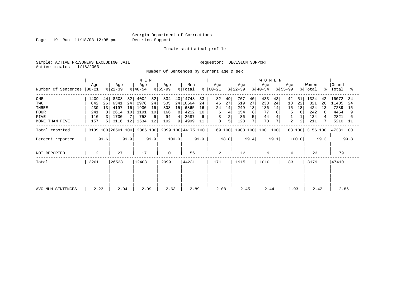Page 19 Run 11/18/03 12:08 pm Decision Support

#### Inmate statistical profile

Sample: ACTIVE PRISONERS EXCLUDING JAIL **Requestor: DECISION SUPPORT** Active inmates 11/18/2003

Number Of Sentences by current age & sex

|                     |                  |                |                  |                   | M E N                        |      |                  |       |                    |      |                      |      |                  |                | <b>WOMEN</b>     |      |                  |        |                  |      |                    |      |
|---------------------|------------------|----------------|------------------|-------------------|------------------------------|------|------------------|-------|--------------------|------|----------------------|------|------------------|----------------|------------------|------|------------------|--------|------------------|------|--------------------|------|
| Number Of Sentences | Age<br>$00 - 21$ |                | Age<br>$ 22-39 $ |                   | Age<br>$ 40-54 $             |      | Age<br>$8 55-99$ |       | Men<br>% Total     |      | Age<br>$8   00 - 21$ |      | Age<br>$ 22-39 $ |                | Age<br>$ 40-54 $ |      | Age<br>$ 55-99 $ |        | Women<br>% Total |      | Grand<br>%   Total | ႜ    |
| ONE                 | 1409             | 44             | 8503             | 32                | 4002                         | 32   | 834              |       | 40 14748           | 33   | 82                   | 49   | 767              | 40             | 433              | 43   | 42               | 51     | 1324             | 42   | 16072              | -34  |
| TWO                 | 842              | 26             | 6341             | 24                | 2976                         | 24   | 505              |       | 24 10664           | 24   | 46                   | 27   | 519              | 27             | 238              | 24   | 18               | 22     | 821              | 26   | 11485              | 24   |
| THREE               | 430              | 13             | 4197             | 16                | 1930                         | 16   | 308              | 15    | 6865               | 16   | 24                   | 14   | 249              | 13             | 136              | 14   | 15               | 18     | 424              | 13   | 7289               | 15   |
| <b>FOUR</b>         | 241              | 8              | 2614             | 10                | 1191                         | 10   | 166              | 8     | 4212               | 10   | 6                    |      | 154              | 8 <sup>1</sup> | 77               |      | 5                | 6      | 242              | 8    | 4454               |      |
| FIVE                | 110              |                | 1730             |                   | 753                          | 6    | 94               | 4     | 2687               |      | 3                    |      | 86               | 5              | 44               | 4    |                  |        | 134              |      | 2821               |      |
| MORE THAN FIVE      | 157              | 5 <sub>1</sub> | 3116             | $12 \overline{ }$ | 1534                         | 12   | 192              | 9     | 4999               | 11   | 8                    | 5    | 128              |                | 73               | 7    | 2                | 2      | 211              |      | 5210               | - 11 |
| Total reported      |                  |                |                  |                   | 3189 100 26501 100 12386 100 |      |                  |       | 2099 100 44175 100 |      | 169 100              |      | 1903 100         |                | 1001 100         |      |                  | 83 100 | 3156 100         |      | 47331 100          |      |
| Percent reported    |                  | 99.6           |                  | 99.9              |                              | 99.9 |                  | 100.0 |                    | 99.9 |                      | 98.8 |                  | 99.4           |                  | 99.1 |                  | 100.0  |                  | 99.3 |                    | 99.8 |
| NOT REPORTED        | 12               |                | 27               |                   | 17                           |      |                  |       | 56                 |      | $\overline{2}$       |      | 12               |                | 9                |      | $\Omega$         |        | 23               |      | 79                 |      |
| Total               | 3201             |                | 26528            |                   | 12403                        |      | 2099             |       | 44231              |      | 171                  |      | 1915             |                | 1010             |      | 83               |        | 3179             |      | 47410              |      |
|                     |                  |                |                  |                   |                              |      |                  |       |                    |      |                      |      |                  |                |                  |      |                  |        |                  |      |                    |      |
| AVG NUM SENTENCES   | 2.23             |                | 2.94             |                   | 2.99                         |      | 2.63             |       | 2.89               |      | 2.08                 |      | 2.45             |                | 2.44             |      | 1.93             |        | 2.42             |      | 2.86               |      |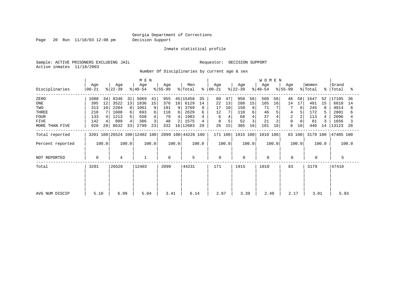Page 20 Run 11/18/03 12:08 pm Decision Support

Inmate statistical profile

Sample: ACTIVE PRISONERS EXCLUDING JAIL **Requestor: DECISION SUPPORT** Active inmates 11/18/2003

Number Of Disciplinaries by current age & sex

|                  |                  |       |                  |       |                              | M E N |                  |       |                    |       |                  |       |                  |                | <b>WOMEN</b>     |       |                  |        |                  |       |                    |       |
|------------------|------------------|-------|------------------|-------|------------------------------|-------|------------------|-------|--------------------|-------|------------------|-------|------------------|----------------|------------------|-------|------------------|--------|------------------|-------|--------------------|-------|
| Disciplinaries   | Age<br>$00 - 21$ |       | Age<br>$ 22-39 $ |       | Age<br>$ 40-54 $             |       | Age<br>$ 55-99 $ |       | Men<br>% Total     | ွေ    | Age<br>$ 00-21 $ |       | Age<br>$ 22-39 $ |                | Age<br>$8 40-54$ |       | Age<br>$ 55-99 $ |        | Women<br>% Total |       | Grand<br>%   Total | °     |
| ZERO             | 1088             | 34    | 8346             | 31    | 5069                         | 41    | 955              | 45    | 15458              | 35    | 80               | 47    | 950              | 50             | 569              | 56    | 48               | 58     | 1647             | 52    | 17105              | -36   |
| ONE              | 395              | 12    | 3522             | 13    | 1836                         | 15    | 376              | 18    | 6129               | 14    | 22               | 13    | 280              | 15             | 165              | 16    | 14               | 17     | 481              | 15    | 6610               | 14    |
| TWO              | 313              | 10    | 2204             |       | 1061                         | 9     | 191              | 9     | 3769               | 9     | 17               | 10    | 150              | 8 <sup>1</sup> | 71               |       | 7                | 8      | 245              |       | 4014               | 8     |
| THREE            | 210              |       | 1608             | 6     | 693                          | 6     | 118              | 6     | 2629               |       | 12               |       | 110              | 6              | 46               |       | 4                |        | 172              |       | 2801               |       |
| <b>FOUR</b>      | 133              |       | 1213             |       | 558                          |       | 79               | 4     | 1983               |       | 6                |       | 68               |                | 37               |       | $\overline{2}$   |        | 113              |       | 2096               |       |
| FIVE             | 142              |       | 999              |       | 386                          | 3     | 48               |       | 1575               |       |                  |       | 52               |                | 21               |       | $\Omega$         |        | 81               |       | 1656               |       |
| MORE THAN FIVE   | 920              | 29    | 8632             | 33    | 2799                         | 23    | 332              | 16    | 12683              | 29    | 26               | 15    | 305              | 16             | 101              | 10    | 8                | 10     | 440              | 14    | 13123              | 28    |
| Total reported   |                  |       |                  |       | 3201 100 26524 100 12402 100 |       |                  |       | 2099 100 44226 100 |       | 171 100          |       | 1915 100         |                | 1010 100         |       |                  | 83 100 | 3179 100         |       | 47405 100          |       |
| Percent reported |                  | 100.0 |                  | 100.0 |                              | 100.0 |                  | 100.0 |                    | 100.0 |                  | 100.0 |                  | 100.0          |                  | 100.0 |                  | 100.0  |                  | 100.0 |                    | 100.0 |
| NOT REPORTED     | 0                |       | 4                |       |                              |       | 0                |       | 5                  |       | $\mathbf 0$      |       | 0                |                | $\mathbf 0$      |       | $\mathbf 0$      |        | 0                |       | 5                  |       |
| Total            | 3201             |       | 26528            |       | 12403                        |       | 2099             |       | 44231              |       | 171              |       | 1915             |                | 1010             |       | 83               |        | 3179             |       | 47410              |       |
|                  |                  |       |                  |       |                              |       |                  |       |                    |       |                  |       |                  |                |                  |       |                  |        |                  |       |                    |       |
|                  |                  |       |                  |       |                              |       |                  |       |                    |       |                  |       |                  |                |                  |       |                  |        |                  |       |                    |       |
| AVG NUM DISCIP   | 5.10             |       | 6.99             |       | 5.04                         |       | 3.41             |       | 6.14               |       | 2.67             |       | 3.39             |                | 2.40             |       | 2.17             |        | 3.01             |       | 5.93               |       |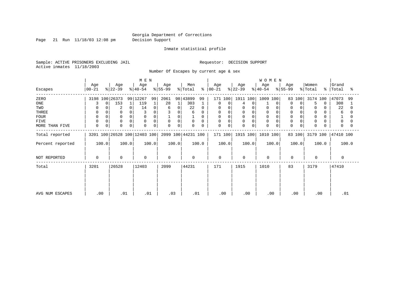Page 21 Run 11/18/03 12:08 pm Decision Support

#### Inmate statistical profile

Sample: ACTIVE PRISONERS EXCLUDING JAIL **Requestor: DECISION SUPPORT** Active inmates 11/18/2003

Number Of Escapes by current age & sex

|                  |                            |                         | M E N                        |                    |                    |                      |                  | <b>WOMEN</b>     |                         |                  |                         |
|------------------|----------------------------|-------------------------|------------------------------|--------------------|--------------------|----------------------|------------------|------------------|-------------------------|------------------|-------------------------|
| Escapes          | Age<br>$00 - 21$           | Age<br>$ 22-39 $        | Age<br>$ 40-54 $             | Age<br>$ 55-99 $   | Men<br>% Total     | Age<br>$8   00 - 21$ | Age<br>$ 22-39 $ | Age<br>$ 40-54 $ | Age<br>$ 55-99 $        | Women<br>% Total | Grand<br>%   Total<br>° |
| ZERO             | 3198 100 26373             | 99                      | 12267<br>99                  | 2061<br>98         | 43899<br>99        | 171 100              | 1911 100 1009    | 100              | 83 100                  | 3174 100         | 47073<br>99             |
| ONE              | $\Omega$                   | 153                     | 119<br>1                     | 28<br>$\mathbf{1}$ | 303<br>1           | 0<br>0               | $\Omega$<br>4    | $\Omega$         | $\Omega$<br>$\Omega$    | 5<br>0           | 308                     |
| TWO              |                            | $\overline{2}$          | 14<br>0                      | 0<br>6             | 22<br>$\Omega$     | 0                    | 0<br>$\Omega$    | 0                |                         | 0                | 22                      |
| THREE            | 0                          |                         |                              | 0                  | 6                  | 0<br>0               | 0                | 0                |                         | $\mathbf 0$      | 6                       |
| <b>FOUR</b>      | $\Omega$                   |                         | $\Omega$                     | 0                  |                    | $\Omega$             |                  | $\Omega$         |                         | $\mathbf 0$      |                         |
| FIVE             | $\Omega$                   | $\Omega$<br>$\Omega$    | $\Omega$<br>0                | 0<br>$\mathbf 0$   | $\mathbf 0$<br>0   | $\mathbf 0$<br>0     | 0<br>$\Omega$    | $\Omega$         |                         | $\mathbf 0$      | 0                       |
| MORE THAN FIVE   | $\mathbf 0$<br>$\mathbf 0$ | $\mathbf 0$<br>$\Omega$ | $\mathbf 0$<br>0             | 0<br>0             | $\mathbf 0$<br>0   | 0<br>0               | 0<br>$\Omega$    | $\mathbf 0$      | $\Omega$<br>$\mathbf 0$ | $\mathbf 0$      | $\Omega$                |
| Total reported   |                            |                         | 3201 100 26528 100 12403 100 |                    | 2099 100 44231 100 | 171 100              | 1915 100         | 1010 100         | 83 100                  | 3179 100         | 47410 100               |
| Percent reported | 100.0                      | 100.0                   | 100.0                        | 100.0              | 100.0              | 100.0                | 100.0            | 100.0            | 100.0                   | 100.0            | 100.0                   |
| NOT REPORTED     | 0                          | 0                       | $\mathbf 0$                  | $\Omega$           | $\Omega$           | $\mathbf 0$          | $\Omega$         | $\mathbf 0$      | 0                       | $\Omega$         | $\Omega$                |
| Total            | 3201                       | 26528                   | 12403                        | 2099               | 44231              | 171                  | 1915             | 1010             | 83                      | 3179             | 47410                   |
|                  |                            |                         |                              |                    |                    |                      |                  |                  |                         |                  |                         |
| AVG NUM ESCAPES  | .00                        | .01                     | .01                          | .03                | .01                | .00                  | .00              | .00              | .00                     | .00              | .01                     |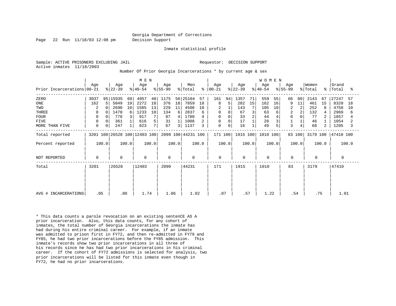Page 22 Run 11/18/03 12:08 pm Decision Support

Inmate statistical profile

Active inmates 11/18/2003

Sample: ACTIVE PRISONERS EXCLUDING JAIL RESOLUTION SUPPORT Requestor: DECISION SUPPORT

Number Of Prior Georgia Incarcerations \* by current age & sex

|                            | M E N |          |                              |             |                  |       |                  |       |                    |                | <b>WOMEN</b>    |       |                  |       |                  |       |                  |                |                  |             |                |       |
|----------------------------|-------|----------|------------------------------|-------------|------------------|-------|------------------|-------|--------------------|----------------|-----------------|-------|------------------|-------|------------------|-------|------------------|----------------|------------------|-------------|----------------|-------|
| Prior Incarcerations 00-21 | Age   |          | Age<br>$ 22-39 $             |             | Age<br>$ 40-54 $ |       | Age<br>$ 55-99 $ |       | Men<br>% Total     | $ \frac{6}{6}$ | Age<br>$ 00-21$ |       | Age<br>$ 22-39 $ |       | Age<br>$ 40-54 $ |       | Age<br>$ 55-99 $ |                | Women<br>% Total | $\approx$ 1 | Grand<br>Total | ႜ     |
| ZERO                       | 3037  |          | 95 15935                     | 60          | 4957             | 40    | 1175             | 56    | 25104              | 57             | 161             | 94    | 1357             | 71    | 559              | 55    | 66               | 80             | 2143             | 67          | 27247          | 57    |
| ONE                        | 162   | 5        | 5049                         | 19          | 2272             | 18    | 376              | 18    | 7859               | 18             | 8               | 5     | 282              | 15    | 162              | 16    | 9                | 11             | 461              | 15          | 8320           | 18    |
| TWO                        | 2     |          | 2690                         | 10          | 1585             | 13    | 229              | 11    | 4506               | 10             | $\overline{2}$  |       | 143              |       | 105              | 10    | 2                | 2              | 252              | 8           | 4758           | 10    |
| <b>THREE</b>               | 0     | $\Omega$ | 1470                         | 6           | 1233             | 10    | 134              | 6     | 2837               | 6              | 0               |       | 67               |       | 63               | 6     | 2                | $\overline{2}$ | 132              |             | 2969           | 6     |
| FOUR                       | 0     | 0        | 776                          | 3           | 917              |       | 87               |       | 1780               |                | 0               |       | 33               |       | 44               |       | $\Omega$         | 0              | 77               |             | 1857           |       |
| <b>FIVE</b>                | 0     | 0        | 361                          |             | 616              | 5     | 31               |       | 1008               |                | 0               |       | 17               |       | 28               |       |                  |                | 46               |             | 1054           |       |
| MORE THAN FIVE             | 0     | 0        | 247                          | $\mathbf 1$ | 823              | 7     | 67               | 3     | 1137               | 3              | $\mathbf 0$     | 0     | 16               |       | 49               |       | 3                | 4              | 68               | 2           | 1205           | 3     |
| Total reported             |       |          | 3201 100 26528 100 12403 100 |             |                  |       |                  |       | 2099 100 44231 100 |                | 171 100         |       | 1915 100         |       | 1010 100         |       |                  | 83 100         | 3179 100         |             | 47410 100      |       |
| Percent reported           |       | 100.0    |                              | 100.0       |                  | 100.0 |                  | 100.0 |                    | 100.0          |                 | 100.0 |                  | 100.0 |                  | 100.0 |                  | 100.0          |                  | 100.0       |                | 100.0 |
| NOT REPORTED               | 0     |          | $\Omega$                     |             | $\mathbf 0$      |       | 0                |       | $\mathbf 0$        |                | $\mathbf{0}$    |       | $\mathbf 0$      |       | $\Omega$         |       | $\mathbf 0$      |                | $\Omega$         |             | 0              |       |
| Total                      | 3201  |          | 26528                        |             | 12403            |       | 2099             |       | 44231              |                | 171             |       | 1915             |       | 1010             |       | 83               |                | 3179             |             | 47410          |       |
|                            |       |          |                              |             |                  |       |                  |       |                    |                |                 |       |                  |       |                  |       |                  |                |                  |             |                |       |
|                            |       |          |                              |             |                  |       |                  |       |                    |                |                 |       |                  |       |                  |       |                  |                |                  |             |                |       |
| AVG # INCARCERATIONS       | .05   |          | .80                          |             | 1.74             |       | 1.06             |       | 1.02               |                | .07             |       | .57              |       | 1.22             |       | .54              |                |                  | .75         | 1.01           |       |

\* This data counts a parole revocation on an existing sentenCE AS A prior incarceration. Also, this data counts, for any cohort of inmates, the total number of Georgia incarcerations the inmate has had during his entire criminal career. For example, if an inmate was admitted to prison first in FY72, and then re-admitted in FY79 and FY85, he had two prior incarcerations before the FY85 admission. This inmate's records show two prior incarcerations in all three of his records since he has had two prior incarcerations in his criminal career. If the cohort of FY72 admissions is selected for analysis, two prior incarcerations will be listed for this inmate even though in FY72, he had no prior incarcerations.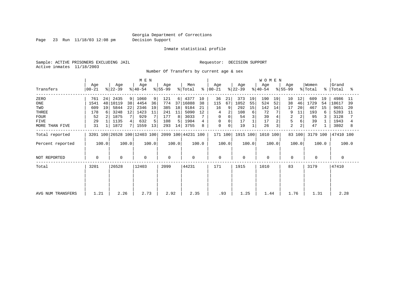Page 23 Run 11/18/03 12:08 pm Decision Support

#### Inmate statistical profile

Sample: ACTIVE PRISONERS EXCLUDING JAIL **Requestor: DECISION SUPPORT** Active inmates 11/18/2003

Number Of Transfers by current age & sex

|                   |                  |       | MEN              |       |                              |       |                  |       |                    |       |                      |          | <b>WOMEN</b>     |       |                  |                |                  |        |                  |       |                    |       |
|-------------------|------------------|-------|------------------|-------|------------------------------|-------|------------------|-------|--------------------|-------|----------------------|----------|------------------|-------|------------------|----------------|------------------|--------|------------------|-------|--------------------|-------|
| Transfers         | Age<br>$ 00-21 $ |       | Age<br>$ 22-39 $ |       | Age<br>$ 40-54 $             |       | Age<br>$ 55-99 $ |       | Men<br>% Total     |       | Age<br>$8   00 - 21$ |          | Age<br>$ 22-39 $ |       | Age<br>$8 40-54$ |                | Age<br>$ 55-99 $ |        | Women<br>% Total |       | Grand<br>%   Total | °≈    |
| ZERO              | 761              | 24    | 2435             | 9     | 1060                         | 9     | 121              | 6     | 4377               | 10    | 36                   | 21       | 373              | 19    | 190              | 19             | 10               | 12     | 609              | 19    | 4986               | 11    |
| ONE               | 1541             |       | 48 10119         | 38    | 4454                         | 36    | 774              |       | 37 16888           | 38    | 115                  | 67       | 1052             | 55    | 524              | 52             | 38               | 46     | 1729             | 54    | 18617              | 39    |
| TWO               | 609              | 19    | 5844             | 22    | 2346                         | 19    | 385              | 18    | 9184               | 21    | 16                   |          | 292              | 15    | 142              | 14             | 17               | 20     | 467              | 15    | 9651               | 20    |
| THREE             | 178              | 6     | 3248             | 12    | 1423                         | 11    | 241              | 11    | 5090               | 12    | 4                    |          | 108              | 6     | 72               |                | 9                | 11     | 193              | 6     | 5283               | 11    |
| <b>FOUR</b>       | 52               |       | 1875             |       | 929                          |       | 177              | 8     | 3033               |       | $\Omega$             | $\Omega$ | 54               |       | 39               |                |                  |        | 95               |       | 3128               |       |
| FIVE              | 29               |       | 1135             |       | 632                          | 5     | 108              | 5.    | 1904               |       | 0                    | 0        | 17               |       | 17               | $\overline{a}$ | 5                |        | 39               |       | 1943               |       |
| MORE THAN FIVE    | 31               |       | 1872             |       | 1559                         | 13    | 293              | 14    | 3755               | 8     | $\mathbf 0$          | 0        | 19               |       | 26               | 3              | $\overline{2}$   |        | 47               |       | 3802               | 8     |
| Total reported    |                  |       |                  |       | 3201 100 26528 100 12403 100 |       |                  |       | 2099 100 44231 100 |       | 171 100              |          | 1915 100         |       | 1010 100         |                |                  | 83 100 | 3179 100         |       | 47410 100          |       |
| Percent reported  |                  | 100.0 |                  | 100.0 |                              | 100.0 |                  | 100.0 |                    | 100.0 |                      | 100.0    |                  | 100.0 |                  | 100.0          |                  | 100.0  |                  | 100.0 |                    | 100.0 |
| NOT REPORTED      | 0                |       | $\mathbf 0$      |       | $\mathbf 0$                  |       | $\mathbf 0$      |       | 0                  |       | $\mathbf 0$          |          | 0                |       | $\mathbf 0$      |                | 0                |        | 0                |       | 0                  |       |
| Total             | 3201             |       | 26528            |       | 12403                        |       | 2099             |       | 44231              |       | 171                  |          | 1915             |       | 1010             |                | 83               |        | 3179             |       | 47410              |       |
|                   |                  |       |                  |       |                              |       |                  |       |                    |       |                      |          |                  |       |                  |                |                  |        |                  |       |                    |       |
|                   |                  |       |                  |       |                              |       |                  |       |                    |       |                      |          |                  |       |                  |                |                  |        |                  |       |                    |       |
| AVG NUM TRANSFERS | 1.21             |       | 2.26             |       | 2.73                         |       | 2.92             |       | 2.35               |       | .93                  |          | 1.25             |       | 1.44             |                | 1.76             |        | 1.31             |       | 2.28               |       |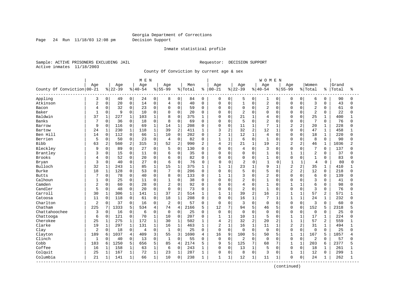Page 24 Run 11/18/03 12:08 pm Decision Support

#### Inmate statistical profile

Sample: ACTIVE PRISONERS EXCLUDING JAIL **Requestor: DECISION SUPPORT** Active inmates 11/18/2003

County Of Conviction by current age & sex

|                              |                |                |           |                | M E N     |                |                |                |         |                |                |                |                |                | WOMEN          |              |                |                |                |                |       |          |
|------------------------------|----------------|----------------|-----------|----------------|-----------|----------------|----------------|----------------|---------|----------------|----------------|----------------|----------------|----------------|----------------|--------------|----------------|----------------|----------------|----------------|-------|----------|
|                              | Age            |                | Age       |                | Age       |                | Age            |                | Men     |                | Age            |                | Age            |                | Age            |              | Age            |                | Women          |                | Grand |          |
| County Of Conviction   00-21 |                |                | $8 22-39$ |                | $8 40-54$ |                | $8 55-99$      |                | % Total | ႜ              | $ 00 - 21$     |                | $8 22-39$      |                | $8 40-54$      |              | $8 55-99$      |                | % Total        | နွ             | Total | ႜ        |
| Appling                      | 3              | 0              | 49        | 0              | 24        | 0              | 8              | 0              | 84      | 0              | 0              | 0              | 5              | $\mathbf 0$    | 1              | 0            | $\Omega$       | 0              | 6              | 0              | 90    | $\Omega$ |
| Atkinson                     | $\overline{2}$ | 0              | 20        | $\mathsf 0$    | 14        | $\mathbf 0$    | 4              | $\mathbf 0$    | 40      | $\mathbf 0$    | 0              | $\mathbf 0$    | $\mathbf{1}$   | $\mathbf 0$    | $\overline{2}$ | 0            | $\Omega$       | $\Omega$       | 3              | $\Omega$       | 43    | $\Omega$ |
| Bacon                        | 4              | 0              | 32        | $\mathbf 0$    | 23        | 0              | $\mathbf 0$    | $\Omega$       | 59      | $\Omega$       | $\Omega$       | $\mathbf 0$    | $\mathbf 0$    | $\Omega$       | $\overline{2}$ | 0            | $\Omega$       | $\Omega$       | $\overline{2}$ | $\Omega$       | 61    | $\Omega$ |
| Baker                        | $\mathbf{1}$   | 0              | 9         | $\mathbf 0$    | 10        | $\mathbf 0$    | $\Omega$       | $\Omega$       | 20      | $\Omega$       | U              | $\mathbf 0$    | 2              | $\cap$         | $\mathbf 0$    | 0            | $\Omega$       | $\Omega$       | $\overline{2}$ | $\Omega$       | 22    |          |
| Baldwin                      | 37             | $\mathbf{1}$   | 227       | $\mathbf{1}$   | 103       | 1              | 8              | $\Omega$       | 375     | $\mathbf{1}$   | $\Omega$       | $\Omega$       | 21             | $\mathbf{1}$   | 4              | $\cap$       | $\Omega$       | $\Omega$       | 25             | $\mathbf{1}$   | 400   |          |
| <b>Banks</b>                 |                | 0              | 36        | $\mathbf 0$    | 18        | $\Omega$       | 8              | $\Omega$       | 69      | $\Omega$       | O              | $\mathbf 0$    | 5              | $\Omega$       | $\overline{2}$ | $\Omega$     | $\Omega$       | $\Omega$       | 7              | $\Omega$       | 76    | n        |
| Barrow                       | 9              | 0              | 116       | $\mathsf 0$    | 69        | $\mathbf{1}$   | 14             | $1\,$          | 208     | $\Omega$       | 0              | $\mathsf 0$    | 11             | $\mathbf{1}$   | 7              | $\mathbf{1}$ | $\overline{a}$ | $\overline{c}$ | 20             | $\mathbf 1$    | 228   |          |
| Bartow                       | 24             | $\mathbf 1$    | 230       | $\mathbf{1}$   | 118       | $\mathbf 1$    | 39             | $\overline{2}$ | 411     | 1              | 3              | $\overline{2}$ | 32             | 2              | 12             | $\mathbf 1$  | $\Omega$       | $\Omega$       | 47             | $\mathbf{1}$   | 458   |          |
| Ben Hill                     | 14             | 0              | 112       | $\mathsf 0$    | 66        | 1              | 10             | $\mathbf 0$    | 202     | 0              | $\overline{2}$ | $\mathbf{1}$   | 12             | 1              | 4              | $\Omega$     | $\Omega$       | $\Omega$       | 18             | 1              | 220   | $\cap$   |
| Berrien                      | 5              | 0              | 50        | $\mathbf 0$    | 23        | 0              | 4              | $\mathbf 0$    | 82      | 0              | $\mathbf{1}$   | $\mathbf{1}$   | 6              | $\Omega$       | $\mathbf{1}$   | $\Omega$     | $\Omega$       | $\mathbf 0$    | 8              | $\mathbf 0$    | 90    |          |
| <b>Bibb</b>                  | 63             | $\overline{a}$ | 560       | $\overline{a}$ | 315       | 3              | 52             | $\overline{2}$ | 990     | $\overline{2}$ | 4              | 2              | 21             | $\mathbf{1}$   | 19             | 2            | $\overline{a}$ | $\overline{2}$ | 46             | 1              | 1036  |          |
| Bleckley                     | 9              | $\Omega$       | 89        | $\Omega$       | 27        | $\Omega$       | 5              | $\Omega$       | 130     | $\Omega$       | $\Omega$       | $\Omega$       | 4              | $\Omega$       | 3              | $\Omega$     | $\Omega$       | $\Omega$       | 7              | $\Omega$       | 137   |          |
| Brantley                     | 3              | 0              | 15        | $\mathsf 0$    | 11        | $\Omega$       | 6              | $\mathbf 0$    | 35      | $\Omega$       | $\Omega$       | $\mathbf 0$    | $\mathbf 0$    | $\Omega$       | $\mathbf{1}$   | $\Omega$     | $\mathbf{1}$   | $\mathbf{1}$   | $\overline{2}$ | $\Omega$       | 37    |          |
| <b>Brooks</b>                | 4              | 0              | 52        | $\mathbf 0$    | 20        | $\Omega$       | 6              | $\mathbf 0$    | 82      | $\Omega$       | 0              | $\Omega$       | $\mathbf 0$    | $\Omega$       | $\mathbf{1}$   | 0            | $\Omega$       | $\Omega$       | $\mathbf{1}$   | $\Omega$       | 83    |          |
| Bryan                        | 3              | 0              | 40        | $\mathbf 0$    | 27        | $\Omega$       | 6              | $\mathbf 0$    | 76      | $\mathbf 0$    | $\Omega$       | 0              | $\overline{2}$ | $\Omega$       | $\mathbf{1}$   | 0            | -1             | $\mathbf 1$    | $\overline{4}$ | $\mathbf 0$    | 80    | $\Omega$ |
| Bulloch                      | 32             | $\mathbf{1}$   | 243       | $\mathbf 1$    | 85        | $\mathbf{1}$   | 15             | $\mathbf{1}$   | 375     | 1              | $\mathbf{1}$   | $\mathbf{1}$   | 23             | 1              | 9              |              | $\overline{a}$ | 2              | 35             | $\mathbf{1}$   | 410   |          |
| <b>Burke</b>                 | 18             | $\mathbf 1$    | 128       | $\mathbf 0$    | 53        | $\Omega$       | 7              | $\Omega$       | 206     | $\Omega$       | $\Omega$       | $\Omega$       | 5              | $\Omega$       | 5              | 0            | $\overline{a}$ | 2              | 12             | $\Omega$       | 218   |          |
| <b>Butts</b>                 | 7              | $\Omega$       | 78        | $\mathsf 0$    | 40        | $\Omega$       | 8              | $\mathbf 0$    | 133     | $\Omega$       | 1              | $\mathbf{1}$   | 3              | $\Omega$       | $\overline{2}$ | $\Omega$     | $\Omega$       | $\Omega$       | 6              | $\Omega$       | 139   | ∩        |
| Calhoun                      | 1              | 0              | 25        | $\mathsf 0$    | 11        | 0              | 1              | $\mathbf{0}$   | 38      | 0              | 0              | $\mathbf 0$    | 2              | $\Omega$       | $\mathbf{1}$   | 0            | $\Omega$       | $\mathbf 0$    | 3              | $\Omega$       | 41    |          |
| Camden                       | $\overline{a}$ | 0              | 60        | $\mathbf 0$    | 28        | 0              | 2              | $\mathbf 0$    | 92      | $\Omega$       | $\Omega$       | $\mathbf 0$    | 4              | $\Omega$       | $\mathbf{1}$   | O            | $\mathbf{1}$   | $\mathbf{1}$   | 6              | $\Omega$       | 98    | $\cap$   |
| Candler                      | 5              | 0              | 48        | $\mathbf 0$    | 20        | 0              | $\mathbf 0$    | $\mathbf 0$    | 73      | 0              | 0              | 0              | $\overline{2}$ | $\Omega$       | $\mathbf{1}$   | 0            | $\Omega$       | $\Omega$       | 3              | $\Omega$       | 76    |          |
| Carroll                      | 30             | $\mathbf 1$    | 306       | $\mathbf 1$    | 141       | $\mathbf{1}$   | 37             | $\overline{2}$ | 514     | 1              | $\mathbf{1}$   | $\mathbf{1}$   | 39             | $\overline{a}$ | 16             | 2            | $\mathbf{1}$   | $\mathbf{1}$   | 57             | $\overline{a}$ | 571   |          |
| Catoosa                      | 11             | $\Omega$       | 118       | $\Omega$       | 61        | $\Omega$       | 18             | $\mathbf{1}$   | 208     | $\Omega$       | $\Omega$       | $\Omega$       | 16             | $\mathbf{1}$   | 7              | $\mathbf{1}$ | $\mathbf{1}$   | 1              | 24             | $\mathbf{1}$   | 232   | U        |
| Charlton                     | $\overline{2}$ | 0              | 37        | $\mathbf 0$    | 16        | $\Omega$       | $\overline{c}$ | $\Omega$       | 57      | $\Omega$       | 0              | $\Omega$       | 3              | $\Omega$       | $\mathbf 0$    | $\Omega$     | $\Omega$       | $\Omega$       | 3              | $\Omega$       | 60    |          |
| Chatham                      | 225            | 7              | 1333      | 5              | 534       | $\overline{4}$ | 74             | $\overline{4}$ | 2166    | 5              | 12             | 7              | 94             | 5              | 46             | 5            | $\Omega$       | $\mathbf 0$    | 152            | 5              | 2318  |          |
| Chattahoochee                | 3              | 0              | 16        | $\mathbf 0$    | 6         | $\mathbf 0$    | $\mathbf 0$    | $\mathbf 0$    | 25      | $\Omega$       | 0              | $\mathbf 0$    | 0              | $\Omega$       | $\Omega$       | 0            | $\Omega$       | $\mathbf 0$    | $\mathbf 0$    | $\Omega$       | 25    | Λ        |
| Chattooga                    | 6              | 0              | 121       | $\mathsf 0$    | 70        | 1              | 10             | $\mathbf 0$    | 207     | 0              | 1              | $\mathbf{1}$   | 10             | $\mathbf{1}$   | 5              | 0            | $\mathbf{1}$   | $\mathbf{1}$   | 17             | 1              | 224   | U        |
| Cherokee                     | 25             | $\mathbf{1}$   | 275       | 1              | 172       | $\mathbf{1}$   | 30             | $\mathbf{1}$   | 502     | 1              | 4              | 2              | 32             | $\overline{2}$ | 20             | 2            | $\mathbf{1}$   | $\mathbf{1}$   | 57             | 2              | 559   |          |
| Clarke                       | 19             | $\mathbf{1}$   | 297       | $\mathbf{1}$   | 131       | $\mathbf{1}$   | 16             | $\mathbf{1}$   | 463     | 1              | $\overline{2}$ | $\mathbf{1}$   | 16             | $\mathbf{1}$   | 11             | $\mathbf{1}$ | $\overline{2}$ | 2              | 31             | $\mathbf{1}$   | 494   |          |
| Clay                         | 2              | 0              | 18        | $\mathbf 0$    | 4         | $\mathbf 0$    | $\mathbf{1}$   | $\mathbf 0$    | 25      | 0              | 0              | $\mathbf 0$    | $\mathbf 0$    | $\Omega$       | $\mathbf 0$    | $\Omega$     | $\Omega$       | 0              | $\mathbf 0$    | $\mathbf 0$    | 25    |          |
| Clayton                      | 189            | 6              | 1037      | 4              | 409       | 3              | 55             | 3              | 1690    | 4              | 16             | 9              | 100            | 5              | 50             | 5            | $\mathbf{1}$   | $\mathbf{1}$   | 167            | 5              | 1857  |          |
| Clinch                       | $\mathbf{1}$   | $\Omega$       | 40        | $\Omega$       | 13        | $\Omega$       | $\mathbf{1}$   | $\Omega$       | 55      | $\Omega$       | $\Omega$       | $\mathbf 0$    | $\overline{2}$ | $\Omega$       | $\Omega$       | $\Omega$     | $\Omega$       | $\Omega$       | 2              | $\Omega$       | 57    | Λ        |
| Cobb                         | 183            | 6              | 1250      | 5              | 656       | 5              | 85             | $\overline{4}$ | 2174    | 5              | 9              | 5              | 125            | 7              | 68             | 7            | $\mathbf{1}$   | $\mathbf{1}$   | 203            | 6              | 2377  |          |
| Coffee                       | 16             | $\mathbf{1}$   | 158       | $\mathbf{1}$   | 63        | $\mathbf{1}$   | 6              | $\Omega$       | 243     | 1              | $\Omega$       | $\Omega$       | 13             | $\mathbf{1}$   | 5              | $\Omega$     | $\Omega$       | $\Omega$       | 18             | 1              | 261   |          |
| Colquit                      | 25             | $\mathbf{1}$   | 167       | $\mathbf{1}$   | 72        | $\mathbf{1}$   | 23             | $\mathbf{1}$   | 287     | 1              | 0              | $\mathbf 0$    | 8              | $\Omega$       | 3              | $\Omega$     | $\mathbf{1}$   | $\mathbf{1}$   | 12             | $\Omega$       | 299   |          |
| Columbia<br>----------       | 21             | 1              | 141       | $\mathbf{1}$   | 66        | $\mathbf{1}$   | 10             | $\mathbf 0$    | 238     | 1              | 1              | 1              | 12             | 1              | 11             | $\mathbf{1}$ | $\Omega$       | 0              | 24             | 1              | 262   |          |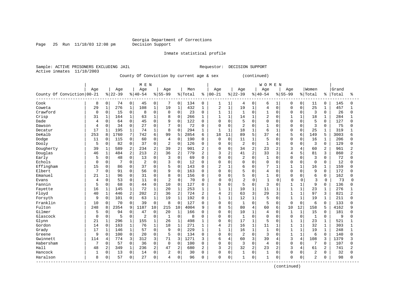#### Georgia Department of Corrections<br>Decision Support

Page 25 Run  $11/18/03$  12:08 pm

Inmate statistical profile

Sample: ACTIVE PRISONERS EXCLUDING JAIL Requestor: DECISION SUPPORT Active inmates 11/18/2003

County Of Conviction by current age & sex (continued)

|                            |              |                |          |                | M E N          |                |                |                |         |                |                |              |                |                | <b>WOMEN</b>   |                |              |                |                |              |       |                |
|----------------------------|--------------|----------------|----------|----------------|----------------|----------------|----------------|----------------|---------|----------------|----------------|--------------|----------------|----------------|----------------|----------------|--------------|----------------|----------------|--------------|-------|----------------|
|                            | Age          |                | Age      |                | Age            |                | Age            |                | Men     |                | Age            |              | Age            |                | Age            |                | Age          |                | Women          |              | Grand |                |
| County Of Conviction 00-21 |              |                | $ 22-39$ |                | $8 40-54$      |                | $8155 - 99$    |                | % Total | ៖              | $ 00 - 21$     |              | $8 22-39$      |                | $8140 - 54$    |                | $8155 - 99$  |                | % Total        | ိ            | Total | ిక             |
| Cook                       | 8            | 0              | 74       | $\overline{0}$ | 45             | 0              |                | 0              | 134     | 0              | 1              | 1            | 4              | 0              | 6              |                | 0            | 0              | 11             | 0            | 145   | 0              |
| Coweta                     | 29           | $\mathbf{1}$   | 276      | $\mathbf 1$    | 108            | $\mathbf{1}$   | 19             | $\mathbf 1$    | 432     | $\mathbf{1}$   | $\overline{2}$ | $\mathbf{1}$ | 19             | $\mathbf{1}$   | $\overline{4}$ | $\Omega$       | $\Omega$     | $\Omega$       | 25             | $\mathbf{1}$ | 457   | $\mathbf{1}$   |
| Crawford                   | 0            | $\mathbf 0$    | 15       | 0              | 8              | $\mathbf 0$    | $\Omega$       | $\mathbf 0$    | 23      | 0              | $\mathbf{1}$   | $\mathbf{1}$ | 1              | $\Omega$       | $\mathbf{1}$   | $\Omega$       | $\mathbf 0$  | $\Omega$       | 3              | $\Omega$     | 26    | U              |
| Crisp                      | 31           | 1              | 164      | $1\,$          | 63             | $\mathbf 1$    | 8              | $\mathbf 0$    | 266     | 1              | $\mathbf{1}$   | $\mathbf{1}$ | 14             | $\mathbf{1}$   | $\overline{c}$ | $\Omega$       |              | $\mathbf{1}$   | 18             | $\mathbf 1$  | 284   | $\mathbf{1}$   |
| Dade                       | 4            | 0              | 64       | 0              | 45             | $\Omega$       | 9              | $\mathbf 0$    | 122     | $\mathbf 0$    | $\mathbf 0$    | 0            | 5              | $\Omega$       | $\Omega$       | $\Omega$       | $\Omega$     | $\Omega$       | 5              | $\Omega$     | 127   | $\cap$         |
| Dawson                     | 4            | 0              | 34       | 0              | 27             | 0              | 7              | $\Omega$       | 72      | 0              | $\mathbf 0$    | 0            | $\overline{2}$ | $\Omega$       |                | $\Omega$       | $\Omega$     | $\Omega$       | 3              | 0            | 75    | U              |
| Decatur                    | 17           | 1              | 195      | 1              | 74             | 1              | 8              | $\Omega$       | 294     | 1              | $\mathbf{1}$   | 1            | 18             | $\mathbf{1}$   | 6              |                | $\Omega$     | $\Omega$       | 25             | 1            | 319   |                |
| DeKalb                     | 253          | 8              | 1760     | 7              | 742            | 6              | 99             | 5              | 2854    | 6              | 18             | 11           | 89             | 5              | 37             | 4              | 5            | 6              | 149            | 5            | 3003  | б              |
| Dodge                      | 11           | 0              | 115      | 0              | 60             | 0              | 4              | $\Omega$       | 190     | 0              | $\mathbf 0$    | $\Omega$     | 11             | $\mathbf{1}$   | 5              | $\Omega$       | $\mathbf 0$  | $\Omega$       | 16             | 1            | 206   | U              |
| Dooly                      | 5            | 0              | 82       | 0              | 37             | $\Omega$       | 2              | $\mathbf 0$    | 126     | 0              | $\mathbf 0$    | $\Omega$     | 2              | $\Omega$       | 1              | $\Omega$       | $\mathbf 0$  | $\Omega$       | 3              | 0            | 129   | $\cap$         |
| Dougherty                  | 39           | $\mathbf{1}$   | 589      | $\overline{a}$ | 234            | $\overline{2}$ | 39             | $\overline{2}$ | 901     | $\overline{2}$ | 0              | 0            | 34             | $\overline{a}$ | 23             | $\overline{2}$ | 3            | 4              | 60             | 2            | 961   | $\overline{2}$ |
| Douglas                    | 46           | $\mathbf 1$    | 484      | $\overline{2}$ | 213            | $\overline{2}$ | 36             | $\overline{2}$ | 779     | 2              | 3              | 2            | 41             | 2              | 33             | 3              | 4            | 5              | 81             | 3            | 860   | $\overline{2}$ |
| Early                      | 5            | 0              | 48       | 0              | 13             | $\Omega$       | 3              | $\Omega$       | 69      | $\Omega$       | 0              | $\Omega$     | $\overline{2}$ | $\Omega$       | $\mathbf{1}$   | $\Omega$       | $\Omega$     | $\Omega$       | 3              | $\Omega$     | 72    | U              |
| Echols                     | $\Omega$     | $\Omega$       | 7        | 0              | $\overline{c}$ | $\Omega$       | 3              | $\Omega$       | 12      | $\Omega$       | $\Omega$       | $\Omega$     | $\Omega$       | $\Omega$       | $\Omega$       | $\Omega$       | $\Omega$     | $\Omega$       | $\Omega$       | $\Omega$     | 12    | O              |
| Effingham                  | 15           | 0              | 86       | 0              | 37             | 0              | 5              | $\mathbf 0$    | 143     | 0              | $\overline{2}$ |              | 6              | $\Omega$       | $\overline{7}$ |                |              |                | 16             | 1            | 159   | O              |
| Elbert                     | 7            | 0              | 91       | 0              | 56             | $\Omega$       | 9              | $\mathbf 0$    | 163     | 0              | $\Omega$       | 0            | 5              | $\Omega$       | $\overline{4}$ | $\Omega$       | $\Omega$     | $\Omega$       | 9              | 0            | 172   | U              |
| Emanuel                    | 21           | 1              | 96       | $\Omega$       | 31             | $\Omega$       | 8              | $\Omega$       | 156     | $\Omega$       | $\Omega$       | $\Omega$     | 5              | $\Omega$       | $\mathbf{1}$   | $\Omega$       | $\Omega$     | $\Omega$       | 6              | $\Omega$     | 162   | U              |
| Evans                      | 4            | 0              | 53       | $\mathbf 0$    | 11             | $\Omega$       | $\overline{a}$ | $\mathbf 0$    | 70      | O              | $\Omega$       | $\Omega$     | $\overline{c}$ | $\mathbf 0$    | $\mathbf{1}$   | $\Omega$       | $\Omega$     | $\Omega$       | 3              | $\Omega$     | 73    | $\Omega$       |
| Fannin                     | 5            | $\mathbf 0$    | 68       | 0              | 44             | $\mathbf 0$    | 10             | $\mathbf 0$    | 127     | $\Omega$       | 0              | 0            | 5              | $\mathbf 0$    | 3              | 0              | 1            | $\mathbf{1}$   | 9              | 0            | 136   | U              |
| Fayette                    | 16           | $\mathbf 1$    | 145      | $\mathbf{1}$   | 72             | 1              | 20             | $\mathbf{1}$   | 253     | $\mathbf 1$    | $\mathbf{1}$   | $\mathbf{1}$ | 10             | $\mathbf{1}$   | 11             | $\mathbf{1}$   | $\mathbf{1}$ | $\mathbf{1}$   | 23             | $\mathbf{1}$ | 276   | $\mathbf{1}$   |
| Floyd                      | 40           | $\mathbf{1}$   | 446      | 2              | 202            | 2              | 36             | 2              | 724     | 2              | 4              | 2            | 63             | 3              | 29             | 3              | $\mathbf{1}$ | $\mathbf{1}$   | 97             | 3            | 821   | $\overline{2}$ |
| Forsyth                    | 9            | 0              | 101      | 0              | 63             | 1              | 19             | $\mathbf{1}$   | 192     | 0              | 1              | 1            | 12             | 1              | 5              | $\Omega$       | $\mathbf{1}$ |                | 19             | 1            | 211   | O              |
| Franklin                   | 10           | 0              | 70       | 0              | 39             | $\mathbf 0$    | 8              | $\Omega$       | 127     | 0              | $\mathbf 0$    | 0            | 1              | $\Omega$       | 5              | $\Omega$       | $\Omega$     | 0              | 6              | $\Omega$     | 133   | U              |
| Fulton                     | 248          | 8              | 2354     | 9              | 1187           | 10             | 215            | 10             | 4004    | 9              | 8              | 5            | 80             | 4              | 60             | 6              | 10           | 12             | 158            | 5            | 4162  | q              |
| Gilmer                     | 5            | 0              | 94       | 0              | 47             | $\mathbf 0$    | 20             | $\mathbf{1}$   | 166     | O              | O              | $\Omega$     | 10             | $\mathbf{1}$   | $\overline{4}$ | $\cap$         | 1            | $\mathbf{1}$   | 15             | $\Omega$     | 181   | U              |
| Glascock                   | $\Omega$     | $\Omega$       | 5        | $\Omega$       | 2              | $\mathbf 0$    | $\mathbf{1}$   | $\Omega$       | 8       | $\Omega$       | 0              | $\Omega$     | $\mathbf{1}$   | $\Omega$       | $\Omega$       | $\Omega$       | $\mathbf 0$  | $\Omega$       | $\mathbf{1}$   | $\mathbf 0$  | 9     | U              |
| Glynn                      | 21           | 1              | 296      | $\mathbf{1}$   | 155            | 1              | 26             | $\mathbf{1}$   | 498     | 1              | 0              | 0            | 17             | $\mathbf{1}$   | 5              | $\Omega$       |              | $\mathbf{1}$   | 23             | 1            | 521   | 1              |
| Gordon                     | 14           | $\mathbf 0$    | 163      | $\mathbf{1}$   | 76             | $\mathbf{1}$   | 18             | $1\,$          | 271     | 1              | 4              | 2            | 16             | $\mathbf{1}$   | 11             |                | 1            | $\mathbf{1}$   | 32             | $\mathbf{1}$ | 303   | $\mathbf{1}$   |
| Grady                      | 17           | 1              | 146      | $\mathbf{1}$   | 57             | $\mathbf 0$    | 9              | $\Omega$       | 229     | $\mathbf{1}$   | $\mathbf{1}$   | $\mathbf{1}$ | 16             | $\mathbf{1}$   | $\mathbf{1}$   | $\Omega$       | $\mathbf{1}$ | $\mathbf{1}$   | 19             | $\mathbf{1}$ | 248   | $\mathbf{1}$   |
| Greene                     | 9            | $\mathbf 0$    | 100      | 0              | 20             | $\mathbf 0$    | 5              | $\Omega$       | 134     | 0              | $\mathbf 0$    | 0            | $\overline{2}$ | $\Omega$       | 3              | $\Omega$       |              |                | 6              | $\mathbf 0$  | 140   | 0              |
| Gwinnett                   | 114          | 4              | 774      | 3              | 312            | 3              | 71             | 3              | 1271    | 3              | 6              | 4            | 60             | 3              | 39             | 4              | 3            | $\overline{4}$ | 108            | 3            | 1379  | 3              |
| Habersham                  | 7            | $\Omega$       | 57       | $\Omega$       | 36             | $\Omega$       | $\Omega$       | $\Omega$       | 100     | $\Omega$       | $\Omega$       | $\Omega$     | 3              | $\Omega$       | $\overline{4}$ | $\Omega$       | $\Omega$     | $\Omega$       | 7              | $\Omega$     | 107   | U              |
| Hall                       | 48           | $\overline{2}$ | 349      | $\mathbf{1}$   | 236            | $\overline{2}$ | 47             | $\overline{2}$ | 680     | 2              | 3              | 2            | 32             | $\overline{2}$ | 23             | $\overline{2}$ | 3            | 4              | 61             | 2            | 741   | $\overline{2}$ |
| Hancock                    | $\mathbf{1}$ | 0              | 13       | 0              | 14             | $\mathbf 0$    | 2              | $\mathbf 0$    | 30      | $\Omega$       | $\mathbf 0$    | $\Omega$     | $\mathbf{1}$   | $\Omega$       | $\mathbf{1}$   | $\Omega$       | $\mathbf 0$  | $\Omega$       | 2              | 0            | 32    | O              |
| Haralson                   | 8            | 0              | 57       | 0              | 27             | $\mathbf 0$    | 4              | $\mathbf 0$    | 96      | 0              | $\mathbf 0$    | 0            | 1              | $\mathbf 0$    | $\mathbf{1}$   | 0              | $\mathbf 0$  | $\mathbf{0}$   | $\overline{2}$ | 0            | 98    | O              |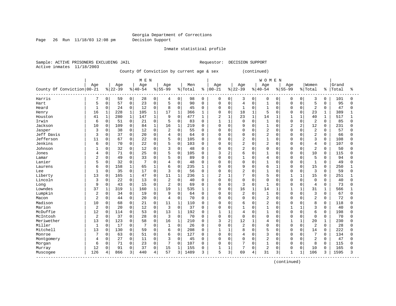Page 26 Run 11/18/03 12:08 pm Decision Support

Inmate statistical profile

Active inmates 11/18/2003

Sample: ACTIVE PRISONERS EXCLUDING JAIL **Requestor: DECISION SUPPORT** 

County Of Conviction by current age & sex (continued)

|                            |                |              |           |                     | M E N     |              |                |              |         |             |                |              |                |              | <b>WOMEN</b>   |              |               |                |                |              |       |              |
|----------------------------|----------------|--------------|-----------|---------------------|-----------|--------------|----------------|--------------|---------|-------------|----------------|--------------|----------------|--------------|----------------|--------------|---------------|----------------|----------------|--------------|-------|--------------|
|                            | Age            |              | Age       |                     | Age       |              | Age            |              | Men     |             | Age            |              | Age            |              | Age            |              | Age           |                | Women          |              | Grand |              |
| County Of Conviction 00-21 |                |              | $8 22-39$ |                     | $8 40-54$ |              | $8155 - 99$    |              | % Total | ి           | $ 00 - 21$     |              | $8 22-39$      |              | $8140 - 54$    |              | $8155 - 99$   |                | %   Total      | ႜၟ           | Total | ÷            |
| Harris                     | 7              | 0            | 59        | 0                   | 28        | 0            | 4              | 0            | 98      | $\mathbf 0$ | 0              | 0            | 3              | 0            | 0              | 0            | 0             | 0              | 3              | 0            | 101   | 0            |
| Hart                       | 5              | 0            | 57        | $\mathbf 0$         | 23        | $\mathbf 0$  | 5              | $\Omega$     | 90      | $\mathbf 0$ | $\mathbf 0$    | $\Omega$     | 4              | $\Omega$     | $\mathbf{1}$   | $\Omega$     | $\Omega$      | $\Omega$       | 5              | $\Omega$     | 95    | $\Omega$     |
| Heard                      | 1              | 0            | 24        | $\mathbf 0$         | 12        | $\mathbf 0$  | 8              | $\Omega$     | 45      | $\mathbf 0$ | 0              | 0            | 1              | 0            |                | $\Omega$     | $\Omega$      | $\Omega$       | $\overline{2}$ | $\Omega$     | 47    | 0            |
| Henry                      | 16             | $\mathbf{1}$ | 228       | $\mathbf 1$         | 105       | $\mathbf{1}$ | 17             | $\mathbf{1}$ | 366     | 1           | 0              | 0            | 18             | $\mathbf{1}$ | 5              | $\Omega$     | $\Omega$      | $\Omega$       | 23             | 1            | 389   |              |
| Houston                    | 41             | $\mathbf{1}$ | 280       | $\mathbf{1}$        | 147       | $\mathbf{1}$ | 9              | $\Omega$     | 477     | 1           | $\overline{2}$ | $\mathbf{1}$ | 23             | $\mathbf{1}$ | 14             | 1            | $\mathbf{1}$  | $\mathbf{1}$   | 40             | $\mathbf 1$  | 517   |              |
| Irwin                      | 6              | 0            | 51        | 0                   | 21        | 0            | 5              | $\Omega$     | 83      | 0           | $\mathbf{1}$   | $\mathbf{1}$ | $\Omega$       | 0            |                | $\Omega$     | $\cap$        | $\Omega$       | 2              | $\Omega$     | 85    | <sup>0</sup> |
| Jackson                    | 10             | 0            | 109       | $\mathbf 0$         | 84        | 1            | 16             | $\mathbf{1}$ | 219     | $\Omega$    | $\mathbf 0$    | $\Omega$     | 9              | $\Omega$     | 1              | $\Omega$     | $\mathcal{D}$ | $\overline{2}$ | 12             | <sup>0</sup> | 231   | O            |
| Jasper                     | 3              | 0            | 38        | $\mathbf 0$         | 12        | $\Omega$     | $\overline{c}$ | $\Omega$     | 55      | $\Omega$    | $\Omega$       | $\Omega$     | $\Omega$       | $\Omega$     | $\overline{2}$ | $\Omega$     | $\cap$        | $\Omega$       | $\overline{c}$ | $\Omega$     | 57    | ∩            |
| Jeff Davis                 | 3              | $\Omega$     | 37        | $\mathbf 0$         | 20        | 0            | 4              | $\Omega$     | 64      | $\Omega$    | 0              | $\cap$       | $\Omega$       | $\Omega$     | $\overline{2}$ | $\cap$       | $\cap$        | $\Omega$       | 2              | $\Omega$     | 66    | U            |
| Jefferson                  | 11             | 0            | 67        | 0                   | 22        | 0            | 5              | $\Omega$     | 105     | 0           | 0              | $\Omega$     | $\overline{2}$ | $\Omega$     |                | $\Omega$     | O             | $\Omega$       | 3              | $\Omega$     | 108   | <sup>0</sup> |
| Jenkins                    | 6              | 0            | 70        | 0                   | 22        | 0            | 5              | $\mathbf 0$  | 103     | 0           | 0              | $\Omega$     | $\overline{2}$ | 0            | $\overline{c}$ | $\Omega$     |               | $\Omega$       | $\overline{4}$ | 0            | 107   | O            |
| Johnson                    |                | 0            | 32        | 0                   | 12        | 0            | 3              | $\mathbf{0}$ | 48      | 0           | 0              | $\Omega$     | 2              | 0            | $\Omega$       | $\Omega$     | O             | $\Omega$       | $\overline{c}$ | $\Omega$     | 50    | <sup>0</sup> |
| Jones                      | 4              | 0            | 71        | $\mathbf 0$         | 25        | $\Omega$     | 5              | $\mathbf 0$  | 105     | $\Omega$    | 3              | 2            | 6              | $\Omega$     | 1              | $\Omega$     | $\Omega$      | $\Omega$       | 10             | $\Omega$     | 115   | $\Omega$     |
| Lamar                      | 2              | 0            | 49        | $\mathbf 0$         | 33        | $\Omega$     | 5              | $\Omega$     | 89      | $\Omega$    | $\Omega$       | $\Omega$     | $\mathbf{1}$   | $\Omega$     | $\overline{4}$ | $\Omega$     | $\cap$        | $\Omega$       | 5              | $\Omega$     | 94    | <sup>0</sup> |
| Lanier                     | 5              | 0            | 32        | $\mathbf 0$         |           | $\Omega$     | 4              | $\mathbf 0$  | 48      | $\mathbf 0$ | 0              | $\Omega$     | $\Omega$       | O            |                | $\Omega$     | O             | $\Omega$       | $\mathbf{1}$   | $\Omega$     | 49    | O            |
| Laurens                    | 6              | 0            | 158       | $\mathbf{1}$        | 65        | $\mathbf{1}$ | 6              | $\Omega$     | 235     | 1           | $\mathbf 0$    | $\Omega$     | 9              | $\Omega$     | 6              | $\mathbf{1}$ | $\cap$        | $\Omega$       | 15             | $\Omega$     | 250   |              |
| Lee                        | -1             | 0            | 35        | $\mathbf 0$         | 17        | $\Omega$     | 3              | $\Omega$     | 56      | $\Omega$    | $\Omega$       | $\Omega$     | $\overline{2}$ | $\Omega$     | $\mathbf{1}$   | $\Omega$     | $\Omega$      | $\Omega$       | 3              | $\Omega$     | 59    | <sup>0</sup> |
| Liberty                    | 13             | $\Omega$     | 165       | $\mathbf{1}$        | 47        | $\Omega$     | 11             | $\mathbf{1}$ | 236     | 1           | $\overline{a}$ | 1            | 7              | $\Omega$     | 5              | $\Omega$     | 1             |                | 15             | $\Omega$     | 251   |              |
| Lincoln                    | 3              | 0            | 22        | $\mathbf 0$         | 13        | 0            | $\overline{2}$ | $\mathbf 0$  | 40      | $\mathbf 0$ | 0              | $\Omega$     | $\mathbf 0$    | 0            | $\Omega$       | $\Omega$     | $\Omega$      | $\mathbf 0$    | $\mathbf 0$    | $\Omega$     | 40    | $\Omega$     |
| Long                       | 9              | 0            | 43        | 0                   | 15        | 0            | 2              | $\Omega$     | 69      | $\mathbf 0$ | 0              | $\Omega$     | 3              | 0            | $\mathbf{1}$   | $\cap$       | $\cap$        | $\Omega$       | $\overline{4}$ | $\Omega$     | 73    | <sup>0</sup> |
| Lowndes                    | 37             | $\mathbf{1}$ | 319       | $\mathbf{1}$        | 160       | 1            | 19             | $\mathbf{1}$ | 535     | 1           | $\mathbf 0$    | $\Omega$     | 16             | $\mathbf{1}$ | 14             | 1            | $\mathbf{1}$  |                | 31             | 1            | 566   | $\mathbf{1}$ |
| Lumpkin                    | 2              | 0            | 34        | 0                   | 19        | 0            | 9              | $\Omega$     | 64      | 0           | 0              | 0            | $\overline{2}$ | 0            |                | $\Omega$     | O             | $\Omega$       | $\overline{3}$ | $\Omega$     | 67    | 0            |
| Macon                      | 2              | 0            | 44        | 0                   | 20        | 0            | $\overline{4}$ | $\mathbf 0$  | 70      | 0           | $\mathbf 0$    | 0            | $\Omega$       | $\mathbf 0$  | $\overline{2}$ | $\Omega$     | $\cap$        | $\Omega$       | $\overline{2}$ | $\Omega$     | 72    | U            |
| Madison                    | 10             | $\Omega$     | 68        | $\mathbf 0$         | 21        | $\Omega$     | 11             | 1            | 110     | 0           | $\Omega$       | $\Omega$     | 6              | $\Omega$     | $\overline{c}$ | O            | U             | $\Omega$       | 8              | $\Omega$     | 118   | O            |
| Marion                     | $\overline{2}$ | $\Omega$     | 20        | $\mathbf 0$         | 12        | $\Omega$     | 3              | $\Omega$     | 37      | $\Omega$    | $\Omega$       | $\Omega$     | $\mathbf{1}$   | $\cap$       | $\mathbf{1}$   | $\cap$       |               |                | $\overline{3}$ | $\Omega$     | 40    | U            |
| McDuffie                   | 12             | $\mathbf 0$  | 114       | $\mathsf{O}\xspace$ | 53        | 0            | 13             | $\mathbf{1}$ | 192     | $\Omega$    | 1              | -1           | $\overline{4}$ | $\Omega$     |                | $\Omega$     | $\cap$        | $\Omega$       | 6              | $\Omega$     | 198   | <sup>0</sup> |
| McIntosh                   | $\overline{2}$ | 0            | 37        | $\mathbf 0$         | 28        | $\mathbf 0$  | 3              | $\Omega$     | 70      | $\Omega$    | $\mathbf 0$    | 0            | $\mathbf 0$    | $\Omega$     | $\Omega$       | $\Omega$     | O             | $\Omega$       | $\mathbf 0$    | $\Omega$     | 70    | <sup>0</sup> |
| Meriwether                 | 13             | $\mathbf 0$  | 123       | $\mathsf 0$         | 58        | 0            | 16             | $\mathbf 1$  | 210     | $\Omega$    | 3              | 2            | 12             | $\mathbf{1}$ | $\overline{4}$ | $\Omega$     |               |                | 20             | 1            | 230   | O            |
| Miller                     | $\mathbf{1}$   | 0            | 17        | $\mathbf 0$         | 7         | 0            | 1              | $\Omega$     | 26      | 0           | 0              | $\mathbf 0$  | $\overline{2}$ | $\Omega$     | $\Omega$       | $\Omega$     | $\Omega$      | $\Omega$       | 2              | $\Omega$     | 28    | U            |
| Mitchell                   | 13             | 0            | 130       | $\mathbf 0$         | 59        | 0            | 6              | $\mathbf{0}$ | 208     | 0           | 1              | 1            | 8              | 0            | 5              | $\Omega$     | O             | $\Omega$       | 14             | $\Omega$     | 222   | O            |
| Monroe                     |                | 0            | 63        | 0                   | 51        | 0            | 6              | $\Omega$     | 127     | 0           | $\mathbf 0$    | $\Omega$     | 4              | $\Omega$     | 3              | $\Omega$     | $\cap$        | $\Omega$       | 7              | <sup>0</sup> | 134   | O            |
| Montgomery                 | 4              | 0            | 27        | $\Omega$            | 11        | $\Omega$     | 3              | $\Omega$     | 45      | $\Omega$    | $\Omega$       | $\Omega$     | $\Omega$       | $\Omega$     | $\overline{c}$ | $\Omega$     | $\cap$        | $\cap$         | $\overline{c}$ | $\Omega$     | 47    | U            |
| Morgan                     | 6              | 0            | 71        | $\mathbf 0$         | 23        | $\mathbf 0$  | 7              | $\mathbf 0$  | 107     | $\mathbf 0$ | $\mathbf 0$    | $\Omega$     | 7              | $\Omega$     | $\mathbf{1}$   | 0            | $\Omega$      | $\Omega$       | 8              | 0            | 115   | N            |
| Murray                     | 12             | 0            | 91        | 0                   | 37        | 0            | 15             | $\mathbf{1}$ | 155     | 0           | 1              | 1            | 7              | 0            | $\overline{2}$ | 0            | 0             | $\Omega$       | 10             | $\Omega$     | 165   | O            |
| Muscogee<br>. <u>.</u>     | 126            | 4            | 866       | 3                   | 440       | 4            | 57             | 3            | 1489    | 3           | 5              | 3            | 69             | 4            | 31             | 3            | $\mathbf{1}$  | $\mathbf{1}$   | 106            | 3            | 1595  | 3            |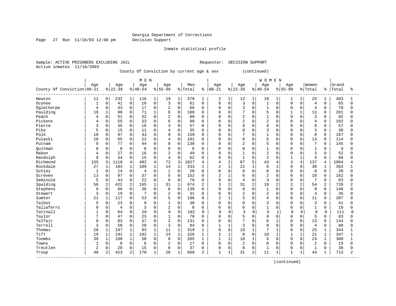Page 27 Run 11/18/03 12:08 pm Decision Support

Inmate statistical profile

Sample: ACTIVE PRISONERS EXCLUDING JAIL **Requestor: DECISION SUPPORT** Active inmates 11/18/2003

County Of Conviction by current age & sex (continued)

|                            |              |              |                |                | M E N       |                |                |              |         |             |                |              |                |              | <b>WOMEN</b>   |              |                |                |                |          |       |                |
|----------------------------|--------------|--------------|----------------|----------------|-------------|----------------|----------------|--------------|---------|-------------|----------------|--------------|----------------|--------------|----------------|--------------|----------------|----------------|----------------|----------|-------|----------------|
|                            | Age          |              | Age            |                | Age         |                | Age            |              | Men     |             | Age            |              | Age            |              | Age            |              | Age            |                | Women          |          | Grand |                |
| County Of Conviction 00-21 |              |              | $ 22-39$       |                | $8140 - 54$ |                | $8155 - 99$    |              | % Total |             | $8   00 - 21$  |              | $8 22-39$      |              | $8140 - 54$    |              | $8155 - 99$    |                | %   Total      | ႜၟ       | Total | ÷              |
| Newton                     | 11           | 0            | 232            | 1              | 116         | 1              | 19             | $\mathbf{1}$ | 378     | 1           | 2              | $\mathbf{1}$ | 12             | $\mathbf{1}$ | 10             |              | 1              | 1              | 25             | 1        | 403   |                |
| Oconee                     | $\mathbf{1}$ | 0            | 41             | $\mathbf 0$    | 16          | $\mathbf 0$    | 3              | $\mathbf 0$  | 61      | $\Omega$    | $\mathbf 0$    | $\Omega$     | 3              | $\Omega$     | $\mathbf{1}$   | $\Omega$     | $\Omega$       | $\Omega$       | $\overline{4}$ | $\Omega$ | 65    | $\Omega$       |
| Oglethorpe                 | 4            | $\mathbf 0$  | 43             | $\mathbf 0$    | 17          | $\Omega$       | 2              | $\mathbf 0$  | 66      | $\mathbf 0$ | $\mathbf 0$    | 0            | 3              | $\Omega$     | $\mathbf{1}$   | $\Omega$     | $\Omega$       | $\Omega$       | $\overline{4}$ | $\Omega$ | 70    | 0              |
| Paulding                   | 19           | $\mathbf{1}$ | 90             | $\mathbf 0$    | 71          | $\mathbf{1}$   | 8              | $\mathbf 0$  | 188     | $\Omega$    | $\Omega$       | $\Omega$     | 7              | $\Omega$     | 5              | 0            | $\mathbf{1}$   | $\mathbf{1}$   | 13             | $\Omega$ | 201   | O              |
| Peach                      | 4            | $\mathbf 0$  | 51             | $\mathbf 0$    | 32          | $\Omega$       | $\overline{2}$ | $\mathbf 0$  | 89      | $\Omega$    | $\Omega$       | 0            | $\overline{2}$ | $\Omega$     | $\mathbf{1}$   | $\Omega$     | $\cap$         | $\Omega$       | $\overline{3}$ | $\Omega$ | 92    | <sup>0</sup>   |
| Pickens                    | 4            | 0            | 55             | $\mathbf 0$    | 33          | $\Omega$       | 6              | $\Omega$     | 98      | $\mathbf 0$ | $\mathbf 0$    | 0            | $\overline{2}$ | $\Omega$     | $\overline{2}$ | $\Omega$     | $\cap$         | $\Omega$       | $\overline{4}$ | 0        | 102   | <sup>0</sup>   |
| Pierce                     | κ            | $\Omega$     | 35             | $\mathbf 0$    | 16          | $\Omega$       | 3              | $\Omega$     | 57      | $\Omega$    | $\Omega$       | 0            | $\Omega$       | $\Omega$     | $\Omega$       | $\Omega$     | $\cap$         |                | $\mathbf 0$    | $\Omega$ | 57    | <sup>0</sup>   |
| Pike                       | 5            | $\Omega$     | 15             | $\mathbf 0$    | 11          | $\Omega$       | 4              | $\Omega$     | 35      | $\Omega$    | $\Omega$       | $\Omega$     | $\Omega$       | $\Omega$     | 3              | $\cap$       | $\cap$         | $\cap$         | 3              | $\Omega$ | 38    | U              |
| Polk                       | 10           | $\mathbf 0$  | 97             | $\mathbf 0$    | 43          | $\Omega$       | 9              | $\Omega$     | 159     | $\Omega$    | $\Omega$       | $\Omega$     | 7              | $\Omega$     | $\mathbf{1}$   | $\cap$       | $\Omega$       | $\Omega$       | 8              | $\Omega$ | 167   | U              |
| Pulaski                    | 10           | $\mathbf 0$  | 65             | $\mathbf 0$    | 22          | $\Omega$       | $\overline{4}$ | $\mathbf 0$  | 101     | 0           | $\Omega$       | $\Omega$     | 8              | $\Omega$     | 5              | $\Omega$     | $\Omega$       | $\Omega$       | 13             | $\Omega$ | 114   | U              |
| Putnam                     | 9            | 0            | 77             | $\mathbf 0$    | 44          | $\mathbf 0$    | 8              | $\mathbf 0$  | 138     | 0           | $\Omega$       | $\Omega$     | $\overline{c}$ | $\mathbf 0$  | 5              | $\Omega$     | $\Omega$       | $\Omega$       | 7              | 0        | 145   | U              |
| Ouitman                    | O            | 0            | 8              | $\mathbf 0$    | $\mathbf 0$ | $\mathbf 0$    | 0              | $\mathbf 0$  | 8       | 0           | $\Omega$       | 0            | $\mathbf 0$    | $\mathbf 0$  | $\mathbf{1}$   | $\Omega$     | O              | $\Omega$       | $\mathbf{1}$   | $\Omega$ | 9     | O              |
| Rabun                      | 4            | 0            | 27             | $\mathbf 0$    | 16          | $\Omega$       | $\overline{2}$ | $\Omega$     | 49      | $\Omega$    | $\Omega$       | 0            | $\mathbf{1}$   | $\Omega$     | $\overline{2}$ | $\Omega$     | $\cap$         | $\Omega$       | 3              | $\Omega$ | 52    | <sup>0</sup>   |
| Randolph                   | 9            | $\Omega$     | 34             | $\Omega$       | 15          | $\Omega$       | $\overline{4}$ | $\Omega$     | 62      | $\Omega$    | $\Omega$       | $\Omega$     | $\mathbf{1}$   | $\Omega$     | $\overline{c}$ | O            | -1             | $\mathbf{1}$   | $\overline{4}$ | $\Omega$ | 66    | <sup>0</sup>   |
| Richmond                   | 155          | 5            | 1118           | $\overline{4}$ | 482         | $\overline{4}$ | 72             | 3            | 1827    | 4           | $\overline{4}$ | 2            | 87             | 5            | 43             | 4            | 3              | $\overline{4}$ | 137            | 4        | 1964  | 4              |
| Rockdale                   | 27           | $\mathbf 1$  | 183            | $\mathbf{1}$   | 109         | $\mathbf{1}$   | 14             | $\mathbf{1}$ | 333     | 1           | $\overline{2}$ | $\mathbf{1}$ | 22             | $\mathbf{1}$ | 6              | $\mathbf{1}$ | $\Omega$       | $\Omega$       | 30             | 1        | 363   |                |
| Schley                     | 1            | $\Omega$     | 14             | $\mathbf 0$    | 4           | $\Omega$       | $\mathbf{1}$   | $\Omega$     | 20      | $\Omega$    | $\Omega$       | $\Omega$     | $\Omega$       | $\Omega$     | $\Omega$       | $\Omega$     | $\Omega$       | $\Omega$       | $\Omega$       | $\Omega$ | 20    | 0              |
| Screven                    | 13           | $\Omega$     | 97             | $\Omega$       | 37          | $\Omega$       | 5              | $\Omega$     | 152     | $\Omega$    | $\overline{2}$ | $\mathbf{1}$ | 6              | $\Omega$     | $\overline{2}$ | $\Omega$     | $\Omega$       | $\Omega$       | 10             | $\Omega$ | 162   | U              |
| Seminole                   | 5            | $\mathbf 0$  | 43             | $\mathbf 0$    | 22          | $\mathbf 0$    | 6              | $\mathbf 0$  | 76      | 0           | $\mathbf 0$    | 0            | $\overline{4}$ | $\mathbf 0$  | 3              | $\Omega$     | $\Omega$       | $\mathbf 0$    | $\overline{7}$ | 0        | 83    | $\Omega$       |
| Spalding                   | 56           | 2            | 422            | 2              | 165         | $\mathbf{1}$   | 31             | $\mathbf{1}$ | 674     | 2           | 3              | 2            | 31             | 2            | 18             | 2            | $\overline{c}$ | 2              | 54             | 2        | 728   | 2              |
| Stephens                   | 9            | 0            | 86             | $\mathbf 0$    | 36          | $\Omega$       | 8              | $\Omega$     | 139     | $\Omega$    | $\Omega$       | $\Omega$     | 8              | $\Omega$     | 1              | $\Omega$     | $\Omega$       | $\Omega$       | 9              | $\Omega$ | 148   | $\Omega$       |
| Stewart                    | 3            | 0            | 19             | $\mathbf 0$    |             | $\Omega$       | 2              | $\Omega$     | 31      | $\Omega$    | $\Omega$       | $\Omega$     | $\overline{2}$ | $\Omega$     | $\overline{c}$ | $\Omega$     | $\Omega$       | $\Omega$       | $\overline{4}$ | $\Omega$ | 35    | O              |
| Sumter                     | 21           | $\mathbf{1}$ | 117            | 0              | 53          | $\mathbf 0$    | 5              | $\mathbf 0$  | 196     | $\Omega$    | $\overline{2}$ | $\mathbf{1}$ | 5              | $\mathbf 0$  | $\overline{4}$ | $\Omega$     | $\cap$         | $\Omega$       | 11             | $\Omega$ | 207   | U              |
| Talbot                     | 5            | $\mathbf 0$  | 23             | $\Omega$       | 9           | $\Omega$       | $\mathbf{1}$   | $\Omega$     | 38      | $\Omega$    | $\Omega$       | $\Omega$     | $\Omega$       | $\Omega$     | 3              | $\Omega$     | $\Omega$       | $\Omega$       | 3              | $\Omega$ | 41    | ∩              |
| Taliaferro                 | U            | $\Omega$     | $\overline{4}$ | $\mathbf 0$    | 3           | $\Omega$       | $\overline{a}$ | $\Omega$     | 9       | $\Omega$    | $\Omega$       | <sup>0</sup> | $\Omega$       | 0            | $\mathbf{1}$   | $\cap$       | $\Omega$       | $\Omega$       | $\mathbf{1}$   | $\Omega$ | 10    | $\Omega$       |
| Tattnall                   |              | 0            | 64             | $\mathbf 0$    | 29          | $\Omega$       | 8              | $\mathbf 0$  | 102     | 0           | $\Omega$       | $\Omega$     | 3              | $\mathbf 0$  | 6              | 1            | U              | $\Omega$       | 9              | 0        | 111   | $\Omega$       |
| Taylor                     |              | $\mathbf 0$  | 47             | $\mathbf 0$    | 23          | $\Omega$       | $\mathbf{1}$   | $\mathbf 0$  | 78      | $\Omega$    | $\Omega$       | $\Omega$     | 5              | $\Omega$     | $\Omega$       | $\Omega$     | $\Omega$       | $\Omega$       | 5              | $\Omega$ | 83    | <sup>0</sup>   |
| Telfair                    | 9            | 0            | 83             | $\mathbf 0$    | 37          | $\Omega$       | $\overline{2}$ | $\Omega$     | 131     | $\Omega$    | $\Omega$       | 0            | $\overline{7}$ | $\Omega$     | 6              | $\mathbf{1}$ | $\Omega$       | $\Omega$       | 13             | $\Omega$ | 144   | <sup>0</sup>   |
| Terrell                    | 3            | $\mathbf 0$  | 58             | $\mathbf 0$    | 20          | $\Omega$       | 3              | $\Omega$     | 84      | $\Omega$    | 1              | 1            | 3              | $\Omega$     | $\Omega$       | $\Omega$     | $\Omega$       | $\Omega$       | $\overline{4}$ | $\Omega$ | 88    | 0              |
| Thomas                     | 28           | $\mathbf 1$  | 187            | 1              | 93          | $\mathbf{1}$   | 11             | $\mathbf{1}$ | 319     | 1           | $\mathbf 0$    | 0            | 18             | $\mathbf{1}$ |                |              | $\Omega$       | $\Omega$       | 25             | 1        | 344   |                |
| Tift                       | 19           | $\mathbf 1$  | 191            | 1              | 102         | 1              | 14             | $\mathbf{1}$ | 326     | 1           | $\overline{2}$ | $\mathbf{1}$ | 8              | $\Omega$     | 10             | 1            |                |                | 21             | 1        | 347   |                |
| Toombs                     | 39           | $\mathbf{1}$ | 180            | $\mathbf{1}$   | 58          | $\Omega$       | 8              | $\Omega$     | 285     | 1           | $\mathbf{1}$   | $\mathbf{1}$ | 18             | $\mathbf{1}$ | 5              | $\Omega$     | $\Omega$       | $\Omega$       | 24             | 1        | 309   | 1              |
| Towns                      | 1            | $\mathbf 0$  | 8              | $\mathbf 0$    | 6           | $\mathbf 0$    | $\overline{2}$ | $\Omega$     | 17      | 0           | $\mathbf 0$    | $\Omega$     | $\overline{c}$ | $\Omega$     | $\Omega$       | $\Omega$     | $\Omega$       | $\Omega$       | 2              | $\Omega$ | 19    | $\Omega$       |
| Treutlen                   | 2            | 0            | 20             | $\mathbf 0$    | 15          | $\mathbf 0$    | 0              | $\mathbf 0$  | 37      | 0           | 0              | 0            | $\Omega$       | $\Omega$     | $\mathbf{1}$   | $\Omega$     | $\Omega$       | $\Omega$       | $\mathbf 1$    | $\Omega$ | 38    | 0              |
| Troup<br>----------------- | 48           | 2            | 423            | 2              | 170         | 1              | 28             | $\mathbf{1}$ | 669     | 2           | $\mathbf{1}$   | 1            | 31             | 2            | 11             | 1            | $\mathbf{1}$   | $\mathbf{1}$   | 44             |          | 713   | $\overline{2}$ |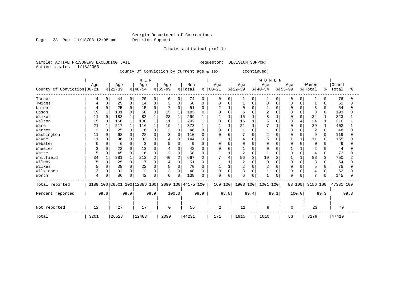Page 28 Run 11/18/03 12:08 pm Decision Support

Inmate statistical profile

Sample: ACTIVE PRISONERS EXCLUDING JAIL **Requestor: DECISION SUPPORT** Active inmates 11/18/2003 County Of Conviction by current age & sex (continued)

|                            |      |              |           |              | M E N                   |                |                |              |                    |              |                |        |                |                | <b>WOMEN</b>   |      |           |              |                |          |           |      |
|----------------------------|------|--------------|-----------|--------------|-------------------------|----------------|----------------|--------------|--------------------|--------------|----------------|--------|----------------|----------------|----------------|------|-----------|--------------|----------------|----------|-----------|------|
|                            | Age  |              | Age       |              | Age                     |                | Age            |              | Men                |              | Age            |        | Age            |                | Age            |      | Age       |              | Women          |          | Grand     |      |
| County Of Conviction 00-21 |      |              | $ 22-39 $ |              | $ 40-54 $               |                | $ 55-99 $      |              | % Total            | ៖            | $ 00 - 21$     |        | $ 22-39$       |                | $8140 - 54$    |      | $8 55-99$ |              | % Total        | ៖        | Total     | °≈   |
| Turner                     | 4    | 0            | 44        | 0            | 20                      | $\Omega$       | 6              | 0            | 74                 | $\Omega$     | 0              | 0      |                | $\overline{0}$ |                | 0    | 0         | $\Omega$     | 2              | 0        | 76        |      |
| Twiggs                     |      | 0            | 29        | $\mathbf 0$  | 14                      | O              | 3              | $\mathbf 0$  | 50                 | $\Omega$     | $\Omega$       |        |                | O              | O              |      |           |              |                | O        | 51        |      |
| Union                      |      | $\Omega$     | 25        | $\Omega$     | 15                      | $\Omega$       |                | $\Omega$     | 51                 | $\Omega$     | $\overline{a}$ |        | $\Omega$       | 0              |                |      | $\Omega$  | $\Omega$     | 3              | $\Omega$ | 54        |      |
| Upson                      | 19   | 1            | 101       | $\Omega$     | 50                      |                | 15             | $\mathbf{1}$ | 185                | $\Omega$     | $\Omega$       |        | 6              |                | $\overline{2}$ |      |           | $\Omega$     | 8              | $\Omega$ | 193       |      |
| Walker                     | 11   | $\Omega$     | 183       | $\mathbf{1}$ | 82                      |                | 23             | $\mathbf{1}$ | 299                |              | 1              |        | 15             |                | $\mathsf{R}$   |      | n         | $\Omega$     | 24             |          | 323       |      |
| Walton                     | 15   | $\Omega$     | 166       | $\mathbf 1$  | 100                     |                | 11             | $\mathbf{1}$ | 292                |              | $\Omega$       |        | 16             |                |                |      |           | 4            | 24             |          | 316       |      |
| Ware                       | 21   |              | 217       |              | 116                     |                | 19             | $\mathbf{1}$ | 373                |              |                |        | 21             |                |                |      |           | $\Omega$     | 29             |          | 402       |      |
| Warren                     | 2    | 0            | 25        | $\Omega$     | 16                      |                | 3              | $\Omega$     | 46                 | <sup>0</sup> | $\Omega$       |        |                | U              |                |      | n         |              | $\overline{2}$ | $\Omega$ | 48        |      |
| Washington                 | 11   | 0            | 68        | $\mathbf 0$  | 28                      |                | 3              | $\mathbf 0$  | 110                | $\Omega$     | $\Omega$       |        | 7              | O              | $\overline{2}$ |      |           | <sup>0</sup> | 9              | $\Omega$ | 119       |      |
| Wayne                      | 11   | $\Omega$     | 96        | $\mathbf 0$  | 33                      | ∩              | 4              | $\Omega$     | 144                | $\Omega$     | 1              |        | 4              | U              | 5              |      |           | $\mathbf{1}$ | 11             | $\Omega$ | 155       |      |
| Webster                    |      | $\Omega$     | 6         | $\mathbf 0$  |                         |                | O              | $\Omega$     | 9                  | $\Omega$     | $\Omega$       |        | 0              | 0              | $\Omega$       |      | U         | $\Omega$     | $\Omega$       | 0        | 9         |      |
| Wheeler                    |      | <sup>0</sup> | 22        | $\Omega$     | 13                      |                |                | $\mathbf 0$  | 42                 | <sup>0</sup> | <sup>0</sup>   |        |                |                | U              |      |           |              | 2              | n        | 44        |      |
| White                      |      | $\Omega$     | 45        | $\Omega$     | 16                      | ∩              | $\overline{a}$ | $\Omega$     | 68                 | $\Omega$     |                |        | $\overline{c}$ | 0              |                |      |           | $\Omega$     | $\overline{4}$ | 0        | 72        |      |
| Whitfield                  | 34   |              | 381       |              | 212                     | $\overline{2}$ | 40             | 2            | 667                |              | 7              |        | 56             | 3              | 19             |      |           |              | 83             | 3        | 750       |      |
| Wilcox                     |      | $\Omega$     | 25        | $\mathbf 0$  | 17                      | $\cap$         | 4              | $\mathbf 0$  | 51                 | $\Omega$     |                |        | $\overline{c}$ | 0              | $\Omega$       |      | $\Omega$  | $\Omega$     | 3              | 0        | 54        |      |
| Wilkes                     |      | $\Omega$     | 38        | $\mathbf 0$  | 22                      |                | 5              | $\mathbf 0$  | 70                 | $\Omega$     |                |        | $\overline{2}$ | $\Omega$       | $\overline{2}$ |      |           | $\Omega$     | 5              | 0        | 75        |      |
| Wilkinson                  | 2    | 0            | 32        | $\mathbf 0$  | 12                      | $\Omega$       | 2              | $\mathbf 0$  | 48                 | $\Omega$     | 0              | $\cap$ | 3              | $\Omega$       |                | O    | O         | $\cap$       | 4              | 0        | 52        |      |
| Worth                      | 4    | 0            | 86        | $\mathbf 0$  | 42                      | 0              | 6              | 0            | 138                | $\Omega$     | $\mathbf 0$    |        | 6              |                | $\overline{1}$ |      | $\Omega$  | 0            | 7              | 0        | 145       |      |
| Total reported             | 3189 |              |           |              | 100 26501 100 12386 100 |                |                |              | 2099 100 44175 100 |              | 169 100        |        | 1903 100       |                | 1001 100       |      | 83 100    |              | 3156 100       |          | 47331 100 |      |
| Percent reported           |      | 99.6         |           | 99.9         |                         | 99.9           |                | 100.0        |                    | 99.9         |                | 98.8   |                | 99.4           |                | 99.1 |           | 100.0        |                | 99.3     |           | 99.8 |
| Not reported               | 12   |              | 27        |              | 17                      |                | $\Omega$       |              | 56                 |              | 2              |        | 12             |                | 9              |      | 0         |              | 23             |          | 79        |      |
| Total                      | 3201 |              | 26528     |              | 12403                   |                | 2099           |              | 44231              |              | 171            |        | 1915           |                | 1010           |      | 83        |              | 3179           |          | 47410     |      |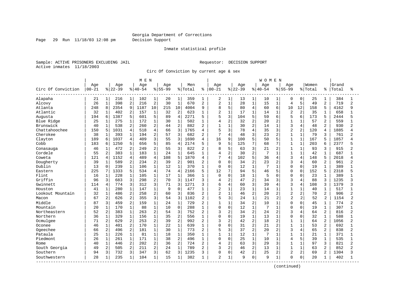Page 29 Run 11/18/03 12:08 pm Decision Support

#### Inmate statistical profile

Sample: ACTIVE PRISONERS EXCLUDING JAIL **Requestor: DECISION SUPPORT** Active inmates 11/18/2003

Circ Of Conviction by current age & sex

|                    |           |                |          |                | M E N     |                |           |                |         |                |                |                |          |                | W O M E N |                |                |                |         |                |       |                |
|--------------------|-----------|----------------|----------|----------------|-----------|----------------|-----------|----------------|---------|----------------|----------------|----------------|----------|----------------|-----------|----------------|----------------|----------------|---------|----------------|-------|----------------|
|                    | Age       |                | Age      |                | Age       |                | Age       |                | Men     |                | Age            |                | Age      |                | Age       |                | Age            |                | Women   |                | Grand |                |
| Circ Of Conviction | $00 - 21$ |                | $ 22-39$ |                | $8 40-54$ |                | $8 55-99$ |                | % Total | ႜ              | $00 - 21$      |                | $ 22-39$ |                | $8 40-54$ |                | $8 55-99$      |                | % Total | ႜ              | Total | ⊱              |
| Alapaha            | 21        | $\mathbf{1}$   | 216      | $\mathbf{1}$   | 102       | 1              | 20        | $\mathbf{1}$   | 359     | 1              | 2              | $\mathbf{1}$   | 13       | $\mathbf{1}$   | 10        | 1              | 0              | $\Omega$       | 25      | 1              | 384   | 1              |
| Alcovy             | 26        | $\mathbf{1}$   | 398      | $\overline{c}$ | 216       | $\overline{a}$ | 30        | $\mathbf{1}$   | 670     | 2              | $\overline{2}$ | $\mathbf{1}$   | 28       | $\mathbf{1}$   | 15        | $\mathbf 1$    | $\overline{4}$ | 5              | 49      | 2              | 719   | $\overline{2}$ |
| Atlanta            | 248       | 8              | 2354     | 9              | 1187      | 10             | 215       | 10             | 4004    | 9              | 8              | 5              | 80       | 4              | 60        | 6              | 10             | 12             | 158     | 5              | 4162  | 9              |
| Atlantic           | 32        | $\mathbf{1}$   | 402      | $\overline{2}$ | 157       | $\mathbf{1}$   | 32        | $\overline{2}$ | 623     | 1              | $\overline{2}$ | $\mathbf{1}$   | 17       | $\mathbf{1}$   | 14        |                | $\overline{c}$ | $\overline{2}$ | 35      |                | 658   |                |
| Augusta            | 194       | 6              | 1387     | 5              | 601       | 5              | 89        | $\overline{4}$ | 2271    | 5              | 5              | 3              | 104      | 5              | 59        | 6              | 5              | 6              | 173     | 5              | 2444  | 5              |
| Blue Ridge         | 25        | $\mathbf{1}$   | 275      | 1              | 172       | $\mathbf{1}$   | 30        | $\mathbf{1}$   | 502     | $\mathbf{1}$   | $\overline{4}$ | 2              | 32       | 2              | 20        | $\overline{2}$ | $\mathbf{1}$   |                | 57      | 2              | 559   |                |
| Brunswick          | 40        | $\mathbf{1}$   | 538      | $\overline{c}$ | 260       | $\overline{2}$ | 44        | 2              | 882     | 2              | $\mathbf{1}$   | $\mathbf{1}$   | 30       | 2              | 14        | 1              | 3              | $\overline{4}$ | 48      | $\overline{2}$ | 930   | 2              |
| Chattahoochee      | 150       | 5              | 1031     | $\overline{4}$ | 518       | $\overline{4}$ | 66        | 3              | 1765    | 4              | 5              | 3              | 78       | 4              | 35        | 3              | $\overline{2}$ | $\overline{a}$ | 120     | 4              | 1885  | 4              |
| Cherokee           | 38        | 1              | 393      | 1              | 194       | 2              | 57        | 3              | 682     | 2              | 7              | 4              | 48       | 3              | 23        | 2              | $\mathbf{1}$   |                | 79      | 3              | 761   | 2              |
| Clayton            | 189       | 6              | 1037     | 4              | 409       | 3              | 55        | 3              | 1690    | 4              | 16             | 9              | 100      | 5              | 50        | 5              | $\mathbf{1}$   | $\mathbf{1}$   | 167     | 5              | 1857  | Δ              |
| Cobb               | 183       | 6              | 1250     | 5              | 656       | 5              | 85        | $\overline{4}$ | 2174    | 5              | 9              | 5              | 125      | 7              | 68        | 7              | $\mathbf{1}$   | $\mathbf{1}$   | 203     | 6              | 2377  | 5              |
| Conasauga          | 46        | $\mathbf 1$    | 472      | $\overline{a}$ | 249       | $\overline{2}$ | 55        | 3              | 822     | 2              | 8              | 5              | 63       | 3              | 21        | $\overline{a}$ | 1              | $\mathbf{1}$   | 93      | 3              | 915   | 2              |
| Cordele            | 55        | $\overline{c}$ | 383      | $\mathbf 1$    | 183       | $\mathbf{1}$   | 24        | $\mathbf{1}$   | 645     | $\mathbf{1}$   | $\overline{4}$ | 2              | 30       | 2              | 7         |                | 1              | $\mathbf{1}$   | 42      | $\mathbf{1}$   | 687   |                |
| Coweta             | 121       | $\overline{4}$ | 1152     | $\overline{4}$ | 489       | $\overline{4}$ | 108       | 5              | 1870    | 4              | 7              | 4              | 102      | 5              | 36        | 4              | 3              | $\overline{4}$ | 148     | 5              | 2018  | 4              |
| Dougherty          | 39        | $\mathbf 1$    | 589      | $\overline{2}$ | 234       | 2              | 39        | $\overline{a}$ | 901     | 2              | $\mathbf 0$    | 0              | 34       | 2              | 23        | 2              | $\mathbf{3}$   | $\overline{4}$ | 60      | 2              | 961   | 2              |
| Dublin             | 13        | $\mathbf 0$    | 239      | $\mathbf 1$    | 106       | $\mathbf{1}$   | 12        | $\mathbf{1}$   | 370     | 1              | $\mathbf 0$    | 0              | 12       | 1              | 7         | 1              | $\Omega$       | $\Omega$       | 19      |                | 389   |                |
| Eastern            | 225       | 7              | 1333     | 5              | 534       | $\overline{4}$ | 74        | $\overline{4}$ | 2166    | 5              | 12             | 7              | 94       | 5              | 46        | 5              | $\Omega$       | $\Omega$       | 152     | 5              | 2318  | 5              |
| Flint              | 16        | $\mathbf{1}$   | 228      | $\mathbf{1}$   | 105       | $\mathbf{1}$   | 17        | $\mathbf{1}$   | 366     | $\mathbf{1}$   | $\mathbf 0$    | $\Omega$       | 18       | $\mathbf{1}$   | 5         | $\Omega$       | $\Omega$       | $\Omega$       | 23      |                | 389   |                |
| Griffin            | 96        | 3              | 683      | 3              | 298       | $\overline{2}$ | 70        | $\mathbf{R}$   | 1147    | 3              | 4              | 2              | 47       | $\overline{a}$ | 34        | 3              | $\mathbf{3}$   | $\overline{4}$ | 88      | 3              | 1235  | ς              |
| Gwinnett           | 114       | $\overline{4}$ | 774      | 3              | 312       | 3              | 71        | 3              | 1271    | ζ              | 6              | 4              | 60       | 3              | 39        | $\overline{4}$ | 3              | $\overline{4}$ | 108     | 3              | 1379  | 3              |
| Houston            | 41        | $1\,$          | 280      | 1              | 147       | $\mathbf{1}$   | 9         | $\Omega$       | 477     | 1              | $\overline{2}$ | 1              | 23       | 1              | 14        |                | $\mathbf{1}$   |                | 40      | 1              | 517   |                |
| Lookout Mountain   | 32        | $\mathbf{1}$   | 486      | $\overline{2}$ | 258       | $\overline{2}$ | 60        | 3              | 836     | 2              | $\overline{a}$ | $\mathbf{1}$   | 46       | $\overline{a}$ | 20        | $\overline{a}$ | $\overline{2}$ | 2              | 70      | $\overline{a}$ | 906   | 2              |
| Macon              | 67        | $\overline{2}$ | 626      | $\overline{2}$ | 355       | 3              | 54        | 3              | 1102    | $\overline{2}$ | 5              | 3              | 24       | $\mathbf{1}$   | 21        | $\overline{2}$ | $\overline{2}$ | 2              | 52      | 2              | 1154  | $\mathfrak{D}$ |
| Middle             | 87        | 3              | 459      | $\overline{2}$ | 159       | $\mathbf{1}$   | 24        | $\mathbf{1}$   | 729     | 2              | $\mathbf{1}$   | $\mathbf{1}$   | 34       | $\overline{a}$ | 10        | 1              | $\mathbf 0$    | $\Omega$       | 45      | $\mathbf{1}$   | 774   | 2              |
| Mountain           | 20        | $\mathbf{1}$   | 170      | $\mathbf{1}$   | 88        | $\mathbf{1}$   | 10        | $\mathbf 0$    | 288     | $\mathbf{1}$   | $\Omega$       | 0              | 12       | $\mathbf{1}$   | 7         | $\mathbf{1}$   | $\Omega$       | $\Omega$       | 19      | $\mathbf{1}$   | 307   | 1              |
| Northeastern       | 52        | 2              | 383      | $\mathbf{1}$   | 263       | $\overline{2}$ | 54        | 3              | 752     | $\overline{2}$ | 3              | 2              | 34       | $\overline{a}$ | 24        | $\overline{2}$ | $\mathbf{3}$   | 4              | 64      | $\overline{2}$ | 816   | $\overline{a}$ |
| Northern           | 36        | $\mathbf{1}$   | 329      | $\mathbf 1$    | 156       | $\mathbf{1}$   | 35        | 2              | 556     | 1              | $\Omega$       | $\Omega$       | 19       | $\mathbf{1}$   | 13        |                | $\Omega$       | $\Omega$       | 32      | 1              | 588   |                |
| Ocmulgee           | 71        | $\overline{2}$ | 629      | $\overline{c}$ | 253       | $\overline{2}$ | 39        | 2              | 992     | 2              | 3              | 2              | 42       | 2              | 18        | 2              | -1             |                | 64      | $\overline{a}$ | 1056  | 2              |
| Oconee             | 46        | $\mathbf{1}$   | 401      | $\overline{2}$ | 170       | $\mathbf{1}$   | 22        | $\mathbf{1}$   | 639     | $\mathbf{1}$   | $\Omega$       | $\Omega$       | 31       | $\overline{a}$ | 21        | $\overline{2}$ | $\mathbf{1}$   | $\mathbf{1}$   | 53      | 2              | 692   | 1              |
| Ogeechee           | 66        | $\overline{c}$ | 496      | $\overline{c}$ | 181       | $\mathbf{1}$   | 30        | $\mathbf{1}$   | 773     | 2              | 5              | 3              | 37       | 2              | 20        | 2              | 3              | $\overline{4}$ | 65      | 2              | 838   | 2              |
| Pataula            | 25        | $\mathbf{1}$   | 226      | $\mathbf{1}$   | 81        | $\mathbf{1}$   | 18        | $\mathbf{1}$   | 350     | $\mathbf{1}$   | 1              | $\mathbf 1$    | 12       | $\mathbf{1}$   | 7         | $\mathbf{1}$   | $\mathbf{1}$   | $\mathbf{1}$   | 21      | $\mathbf 1$    | 371   | $\mathbf{1}$   |
| Piedmont           | 26        | $\mathbf 1$    | 261      | 1              | 171       | $\mathbf{1}$   | 38        | 2              | 496     | 1              | $\mathbf 0$    | 0              | 25       | $\mathbf{1}$   | 10        | 1              | 4              | 5              | 39      | 1              | 535   |                |
| Rome               | 40        | $\mathbf 1$    | 446      | $\overline{2}$ | 202       | $\overline{2}$ | 36        | 2              | 724     | 2              | 4              | $\overline{2}$ | 63       | 3              | 29        | 3              | 1              |                | 97      | 3              | 821   | 2              |
| South Georgia      | 49        | $\overline{2}$ | 505      | $\overline{a}$ | 211       | $\overline{2}$ | 24        | $\mathbf{1}$   | 789     | 2              | 3              | $\overline{a}$ | 46       | 2              | 13        | $\mathbf{1}$   | $\mathbf{1}$   | $\mathbf{1}$   | 63      | 2              | 852   | 2              |
| Southern           | 94        | 3              | 732      | 3              | 347       | 3              | 62        | 3              | 1235    | 3              | $\Omega$       | $\Omega$       | 42       | 2              | 25        | 2              | $\overline{c}$ | 2              | 69      | 2              | 1304  | 3              |
| Southwestern       | 28        | $\mathbf{1}$   | 235      | $\mathbf{1}$   | 104       | 1              | 15        | $\mathbf{1}$   | 382     | 1              | $\overline{2}$ | $\mathbf{1}$   | 9        | $\mathbf 0$    | 9         | 1              | $\Omega$       | $\mathbf 0$    | 20      | 1              | 402   | 1              |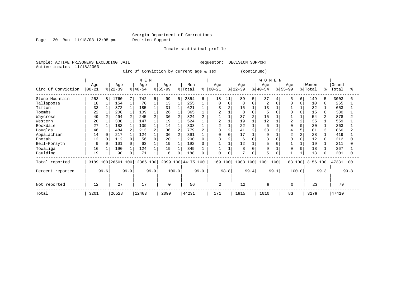Page 30 Run 11/18/03 12:08 pm Decision Support

Inmate statistical profile

Sample: ACTIVE PRISONERS EXCLUDING JAIL **Requestor: DECISION SUPPORT** Active inmates 11/18/2003

Circ Of Conviction by current age & sex (continued)

|                    |           |          |          |                | M E N                   |      |          |                |                    |      |                |      |          |   | WOMEN          |          |   |          |      |           |      |
|--------------------|-----------|----------|----------|----------------|-------------------------|------|----------|----------------|--------------------|------|----------------|------|----------|---|----------------|----------|---|----------|------|-----------|------|
|                    | Age       |          | Age      |                | Age                     |      | Age      |                | Men                |      | Age            |      | Age      |   | Age            | Age      |   | Women    |      | Grand     |      |
| Circ Of Conviction | $00 - 21$ |          | $ 22-39$ |                | $ 40-54 $               |      | $ 55-99$ |                | % Total            | ⊱    | $ 00 - 21$     |      | $ 22-39$ |   | $ 40-54$       | $ 55-99$ |   | % Total  | ႜ    | Total     | န္   |
| Stone Mountain     | 253       | 8        | 1760     | 7              | 742                     | 6    | 99       | 5              | 2854               | 6    | 18             | 11   | 89       | 5 | 37             | 5        | 6 | 149      | 5.   | 3003      | 6    |
| Tallapoosa         | 18        |          | 154      | $\mathbf{1}$   | 70                      |      | 13       |                | 255                |      | $\Omega$       |      | 8        |   | $\overline{2}$ | $\Omega$ | 0 | 10       | 0    | 265       |      |
| Tifton             | 33        |          | 372      |                | 185                     |      | 31       |                | 621                |      |                |      | 15       |   | 13             |          |   | 32       |      | 653       |      |
| Toombs             | 22        |          | 208      |                | 109                     |      | 26       |                | 365                |      |                |      | 8        |   |                |          |   | 15       |      | 380       |      |
| Waycross           | 49        |          | 494      | 2              | 245                     |      | 36       | $\overline{a}$ | 824                |      |                |      | 37       |   | 15             |          |   | 54       |      | 878       |      |
| Western            | 20        |          | 338      |                | 147                     |      | 19       |                | 524                |      |                |      | 19       |   | 12             |          | 2 | 35       |      | 559       |      |
| Rockdale           | 27        |          | 183      |                | 109                     |      | 14       |                | 333                |      | $\overline{c}$ |      | 22       |   | 6              |          | O | 30       |      | 363       |      |
| Douglas            | 46        |          | 484      | $\overline{2}$ | 213                     |      | 36       | $\overline{a}$ | 779                |      |                |      | 41       |   | 33             |          |   | 81       | 3    | 860       |      |
| Appalachian        | 14        | $\Omega$ | 217      |                | 124                     |      | 36       | $\overline{a}$ | 391                |      | $\Omega$       |      | 17       |   | 9              |          |   | 28       |      | 419       |      |
| Enotah             | 12        | $\Omega$ | 112      | O              | 56                      |      | 20       |                | 200                |      |                |      | 6        |   |                |          |   | 12       |      | 212       |      |
| Bell-Forsyth       | 9         |          | 101      |                | 63                      |      | 19       |                | 192                |      |                |      | 12       |   |                |          |   | 19       |      | 211       |      |
| Towaliga           | 16        |          | 190      | $\mathbf{1}$   | 124                     |      | 19       |                | 349                |      |                |      | 8        |   | 9              | $\Omega$ |   | 18       |      | 367       |      |
| Paulding           | 19        |          | 90       | 0              | 71                      |      | 8        | 0              | 188                |      | $\mathbf 0$    |      | 7        | 0 | 5              |          |   | 13       |      | 201       |      |
| Total reported     | 3189      |          |          |                | 100 26501 100 12386 100 |      |          |                | 2099 100 44175 100 |      | 169 100        |      | 1903 100 |   | 1001 100       | 83 100   |   | 3156 100 |      | 47331 100 |      |
| Percent reported   |           | 99.6     |          | 99.9           |                         | 99.9 |          | 100.0          |                    | 99.9 |                | 98.8 | 99.4     |   | 99.1           | 100.0    |   |          | 99.3 |           | 99.8 |
| Not reported       | 12        |          | 27       |                | 17                      |      | 0        |                | 56                 |      | $\overline{2}$ |      | 12       |   | 9              | 0        |   | 23       |      | 79        |      |
| Total              | 3201      |          | 26528    |                | 12403                   |      | 2099     |                | 44231              |      | 171            |      | 1915     |   | 1010           | 83       |   | 3179     |      | 47410     |      |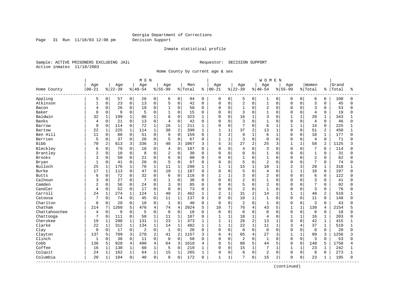Page 31 Run 11/18/03 12:08 pm Decision Support

#### Inmate statistical profile

Sample: ACTIVE PRISONERS EXCLUDING JAIL **Requestor: DECISION SUPPORT** Active inmates 11/18/2003

Home County by current age & sex

|                         |                |              |           |                | M E N       |                |                |                |         |              |              |                |                |                | <b>WOMEN</b>   |                |                |                |                |                |       |          |
|-------------------------|----------------|--------------|-----------|----------------|-------------|----------------|----------------|----------------|---------|--------------|--------------|----------------|----------------|----------------|----------------|----------------|----------------|----------------|----------------|----------------|-------|----------|
|                         | Age            |              | Age       |                | Age         |                | Age            |                | Men     |              | Age          |                | Age            |                | Age            |                | Age            |                | Women          |                | Grand |          |
| Home County<br>-------- | $00 - 21$      |              | $8 22-39$ |                | $8140 - 54$ |                | $8 55-99$      |                | % Total | ៖            | $ 00 - 21$   |                | $ 22-39$       |                | $ 40-54$       |                | $8155 - 99$    |                | % Total        | ៖              | Total | ႜ        |
| Appling                 | 5              | 0            | 57        | 0 <sup>1</sup> | 26          | 0              | 6              | 0              | 94      | $\mathbf 0$  | 0            | 0              | 5              | 0              | 1              | 0              | 0              | $\overline{0}$ | 6              | 0              | 100   | $\Omega$ |
| Atkinson                | $\mathbf{1}$   | 0            | 23        | 0              | 13          | $\mathbf 0$    | 5              | $\mathbf 0$    | 42      | $\Omega$     | 0            | $\mathbf 0$    | 2              | $\mathbf 0$    | $1\,$          | 0              | $\mathbf 0$    | $\Omega$       | 3              | $\mathbf 0$    | 45    | $\Omega$ |
| Bacon                   | 4              | 0            | 26        | 0              | 19          | $\mathbf 0$    | $\mathbf{1}$   | $\Omega$       | 50      | $\mathbf 0$  | 0            | $\mathbf 0$    | $\mathbf{1}$   | $\Omega$       | $\overline{2}$ | $\Omega$       | $\Omega$       | $\Omega$       | 3              | $\Omega$       | 53    | $\Omega$ |
| Baker                   | $\Omega$       | $\mathbf 0$  | 9         | 0              | 5           | $\mathbf 0$    |                | $\Omega$       | 15      | $\Omega$     | <sup>0</sup> | $\mathbf 0$    | 3              | $\Omega$       | $\mathbf{1}$   | $\Omega$       | $\Omega$       | $\Omega$       | $\overline{4}$ | $\Omega$       | 19    |          |
| Baldwin                 | 32             | $\mathbf{1}$ | 199       | $\mathbf{1}$   | 86          | $\mathbf{1}$   | 6              | $\Omega$       | 323     | -1           | $\Omega$     | $\Omega$       | 16             | $\mathbf{1}$   | 3              | $\cap$         | 1              | $\mathbf{1}$   | 20             | $\mathbf 1$    | 343   |          |
| Banks                   | 4              | 0            | 21        | $\mathbf{0}$   | 13          | $\mathbf 0$    | $\overline{4}$ | $\mathbf 0$    | 42      | $\Omega$     | 0            | $\mathbf 0$    | 3              | $\Omega$       | $\mathbf{1}$   | $\Omega$       | $\mathbf 0$    | 0              | $\overline{4}$ | $\Omega$       | 46    | U        |
| Barrow                  | 9              | $\mathsf 0$  | 114       | 0              | 72          | $\mathbf{1}$   | 16             | $\mathbf 1$    | 211     | 1            | $\Omega$     | $\mathbf 0$    | 7              | $\mathbf 0$    | 6              | $\mathbf{1}$   | 1              | $\mathbf{1}$   | 14             | $\mathbf 0$    | 225   |          |
| Bartow                  | 22             | $\mathbf 1$  | 225       | $\mathbf{1}$   | 114         | $\mathbf{1}$   | 38             | 2              | 399     | 1            | $\mathbf{1}$ | $\mathbf{1}$   | 37             | 2              | 13             | $\mathbf{1}$   | $\Omega$       | $\Omega$       | 51             | $\overline{2}$ | 450   | 1        |
| Ben Hill                | 11             | 0            | 88        | 0              | 51          | $\mathbf 0$    | 9              | $\mathbf 0$    | 159     | 0            | 3            | $\overline{2}$ | 9              | $\mathbf{1}$   | 6              |                | $\Omega$       | $\Omega$       | 18             | 1              | 177   | U        |
| Berrien                 | 5              | 0            | 37        | 0              | 20          | $\mathbf{0}$   | 5              | $\Omega$       | 67      | $\mathbf{0}$ | $\mathbf{1}$ | $\mathbf{1}$   | 3              | $\Omega$       | $\mathbf 0$    | $\Omega$       | $\Omega$       | $\mathbf 0$    | 4              | $\mathbf 0$    | 71    |          |
| Bibb                    | 70             | 2            | 613       | 3              | 336         | 3              | 48             | 3              | 1067    | 3            | 5            | 3              | 27             | 2              | 25             | 3              | $\mathbf{1}$   | $\mathbf{1}$   | 58             | $\overline{a}$ | 1125  |          |
| Bleckley                | 6              | 0            | 79        | $\mathbf{0}$   | 18          | $\mathbf 0$    | 4              | $\mathbf 0$    | 107     | $\Omega$     | 0            | $\Omega$       | 4              | $\Omega$       | 3              | $\Omega$       | $\Omega$       | $\Omega$       | 7              | $\Omega$       | 114   |          |
| Brantley                | 2              | 0            | 18        | 0              | 8           | $\mathbf 0$    | $\overline{2}$ | $\mathbf 0$    | 30      | $\mathbf 0$  | $\Omega$     | $\mathbf 0$    | 0              | $\mathbf 0$    | $\mathbf{1}$   | $\Omega$       | $\Omega$       | 0              | $\mathbf{1}$   | 0              | 31    |          |
| <b>Brooks</b>           | 3              | 0            | 50        | 0              | 21          | $\mathbf 0$    | 6              | 0              | 80      | $\Omega$     | 0            | $\mathbf 0$    | 1              | $\Omega$       | $\mathbf{1}$   | 0              | $\Omega$       | O              | $\overline{2}$ | $\Omega$       | 82    |          |
| Bryan                   | $\mathbf{1}$   | 0            | 41        | 0              | 20          | $\mathbf 0$    | 5              | 0              | 67      | 0            | $\Omega$     | $\mathbf 0$    | 5              | 0              | $\overline{2}$ | $\Omega$       | $\Omega$       | $\Omega$       | 7              | 0              | 74    | ∩        |
| Bulloch                 | 25             | 1            | 176       | $\mathbf{1}$   | 78          | $\mathbf{1}$   | 11             | $\mathbf 1$    | 290     | $\mathbf{1}$ | 1            | $\mathbf{1}$   | 15             | $\mathbf{1}$   | 10             | $\mathbf{1}$   | $\overline{2}$ | 3              | 28             | 1              | 318   |          |
| Burke                   | 17             | $\mathbf 1$  | 113       | 0              | 47          | $\Omega$       | 10             | 1              | 187     | $\Omega$     | $\Omega$     | $\Omega$       | 5              | $\Omega$       | $\overline{4}$ | $\Omega$       | $\mathbf{1}$   | $\mathbf{1}$   | 10             | $\Omega$       | 197   | U        |
| <b>Butts</b>            | 6              | 0            | 72        | $\Omega$       | 32          | $\mathbf 0$    | 6              | $\mathbf 0$    | 116     | $\Omega$     | $\mathbf{1}$ | $\mathbf{1}$   | 3              | $\Omega$       | $\overline{2}$ | $\Omega$       | $\Omega$       | $\Omega$       | 6              | $\Omega$       | 122   |          |
| Calhoun                 | 3              | 0            | 27        | 0              |             | $\mathbf 0$    | $\mathbf{1}$   | 0              | 38      | $\Omega$     | $\Omega$     | $\mathbf 0$    | 2              | $\Omega$       | $\mathbf{1}$   | $\Omega$       | $\Omega$       | $\Omega$       | 3              | $\Omega$       | 41    |          |
| Camden                  | $\overline{c}$ | 0            | 56        | $\mathbf{0}$   | 24          | $\mathbf 0$    | 3              | $\Omega$       | 85      | $\Omega$     | $\Omega$     | $\mathbf 0$    | 5              | $\Omega$       | $\overline{2}$ | $\Omega$       | $\Omega$       | $\Omega$       | 7              | $\Omega$       | 92    | $\cap$   |
| Candler                 | 4              | 0            | 52        | 0              | 17          | $\mathbf 0$    | $\Omega$       | $\Omega$       | 73      | $\Omega$     | $\Omega$     | $\mathbf 0$    | $\overline{c}$ | $\Omega$       | $\mathbf{1}$   | $\Omega$       | $\Omega$       | $\Omega$       | 3              | $\Omega$       | 76    |          |
| Carroll                 | 24             | $\mathbf{1}$ | 274       | $\mathbf 1$    | 124         | $\mathbf{1}$   | 40             | $\overline{2}$ | 462     | 1            | 2            | $\mathbf{1}$   | 31             | $\overline{c}$ | 14             | 2              | $\mathbf{1}$   | $\mathbf{1}$   | 48             | 2              | 510   |          |
| Catoosa                 | 7              | 0            | 74        | 0              | 45          | $\mathbf 0$    | 11             | $\mathbf 1$    | 137     | $\Omega$     | $\Omega$     | $\Omega$       | 10             | $\mathbf{1}$   | $\mathbf{1}$   | $\Omega$       | $\Omega$       | $\Omega$       | 11             | $\Omega$       | 148   |          |
| Charlton                | $\mathbf 0$    | 0            | 29        | $\Omega$       | 10          | $\Omega$       | $\mathbf{1}$   | $\Omega$       | 40      | $\Omega$     | $\Omega$     | $\Omega$       | 2              | $\Omega$       | $\mathbf{1}$   | $\Omega$       | $\Omega$       | $\Omega$       | 3              | $\Omega$       | 43    |          |
| Chatham                 | 214            | 7            | 1260      | 5              | 476         | $\overline{4}$ | 74             | $\overline{4}$ | 2024    | 5            | 10           | 7              | 76             | 4              | 43             | 5              | $\mathbf{1}$   | $\mathbf{1}$   | 130            | 4              | 2154  |          |
| Chattahoochee           | 4              | $\mathbf 0$  | 9         | 0              | 5           | $\mathbf 0$    | $\mathbf 0$    | $\Omega$       | 18      | $\Omega$     | $\mathbf 0$  | $\mathbf 0$    | $\mathbf 0$    | $\Omega$       | $\Omega$       | $\Omega$       | $\mathbf 0$    | $\Omega$       | $\mathbf 0$    | $\Omega$       | 18    | U        |
| Chattooga               | 7              | $\mathbf 0$  | 111       | 0              | 58          | $1\,$          | 11             | $\mathbf{1}$   | 187     | 0            | $\mathbf{1}$ | $\mathbf{1}$   | 10             | $\mathbf{1}$   | $\overline{4}$ | $\Omega$       | $\mathbf{1}$   | 1              | 16             | 1              | 203   |          |
| Cherokee                | 19             | 1            | 200       | $\mathbf 1$    | 131         | $\mathbf 1$    | 23             | $\mathbf{1}$   | 373     | 1            | $\mathbf{1}$ | $\mathbf{1}$   | 28             | 2              | 13             | $\mathbf{1}$   | $\Omega$       | $\Omega$       | 42             | $\mathbf 1$    | 415   |          |
| Clarke                  | 22             | $\mathbf 1$  | 312       | $\mathbf{1}$   | 134         | $1\,$          | 14             | $\mathbf{1}$   | 482     | 1            | $\mathbf{1}$ | $\mathbf{1}$   | 22             | $\mathbf{1}$   | 11             | $\mathbf{1}$   | 3              | 4              | 37             | $\mathbf{1}$   | 519   |          |
| Clay                    | 0              | $\mathsf 0$  | 17        | 0              | 2           | $\mathsf 0$    | $\mathbf{1}$   | $\overline{0}$ | 20      | $\Omega$     | 0            | $\mathbf 0$    | 0              | $\Omega$       | $\mathbf 0$    | $\Omega$       | $\Omega$       | 0              | $\mathbf 0$    | $\mathbf 0$    | 20    |          |
| Clayton                 | 137            | 5            | 709       | 3              | 270         | 2              | 41             | $\overline{2}$ | 1157    | ζ            | 6            | 4              | 65             | 4              | 27             | 3              | $\mathbf{1}$   | $\mathbf{1}$   | 99             | 3              | 1256  |          |
| Clinch                  | 1              | 0            | 38        | 0              | 11          | $\mathbf 0$    | $\overline{0}$ | $\mathbf 0$    | 50      | $\Omega$     | 0            | $\mathbf 0$    | 2              | $\Omega$       | $\mathbf{1}$   | $\Omega$       | $\mathbf 0$    | 0              | 3              | $\Omega$       | 53    | $\Omega$ |
| Cobb                    | 136            | 5            | 928       | 4              | 490         | 4              | 64             | 3              | 1618    | 4            | 8            | 5              | 88             | 5              | 44             | 5              | $\Omega$       | 0              | 140            | 5              | 1758  |          |
| Coffee                  | 16             | $\mathbf{1}$ | 138       | $\mathbf{1}$   | 60          | $\mathbf{1}$   | 5              | $\Omega$       | 219     | $\mathbf{1}$ | $\Omega$     | $\Omega$       | 15             | $\mathbf{1}$   | 7              | $\mathbf{1}$   | $\mathbf{1}$   | $\mathbf{1}$   | 23             | $\mathbf 1$    | 242   |          |
| Colquit                 | 24             | $\mathbf 1$  | 162       | $\mathbf{1}$   | 64          | $\mathbf{1}$   | 15             | $\mathbf{1}$   | 265     | 1            | 0            | $\Omega$       | 6              | $\Omega$       | $\overline{2}$ | $\Omega$       | $\Omega$       | $\Omega$       | 8              | $\Omega$       | 273   |          |
| Columbia                | 20             | 1            | 104       | 0              | 40          | $\mathbf 0$    | 8              | 0              | 172     | $\Omega$     | 1            | 1              | 7              | 0              | 15             | $\overline{2}$ | $\Omega$       | 0              | 23             | 1              | 195   | $\Omega$ |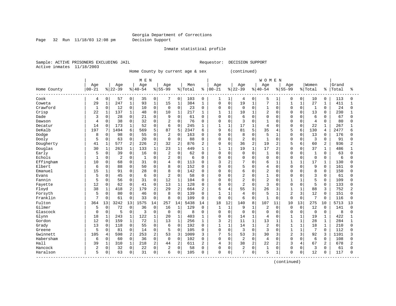Page 32 Run 11/18/03 12:08 pm Decision Support

Inmate statistical profile

Sample: ACTIVE PRISONERS EXCLUDING JAIL **Requestor: DECISION SUPPORT** Active inmates 11/18/2003

Home County by current age & sex (continued)

| Age<br>Age<br>Women<br>Grand<br>Age<br>Age<br>Age<br>Men<br>Age<br>Age<br>Age<br>$00 - 21$<br>$00 - 21$<br>$ 22-39$<br>$8 40-54$<br>$8 55-99$<br>% Total<br>$ 22-39$<br>$8 55-99$<br>$ 40-54$<br>% Total<br>Total<br>Home County<br>ႜ<br>နွ<br>ిక<br>Cook<br>0<br>57<br>0<br>0<br>7<br>0<br>103<br>$\mathbf 0$<br>0<br>5<br>0<br>10<br>0<br>113<br>4<br>35<br>1<br>1<br>0<br>0<br>1<br>4<br>$1\,$<br>$1\,$<br>247<br>$\mathbf{1}$<br>15<br>$\mathbf{1}$<br>384<br>$\mathbf 0$<br>19<br>7<br>27<br>29<br>93<br>0<br>$\mathbf{1}$<br>411<br>Coweta<br>$\mathbf{1}$<br>$\mathbf{1}$<br>1<br>$\mathbf{1}$<br>1<br>1<br>Crawford<br>0<br>0<br>$\mathbf 0$<br>$\mathbf 0$<br>12<br>$\Omega$<br>23<br>$\Omega$<br>0<br>$\mathbf 0$<br>$\mathbf 0$<br>0<br>$\mathbf{1}$<br>$\Omega$<br>$\mathbf 0$<br>$\mathbf{1}$<br>$\Omega$<br>24<br>1<br>10<br>$\Omega$<br>0<br>22<br>137<br>$\mathbf{1}$<br>$\Omega$<br>$\mathbf{1}$<br>$\mathbf{1}$<br>$\overline{c}$<br>230<br>Crisp<br>$\mathbf 1$<br>10<br>217<br>$\mathbf{1}$<br>10<br>$\mathbf{1}$<br>$\Omega$<br>$\Omega$<br>13<br>$\Omega$<br>$\mathbf{1}$<br>48<br>1<br>$\Omega$<br>28<br>$\mathbf 0$<br>Dade<br>3<br>0<br>0<br>21<br>$\mathbf 0$<br>9<br>61<br>0<br>$\mathbf 0$<br>$\Omega$<br>$\Omega$<br>6<br>67<br>6<br>0<br>$\cap$<br>$\Omega$<br><sup>0</sup><br>0<br>0<br>38<br>0<br>$\mathbf 0$<br>$\Omega$<br>3<br>80<br>0<br>32<br>$\overline{2}$<br>76<br>0<br>$\mathbf 0$<br>$\Omega$<br>$\overline{4}$<br>Dawson<br>4<br>$\Omega$<br>$\Omega$<br>$\cap$<br>$\Omega$<br>$\Omega$<br>$\Omega$<br>173<br>1<br>6<br>$\Omega$<br>17<br>$\mathbf 1$<br>22<br>267<br>Decatur<br>14<br>0<br>52<br>$\mathbf 0$<br>245<br>$\mathbf{1}$<br>$\mathbf{1}$<br>$\overline{4}$<br>$\cap$<br>$\Omega$<br>$\mathbf{1}$<br>$\mathbf{1}$<br>$\Omega$<br>6<br>5<br>87<br>5<br>9<br>5<br>35<br>2477<br>DeKalb<br>197<br>7<br>1494<br>2347<br>б<br>81<br>5<br>6<br>130<br>569<br>4<br>б<br>6<br>4<br>5<br>$\Omega$<br>$\Omega$<br>$\overline{2}$<br>$\Omega$<br>8<br>Dodge<br>0<br>98<br>55<br>163<br>$\Omega$<br>$\Omega$<br>$\Omega$<br>$\Omega$<br>$\Omega$<br>13<br>176<br>8<br>-1<br>$\Omega$<br>$\Omega$<br>0<br>$\mathbf 0$<br>63<br>0<br>$\mathbf 0$<br>$\mathbf 0$<br>$\overline{2}$<br>0<br>91<br>Dooly<br>5<br>20<br>$\mathbf 0$<br>88<br>$\mathbf 0$<br>0<br>$\mathbf 0$<br>$\mathbf 0$<br>$\mathbf 0$<br>3<br>$\Omega$<br>0<br>0<br>$\overline{2}$<br>2<br>$\overline{2}$<br>$1\,$<br>577<br>2<br>32<br>$\overline{2}$<br>36<br>19<br>2<br>60<br>2<br>936<br>2<br>Dougherty<br>41<br>226<br>876<br>0<br>$\mathbf 0$<br>5<br>6<br>Douglas<br>$\mathbf{1}$<br>$\mathbf 1$<br>$\mathbf 1$<br>30<br>263<br>133<br>$\mathbf{1}$<br>23<br>449<br>$\mathbf{1}$<br>$\mathbf{1}$<br>19<br>$\mathbf{1}$<br>17<br>2<br>$\Omega$<br>37<br>486<br>$\mathbf{1}$<br>$\Omega$<br>1<br>$\mathbf{1}$<br>39<br>0<br>$\mathbf 0$<br>$\overline{2}$<br>$\mathbf 0$<br>62<br>0<br>Early<br>5<br>0<br>16<br>$\mathbf 0$<br>$\mathbf 0$<br>0<br>$\mathbf{1}$<br>$\Omega$<br>$\cap$<br>$\Omega$<br>$\mathbf{1}$<br>63<br>$\Omega$<br>$\Omega$<br>$\Omega$<br>Echols<br>0<br>0<br>2<br>0<br>$\mathbf 0$<br>2<br>0<br>$\mathbf 0$<br>0<br>$\Omega$<br>$\Omega$<br>$\Omega$<br>$\mathbf 0$<br>-1<br>6<br>0<br>$\Omega$<br>0<br>$\Omega$<br>6<br>$\Omega$<br>Effingham<br>0<br>$\mathbf{0}$<br>$\Omega$<br>3<br>2<br>7<br>6<br>17<br>10<br>0<br>68<br>31<br>4<br>113<br>$\Omega$<br>$\mathbf{1}$<br>$\mathbf{1}$<br>$\mathbf{1}$<br>130<br>$\Omega$<br>$\mathbf 1$<br>U<br>$\Omega$<br>9<br>Elbert<br>O<br>88<br>0<br>8<br>$\Omega$<br>5<br>$\overline{4}$<br>$\Omega$<br>161<br>6<br>50<br>$\Omega$<br>152<br>$\Omega$<br>$\Omega$<br>$\Omega$<br>$\cap$<br>$\Omega$<br>$\Omega$<br>U<br>$\Omega$<br>8<br>$\Omega$<br>6<br>$\overline{2}$<br>8<br>Emanuel<br>15<br>91<br>$\Omega$<br>28<br>142<br>$\Omega$<br>150<br>1<br>0<br>$\Omega$<br>$\Omega$<br>$\Omega$<br>$\Omega$<br>$\Omega$<br>$\Omega$<br>∩<br>$\mathbf 0$<br>$\overline{2}$<br>$\overline{3}$<br>5<br>$\mathbf 0$<br>45<br>0<br>$\overline{2}$<br>0<br>$\mathbf{1}$<br>58<br>$\mathbf 0$<br>$\Omega$<br>$\Omega$<br>0<br>61<br>Evans<br>6<br>0<br>0<br>$\Omega$<br>$\Omega$<br><sup>0</sup><br>$\overline{2}$<br>$\overline{c}$<br>5<br>Fannin<br>0<br>$\mathsf 0$<br>12<br>$\mathbf{1}$<br>5<br>$\mathbf 0$<br>56<br>31<br>104<br>$\mathbf 0$<br>0<br>$\mathbf 0$<br>0<br>$\mathbf 0$<br>109<br>0<br><sup>0</sup><br>12<br>62<br>$\overline{2}$<br>5<br>0<br>$\mathbf 0$<br>13<br>$\mathbf{1}$<br>128<br>$\Omega$<br>$\Omega$<br>3<br>$\Omega$<br>133<br>Fayette<br>0<br>41<br>$\mathbf 0$<br>$\mathbf 0$<br>$\Omega$<br>$\cap$<br>$\Omega$<br><sup>0</sup><br>2<br>$\overline{2}$<br>55<br>752<br>Floyd<br>38<br>418<br>179<br>$\overline{2}$<br>29<br>664<br>3<br>26<br>88<br>$\mathbf{1}$<br>2<br>6<br>4<br>3<br>-1<br>3<br>2<br>0<br>0<br>5<br>$\overline{2}$<br>Forsyth<br>5<br>0<br>80<br>0<br>8<br>3<br>12<br>151<br>139<br>$\Omega$<br>1<br>1<br>4<br>0<br>$\mathbf{1}$<br>0<br>0<br>46<br>$\overline{7}$<br>Franklin<br>$\overline{7}$<br>$\mathbf 0$<br>8<br>0<br>$\Omega$<br>6<br>$\mathbf{1}$<br>$\Omega$<br>0<br>61<br>0<br>33<br>109<br>$\mathbf 0$<br>$\Omega$<br>0<br>$\mathbf 0$<br>$\mathbf 0$<br>$\Omega$<br>116<br>$\Omega$<br>Fulton<br>3242<br>13<br>1575<br>257<br>18<br>12<br>140<br>8<br>107<br>13<br>275<br>5713<br>364<br>13<br>14<br>14<br>5438<br>14<br>11<br>10<br>10<br>13<br>Gilmer<br>$\Omega$<br>72<br>0<br>36<br>$\mathbf 0$<br>16<br>129<br>$\mathbf{1}$<br>$\mathbf{1}$<br>9<br>$\overline{2}$<br>$\Omega$<br>$\Omega$<br>12<br>141<br>5<br>1<br>$\Omega$<br>$\mathbf{1}$<br>$\Omega$<br>$\Omega$<br>$\Omega$<br>5<br>$\mathbf 0$<br>$\mathbf 0$<br>$\mathbf 0$<br>Glascock<br>0<br>0<br>3<br>$\overline{0}$<br>8<br>$\mathbf 0$<br>$\Omega$<br>$\Omega$<br>$\Omega$<br>$\overline{0}$<br>8<br>0<br>$\Omega$<br>0<br>0<br>0<br>0<br>0<br>$\mathbf{1}$<br>122<br>$1\,$<br>$\mathbf{1}$<br>403<br>$\mathbf{1}$<br>$\overline{4}$<br>422<br>Glynn<br>18<br>$\mathbf{1}$<br>243<br>20<br>0<br>$\mathbf 0$<br>14<br>$\mathbf 0$<br>19<br>$\mathbf 1$<br>1<br>1<br>$1\,$<br>1<br>Gordon<br>12<br>$\mathbf{1}$<br>1<br>3<br>2<br>11<br>13<br>28<br>284<br>$\mathbf 0$<br>159<br>72<br>13<br>256<br>$\mathbf 1$<br>1<br>$\mathbf{1}$<br>$\mathbf{1}$<br>$\mathbf 1$<br>$\mathbf{1}$<br>$\Omega$<br>Grady<br>13<br>118<br>0<br>55<br>$\mathbf 0$<br>6<br>192<br>$\mathbf{1}$<br>14<br>$\overline{2}$<br>18<br>210<br>0<br>$\Omega$<br>1<br>1<br>$\Omega$<br>$\mathbf{1}$<br>1<br>$\mathbf{1}$<br>$\Omega$<br>$\Omega$<br>3<br>7<br>5<br>81<br>0<br>$\mathbf 0$<br>0<br>3<br>112<br>Greene<br>0<br>14<br>5<br>105<br>0<br>0<br>$\Omega$<br>$\Omega$<br>$\Omega$<br>0<br>2<br>53<br>3<br>7<br>Gwinnett<br>105<br>598<br>253<br>$\overline{2}$<br>1009<br>5<br>53<br>3<br>30<br>3<br>2<br>3<br>92<br>3<br>1101<br>4<br>3<br>3<br>$\overline{2}$<br>Habersham<br>0<br>$\mathbf 0$<br>$\Omega$<br>$\Omega$<br>$\Omega$<br>6<br>0<br>60<br>36<br>$\Omega$<br>$\Omega$<br>$\Omega$<br>$\overline{4}$<br>$\Omega$<br>$\Omega$<br>$\Omega$<br>108<br>6<br>102<br>$\Omega$<br>$\Omega$<br>$\overline{2}$<br>Hall<br>1<br>218<br>2<br>3<br>38<br>2<br>22<br>$\overline{2}$<br>67<br>678<br>39<br>$\mathbf 1$<br>310<br>44<br>611<br>$\overline{c}$<br>4<br>3<br>4<br>2<br>2<br>0<br>$\mathbf 0$<br>$\mathbf 0$<br>$\overline{2}$<br>Hancock<br>2<br>0<br>32<br>22<br>$\overline{2}$<br>0<br>$\mathbf 0$<br>0<br>$\mathbf 0$<br>$\Omega$<br>3<br>58<br>$\Omega$<br>$\mathbf{1}$<br>$\mathbf 0$<br>$\Omega$<br>61<br>$\Omega$<br>5<br>7<br>5<br>0<br>12<br>117<br>Haralson<br>0<br>63<br>0<br>31<br>$\mathbf 0$<br>6<br>0<br>105<br>0<br>1<br>$\Omega$<br>$\mathbf 0$<br>$\Omega$<br>$\Omega$<br><sup>0</sup><br>$\Omega$ |  |  | M E N |  |  |  |  | <b>WOMEN</b> |  |  |  |  |
|----------------------------------------------------------------------------------------------------------------------------------------------------------------------------------------------------------------------------------------------------------------------------------------------------------------------------------------------------------------------------------------------------------------------------------------------------------------------------------------------------------------------------------------------------------------------------------------------------------------------------------------------------------------------------------------------------------------------------------------------------------------------------------------------------------------------------------------------------------------------------------------------------------------------------------------------------------------------------------------------------------------------------------------------------------------------------------------------------------------------------------------------------------------------------------------------------------------------------------------------------------------------------------------------------------------------------------------------------------------------------------------------------------------------------------------------------------------------------------------------------------------------------------------------------------------------------------------------------------------------------------------------------------------------------------------------------------------------------------------------------------------------------------------------------------------------------------------------------------------------------------------------------------------------------------------------------------------------------------------------------------------------------------------------------------------------------------------------------------------------------------------------------------------------------------------------------------------------------------------------------------------------------------------------------------------------------------------------------------------------------------------------------------------------------------------------------------------------------------------------------------------------------------------------------------------------------------------------------------------------------------------------------------------------------------------------------------------------------------------------------------------------------------------------------------------------------------------------------------------------------------------------------------------------------------------------------------------------------------------------------------------------------------------------------------------------------------------------------------------------------------------------------------------------------------------------------------------------------------------------------------------------------------------------------------------------------------------------------------------------------------------------------------------------------------------------------------------------------------------------------------------------------------------------------------------------------------------------------------------------------------------------------------------------------------------------------------------------------------------------------------------------------------------------------------------------------------------------------------------------------------------------------------------------------------------------------------------------------------------------------------------------------------------------------------------------------------------------------------------------------------------------------------------------------------------------------------------------------------------------------------------------------------------------------------------------------------------------------------------------------------------------------------------------------------------------------------------------------------------------------------------------------------------------------------------------------------------------------------------------------------------------------------------------------------------------------------------------------------------------------------------------------------------------------------------------------------------------------------------------------------------------------------------------------------------------------------------------------------------------------------------------------------------------------------------------------------------------------------------------------------------------------------------------------------------------------------------------------------------------------------------------------------------------------------------------------------------------------------------------------------------------------------------------------------------------------------------------------------------------------------------------------------------------------------------------------------------------------------------------------------------------------------------------------------------------------------------------------------------------------------------------------------------------------------------------------------------------------------------------------------------------------------------------------------------------------------------------------------------------------------------------------------------------------------------------------------------------------------------------------------------------------------------------------------------------------------------------------------------------------------------------------------------------------------------------------------------------------------------------------------------------------------------------------------------------------------------------------------------------------------------------------------------------------------------------------------------------------------------------------------------------------------------------------------------------------------------------------------------------------------------------------------------------------------------------------------------------------------------------------------------------------------------------------------------------------------------------------------------------------------------------------------------------------------------------------------------------------------------------------------------------------------------------------------------------------------------------------------------------------------------------------------------------------------------------------------------------------------------------------------------------------------------------------------------------------------------------------------------------------------------------------------------------------------------------------------------------------------------------------------------------------------------------------------------------------------------------|--|--|-------|--|--|--|--|--------------|--|--|--|--|
|                                                                                                                                                                                                                                                                                                                                                                                                                                                                                                                                                                                                                                                                                                                                                                                                                                                                                                                                                                                                                                                                                                                                                                                                                                                                                                                                                                                                                                                                                                                                                                                                                                                                                                                                                                                                                                                                                                                                                                                                                                                                                                                                                                                                                                                                                                                                                                                                                                                                                                                                                                                                                                                                                                                                                                                                                                                                                                                                                                                                                                                                                                                                                                                                                                                                                                                                                                                                                                                                                                                                                                                                                                                                                                                                                                                                                                                                                                                                                                                                                                                                                                                                                                                                                                                                                                                                                                                                                                                                                                                                                                                                                                                                                                                                                                                                                                                                                                                                                                                                                                                                                                                                                                                                                                                                                                                                                                                                                                                                                                                                                                                                                                                                                                                                                                                                                                                                                                                                                                                                                                                                                                                                                                                                                                                                                                                                                                                                                                                                                                                                                                                                                                                                                                                                                                                                                                                                                                                                                                                                                                                                                                                                                                                                                                                                                                                                                                                                                                                                                                                                                                                                                                                                                                                      |  |  |       |  |  |  |  |              |  |  |  |  |
|                                                                                                                                                                                                                                                                                                                                                                                                                                                                                                                                                                                                                                                                                                                                                                                                                                                                                                                                                                                                                                                                                                                                                                                                                                                                                                                                                                                                                                                                                                                                                                                                                                                                                                                                                                                                                                                                                                                                                                                                                                                                                                                                                                                                                                                                                                                                                                                                                                                                                                                                                                                                                                                                                                                                                                                                                                                                                                                                                                                                                                                                                                                                                                                                                                                                                                                                                                                                                                                                                                                                                                                                                                                                                                                                                                                                                                                                                                                                                                                                                                                                                                                                                                                                                                                                                                                                                                                                                                                                                                                                                                                                                                                                                                                                                                                                                                                                                                                                                                                                                                                                                                                                                                                                                                                                                                                                                                                                                                                                                                                                                                                                                                                                                                                                                                                                                                                                                                                                                                                                                                                                                                                                                                                                                                                                                                                                                                                                                                                                                                                                                                                                                                                                                                                                                                                                                                                                                                                                                                                                                                                                                                                                                                                                                                                                                                                                                                                                                                                                                                                                                                                                                                                                                                                      |  |  |       |  |  |  |  |              |  |  |  |  |
|                                                                                                                                                                                                                                                                                                                                                                                                                                                                                                                                                                                                                                                                                                                                                                                                                                                                                                                                                                                                                                                                                                                                                                                                                                                                                                                                                                                                                                                                                                                                                                                                                                                                                                                                                                                                                                                                                                                                                                                                                                                                                                                                                                                                                                                                                                                                                                                                                                                                                                                                                                                                                                                                                                                                                                                                                                                                                                                                                                                                                                                                                                                                                                                                                                                                                                                                                                                                                                                                                                                                                                                                                                                                                                                                                                                                                                                                                                                                                                                                                                                                                                                                                                                                                                                                                                                                                                                                                                                                                                                                                                                                                                                                                                                                                                                                                                                                                                                                                                                                                                                                                                                                                                                                                                                                                                                                                                                                                                                                                                                                                                                                                                                                                                                                                                                                                                                                                                                                                                                                                                                                                                                                                                                                                                                                                                                                                                                                                                                                                                                                                                                                                                                                                                                                                                                                                                                                                                                                                                                                                                                                                                                                                                                                                                                                                                                                                                                                                                                                                                                                                                                                                                                                                                                      |  |  |       |  |  |  |  |              |  |  |  |  |
|                                                                                                                                                                                                                                                                                                                                                                                                                                                                                                                                                                                                                                                                                                                                                                                                                                                                                                                                                                                                                                                                                                                                                                                                                                                                                                                                                                                                                                                                                                                                                                                                                                                                                                                                                                                                                                                                                                                                                                                                                                                                                                                                                                                                                                                                                                                                                                                                                                                                                                                                                                                                                                                                                                                                                                                                                                                                                                                                                                                                                                                                                                                                                                                                                                                                                                                                                                                                                                                                                                                                                                                                                                                                                                                                                                                                                                                                                                                                                                                                                                                                                                                                                                                                                                                                                                                                                                                                                                                                                                                                                                                                                                                                                                                                                                                                                                                                                                                                                                                                                                                                                                                                                                                                                                                                                                                                                                                                                                                                                                                                                                                                                                                                                                                                                                                                                                                                                                                                                                                                                                                                                                                                                                                                                                                                                                                                                                                                                                                                                                                                                                                                                                                                                                                                                                                                                                                                                                                                                                                                                                                                                                                                                                                                                                                                                                                                                                                                                                                                                                                                                                                                                                                                                                                      |  |  |       |  |  |  |  |              |  |  |  |  |
|                                                                                                                                                                                                                                                                                                                                                                                                                                                                                                                                                                                                                                                                                                                                                                                                                                                                                                                                                                                                                                                                                                                                                                                                                                                                                                                                                                                                                                                                                                                                                                                                                                                                                                                                                                                                                                                                                                                                                                                                                                                                                                                                                                                                                                                                                                                                                                                                                                                                                                                                                                                                                                                                                                                                                                                                                                                                                                                                                                                                                                                                                                                                                                                                                                                                                                                                                                                                                                                                                                                                                                                                                                                                                                                                                                                                                                                                                                                                                                                                                                                                                                                                                                                                                                                                                                                                                                                                                                                                                                                                                                                                                                                                                                                                                                                                                                                                                                                                                                                                                                                                                                                                                                                                                                                                                                                                                                                                                                                                                                                                                                                                                                                                                                                                                                                                                                                                                                                                                                                                                                                                                                                                                                                                                                                                                                                                                                                                                                                                                                                                                                                                                                                                                                                                                                                                                                                                                                                                                                                                                                                                                                                                                                                                                                                                                                                                                                                                                                                                                                                                                                                                                                                                                                                      |  |  |       |  |  |  |  |              |  |  |  |  |
|                                                                                                                                                                                                                                                                                                                                                                                                                                                                                                                                                                                                                                                                                                                                                                                                                                                                                                                                                                                                                                                                                                                                                                                                                                                                                                                                                                                                                                                                                                                                                                                                                                                                                                                                                                                                                                                                                                                                                                                                                                                                                                                                                                                                                                                                                                                                                                                                                                                                                                                                                                                                                                                                                                                                                                                                                                                                                                                                                                                                                                                                                                                                                                                                                                                                                                                                                                                                                                                                                                                                                                                                                                                                                                                                                                                                                                                                                                                                                                                                                                                                                                                                                                                                                                                                                                                                                                                                                                                                                                                                                                                                                                                                                                                                                                                                                                                                                                                                                                                                                                                                                                                                                                                                                                                                                                                                                                                                                                                                                                                                                                                                                                                                                                                                                                                                                                                                                                                                                                                                                                                                                                                                                                                                                                                                                                                                                                                                                                                                                                                                                                                                                                                                                                                                                                                                                                                                                                                                                                                                                                                                                                                                                                                                                                                                                                                                                                                                                                                                                                                                                                                                                                                                                                                      |  |  |       |  |  |  |  |              |  |  |  |  |
|                                                                                                                                                                                                                                                                                                                                                                                                                                                                                                                                                                                                                                                                                                                                                                                                                                                                                                                                                                                                                                                                                                                                                                                                                                                                                                                                                                                                                                                                                                                                                                                                                                                                                                                                                                                                                                                                                                                                                                                                                                                                                                                                                                                                                                                                                                                                                                                                                                                                                                                                                                                                                                                                                                                                                                                                                                                                                                                                                                                                                                                                                                                                                                                                                                                                                                                                                                                                                                                                                                                                                                                                                                                                                                                                                                                                                                                                                                                                                                                                                                                                                                                                                                                                                                                                                                                                                                                                                                                                                                                                                                                                                                                                                                                                                                                                                                                                                                                                                                                                                                                                                                                                                                                                                                                                                                                                                                                                                                                                                                                                                                                                                                                                                                                                                                                                                                                                                                                                                                                                                                                                                                                                                                                                                                                                                                                                                                                                                                                                                                                                                                                                                                                                                                                                                                                                                                                                                                                                                                                                                                                                                                                                                                                                                                                                                                                                                                                                                                                                                                                                                                                                                                                                                                                      |  |  |       |  |  |  |  |              |  |  |  |  |
|                                                                                                                                                                                                                                                                                                                                                                                                                                                                                                                                                                                                                                                                                                                                                                                                                                                                                                                                                                                                                                                                                                                                                                                                                                                                                                                                                                                                                                                                                                                                                                                                                                                                                                                                                                                                                                                                                                                                                                                                                                                                                                                                                                                                                                                                                                                                                                                                                                                                                                                                                                                                                                                                                                                                                                                                                                                                                                                                                                                                                                                                                                                                                                                                                                                                                                                                                                                                                                                                                                                                                                                                                                                                                                                                                                                                                                                                                                                                                                                                                                                                                                                                                                                                                                                                                                                                                                                                                                                                                                                                                                                                                                                                                                                                                                                                                                                                                                                                                                                                                                                                                                                                                                                                                                                                                                                                                                                                                                                                                                                                                                                                                                                                                                                                                                                                                                                                                                                                                                                                                                                                                                                                                                                                                                                                                                                                                                                                                                                                                                                                                                                                                                                                                                                                                                                                                                                                                                                                                                                                                                                                                                                                                                                                                                                                                                                                                                                                                                                                                                                                                                                                                                                                                                                      |  |  |       |  |  |  |  |              |  |  |  |  |
|                                                                                                                                                                                                                                                                                                                                                                                                                                                                                                                                                                                                                                                                                                                                                                                                                                                                                                                                                                                                                                                                                                                                                                                                                                                                                                                                                                                                                                                                                                                                                                                                                                                                                                                                                                                                                                                                                                                                                                                                                                                                                                                                                                                                                                                                                                                                                                                                                                                                                                                                                                                                                                                                                                                                                                                                                                                                                                                                                                                                                                                                                                                                                                                                                                                                                                                                                                                                                                                                                                                                                                                                                                                                                                                                                                                                                                                                                                                                                                                                                                                                                                                                                                                                                                                                                                                                                                                                                                                                                                                                                                                                                                                                                                                                                                                                                                                                                                                                                                                                                                                                                                                                                                                                                                                                                                                                                                                                                                                                                                                                                                                                                                                                                                                                                                                                                                                                                                                                                                                                                                                                                                                                                                                                                                                                                                                                                                                                                                                                                                                                                                                                                                                                                                                                                                                                                                                                                                                                                                                                                                                                                                                                                                                                                                                                                                                                                                                                                                                                                                                                                                                                                                                                                                                      |  |  |       |  |  |  |  |              |  |  |  |  |
|                                                                                                                                                                                                                                                                                                                                                                                                                                                                                                                                                                                                                                                                                                                                                                                                                                                                                                                                                                                                                                                                                                                                                                                                                                                                                                                                                                                                                                                                                                                                                                                                                                                                                                                                                                                                                                                                                                                                                                                                                                                                                                                                                                                                                                                                                                                                                                                                                                                                                                                                                                                                                                                                                                                                                                                                                                                                                                                                                                                                                                                                                                                                                                                                                                                                                                                                                                                                                                                                                                                                                                                                                                                                                                                                                                                                                                                                                                                                                                                                                                                                                                                                                                                                                                                                                                                                                                                                                                                                                                                                                                                                                                                                                                                                                                                                                                                                                                                                                                                                                                                                                                                                                                                                                                                                                                                                                                                                                                                                                                                                                                                                                                                                                                                                                                                                                                                                                                                                                                                                                                                                                                                                                                                                                                                                                                                                                                                                                                                                                                                                                                                                                                                                                                                                                                                                                                                                                                                                                                                                                                                                                                                                                                                                                                                                                                                                                                                                                                                                                                                                                                                                                                                                                                                      |  |  |       |  |  |  |  |              |  |  |  |  |
|                                                                                                                                                                                                                                                                                                                                                                                                                                                                                                                                                                                                                                                                                                                                                                                                                                                                                                                                                                                                                                                                                                                                                                                                                                                                                                                                                                                                                                                                                                                                                                                                                                                                                                                                                                                                                                                                                                                                                                                                                                                                                                                                                                                                                                                                                                                                                                                                                                                                                                                                                                                                                                                                                                                                                                                                                                                                                                                                                                                                                                                                                                                                                                                                                                                                                                                                                                                                                                                                                                                                                                                                                                                                                                                                                                                                                                                                                                                                                                                                                                                                                                                                                                                                                                                                                                                                                                                                                                                                                                                                                                                                                                                                                                                                                                                                                                                                                                                                                                                                                                                                                                                                                                                                                                                                                                                                                                                                                                                                                                                                                                                                                                                                                                                                                                                                                                                                                                                                                                                                                                                                                                                                                                                                                                                                                                                                                                                                                                                                                                                                                                                                                                                                                                                                                                                                                                                                                                                                                                                                                                                                                                                                                                                                                                                                                                                                                                                                                                                                                                                                                                                                                                                                                                                      |  |  |       |  |  |  |  |              |  |  |  |  |
|                                                                                                                                                                                                                                                                                                                                                                                                                                                                                                                                                                                                                                                                                                                                                                                                                                                                                                                                                                                                                                                                                                                                                                                                                                                                                                                                                                                                                                                                                                                                                                                                                                                                                                                                                                                                                                                                                                                                                                                                                                                                                                                                                                                                                                                                                                                                                                                                                                                                                                                                                                                                                                                                                                                                                                                                                                                                                                                                                                                                                                                                                                                                                                                                                                                                                                                                                                                                                                                                                                                                                                                                                                                                                                                                                                                                                                                                                                                                                                                                                                                                                                                                                                                                                                                                                                                                                                                                                                                                                                                                                                                                                                                                                                                                                                                                                                                                                                                                                                                                                                                                                                                                                                                                                                                                                                                                                                                                                                                                                                                                                                                                                                                                                                                                                                                                                                                                                                                                                                                                                                                                                                                                                                                                                                                                                                                                                                                                                                                                                                                                                                                                                                                                                                                                                                                                                                                                                                                                                                                                                                                                                                                                                                                                                                                                                                                                                                                                                                                                                                                                                                                                                                                                                                                      |  |  |       |  |  |  |  |              |  |  |  |  |
|                                                                                                                                                                                                                                                                                                                                                                                                                                                                                                                                                                                                                                                                                                                                                                                                                                                                                                                                                                                                                                                                                                                                                                                                                                                                                                                                                                                                                                                                                                                                                                                                                                                                                                                                                                                                                                                                                                                                                                                                                                                                                                                                                                                                                                                                                                                                                                                                                                                                                                                                                                                                                                                                                                                                                                                                                                                                                                                                                                                                                                                                                                                                                                                                                                                                                                                                                                                                                                                                                                                                                                                                                                                                                                                                                                                                                                                                                                                                                                                                                                                                                                                                                                                                                                                                                                                                                                                                                                                                                                                                                                                                                                                                                                                                                                                                                                                                                                                                                                                                                                                                                                                                                                                                                                                                                                                                                                                                                                                                                                                                                                                                                                                                                                                                                                                                                                                                                                                                                                                                                                                                                                                                                                                                                                                                                                                                                                                                                                                                                                                                                                                                                                                                                                                                                                                                                                                                                                                                                                                                                                                                                                                                                                                                                                                                                                                                                                                                                                                                                                                                                                                                                                                                                                                      |  |  |       |  |  |  |  |              |  |  |  |  |
|                                                                                                                                                                                                                                                                                                                                                                                                                                                                                                                                                                                                                                                                                                                                                                                                                                                                                                                                                                                                                                                                                                                                                                                                                                                                                                                                                                                                                                                                                                                                                                                                                                                                                                                                                                                                                                                                                                                                                                                                                                                                                                                                                                                                                                                                                                                                                                                                                                                                                                                                                                                                                                                                                                                                                                                                                                                                                                                                                                                                                                                                                                                                                                                                                                                                                                                                                                                                                                                                                                                                                                                                                                                                                                                                                                                                                                                                                                                                                                                                                                                                                                                                                                                                                                                                                                                                                                                                                                                                                                                                                                                                                                                                                                                                                                                                                                                                                                                                                                                                                                                                                                                                                                                                                                                                                                                                                                                                                                                                                                                                                                                                                                                                                                                                                                                                                                                                                                                                                                                                                                                                                                                                                                                                                                                                                                                                                                                                                                                                                                                                                                                                                                                                                                                                                                                                                                                                                                                                                                                                                                                                                                                                                                                                                                                                                                                                                                                                                                                                                                                                                                                                                                                                                                                      |  |  |       |  |  |  |  |              |  |  |  |  |
|                                                                                                                                                                                                                                                                                                                                                                                                                                                                                                                                                                                                                                                                                                                                                                                                                                                                                                                                                                                                                                                                                                                                                                                                                                                                                                                                                                                                                                                                                                                                                                                                                                                                                                                                                                                                                                                                                                                                                                                                                                                                                                                                                                                                                                                                                                                                                                                                                                                                                                                                                                                                                                                                                                                                                                                                                                                                                                                                                                                                                                                                                                                                                                                                                                                                                                                                                                                                                                                                                                                                                                                                                                                                                                                                                                                                                                                                                                                                                                                                                                                                                                                                                                                                                                                                                                                                                                                                                                                                                                                                                                                                                                                                                                                                                                                                                                                                                                                                                                                                                                                                                                                                                                                                                                                                                                                                                                                                                                                                                                                                                                                                                                                                                                                                                                                                                                                                                                                                                                                                                                                                                                                                                                                                                                                                                                                                                                                                                                                                                                                                                                                                                                                                                                                                                                                                                                                                                                                                                                                                                                                                                                                                                                                                                                                                                                                                                                                                                                                                                                                                                                                                                                                                                                                      |  |  |       |  |  |  |  |              |  |  |  |  |
|                                                                                                                                                                                                                                                                                                                                                                                                                                                                                                                                                                                                                                                                                                                                                                                                                                                                                                                                                                                                                                                                                                                                                                                                                                                                                                                                                                                                                                                                                                                                                                                                                                                                                                                                                                                                                                                                                                                                                                                                                                                                                                                                                                                                                                                                                                                                                                                                                                                                                                                                                                                                                                                                                                                                                                                                                                                                                                                                                                                                                                                                                                                                                                                                                                                                                                                                                                                                                                                                                                                                                                                                                                                                                                                                                                                                                                                                                                                                                                                                                                                                                                                                                                                                                                                                                                                                                                                                                                                                                                                                                                                                                                                                                                                                                                                                                                                                                                                                                                                                                                                                                                                                                                                                                                                                                                                                                                                                                                                                                                                                                                                                                                                                                                                                                                                                                                                                                                                                                                                                                                                                                                                                                                                                                                                                                                                                                                                                                                                                                                                                                                                                                                                                                                                                                                                                                                                                                                                                                                                                                                                                                                                                                                                                                                                                                                                                                                                                                                                                                                                                                                                                                                                                                                                      |  |  |       |  |  |  |  |              |  |  |  |  |
|                                                                                                                                                                                                                                                                                                                                                                                                                                                                                                                                                                                                                                                                                                                                                                                                                                                                                                                                                                                                                                                                                                                                                                                                                                                                                                                                                                                                                                                                                                                                                                                                                                                                                                                                                                                                                                                                                                                                                                                                                                                                                                                                                                                                                                                                                                                                                                                                                                                                                                                                                                                                                                                                                                                                                                                                                                                                                                                                                                                                                                                                                                                                                                                                                                                                                                                                                                                                                                                                                                                                                                                                                                                                                                                                                                                                                                                                                                                                                                                                                                                                                                                                                                                                                                                                                                                                                                                                                                                                                                                                                                                                                                                                                                                                                                                                                                                                                                                                                                                                                                                                                                                                                                                                                                                                                                                                                                                                                                                                                                                                                                                                                                                                                                                                                                                                                                                                                                                                                                                                                                                                                                                                                                                                                                                                                                                                                                                                                                                                                                                                                                                                                                                                                                                                                                                                                                                                                                                                                                                                                                                                                                                                                                                                                                                                                                                                                                                                                                                                                                                                                                                                                                                                                                                      |  |  |       |  |  |  |  |              |  |  |  |  |
|                                                                                                                                                                                                                                                                                                                                                                                                                                                                                                                                                                                                                                                                                                                                                                                                                                                                                                                                                                                                                                                                                                                                                                                                                                                                                                                                                                                                                                                                                                                                                                                                                                                                                                                                                                                                                                                                                                                                                                                                                                                                                                                                                                                                                                                                                                                                                                                                                                                                                                                                                                                                                                                                                                                                                                                                                                                                                                                                                                                                                                                                                                                                                                                                                                                                                                                                                                                                                                                                                                                                                                                                                                                                                                                                                                                                                                                                                                                                                                                                                                                                                                                                                                                                                                                                                                                                                                                                                                                                                                                                                                                                                                                                                                                                                                                                                                                                                                                                                                                                                                                                                                                                                                                                                                                                                                                                                                                                                                                                                                                                                                                                                                                                                                                                                                                                                                                                                                                                                                                                                                                                                                                                                                                                                                                                                                                                                                                                                                                                                                                                                                                                                                                                                                                                                                                                                                                                                                                                                                                                                                                                                                                                                                                                                                                                                                                                                                                                                                                                                                                                                                                                                                                                                                                      |  |  |       |  |  |  |  |              |  |  |  |  |
|                                                                                                                                                                                                                                                                                                                                                                                                                                                                                                                                                                                                                                                                                                                                                                                                                                                                                                                                                                                                                                                                                                                                                                                                                                                                                                                                                                                                                                                                                                                                                                                                                                                                                                                                                                                                                                                                                                                                                                                                                                                                                                                                                                                                                                                                                                                                                                                                                                                                                                                                                                                                                                                                                                                                                                                                                                                                                                                                                                                                                                                                                                                                                                                                                                                                                                                                                                                                                                                                                                                                                                                                                                                                                                                                                                                                                                                                                                                                                                                                                                                                                                                                                                                                                                                                                                                                                                                                                                                                                                                                                                                                                                                                                                                                                                                                                                                                                                                                                                                                                                                                                                                                                                                                                                                                                                                                                                                                                                                                                                                                                                                                                                                                                                                                                                                                                                                                                                                                                                                                                                                                                                                                                                                                                                                                                                                                                                                                                                                                                                                                                                                                                                                                                                                                                                                                                                                                                                                                                                                                                                                                                                                                                                                                                                                                                                                                                                                                                                                                                                                                                                                                                                                                                                                      |  |  |       |  |  |  |  |              |  |  |  |  |
|                                                                                                                                                                                                                                                                                                                                                                                                                                                                                                                                                                                                                                                                                                                                                                                                                                                                                                                                                                                                                                                                                                                                                                                                                                                                                                                                                                                                                                                                                                                                                                                                                                                                                                                                                                                                                                                                                                                                                                                                                                                                                                                                                                                                                                                                                                                                                                                                                                                                                                                                                                                                                                                                                                                                                                                                                                                                                                                                                                                                                                                                                                                                                                                                                                                                                                                                                                                                                                                                                                                                                                                                                                                                                                                                                                                                                                                                                                                                                                                                                                                                                                                                                                                                                                                                                                                                                                                                                                                                                                                                                                                                                                                                                                                                                                                                                                                                                                                                                                                                                                                                                                                                                                                                                                                                                                                                                                                                                                                                                                                                                                                                                                                                                                                                                                                                                                                                                                                                                                                                                                                                                                                                                                                                                                                                                                                                                                                                                                                                                                                                                                                                                                                                                                                                                                                                                                                                                                                                                                                                                                                                                                                                                                                                                                                                                                                                                                                                                                                                                                                                                                                                                                                                                                                      |  |  |       |  |  |  |  |              |  |  |  |  |
|                                                                                                                                                                                                                                                                                                                                                                                                                                                                                                                                                                                                                                                                                                                                                                                                                                                                                                                                                                                                                                                                                                                                                                                                                                                                                                                                                                                                                                                                                                                                                                                                                                                                                                                                                                                                                                                                                                                                                                                                                                                                                                                                                                                                                                                                                                                                                                                                                                                                                                                                                                                                                                                                                                                                                                                                                                                                                                                                                                                                                                                                                                                                                                                                                                                                                                                                                                                                                                                                                                                                                                                                                                                                                                                                                                                                                                                                                                                                                                                                                                                                                                                                                                                                                                                                                                                                                                                                                                                                                                                                                                                                                                                                                                                                                                                                                                                                                                                                                                                                                                                                                                                                                                                                                                                                                                                                                                                                                                                                                                                                                                                                                                                                                                                                                                                                                                                                                                                                                                                                                                                                                                                                                                                                                                                                                                                                                                                                                                                                                                                                                                                                                                                                                                                                                                                                                                                                                                                                                                                                                                                                                                                                                                                                                                                                                                                                                                                                                                                                                                                                                                                                                                                                                                                      |  |  |       |  |  |  |  |              |  |  |  |  |
|                                                                                                                                                                                                                                                                                                                                                                                                                                                                                                                                                                                                                                                                                                                                                                                                                                                                                                                                                                                                                                                                                                                                                                                                                                                                                                                                                                                                                                                                                                                                                                                                                                                                                                                                                                                                                                                                                                                                                                                                                                                                                                                                                                                                                                                                                                                                                                                                                                                                                                                                                                                                                                                                                                                                                                                                                                                                                                                                                                                                                                                                                                                                                                                                                                                                                                                                                                                                                                                                                                                                                                                                                                                                                                                                                                                                                                                                                                                                                                                                                                                                                                                                                                                                                                                                                                                                                                                                                                                                                                                                                                                                                                                                                                                                                                                                                                                                                                                                                                                                                                                                                                                                                                                                                                                                                                                                                                                                                                                                                                                                                                                                                                                                                                                                                                                                                                                                                                                                                                                                                                                                                                                                                                                                                                                                                                                                                                                                                                                                                                                                                                                                                                                                                                                                                                                                                                                                                                                                                                                                                                                                                                                                                                                                                                                                                                                                                                                                                                                                                                                                                                                                                                                                                                                      |  |  |       |  |  |  |  |              |  |  |  |  |
|                                                                                                                                                                                                                                                                                                                                                                                                                                                                                                                                                                                                                                                                                                                                                                                                                                                                                                                                                                                                                                                                                                                                                                                                                                                                                                                                                                                                                                                                                                                                                                                                                                                                                                                                                                                                                                                                                                                                                                                                                                                                                                                                                                                                                                                                                                                                                                                                                                                                                                                                                                                                                                                                                                                                                                                                                                                                                                                                                                                                                                                                                                                                                                                                                                                                                                                                                                                                                                                                                                                                                                                                                                                                                                                                                                                                                                                                                                                                                                                                                                                                                                                                                                                                                                                                                                                                                                                                                                                                                                                                                                                                                                                                                                                                                                                                                                                                                                                                                                                                                                                                                                                                                                                                                                                                                                                                                                                                                                                                                                                                                                                                                                                                                                                                                                                                                                                                                                                                                                                                                                                                                                                                                                                                                                                                                                                                                                                                                                                                                                                                                                                                                                                                                                                                                                                                                                                                                                                                                                                                                                                                                                                                                                                                                                                                                                                                                                                                                                                                                                                                                                                                                                                                                                                      |  |  |       |  |  |  |  |              |  |  |  |  |
|                                                                                                                                                                                                                                                                                                                                                                                                                                                                                                                                                                                                                                                                                                                                                                                                                                                                                                                                                                                                                                                                                                                                                                                                                                                                                                                                                                                                                                                                                                                                                                                                                                                                                                                                                                                                                                                                                                                                                                                                                                                                                                                                                                                                                                                                                                                                                                                                                                                                                                                                                                                                                                                                                                                                                                                                                                                                                                                                                                                                                                                                                                                                                                                                                                                                                                                                                                                                                                                                                                                                                                                                                                                                                                                                                                                                                                                                                                                                                                                                                                                                                                                                                                                                                                                                                                                                                                                                                                                                                                                                                                                                                                                                                                                                                                                                                                                                                                                                                                                                                                                                                                                                                                                                                                                                                                                                                                                                                                                                                                                                                                                                                                                                                                                                                                                                                                                                                                                                                                                                                                                                                                                                                                                                                                                                                                                                                                                                                                                                                                                                                                                                                                                                                                                                                                                                                                                                                                                                                                                                                                                                                                                                                                                                                                                                                                                                                                                                                                                                                                                                                                                                                                                                                                                      |  |  |       |  |  |  |  |              |  |  |  |  |
|                                                                                                                                                                                                                                                                                                                                                                                                                                                                                                                                                                                                                                                                                                                                                                                                                                                                                                                                                                                                                                                                                                                                                                                                                                                                                                                                                                                                                                                                                                                                                                                                                                                                                                                                                                                                                                                                                                                                                                                                                                                                                                                                                                                                                                                                                                                                                                                                                                                                                                                                                                                                                                                                                                                                                                                                                                                                                                                                                                                                                                                                                                                                                                                                                                                                                                                                                                                                                                                                                                                                                                                                                                                                                                                                                                                                                                                                                                                                                                                                                                                                                                                                                                                                                                                                                                                                                                                                                                                                                                                                                                                                                                                                                                                                                                                                                                                                                                                                                                                                                                                                                                                                                                                                                                                                                                                                                                                                                                                                                                                                                                                                                                                                                                                                                                                                                                                                                                                                                                                                                                                                                                                                                                                                                                                                                                                                                                                                                                                                                                                                                                                                                                                                                                                                                                                                                                                                                                                                                                                                                                                                                                                                                                                                                                                                                                                                                                                                                                                                                                                                                                                                                                                                                                                      |  |  |       |  |  |  |  |              |  |  |  |  |
|                                                                                                                                                                                                                                                                                                                                                                                                                                                                                                                                                                                                                                                                                                                                                                                                                                                                                                                                                                                                                                                                                                                                                                                                                                                                                                                                                                                                                                                                                                                                                                                                                                                                                                                                                                                                                                                                                                                                                                                                                                                                                                                                                                                                                                                                                                                                                                                                                                                                                                                                                                                                                                                                                                                                                                                                                                                                                                                                                                                                                                                                                                                                                                                                                                                                                                                                                                                                                                                                                                                                                                                                                                                                                                                                                                                                                                                                                                                                                                                                                                                                                                                                                                                                                                                                                                                                                                                                                                                                                                                                                                                                                                                                                                                                                                                                                                                                                                                                                                                                                                                                                                                                                                                                                                                                                                                                                                                                                                                                                                                                                                                                                                                                                                                                                                                                                                                                                                                                                                                                                                                                                                                                                                                                                                                                                                                                                                                                                                                                                                                                                                                                                                                                                                                                                                                                                                                                                                                                                                                                                                                                                                                                                                                                                                                                                                                                                                                                                                                                                                                                                                                                                                                                                                                      |  |  |       |  |  |  |  |              |  |  |  |  |
|                                                                                                                                                                                                                                                                                                                                                                                                                                                                                                                                                                                                                                                                                                                                                                                                                                                                                                                                                                                                                                                                                                                                                                                                                                                                                                                                                                                                                                                                                                                                                                                                                                                                                                                                                                                                                                                                                                                                                                                                                                                                                                                                                                                                                                                                                                                                                                                                                                                                                                                                                                                                                                                                                                                                                                                                                                                                                                                                                                                                                                                                                                                                                                                                                                                                                                                                                                                                                                                                                                                                                                                                                                                                                                                                                                                                                                                                                                                                                                                                                                                                                                                                                                                                                                                                                                                                                                                                                                                                                                                                                                                                                                                                                                                                                                                                                                                                                                                                                                                                                                                                                                                                                                                                                                                                                                                                                                                                                                                                                                                                                                                                                                                                                                                                                                                                                                                                                                                                                                                                                                                                                                                                                                                                                                                                                                                                                                                                                                                                                                                                                                                                                                                                                                                                                                                                                                                                                                                                                                                                                                                                                                                                                                                                                                                                                                                                                                                                                                                                                                                                                                                                                                                                                                                      |  |  |       |  |  |  |  |              |  |  |  |  |
|                                                                                                                                                                                                                                                                                                                                                                                                                                                                                                                                                                                                                                                                                                                                                                                                                                                                                                                                                                                                                                                                                                                                                                                                                                                                                                                                                                                                                                                                                                                                                                                                                                                                                                                                                                                                                                                                                                                                                                                                                                                                                                                                                                                                                                                                                                                                                                                                                                                                                                                                                                                                                                                                                                                                                                                                                                                                                                                                                                                                                                                                                                                                                                                                                                                                                                                                                                                                                                                                                                                                                                                                                                                                                                                                                                                                                                                                                                                                                                                                                                                                                                                                                                                                                                                                                                                                                                                                                                                                                                                                                                                                                                                                                                                                                                                                                                                                                                                                                                                                                                                                                                                                                                                                                                                                                                                                                                                                                                                                                                                                                                                                                                                                                                                                                                                                                                                                                                                                                                                                                                                                                                                                                                                                                                                                                                                                                                                                                                                                                                                                                                                                                                                                                                                                                                                                                                                                                                                                                                                                                                                                                                                                                                                                                                                                                                                                                                                                                                                                                                                                                                                                                                                                                                                      |  |  |       |  |  |  |  |              |  |  |  |  |
|                                                                                                                                                                                                                                                                                                                                                                                                                                                                                                                                                                                                                                                                                                                                                                                                                                                                                                                                                                                                                                                                                                                                                                                                                                                                                                                                                                                                                                                                                                                                                                                                                                                                                                                                                                                                                                                                                                                                                                                                                                                                                                                                                                                                                                                                                                                                                                                                                                                                                                                                                                                                                                                                                                                                                                                                                                                                                                                                                                                                                                                                                                                                                                                                                                                                                                                                                                                                                                                                                                                                                                                                                                                                                                                                                                                                                                                                                                                                                                                                                                                                                                                                                                                                                                                                                                                                                                                                                                                                                                                                                                                                                                                                                                                                                                                                                                                                                                                                                                                                                                                                                                                                                                                                                                                                                                                                                                                                                                                                                                                                                                                                                                                                                                                                                                                                                                                                                                                                                                                                                                                                                                                                                                                                                                                                                                                                                                                                                                                                                                                                                                                                                                                                                                                                                                                                                                                                                                                                                                                                                                                                                                                                                                                                                                                                                                                                                                                                                                                                                                                                                                                                                                                                                                                      |  |  |       |  |  |  |  |              |  |  |  |  |
|                                                                                                                                                                                                                                                                                                                                                                                                                                                                                                                                                                                                                                                                                                                                                                                                                                                                                                                                                                                                                                                                                                                                                                                                                                                                                                                                                                                                                                                                                                                                                                                                                                                                                                                                                                                                                                                                                                                                                                                                                                                                                                                                                                                                                                                                                                                                                                                                                                                                                                                                                                                                                                                                                                                                                                                                                                                                                                                                                                                                                                                                                                                                                                                                                                                                                                                                                                                                                                                                                                                                                                                                                                                                                                                                                                                                                                                                                                                                                                                                                                                                                                                                                                                                                                                                                                                                                                                                                                                                                                                                                                                                                                                                                                                                                                                                                                                                                                                                                                                                                                                                                                                                                                                                                                                                                                                                                                                                                                                                                                                                                                                                                                                                                                                                                                                                                                                                                                                                                                                                                                                                                                                                                                                                                                                                                                                                                                                                                                                                                                                                                                                                                                                                                                                                                                                                                                                                                                                                                                                                                                                                                                                                                                                                                                                                                                                                                                                                                                                                                                                                                                                                                                                                                                                      |  |  |       |  |  |  |  |              |  |  |  |  |
|                                                                                                                                                                                                                                                                                                                                                                                                                                                                                                                                                                                                                                                                                                                                                                                                                                                                                                                                                                                                                                                                                                                                                                                                                                                                                                                                                                                                                                                                                                                                                                                                                                                                                                                                                                                                                                                                                                                                                                                                                                                                                                                                                                                                                                                                                                                                                                                                                                                                                                                                                                                                                                                                                                                                                                                                                                                                                                                                                                                                                                                                                                                                                                                                                                                                                                                                                                                                                                                                                                                                                                                                                                                                                                                                                                                                                                                                                                                                                                                                                                                                                                                                                                                                                                                                                                                                                                                                                                                                                                                                                                                                                                                                                                                                                                                                                                                                                                                                                                                                                                                                                                                                                                                                                                                                                                                                                                                                                                                                                                                                                                                                                                                                                                                                                                                                                                                                                                                                                                                                                                                                                                                                                                                                                                                                                                                                                                                                                                                                                                                                                                                                                                                                                                                                                                                                                                                                                                                                                                                                                                                                                                                                                                                                                                                                                                                                                                                                                                                                                                                                                                                                                                                                                                                      |  |  |       |  |  |  |  |              |  |  |  |  |
|                                                                                                                                                                                                                                                                                                                                                                                                                                                                                                                                                                                                                                                                                                                                                                                                                                                                                                                                                                                                                                                                                                                                                                                                                                                                                                                                                                                                                                                                                                                                                                                                                                                                                                                                                                                                                                                                                                                                                                                                                                                                                                                                                                                                                                                                                                                                                                                                                                                                                                                                                                                                                                                                                                                                                                                                                                                                                                                                                                                                                                                                                                                                                                                                                                                                                                                                                                                                                                                                                                                                                                                                                                                                                                                                                                                                                                                                                                                                                                                                                                                                                                                                                                                                                                                                                                                                                                                                                                                                                                                                                                                                                                                                                                                                                                                                                                                                                                                                                                                                                                                                                                                                                                                                                                                                                                                                                                                                                                                                                                                                                                                                                                                                                                                                                                                                                                                                                                                                                                                                                                                                                                                                                                                                                                                                                                                                                                                                                                                                                                                                                                                                                                                                                                                                                                                                                                                                                                                                                                                                                                                                                                                                                                                                                                                                                                                                                                                                                                                                                                                                                                                                                                                                                                                      |  |  |       |  |  |  |  |              |  |  |  |  |
|                                                                                                                                                                                                                                                                                                                                                                                                                                                                                                                                                                                                                                                                                                                                                                                                                                                                                                                                                                                                                                                                                                                                                                                                                                                                                                                                                                                                                                                                                                                                                                                                                                                                                                                                                                                                                                                                                                                                                                                                                                                                                                                                                                                                                                                                                                                                                                                                                                                                                                                                                                                                                                                                                                                                                                                                                                                                                                                                                                                                                                                                                                                                                                                                                                                                                                                                                                                                                                                                                                                                                                                                                                                                                                                                                                                                                                                                                                                                                                                                                                                                                                                                                                                                                                                                                                                                                                                                                                                                                                                                                                                                                                                                                                                                                                                                                                                                                                                                                                                                                                                                                                                                                                                                                                                                                                                                                                                                                                                                                                                                                                                                                                                                                                                                                                                                                                                                                                                                                                                                                                                                                                                                                                                                                                                                                                                                                                                                                                                                                                                                                                                                                                                                                                                                                                                                                                                                                                                                                                                                                                                                                                                                                                                                                                                                                                                                                                                                                                                                                                                                                                                                                                                                                                                      |  |  |       |  |  |  |  |              |  |  |  |  |
|                                                                                                                                                                                                                                                                                                                                                                                                                                                                                                                                                                                                                                                                                                                                                                                                                                                                                                                                                                                                                                                                                                                                                                                                                                                                                                                                                                                                                                                                                                                                                                                                                                                                                                                                                                                                                                                                                                                                                                                                                                                                                                                                                                                                                                                                                                                                                                                                                                                                                                                                                                                                                                                                                                                                                                                                                                                                                                                                                                                                                                                                                                                                                                                                                                                                                                                                                                                                                                                                                                                                                                                                                                                                                                                                                                                                                                                                                                                                                                                                                                                                                                                                                                                                                                                                                                                                                                                                                                                                                                                                                                                                                                                                                                                                                                                                                                                                                                                                                                                                                                                                                                                                                                                                                                                                                                                                                                                                                                                                                                                                                                                                                                                                                                                                                                                                                                                                                                                                                                                                                                                                                                                                                                                                                                                                                                                                                                                                                                                                                                                                                                                                                                                                                                                                                                                                                                                                                                                                                                                                                                                                                                                                                                                                                                                                                                                                                                                                                                                                                                                                                                                                                                                                                                                      |  |  |       |  |  |  |  |              |  |  |  |  |
|                                                                                                                                                                                                                                                                                                                                                                                                                                                                                                                                                                                                                                                                                                                                                                                                                                                                                                                                                                                                                                                                                                                                                                                                                                                                                                                                                                                                                                                                                                                                                                                                                                                                                                                                                                                                                                                                                                                                                                                                                                                                                                                                                                                                                                                                                                                                                                                                                                                                                                                                                                                                                                                                                                                                                                                                                                                                                                                                                                                                                                                                                                                                                                                                                                                                                                                                                                                                                                                                                                                                                                                                                                                                                                                                                                                                                                                                                                                                                                                                                                                                                                                                                                                                                                                                                                                                                                                                                                                                                                                                                                                                                                                                                                                                                                                                                                                                                                                                                                                                                                                                                                                                                                                                                                                                                                                                                                                                                                                                                                                                                                                                                                                                                                                                                                                                                                                                                                                                                                                                                                                                                                                                                                                                                                                                                                                                                                                                                                                                                                                                                                                                                                                                                                                                                                                                                                                                                                                                                                                                                                                                                                                                                                                                                                                                                                                                                                                                                                                                                                                                                                                                                                                                                                                      |  |  |       |  |  |  |  |              |  |  |  |  |
|                                                                                                                                                                                                                                                                                                                                                                                                                                                                                                                                                                                                                                                                                                                                                                                                                                                                                                                                                                                                                                                                                                                                                                                                                                                                                                                                                                                                                                                                                                                                                                                                                                                                                                                                                                                                                                                                                                                                                                                                                                                                                                                                                                                                                                                                                                                                                                                                                                                                                                                                                                                                                                                                                                                                                                                                                                                                                                                                                                                                                                                                                                                                                                                                                                                                                                                                                                                                                                                                                                                                                                                                                                                                                                                                                                                                                                                                                                                                                                                                                                                                                                                                                                                                                                                                                                                                                                                                                                                                                                                                                                                                                                                                                                                                                                                                                                                                                                                                                                                                                                                                                                                                                                                                                                                                                                                                                                                                                                                                                                                                                                                                                                                                                                                                                                                                                                                                                                                                                                                                                                                                                                                                                                                                                                                                                                                                                                                                                                                                                                                                                                                                                                                                                                                                                                                                                                                                                                                                                                                                                                                                                                                                                                                                                                                                                                                                                                                                                                                                                                                                                                                                                                                                                                                      |  |  |       |  |  |  |  |              |  |  |  |  |
|                                                                                                                                                                                                                                                                                                                                                                                                                                                                                                                                                                                                                                                                                                                                                                                                                                                                                                                                                                                                                                                                                                                                                                                                                                                                                                                                                                                                                                                                                                                                                                                                                                                                                                                                                                                                                                                                                                                                                                                                                                                                                                                                                                                                                                                                                                                                                                                                                                                                                                                                                                                                                                                                                                                                                                                                                                                                                                                                                                                                                                                                                                                                                                                                                                                                                                                                                                                                                                                                                                                                                                                                                                                                                                                                                                                                                                                                                                                                                                                                                                                                                                                                                                                                                                                                                                                                                                                                                                                                                                                                                                                                                                                                                                                                                                                                                                                                                                                                                                                                                                                                                                                                                                                                                                                                                                                                                                                                                                                                                                                                                                                                                                                                                                                                                                                                                                                                                                                                                                                                                                                                                                                                                                                                                                                                                                                                                                                                                                                                                                                                                                                                                                                                                                                                                                                                                                                                                                                                                                                                                                                                                                                                                                                                                                                                                                                                                                                                                                                                                                                                                                                                                                                                                                                      |  |  |       |  |  |  |  |              |  |  |  |  |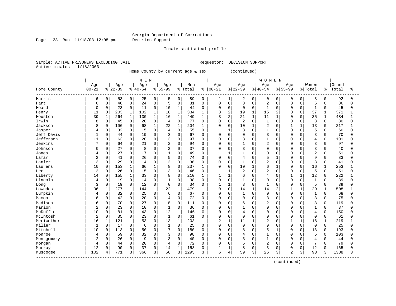Page 33 Run 11/18/03 12:08 pm Decision Support

Inmate statistical profile

Sample: ACTIVE PRISONERS EXCLUDING JAIL **Requestor: DECISION SUPPORT** Active inmates 11/18/2003

Home County by current age & sex (continued)

| Age<br>Age<br>Women<br>Age<br>Age<br>Age<br>Men<br>Age<br>Age<br>Age<br>Grand<br>$00 - 21$<br>$ 22-39$<br>$8 40-54$<br>$8 55-99$<br>$00 - 21$<br>$ 22-39$<br>$8155 - 99$<br>% Total<br>% Total<br>$8 40-54$<br>Total<br>Home County<br>ి<br>ႜ<br>92<br>Harris<br>0<br>0<br>25<br>0<br>89<br>$\mathbf 0$<br>2<br>0<br>53<br>0<br>1<br>0<br>0<br>$\Omega$<br>0<br>3<br>0<br>6<br>5<br>1<br>$\mathsf 0$<br>$\mathsf{O}$<br>0<br>0<br>$\mathbf 0$<br>3<br>$\overline{2}$<br>5<br>86<br>46<br>24<br>5<br>81<br>0<br>$\mathbf 0$<br>$\Omega$<br>0<br>$\Omega$<br>$\Omega$<br>0<br>Hart<br>6<br>0<br>23<br>0<br>11<br>0<br>10<br>$\mathbf{1}$<br>$\mathbf 0$<br>0<br>$\mathbf 0$<br>0<br>$\mathbf 0$<br>$\mathbf{1}$<br>$\mathbf 0$<br>$\mathbf{1}$<br>45<br>Heard<br>$\Omega$<br>0<br>$\Omega$<br>0<br>44<br>203<br>$\mathbf{1}$<br>102<br>$\mathbf{1}$<br>$\mathbf{1}$<br>3<br>2<br>$\mathbf{1}$<br>15<br>37<br>371<br>11<br>$\Omega$<br>18<br>334<br>19<br>2<br>$\Omega$<br>$\mathbf{1}$<br>1<br>$\Omega$<br>Henry<br>$\mathbf{1}$<br>$\overline{2}$<br>21<br>11<br>35<br>484<br>39<br>$\mathbf{1}$<br>264<br>$\mathbf{1}$<br>130<br>$\mathbf 1$<br>16<br>449<br>3<br>$\mathbf{1}$<br>Houston<br>1<br>1<br>$\Omega$<br>$\Omega$<br>1<br>$\mathsf 0$<br>Irwin<br>0<br>0<br>$\mathbf 0$<br>2<br>3<br>8<br>45<br>20<br>0<br>$\overline{4}$<br>77<br>0<br>$\mathbf 0$<br>$\mathbf{1}$<br>$\Omega$<br>80<br>0<br>O<br>$\Omega$<br>0<br>22<br>$\mathbf 1$<br>10<br>2<br>$\mathbf{1}$<br>Jackson<br>8<br>0<br>106<br>0<br>68<br>1<br>204<br>0<br>$\mathbf 0$<br>$\mathbf{1}$<br>$\Omega$<br>13<br>$\Omega$<br>217<br>1<br>1<br>$\Omega$<br>Jasper<br>32<br>0<br>$\Omega$<br>$\mathbf{1}$<br>3<br>$\mathbf{1}$<br>5<br>$\Omega$<br>15<br>4<br>55<br>$\Omega$<br>$\Omega$<br>$\Omega$<br>$\Omega$<br>$\Omega$<br>60<br>$\Omega$<br>1<br>3<br>$\mathbf 0$<br>0<br>3<br>$\mathbf 0$<br>$\Omega$<br>3<br>Jeff Davis<br>$\mathbf{1}$<br>44<br>19<br>$\Omega$<br>67<br>0<br>0<br>$\Omega$<br>$\Omega$<br>70<br>$\Omega$<br>$\Omega$<br>$\Omega$<br>0<br>Jefferson<br>0<br>$\mathbf 0$<br>$\mathbf{1}$<br>11<br>$\mathbf 0$<br>63<br>20<br>0<br>3<br>97<br>$\mathbf 0$<br>3<br>$\Omega$<br>$\overline{4}$<br>$\mathbf 0$<br>101<br>0<br>0<br>0<br>0<br>$\Omega$<br>Jenkins<br>$\overline{2}$<br>7<br>0<br>2<br>$\mathsf 0$<br>$\overline{1}$<br>3<br>0<br>64<br>21<br>0<br>94<br>0<br>$\mathbf 0$<br>97<br>$\Omega$<br>$\Omega$<br>0<br>$\Omega$<br>$\Omega$<br>0<br>3<br>27<br>0<br>8<br>$\Omega$<br>$\overline{2}$<br>$\mathbf 0$<br>37<br>3<br>$\Omega$<br>40<br>Johnson<br>0<br>$\Omega$<br>0<br>0<br>$\Omega$<br>$\Omega$<br>$\Omega$<br>$\Omega$<br>$\Omega$<br>C<br>27<br>0<br>17<br>$\mathbf 0$<br>$\overline{2}$<br>0<br>$\Omega$<br>$\mathbf{1}$<br>49<br>$\mathbf{1}$<br>1<br>$\Omega$<br>$\Omega$<br>51<br>Jones<br>0<br>1<br>0<br>$\Omega$<br>$\Omega$<br>$\Omega$<br>4<br>5<br>$\mathbf 0$<br>5<br>9<br>83<br>2<br>0<br>41<br>0<br>26<br>0<br>74<br>0<br>$\mathbf 0$<br>0<br>4<br>$\Omega$<br>$\Omega$<br>$\Omega$<br>0<br>Lamar<br>1<br>$\mathbf 0$<br>$\overline{2}$<br>Lanier<br>3<br>29<br>0<br>0<br>2<br>38<br>3<br>0<br>0<br>$\mathbf 0$<br>$\mathbf{1}$<br>$\Omega$<br>$\Omega$<br>$\Omega$<br>$\Omega$<br>41<br>$\overline{4}$<br>$\Omega$<br>$\Omega$<br>$\mathbf{1}$<br>$\mathbf 0$<br>10<br>153<br>8<br>237<br>6<br>16<br>253<br>10<br>$\Omega$<br>66<br>1<br>O<br>0<br>$\mathbf{1}$<br>1<br>$\Omega$<br><sup>0</sup><br>$\mathbf{1}$<br>Laurens<br>1<br>$\mathbf 0$<br>$\overline{2}$<br>$\overline{a}$<br>2<br>$\mathbf 0$<br>26<br>0<br>15<br>$\Omega$<br>3<br>46<br>$\Omega$<br>$\Omega$<br>5<br>51<br>Lee<br>1<br>1<br>$\Omega$<br>$\Omega$<br>$\Omega$<br>0<br>$\mathbf 0$<br>155<br>$\mathbf 1$<br>33<br>0<br>$\mathbf 0$<br>$\mathbf{1}$<br>6<br>$\overline{4}$<br>12<br>222<br>Liberty<br>14<br>8<br>210<br>$\mathbf 0$<br>$\mathbf{1}$<br>1<br>1<br>0<br>0<br>19<br>0<br>0<br>$\mathsf 0$<br>$\mathbf 0$<br>39<br>Lincoln<br>0<br>14<br>38<br>0<br>1<br>$\Omega$<br>$\Omega$<br>0<br>$\Omega$<br>$\mathbf 0$<br>$\mathbf 1$<br>4<br>$\Omega$<br>0<br>$\mathbf 0$<br>3<br>$\mathbf 0$<br>19<br>0<br>12<br>0<br>$\mathbf{1}$<br>3<br>$\mathbf{1}$<br>$\Omega$<br>5<br>39<br>$\Omega$<br>34<br>1<br>$\Omega$<br>$\Omega$<br>$\Omega$<br>Long<br>$\Omega$<br>$\Omega$<br>277<br>Lowndes<br>36<br>$\mathbf{1}$<br>144<br>22<br>$\mathbf 1$<br>479<br>$\mathbf 0$<br>14<br>14<br>29<br>508<br>1<br>1<br>0<br>$\mathbf{1}$<br>2<br>$\mathbf{1}$<br>$\mathbf{1}$<br>$\mathbf{1}$<br>Lumpkin<br>$\mathsf 0$<br>$\mathsf 0$<br>0<br>32<br>0<br>25<br>0<br>67<br>$\mathbf 0$<br>$\Omega$<br>6<br>0<br>$\mathbf{1}$<br>0<br>$\Omega$<br>$\Omega$<br>1<br>$\Omega$<br>68<br>4<br>$\Omega$<br>0<br>$\mathbf 0$<br>3<br>0<br>42<br>20<br>0<br>72<br>$\mathbf 0$<br>$\Omega$<br>$\Omega$<br>3<br>$\Omega$<br>75<br>Macon<br>$\Omega$<br>0<br>0<br>$\Omega$<br>$\Omega$<br>6<br>4<br>Madison<br>70<br>0<br>8<br>$\Omega$<br>111<br>$\overline{2}$<br>8<br>0<br>27<br>$\Omega$<br>O<br>0<br>6<br>$\Omega$<br>0<br><sup>0</sup><br>$\Omega$<br>119<br>6<br>$\Omega$<br>$\Omega$<br>Marion<br>$\overline{c}$<br>23<br>0<br>$\Omega$<br>37<br>$\Omega$<br>10<br>$\Omega$<br>$\mathbf{1}$<br>36<br>$\Omega$<br>$\mathbf{1}$<br>$\Omega$<br>$\Omega$<br>$\Omega$<br>$\mathbf{1}$<br>0<br>$\Omega$<br>$\Omega$<br>$\Omega$<br>0<br>McDuffie<br>81<br>0<br>0<br>12<br>$\mathbf{1}$<br>$\overline{4}$<br>10<br>$\mathbf 0$<br>43<br>146<br>$\mathbf 0$<br>4<br>$\Omega$<br>$\Omega$<br>$\mathbf 0$<br>150<br>$\Omega$<br>0<br>$\Omega$<br>$\Omega$<br>0<br>$\mathbf 0$<br>$\overline{2}$<br>$\mathbf 0$<br>35<br>0<br>0<br>$\mathbf{1}$<br>$\Omega$<br>$\mathbf 0$<br>$\mathbf 0$<br>61<br>McIntosh<br>23<br>61<br>0<br>$\mathbf 0$<br>0<br>$\Omega$<br>0<br>$\Omega$<br>$\mathbf 0$<br>$\Omega$<br>121<br>1<br>13<br>$\mathbf 1$<br>2<br>$\mathbf{1}$<br>2<br>1<br>16<br>Meriwether<br>16<br>1<br>53<br>0<br>203<br>$\mathbf{1}$<br>11<br>$\mathbf{1}$<br>$\mathbf{1}$<br>$\mathbf{1}$<br>219<br>0<br>Miller<br>0<br>17<br>0<br>$\mathbf 0$<br>25<br>$\mathbf 0$<br>$\Omega$<br>$\mathbf 0$<br>$\Omega$<br>$\Omega$<br>25<br>1<br>0<br>1<br>$\Omega$<br>U<br>0<br>$\Omega$<br>$\Omega$<br>6<br>$\Omega$<br>Mitchell<br>113<br>5<br>10<br>0<br>7<br>$\mathbf 0$<br>13<br>193<br>$\Omega$<br>50<br>$\Omega$<br>180<br>0<br>0<br>8<br>$\Omega$<br>$\Omega$<br>$\Omega$<br>$\Omega$<br>0<br>$\mathbf 0$<br>59<br>0<br>32<br>$\Omega$<br>3<br>$\mathbf 0$<br>$\mathbf 0$<br>$\mathbf{1}$<br>5<br>103<br>4<br>98<br>0<br>$\Omega$<br>0<br>$\Omega$<br>O<br>0<br>Monroe<br>0<br>4<br>26<br>0<br>3<br>$\mathbf 0$<br>3<br>$\mathbf{1}$<br>$\overline{4}$<br>2<br>0<br>9<br>$\Omega$<br>0<br>$\mathbf 0$<br>$\Omega$<br>$\Omega$<br>$\Omega$<br>44<br>Montgomery<br>40<br>$\Omega$<br>$\Omega$<br>$\Omega$<br>0<br>20<br>$\mathbf 0$<br>72<br>5<br>$\overline{2}$<br>7<br>79<br>$\overline{4}$<br>0<br>44<br>0<br>$\overline{4}$<br>0<br>$\mathbf 0$<br>$\Omega$<br>$\Omega$<br>$\Omega$<br>$\Omega$<br>$\Omega$<br>0<br>Morgan |  |  | M E N |  |  |  |  | <b>WOMEN</b> |  |  |  |              |
|---------------------------------------------------------------------------------------------------------------------------------------------------------------------------------------------------------------------------------------------------------------------------------------------------------------------------------------------------------------------------------------------------------------------------------------------------------------------------------------------------------------------------------------------------------------------------------------------------------------------------------------------------------------------------------------------------------------------------------------------------------------------------------------------------------------------------------------------------------------------------------------------------------------------------------------------------------------------------------------------------------------------------------------------------------------------------------------------------------------------------------------------------------------------------------------------------------------------------------------------------------------------------------------------------------------------------------------------------------------------------------------------------------------------------------------------------------------------------------------------------------------------------------------------------------------------------------------------------------------------------------------------------------------------------------------------------------------------------------------------------------------------------------------------------------------------------------------------------------------------------------------------------------------------------------------------------------------------------------------------------------------------------------------------------------------------------------------------------------------------------------------------------------------------------------------------------------------------------------------------------------------------------------------------------------------------------------------------------------------------------------------------------------------------------------------------------------------------------------------------------------------------------------------------------------------------------------------------------------------------------------------------------------------------------------------------------------------------------------------------------------------------------------------------------------------------------------------------------------------------------------------------------------------------------------------------------------------------------------------------------------------------------------------------------------------------------------------------------------------------------------------------------------------------------------------------------------------------------------------------------------------------------------------------------------------------------------------------------------------------------------------------------------------------------------------------------------------------------------------------------------------------------------------------------------------------------------------------------------------------------------------------------------------------------------------------------------------------------------------------------------------------------------------------------------------------------------------------------------------------------------------------------------------------------------------------------------------------------------------------------------------------------------------------------------------------------------------------------------------------------------------------------------------------------------------------------------------------------------------------------------------------------------------------------------------------------------------------------------------------------------------------------------------------------------------------------------------------------------------------------------------------------------------------------------------------------------------------------------------------------------------------------------------------------------------------------------------------------------------------------------------------------------------------------------------------------------------------------------------------------------------------------------------------------------------------------------------------------------------------------------------------------------------------------------------------------------------------------------------------------------------------------------------------------------------------------------------------------------------------------------------------------------------------------------------------------------------------------------------------------------------------------------------------------------------------------------------------------------------------------------------------------------------------------------------------------------------------------------------------------------------------------------------------------------------------------------------------------------------------------------------------------------------------------------------------------------------------------------------------------------------------------------------------------------------------------------------------------------------------------------------------------------------------------------------------------------------------------------------------------------------------------------------------------------------------------------------------------------------------------------------------------------------------------------------------------------------------------------------------------------------------------------------------------------------------------------------------------------------------------------------------------------------------------------------------------------------------------------------------------------------------------------------------------------------------------------------------------------------------------------------------------------------------------------------------------------------------------------------------------------------------------------------------------------------------------------------------------------------------------------------|--|--|-------|--|--|--|--|--------------|--|--|--|--------------|
|                                                                                                                                                                                                                                                                                                                                                                                                                                                                                                                                                                                                                                                                                                                                                                                                                                                                                                                                                                                                                                                                                                                                                                                                                                                                                                                                                                                                                                                                                                                                                                                                                                                                                                                                                                                                                                                                                                                                                                                                                                                                                                                                                                                                                                                                                                                                                                                                                                                                                                                                                                                                                                                                                                                                                                                                                                                                                                                                                                                                                                                                                                                                                                                                                                                                                                                                                                                                                                                                                                                                                                                                                                                                                                                                                                                                                                                                                                                                                                                                                                                                                                                                                                                                                                                                                                                                                                                                                                                                                                                                                                                                                                                                                                                                                                                                                                                                                                                                                                                                                                                                                                                                                                                                                                                                                                                                                                                                                                                                                                                                                                                                                                                                                                                                                                                                                                                                                                                                                                                                                                                                                                                                                                                                                                                                                                                                                                                                                                                                                                                                                                                                                                                                                                                                                                                                                                                                                                                                                                                                               |  |  |       |  |  |  |  |              |  |  |  |              |
|                                                                                                                                                                                                                                                                                                                                                                                                                                                                                                                                                                                                                                                                                                                                                                                                                                                                                                                                                                                                                                                                                                                                                                                                                                                                                                                                                                                                                                                                                                                                                                                                                                                                                                                                                                                                                                                                                                                                                                                                                                                                                                                                                                                                                                                                                                                                                                                                                                                                                                                                                                                                                                                                                                                                                                                                                                                                                                                                                                                                                                                                                                                                                                                                                                                                                                                                                                                                                                                                                                                                                                                                                                                                                                                                                                                                                                                                                                                                                                                                                                                                                                                                                                                                                                                                                                                                                                                                                                                                                                                                                                                                                                                                                                                                                                                                                                                                                                                                                                                                                                                                                                                                                                                                                                                                                                                                                                                                                                                                                                                                                                                                                                                                                                                                                                                                                                                                                                                                                                                                                                                                                                                                                                                                                                                                                                                                                                                                                                                                                                                                                                                                                                                                                                                                                                                                                                                                                                                                                                                                               |  |  |       |  |  |  |  |              |  |  |  | ႜ            |
|                                                                                                                                                                                                                                                                                                                                                                                                                                                                                                                                                                                                                                                                                                                                                                                                                                                                                                                                                                                                                                                                                                                                                                                                                                                                                                                                                                                                                                                                                                                                                                                                                                                                                                                                                                                                                                                                                                                                                                                                                                                                                                                                                                                                                                                                                                                                                                                                                                                                                                                                                                                                                                                                                                                                                                                                                                                                                                                                                                                                                                                                                                                                                                                                                                                                                                                                                                                                                                                                                                                                                                                                                                                                                                                                                                                                                                                                                                                                                                                                                                                                                                                                                                                                                                                                                                                                                                                                                                                                                                                                                                                                                                                                                                                                                                                                                                                                                                                                                                                                                                                                                                                                                                                                                                                                                                                                                                                                                                                                                                                                                                                                                                                                                                                                                                                                                                                                                                                                                                                                                                                                                                                                                                                                                                                                                                                                                                                                                                                                                                                                                                                                                                                                                                                                                                                                                                                                                                                                                                                                               |  |  |       |  |  |  |  |              |  |  |  | 0            |
|                                                                                                                                                                                                                                                                                                                                                                                                                                                                                                                                                                                                                                                                                                                                                                                                                                                                                                                                                                                                                                                                                                                                                                                                                                                                                                                                                                                                                                                                                                                                                                                                                                                                                                                                                                                                                                                                                                                                                                                                                                                                                                                                                                                                                                                                                                                                                                                                                                                                                                                                                                                                                                                                                                                                                                                                                                                                                                                                                                                                                                                                                                                                                                                                                                                                                                                                                                                                                                                                                                                                                                                                                                                                                                                                                                                                                                                                                                                                                                                                                                                                                                                                                                                                                                                                                                                                                                                                                                                                                                                                                                                                                                                                                                                                                                                                                                                                                                                                                                                                                                                                                                                                                                                                                                                                                                                                                                                                                                                                                                                                                                                                                                                                                                                                                                                                                                                                                                                                                                                                                                                                                                                                                                                                                                                                                                                                                                                                                                                                                                                                                                                                                                                                                                                                                                                                                                                                                                                                                                                                               |  |  |       |  |  |  |  |              |  |  |  | $\Omega$     |
|                                                                                                                                                                                                                                                                                                                                                                                                                                                                                                                                                                                                                                                                                                                                                                                                                                                                                                                                                                                                                                                                                                                                                                                                                                                                                                                                                                                                                                                                                                                                                                                                                                                                                                                                                                                                                                                                                                                                                                                                                                                                                                                                                                                                                                                                                                                                                                                                                                                                                                                                                                                                                                                                                                                                                                                                                                                                                                                                                                                                                                                                                                                                                                                                                                                                                                                                                                                                                                                                                                                                                                                                                                                                                                                                                                                                                                                                                                                                                                                                                                                                                                                                                                                                                                                                                                                                                                                                                                                                                                                                                                                                                                                                                                                                                                                                                                                                                                                                                                                                                                                                                                                                                                                                                                                                                                                                                                                                                                                                                                                                                                                                                                                                                                                                                                                                                                                                                                                                                                                                                                                                                                                                                                                                                                                                                                                                                                                                                                                                                                                                                                                                                                                                                                                                                                                                                                                                                                                                                                                                               |  |  |       |  |  |  |  |              |  |  |  | 0            |
|                                                                                                                                                                                                                                                                                                                                                                                                                                                                                                                                                                                                                                                                                                                                                                                                                                                                                                                                                                                                                                                                                                                                                                                                                                                                                                                                                                                                                                                                                                                                                                                                                                                                                                                                                                                                                                                                                                                                                                                                                                                                                                                                                                                                                                                                                                                                                                                                                                                                                                                                                                                                                                                                                                                                                                                                                                                                                                                                                                                                                                                                                                                                                                                                                                                                                                                                                                                                                                                                                                                                                                                                                                                                                                                                                                                                                                                                                                                                                                                                                                                                                                                                                                                                                                                                                                                                                                                                                                                                                                                                                                                                                                                                                                                                                                                                                                                                                                                                                                                                                                                                                                                                                                                                                                                                                                                                                                                                                                                                                                                                                                                                                                                                                                                                                                                                                                                                                                                                                                                                                                                                                                                                                                                                                                                                                                                                                                                                                                                                                                                                                                                                                                                                                                                                                                                                                                                                                                                                                                                                               |  |  |       |  |  |  |  |              |  |  |  |              |
|                                                                                                                                                                                                                                                                                                                                                                                                                                                                                                                                                                                                                                                                                                                                                                                                                                                                                                                                                                                                                                                                                                                                                                                                                                                                                                                                                                                                                                                                                                                                                                                                                                                                                                                                                                                                                                                                                                                                                                                                                                                                                                                                                                                                                                                                                                                                                                                                                                                                                                                                                                                                                                                                                                                                                                                                                                                                                                                                                                                                                                                                                                                                                                                                                                                                                                                                                                                                                                                                                                                                                                                                                                                                                                                                                                                                                                                                                                                                                                                                                                                                                                                                                                                                                                                                                                                                                                                                                                                                                                                                                                                                                                                                                                                                                                                                                                                                                                                                                                                                                                                                                                                                                                                                                                                                                                                                                                                                                                                                                                                                                                                                                                                                                                                                                                                                                                                                                                                                                                                                                                                                                                                                                                                                                                                                                                                                                                                                                                                                                                                                                                                                                                                                                                                                                                                                                                                                                                                                                                                                               |  |  |       |  |  |  |  |              |  |  |  |              |
|                                                                                                                                                                                                                                                                                                                                                                                                                                                                                                                                                                                                                                                                                                                                                                                                                                                                                                                                                                                                                                                                                                                                                                                                                                                                                                                                                                                                                                                                                                                                                                                                                                                                                                                                                                                                                                                                                                                                                                                                                                                                                                                                                                                                                                                                                                                                                                                                                                                                                                                                                                                                                                                                                                                                                                                                                                                                                                                                                                                                                                                                                                                                                                                                                                                                                                                                                                                                                                                                                                                                                                                                                                                                                                                                                                                                                                                                                                                                                                                                                                                                                                                                                                                                                                                                                                                                                                                                                                                                                                                                                                                                                                                                                                                                                                                                                                                                                                                                                                                                                                                                                                                                                                                                                                                                                                                                                                                                                                                                                                                                                                                                                                                                                                                                                                                                                                                                                                                                                                                                                                                                                                                                                                                                                                                                                                                                                                                                                                                                                                                                                                                                                                                                                                                                                                                                                                                                                                                                                                                                               |  |  |       |  |  |  |  |              |  |  |  | U            |
|                                                                                                                                                                                                                                                                                                                                                                                                                                                                                                                                                                                                                                                                                                                                                                                                                                                                                                                                                                                                                                                                                                                                                                                                                                                                                                                                                                                                                                                                                                                                                                                                                                                                                                                                                                                                                                                                                                                                                                                                                                                                                                                                                                                                                                                                                                                                                                                                                                                                                                                                                                                                                                                                                                                                                                                                                                                                                                                                                                                                                                                                                                                                                                                                                                                                                                                                                                                                                                                                                                                                                                                                                                                                                                                                                                                                                                                                                                                                                                                                                                                                                                                                                                                                                                                                                                                                                                                                                                                                                                                                                                                                                                                                                                                                                                                                                                                                                                                                                                                                                                                                                                                                                                                                                                                                                                                                                                                                                                                                                                                                                                                                                                                                                                                                                                                                                                                                                                                                                                                                                                                                                                                                                                                                                                                                                                                                                                                                                                                                                                                                                                                                                                                                                                                                                                                                                                                                                                                                                                                                               |  |  |       |  |  |  |  |              |  |  |  |              |
|                                                                                                                                                                                                                                                                                                                                                                                                                                                                                                                                                                                                                                                                                                                                                                                                                                                                                                                                                                                                                                                                                                                                                                                                                                                                                                                                                                                                                                                                                                                                                                                                                                                                                                                                                                                                                                                                                                                                                                                                                                                                                                                                                                                                                                                                                                                                                                                                                                                                                                                                                                                                                                                                                                                                                                                                                                                                                                                                                                                                                                                                                                                                                                                                                                                                                                                                                                                                                                                                                                                                                                                                                                                                                                                                                                                                                                                                                                                                                                                                                                                                                                                                                                                                                                                                                                                                                                                                                                                                                                                                                                                                                                                                                                                                                                                                                                                                                                                                                                                                                                                                                                                                                                                                                                                                                                                                                                                                                                                                                                                                                                                                                                                                                                                                                                                                                                                                                                                                                                                                                                                                                                                                                                                                                                                                                                                                                                                                                                                                                                                                                                                                                                                                                                                                                                                                                                                                                                                                                                                                               |  |  |       |  |  |  |  |              |  |  |  | Λ            |
|                                                                                                                                                                                                                                                                                                                                                                                                                                                                                                                                                                                                                                                                                                                                                                                                                                                                                                                                                                                                                                                                                                                                                                                                                                                                                                                                                                                                                                                                                                                                                                                                                                                                                                                                                                                                                                                                                                                                                                                                                                                                                                                                                                                                                                                                                                                                                                                                                                                                                                                                                                                                                                                                                                                                                                                                                                                                                                                                                                                                                                                                                                                                                                                                                                                                                                                                                                                                                                                                                                                                                                                                                                                                                                                                                                                                                                                                                                                                                                                                                                                                                                                                                                                                                                                                                                                                                                                                                                                                                                                                                                                                                                                                                                                                                                                                                                                                                                                                                                                                                                                                                                                                                                                                                                                                                                                                                                                                                                                                                                                                                                                                                                                                                                                                                                                                                                                                                                                                                                                                                                                                                                                                                                                                                                                                                                                                                                                                                                                                                                                                                                                                                                                                                                                                                                                                                                                                                                                                                                                                               |  |  |       |  |  |  |  |              |  |  |  | U            |
|                                                                                                                                                                                                                                                                                                                                                                                                                                                                                                                                                                                                                                                                                                                                                                                                                                                                                                                                                                                                                                                                                                                                                                                                                                                                                                                                                                                                                                                                                                                                                                                                                                                                                                                                                                                                                                                                                                                                                                                                                                                                                                                                                                                                                                                                                                                                                                                                                                                                                                                                                                                                                                                                                                                                                                                                                                                                                                                                                                                                                                                                                                                                                                                                                                                                                                                                                                                                                                                                                                                                                                                                                                                                                                                                                                                                                                                                                                                                                                                                                                                                                                                                                                                                                                                                                                                                                                                                                                                                                                                                                                                                                                                                                                                                                                                                                                                                                                                                                                                                                                                                                                                                                                                                                                                                                                                                                                                                                                                                                                                                                                                                                                                                                                                                                                                                                                                                                                                                                                                                                                                                                                                                                                                                                                                                                                                                                                                                                                                                                                                                                                                                                                                                                                                                                                                                                                                                                                                                                                                                               |  |  |       |  |  |  |  |              |  |  |  |              |
|                                                                                                                                                                                                                                                                                                                                                                                                                                                                                                                                                                                                                                                                                                                                                                                                                                                                                                                                                                                                                                                                                                                                                                                                                                                                                                                                                                                                                                                                                                                                                                                                                                                                                                                                                                                                                                                                                                                                                                                                                                                                                                                                                                                                                                                                                                                                                                                                                                                                                                                                                                                                                                                                                                                                                                                                                                                                                                                                                                                                                                                                                                                                                                                                                                                                                                                                                                                                                                                                                                                                                                                                                                                                                                                                                                                                                                                                                                                                                                                                                                                                                                                                                                                                                                                                                                                                                                                                                                                                                                                                                                                                                                                                                                                                                                                                                                                                                                                                                                                                                                                                                                                                                                                                                                                                                                                                                                                                                                                                                                                                                                                                                                                                                                                                                                                                                                                                                                                                                                                                                                                                                                                                                                                                                                                                                                                                                                                                                                                                                                                                                                                                                                                                                                                                                                                                                                                                                                                                                                                                               |  |  |       |  |  |  |  |              |  |  |  | Λ            |
|                                                                                                                                                                                                                                                                                                                                                                                                                                                                                                                                                                                                                                                                                                                                                                                                                                                                                                                                                                                                                                                                                                                                                                                                                                                                                                                                                                                                                                                                                                                                                                                                                                                                                                                                                                                                                                                                                                                                                                                                                                                                                                                                                                                                                                                                                                                                                                                                                                                                                                                                                                                                                                                                                                                                                                                                                                                                                                                                                                                                                                                                                                                                                                                                                                                                                                                                                                                                                                                                                                                                                                                                                                                                                                                                                                                                                                                                                                                                                                                                                                                                                                                                                                                                                                                                                                                                                                                                                                                                                                                                                                                                                                                                                                                                                                                                                                                                                                                                                                                                                                                                                                                                                                                                                                                                                                                                                                                                                                                                                                                                                                                                                                                                                                                                                                                                                                                                                                                                                                                                                                                                                                                                                                                                                                                                                                                                                                                                                                                                                                                                                                                                                                                                                                                                                                                                                                                                                                                                                                                                               |  |  |       |  |  |  |  |              |  |  |  |              |
|                                                                                                                                                                                                                                                                                                                                                                                                                                                                                                                                                                                                                                                                                                                                                                                                                                                                                                                                                                                                                                                                                                                                                                                                                                                                                                                                                                                                                                                                                                                                                                                                                                                                                                                                                                                                                                                                                                                                                                                                                                                                                                                                                                                                                                                                                                                                                                                                                                                                                                                                                                                                                                                                                                                                                                                                                                                                                                                                                                                                                                                                                                                                                                                                                                                                                                                                                                                                                                                                                                                                                                                                                                                                                                                                                                                                                                                                                                                                                                                                                                                                                                                                                                                                                                                                                                                                                                                                                                                                                                                                                                                                                                                                                                                                                                                                                                                                                                                                                                                                                                                                                                                                                                                                                                                                                                                                                                                                                                                                                                                                                                                                                                                                                                                                                                                                                                                                                                                                                                                                                                                                                                                                                                                                                                                                                                                                                                                                                                                                                                                                                                                                                                                                                                                                                                                                                                                                                                                                                                                                               |  |  |       |  |  |  |  |              |  |  |  | U            |
|                                                                                                                                                                                                                                                                                                                                                                                                                                                                                                                                                                                                                                                                                                                                                                                                                                                                                                                                                                                                                                                                                                                                                                                                                                                                                                                                                                                                                                                                                                                                                                                                                                                                                                                                                                                                                                                                                                                                                                                                                                                                                                                                                                                                                                                                                                                                                                                                                                                                                                                                                                                                                                                                                                                                                                                                                                                                                                                                                                                                                                                                                                                                                                                                                                                                                                                                                                                                                                                                                                                                                                                                                                                                                                                                                                                                                                                                                                                                                                                                                                                                                                                                                                                                                                                                                                                                                                                                                                                                                                                                                                                                                                                                                                                                                                                                                                                                                                                                                                                                                                                                                                                                                                                                                                                                                                                                                                                                                                                                                                                                                                                                                                                                                                                                                                                                                                                                                                                                                                                                                                                                                                                                                                                                                                                                                                                                                                                                                                                                                                                                                                                                                                                                                                                                                                                                                                                                                                                                                                                                               |  |  |       |  |  |  |  |              |  |  |  | <sup>0</sup> |
|                                                                                                                                                                                                                                                                                                                                                                                                                                                                                                                                                                                                                                                                                                                                                                                                                                                                                                                                                                                                                                                                                                                                                                                                                                                                                                                                                                                                                                                                                                                                                                                                                                                                                                                                                                                                                                                                                                                                                                                                                                                                                                                                                                                                                                                                                                                                                                                                                                                                                                                                                                                                                                                                                                                                                                                                                                                                                                                                                                                                                                                                                                                                                                                                                                                                                                                                                                                                                                                                                                                                                                                                                                                                                                                                                                                                                                                                                                                                                                                                                                                                                                                                                                                                                                                                                                                                                                                                                                                                                                                                                                                                                                                                                                                                                                                                                                                                                                                                                                                                                                                                                                                                                                                                                                                                                                                                                                                                                                                                                                                                                                                                                                                                                                                                                                                                                                                                                                                                                                                                                                                                                                                                                                                                                                                                                                                                                                                                                                                                                                                                                                                                                                                                                                                                                                                                                                                                                                                                                                                                               |  |  |       |  |  |  |  |              |  |  |  |              |
|                                                                                                                                                                                                                                                                                                                                                                                                                                                                                                                                                                                                                                                                                                                                                                                                                                                                                                                                                                                                                                                                                                                                                                                                                                                                                                                                                                                                                                                                                                                                                                                                                                                                                                                                                                                                                                                                                                                                                                                                                                                                                                                                                                                                                                                                                                                                                                                                                                                                                                                                                                                                                                                                                                                                                                                                                                                                                                                                                                                                                                                                                                                                                                                                                                                                                                                                                                                                                                                                                                                                                                                                                                                                                                                                                                                                                                                                                                                                                                                                                                                                                                                                                                                                                                                                                                                                                                                                                                                                                                                                                                                                                                                                                                                                                                                                                                                                                                                                                                                                                                                                                                                                                                                                                                                                                                                                                                                                                                                                                                                                                                                                                                                                                                                                                                                                                                                                                                                                                                                                                                                                                                                                                                                                                                                                                                                                                                                                                                                                                                                                                                                                                                                                                                                                                                                                                                                                                                                                                                                                               |  |  |       |  |  |  |  |              |  |  |  |              |
|                                                                                                                                                                                                                                                                                                                                                                                                                                                                                                                                                                                                                                                                                                                                                                                                                                                                                                                                                                                                                                                                                                                                                                                                                                                                                                                                                                                                                                                                                                                                                                                                                                                                                                                                                                                                                                                                                                                                                                                                                                                                                                                                                                                                                                                                                                                                                                                                                                                                                                                                                                                                                                                                                                                                                                                                                                                                                                                                                                                                                                                                                                                                                                                                                                                                                                                                                                                                                                                                                                                                                                                                                                                                                                                                                                                                                                                                                                                                                                                                                                                                                                                                                                                                                                                                                                                                                                                                                                                                                                                                                                                                                                                                                                                                                                                                                                                                                                                                                                                                                                                                                                                                                                                                                                                                                                                                                                                                                                                                                                                                                                                                                                                                                                                                                                                                                                                                                                                                                                                                                                                                                                                                                                                                                                                                                                                                                                                                                                                                                                                                                                                                                                                                                                                                                                                                                                                                                                                                                                                                               |  |  |       |  |  |  |  |              |  |  |  | U            |
|                                                                                                                                                                                                                                                                                                                                                                                                                                                                                                                                                                                                                                                                                                                                                                                                                                                                                                                                                                                                                                                                                                                                                                                                                                                                                                                                                                                                                                                                                                                                                                                                                                                                                                                                                                                                                                                                                                                                                                                                                                                                                                                                                                                                                                                                                                                                                                                                                                                                                                                                                                                                                                                                                                                                                                                                                                                                                                                                                                                                                                                                                                                                                                                                                                                                                                                                                                                                                                                                                                                                                                                                                                                                                                                                                                                                                                                                                                                                                                                                                                                                                                                                                                                                                                                                                                                                                                                                                                                                                                                                                                                                                                                                                                                                                                                                                                                                                                                                                                                                                                                                                                                                                                                                                                                                                                                                                                                                                                                                                                                                                                                                                                                                                                                                                                                                                                                                                                                                                                                                                                                                                                                                                                                                                                                                                                                                                                                                                                                                                                                                                                                                                                                                                                                                                                                                                                                                                                                                                                                                               |  |  |       |  |  |  |  |              |  |  |  |              |
|                                                                                                                                                                                                                                                                                                                                                                                                                                                                                                                                                                                                                                                                                                                                                                                                                                                                                                                                                                                                                                                                                                                                                                                                                                                                                                                                                                                                                                                                                                                                                                                                                                                                                                                                                                                                                                                                                                                                                                                                                                                                                                                                                                                                                                                                                                                                                                                                                                                                                                                                                                                                                                                                                                                                                                                                                                                                                                                                                                                                                                                                                                                                                                                                                                                                                                                                                                                                                                                                                                                                                                                                                                                                                                                                                                                                                                                                                                                                                                                                                                                                                                                                                                                                                                                                                                                                                                                                                                                                                                                                                                                                                                                                                                                                                                                                                                                                                                                                                                                                                                                                                                                                                                                                                                                                                                                                                                                                                                                                                                                                                                                                                                                                                                                                                                                                                                                                                                                                                                                                                                                                                                                                                                                                                                                                                                                                                                                                                                                                                                                                                                                                                                                                                                                                                                                                                                                                                                                                                                                                               |  |  |       |  |  |  |  |              |  |  |  | U            |
|                                                                                                                                                                                                                                                                                                                                                                                                                                                                                                                                                                                                                                                                                                                                                                                                                                                                                                                                                                                                                                                                                                                                                                                                                                                                                                                                                                                                                                                                                                                                                                                                                                                                                                                                                                                                                                                                                                                                                                                                                                                                                                                                                                                                                                                                                                                                                                                                                                                                                                                                                                                                                                                                                                                                                                                                                                                                                                                                                                                                                                                                                                                                                                                                                                                                                                                                                                                                                                                                                                                                                                                                                                                                                                                                                                                                                                                                                                                                                                                                                                                                                                                                                                                                                                                                                                                                                                                                                                                                                                                                                                                                                                                                                                                                                                                                                                                                                                                                                                                                                                                                                                                                                                                                                                                                                                                                                                                                                                                                                                                                                                                                                                                                                                                                                                                                                                                                                                                                                                                                                                                                                                                                                                                                                                                                                                                                                                                                                                                                                                                                                                                                                                                                                                                                                                                                                                                                                                                                                                                                               |  |  |       |  |  |  |  |              |  |  |  | U            |
|                                                                                                                                                                                                                                                                                                                                                                                                                                                                                                                                                                                                                                                                                                                                                                                                                                                                                                                                                                                                                                                                                                                                                                                                                                                                                                                                                                                                                                                                                                                                                                                                                                                                                                                                                                                                                                                                                                                                                                                                                                                                                                                                                                                                                                                                                                                                                                                                                                                                                                                                                                                                                                                                                                                                                                                                                                                                                                                                                                                                                                                                                                                                                                                                                                                                                                                                                                                                                                                                                                                                                                                                                                                                                                                                                                                                                                                                                                                                                                                                                                                                                                                                                                                                                                                                                                                                                                                                                                                                                                                                                                                                                                                                                                                                                                                                                                                                                                                                                                                                                                                                                                                                                                                                                                                                                                                                                                                                                                                                                                                                                                                                                                                                                                                                                                                                                                                                                                                                                                                                                                                                                                                                                                                                                                                                                                                                                                                                                                                                                                                                                                                                                                                                                                                                                                                                                                                                                                                                                                                                               |  |  |       |  |  |  |  |              |  |  |  |              |
|                                                                                                                                                                                                                                                                                                                                                                                                                                                                                                                                                                                                                                                                                                                                                                                                                                                                                                                                                                                                                                                                                                                                                                                                                                                                                                                                                                                                                                                                                                                                                                                                                                                                                                                                                                                                                                                                                                                                                                                                                                                                                                                                                                                                                                                                                                                                                                                                                                                                                                                                                                                                                                                                                                                                                                                                                                                                                                                                                                                                                                                                                                                                                                                                                                                                                                                                                                                                                                                                                                                                                                                                                                                                                                                                                                                                                                                                                                                                                                                                                                                                                                                                                                                                                                                                                                                                                                                                                                                                                                                                                                                                                                                                                                                                                                                                                                                                                                                                                                                                                                                                                                                                                                                                                                                                                                                                                                                                                                                                                                                                                                                                                                                                                                                                                                                                                                                                                                                                                                                                                                                                                                                                                                                                                                                                                                                                                                                                                                                                                                                                                                                                                                                                                                                                                                                                                                                                                                                                                                                                               |  |  |       |  |  |  |  |              |  |  |  | U            |
|                                                                                                                                                                                                                                                                                                                                                                                                                                                                                                                                                                                                                                                                                                                                                                                                                                                                                                                                                                                                                                                                                                                                                                                                                                                                                                                                                                                                                                                                                                                                                                                                                                                                                                                                                                                                                                                                                                                                                                                                                                                                                                                                                                                                                                                                                                                                                                                                                                                                                                                                                                                                                                                                                                                                                                                                                                                                                                                                                                                                                                                                                                                                                                                                                                                                                                                                                                                                                                                                                                                                                                                                                                                                                                                                                                                                                                                                                                                                                                                                                                                                                                                                                                                                                                                                                                                                                                                                                                                                                                                                                                                                                                                                                                                                                                                                                                                                                                                                                                                                                                                                                                                                                                                                                                                                                                                                                                                                                                                                                                                                                                                                                                                                                                                                                                                                                                                                                                                                                                                                                                                                                                                                                                                                                                                                                                                                                                                                                                                                                                                                                                                                                                                                                                                                                                                                                                                                                                                                                                                                               |  |  |       |  |  |  |  |              |  |  |  | ∩            |
|                                                                                                                                                                                                                                                                                                                                                                                                                                                                                                                                                                                                                                                                                                                                                                                                                                                                                                                                                                                                                                                                                                                                                                                                                                                                                                                                                                                                                                                                                                                                                                                                                                                                                                                                                                                                                                                                                                                                                                                                                                                                                                                                                                                                                                                                                                                                                                                                                                                                                                                                                                                                                                                                                                                                                                                                                                                                                                                                                                                                                                                                                                                                                                                                                                                                                                                                                                                                                                                                                                                                                                                                                                                                                                                                                                                                                                                                                                                                                                                                                                                                                                                                                                                                                                                                                                                                                                                                                                                                                                                                                                                                                                                                                                                                                                                                                                                                                                                                                                                                                                                                                                                                                                                                                                                                                                                                                                                                                                                                                                                                                                                                                                                                                                                                                                                                                                                                                                                                                                                                                                                                                                                                                                                                                                                                                                                                                                                                                                                                                                                                                                                                                                                                                                                                                                                                                                                                                                                                                                                                               |  |  |       |  |  |  |  |              |  |  |  | ∩            |
|                                                                                                                                                                                                                                                                                                                                                                                                                                                                                                                                                                                                                                                                                                                                                                                                                                                                                                                                                                                                                                                                                                                                                                                                                                                                                                                                                                                                                                                                                                                                                                                                                                                                                                                                                                                                                                                                                                                                                                                                                                                                                                                                                                                                                                                                                                                                                                                                                                                                                                                                                                                                                                                                                                                                                                                                                                                                                                                                                                                                                                                                                                                                                                                                                                                                                                                                                                                                                                                                                                                                                                                                                                                                                                                                                                                                                                                                                                                                                                                                                                                                                                                                                                                                                                                                                                                                                                                                                                                                                                                                                                                                                                                                                                                                                                                                                                                                                                                                                                                                                                                                                                                                                                                                                                                                                                                                                                                                                                                                                                                                                                                                                                                                                                                                                                                                                                                                                                                                                                                                                                                                                                                                                                                                                                                                                                                                                                                                                                                                                                                                                                                                                                                                                                                                                                                                                                                                                                                                                                                                               |  |  |       |  |  |  |  |              |  |  |  | ∩            |
|                                                                                                                                                                                                                                                                                                                                                                                                                                                                                                                                                                                                                                                                                                                                                                                                                                                                                                                                                                                                                                                                                                                                                                                                                                                                                                                                                                                                                                                                                                                                                                                                                                                                                                                                                                                                                                                                                                                                                                                                                                                                                                                                                                                                                                                                                                                                                                                                                                                                                                                                                                                                                                                                                                                                                                                                                                                                                                                                                                                                                                                                                                                                                                                                                                                                                                                                                                                                                                                                                                                                                                                                                                                                                                                                                                                                                                                                                                                                                                                                                                                                                                                                                                                                                                                                                                                                                                                                                                                                                                                                                                                                                                                                                                                                                                                                                                                                                                                                                                                                                                                                                                                                                                                                                                                                                                                                                                                                                                                                                                                                                                                                                                                                                                                                                                                                                                                                                                                                                                                                                                                                                                                                                                                                                                                                                                                                                                                                                                                                                                                                                                                                                                                                                                                                                                                                                                                                                                                                                                                                               |  |  |       |  |  |  |  |              |  |  |  | U            |
|                                                                                                                                                                                                                                                                                                                                                                                                                                                                                                                                                                                                                                                                                                                                                                                                                                                                                                                                                                                                                                                                                                                                                                                                                                                                                                                                                                                                                                                                                                                                                                                                                                                                                                                                                                                                                                                                                                                                                                                                                                                                                                                                                                                                                                                                                                                                                                                                                                                                                                                                                                                                                                                                                                                                                                                                                                                                                                                                                                                                                                                                                                                                                                                                                                                                                                                                                                                                                                                                                                                                                                                                                                                                                                                                                                                                                                                                                                                                                                                                                                                                                                                                                                                                                                                                                                                                                                                                                                                                                                                                                                                                                                                                                                                                                                                                                                                                                                                                                                                                                                                                                                                                                                                                                                                                                                                                                                                                                                                                                                                                                                                                                                                                                                                                                                                                                                                                                                                                                                                                                                                                                                                                                                                                                                                                                                                                                                                                                                                                                                                                                                                                                                                                                                                                                                                                                                                                                                                                                                                                               |  |  |       |  |  |  |  |              |  |  |  | U            |
|                                                                                                                                                                                                                                                                                                                                                                                                                                                                                                                                                                                                                                                                                                                                                                                                                                                                                                                                                                                                                                                                                                                                                                                                                                                                                                                                                                                                                                                                                                                                                                                                                                                                                                                                                                                                                                                                                                                                                                                                                                                                                                                                                                                                                                                                                                                                                                                                                                                                                                                                                                                                                                                                                                                                                                                                                                                                                                                                                                                                                                                                                                                                                                                                                                                                                                                                                                                                                                                                                                                                                                                                                                                                                                                                                                                                                                                                                                                                                                                                                                                                                                                                                                                                                                                                                                                                                                                                                                                                                                                                                                                                                                                                                                                                                                                                                                                                                                                                                                                                                                                                                                                                                                                                                                                                                                                                                                                                                                                                                                                                                                                                                                                                                                                                                                                                                                                                                                                                                                                                                                                                                                                                                                                                                                                                                                                                                                                                                                                                                                                                                                                                                                                                                                                                                                                                                                                                                                                                                                                                               |  |  |       |  |  |  |  |              |  |  |  |              |
|                                                                                                                                                                                                                                                                                                                                                                                                                                                                                                                                                                                                                                                                                                                                                                                                                                                                                                                                                                                                                                                                                                                                                                                                                                                                                                                                                                                                                                                                                                                                                                                                                                                                                                                                                                                                                                                                                                                                                                                                                                                                                                                                                                                                                                                                                                                                                                                                                                                                                                                                                                                                                                                                                                                                                                                                                                                                                                                                                                                                                                                                                                                                                                                                                                                                                                                                                                                                                                                                                                                                                                                                                                                                                                                                                                                                                                                                                                                                                                                                                                                                                                                                                                                                                                                                                                                                                                                                                                                                                                                                                                                                                                                                                                                                                                                                                                                                                                                                                                                                                                                                                                                                                                                                                                                                                                                                                                                                                                                                                                                                                                                                                                                                                                                                                                                                                                                                                                                                                                                                                                                                                                                                                                                                                                                                                                                                                                                                                                                                                                                                                                                                                                                                                                                                                                                                                                                                                                                                                                                                               |  |  |       |  |  |  |  |              |  |  |  | <sup>0</sup> |
|                                                                                                                                                                                                                                                                                                                                                                                                                                                                                                                                                                                                                                                                                                                                                                                                                                                                                                                                                                                                                                                                                                                                                                                                                                                                                                                                                                                                                                                                                                                                                                                                                                                                                                                                                                                                                                                                                                                                                                                                                                                                                                                                                                                                                                                                                                                                                                                                                                                                                                                                                                                                                                                                                                                                                                                                                                                                                                                                                                                                                                                                                                                                                                                                                                                                                                                                                                                                                                                                                                                                                                                                                                                                                                                                                                                                                                                                                                                                                                                                                                                                                                                                                                                                                                                                                                                                                                                                                                                                                                                                                                                                                                                                                                                                                                                                                                                                                                                                                                                                                                                                                                                                                                                                                                                                                                                                                                                                                                                                                                                                                                                                                                                                                                                                                                                                                                                                                                                                                                                                                                                                                                                                                                                                                                                                                                                                                                                                                                                                                                                                                                                                                                                                                                                                                                                                                                                                                                                                                                                                               |  |  |       |  |  |  |  |              |  |  |  | O            |
|                                                                                                                                                                                                                                                                                                                                                                                                                                                                                                                                                                                                                                                                                                                                                                                                                                                                                                                                                                                                                                                                                                                                                                                                                                                                                                                                                                                                                                                                                                                                                                                                                                                                                                                                                                                                                                                                                                                                                                                                                                                                                                                                                                                                                                                                                                                                                                                                                                                                                                                                                                                                                                                                                                                                                                                                                                                                                                                                                                                                                                                                                                                                                                                                                                                                                                                                                                                                                                                                                                                                                                                                                                                                                                                                                                                                                                                                                                                                                                                                                                                                                                                                                                                                                                                                                                                                                                                                                                                                                                                                                                                                                                                                                                                                                                                                                                                                                                                                                                                                                                                                                                                                                                                                                                                                                                                                                                                                                                                                                                                                                                                                                                                                                                                                                                                                                                                                                                                                                                                                                                                                                                                                                                                                                                                                                                                                                                                                                                                                                                                                                                                                                                                                                                                                                                                                                                                                                                                                                                                                               |  |  |       |  |  |  |  |              |  |  |  |              |
|                                                                                                                                                                                                                                                                                                                                                                                                                                                                                                                                                                                                                                                                                                                                                                                                                                                                                                                                                                                                                                                                                                                                                                                                                                                                                                                                                                                                                                                                                                                                                                                                                                                                                                                                                                                                                                                                                                                                                                                                                                                                                                                                                                                                                                                                                                                                                                                                                                                                                                                                                                                                                                                                                                                                                                                                                                                                                                                                                                                                                                                                                                                                                                                                                                                                                                                                                                                                                                                                                                                                                                                                                                                                                                                                                                                                                                                                                                                                                                                                                                                                                                                                                                                                                                                                                                                                                                                                                                                                                                                                                                                                                                                                                                                                                                                                                                                                                                                                                                                                                                                                                                                                                                                                                                                                                                                                                                                                                                                                                                                                                                                                                                                                                                                                                                                                                                                                                                                                                                                                                                                                                                                                                                                                                                                                                                                                                                                                                                                                                                                                                                                                                                                                                                                                                                                                                                                                                                                                                                                                               |  |  |       |  |  |  |  |              |  |  |  |              |
|                                                                                                                                                                                                                                                                                                                                                                                                                                                                                                                                                                                                                                                                                                                                                                                                                                                                                                                                                                                                                                                                                                                                                                                                                                                                                                                                                                                                                                                                                                                                                                                                                                                                                                                                                                                                                                                                                                                                                                                                                                                                                                                                                                                                                                                                                                                                                                                                                                                                                                                                                                                                                                                                                                                                                                                                                                                                                                                                                                                                                                                                                                                                                                                                                                                                                                                                                                                                                                                                                                                                                                                                                                                                                                                                                                                                                                                                                                                                                                                                                                                                                                                                                                                                                                                                                                                                                                                                                                                                                                                                                                                                                                                                                                                                                                                                                                                                                                                                                                                                                                                                                                                                                                                                                                                                                                                                                                                                                                                                                                                                                                                                                                                                                                                                                                                                                                                                                                                                                                                                                                                                                                                                                                                                                                                                                                                                                                                                                                                                                                                                                                                                                                                                                                                                                                                                                                                                                                                                                                                                               |  |  |       |  |  |  |  |              |  |  |  | U            |
| 0<br>$1\,$<br>12<br>$\mathbf 0$<br>90<br>0<br>37<br>$\mathbf{1}$<br>8<br>3<br>$\mathbf 0$<br>12<br>165<br>14<br>153<br>$\Omega$<br>0<br>$\Omega$<br>$\Omega$<br>0<br>Murray<br>1                                                                                                                                                                                                                                                                                                                                                                                                                                                                                                                                                                                                                                                                                                                                                                                                                                                                                                                                                                                                                                                                                                                                                                                                                                                                                                                                                                                                                                                                                                                                                                                                                                                                                                                                                                                                                                                                                                                                                                                                                                                                                                                                                                                                                                                                                                                                                                                                                                                                                                                                                                                                                                                                                                                                                                                                                                                                                                                                                                                                                                                                                                                                                                                                                                                                                                                                                                                                                                                                                                                                                                                                                                                                                                                                                                                                                                                                                                                                                                                                                                                                                                                                                                                                                                                                                                                                                                                                                                                                                                                                                                                                                                                                                                                                                                                                                                                                                                                                                                                                                                                                                                                                                                                                                                                                                                                                                                                                                                                                                                                                                                                                                                                                                                                                                                                                                                                                                                                                                                                                                                                                                                                                                                                                                                                                                                                                                                                                                                                                                                                                                                                                                                                                                                                                                                                                                              |  |  |       |  |  |  |  |              |  |  |  |              |
| 771<br>3<br>6<br>59<br>93<br>1388<br>102<br>3<br>366<br>3<br>56<br>1295<br>3<br>26<br>3<br>$\overline{c}$<br>3<br>4<br>3<br>$\overline{4}$<br>3<br>Muscogee                                                                                                                                                                                                                                                                                                                                                                                                                                                                                                                                                                                                                                                                                                                                                                                                                                                                                                                                                                                                                                                                                                                                                                                                                                                                                                                                                                                                                                                                                                                                                                                                                                                                                                                                                                                                                                                                                                                                                                                                                                                                                                                                                                                                                                                                                                                                                                                                                                                                                                                                                                                                                                                                                                                                                                                                                                                                                                                                                                                                                                                                                                                                                                                                                                                                                                                                                                                                                                                                                                                                                                                                                                                                                                                                                                                                                                                                                                                                                                                                                                                                                                                                                                                                                                                                                                                                                                                                                                                                                                                                                                                                                                                                                                                                                                                                                                                                                                                                                                                                                                                                                                                                                                                                                                                                                                                                                                                                                                                                                                                                                                                                                                                                                                                                                                                                                                                                                                                                                                                                                                                                                                                                                                                                                                                                                                                                                                                                                                                                                                                                                                                                                                                                                                                                                                                                                                                   |  |  |       |  |  |  |  |              |  |  |  | ς            |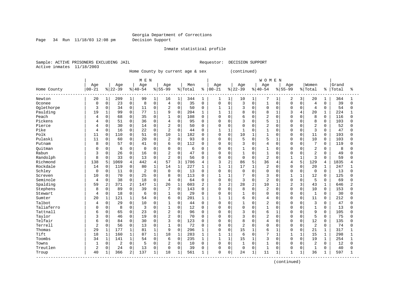Page 34 Run 11/18/03 12:08 pm Decision Support

Inmate statistical profile

Sample: ACTIVE PRISONERS EXCLUDING JAIL **Requestor: DECISION SUPPORT** Active inmates 11/18/2003

Home County by current age & sex (continued)

| Age<br>Age<br>Women<br>Grand<br>Age<br>Age<br>Men<br>Age<br>Age<br>Aqe<br>Age<br>$00 - 21$<br>$00 - 21$<br>$ 22-39$<br>$ 40-54$<br>$8 55-99$<br>% Total<br>$ 22-39$<br>$8140 - 54$<br>$8 55-99$<br>% Total<br>Home County<br>Total<br>ႜ<br>ႜ<br>ిక<br>Newton<br>20<br>$\mathbf 1$<br>209<br>$\mathbf{1}$<br>99<br>16<br>$\mathbf{1}$<br>$\mathbf{1}$<br>2<br>3<br>20<br>364<br>1<br>1<br>344<br>1<br>1<br>10<br>7<br>1<br>1<br>1<br>$\mathsf 0$<br>$\mathbf 0$<br>$\mathbf 0$<br>0<br>23<br>$\overline{4}$<br>$\mathbf 0$<br>3<br>$\mathbf 0$<br>$\overline{4}$<br>39<br>8<br>35<br>$\mathbf 0$<br>$\mathbf 0$<br>$\Omega$<br>$\mathbf 0$<br>$\mathbf 0$<br>0<br>Oconee<br>$\mathbf 0$<br>$\mathbf{1}$<br>$\Omega$<br>0<br>0<br>$\overline{2}$<br>$\mathbf 0$<br>3<br>$\Omega$<br>Oglethorpe<br>34<br>0<br>50<br>$\mathbf 0$<br>$\mathbf{1}$<br>$\mathbf{1}$<br>0<br>$\Omega$<br>$\Omega$<br>$\overline{4}$<br>$\Omega$<br>54<br>3<br>11<br>0<br>0<br>$\mathbf 0$<br>Paulding<br>$\mathbf{1}$<br>$\Omega$<br>$\mathbf{1}$<br>8<br>8<br>20<br>224<br>19<br>99<br>77<br>$\mathbf{1}$<br>9<br>204<br>$\mathbf{1}$<br>$\mathbf{1}$<br>$\Omega$<br>1<br>3<br>4<br>$\mathbf{1}$<br>$\mathbf{1}$<br>Peach<br>$\mathbf 0$<br>$\overline{c}$<br>8<br>0<br>68<br>35<br>0<br>$\mathbf 0$<br>108<br>$\mathbf 0$<br>$\Omega$<br>6<br>$\Omega$<br>$\mathbf 0$<br>$\cap$<br>0<br>116<br>1<br>$\mathbf 0$<br>$\Omega$<br>$\Omega$<br>4<br>0<br>5<br>Pickens<br>51<br>0<br>$\mathbf 0$<br>3<br>8<br>103<br>0<br>36<br>$\overline{4}$<br>95<br>0<br>$\Omega$<br>$\Omega$<br>$\mathbf 0$<br>$\Omega$<br>$\Omega$<br><sup>0</sup><br>4<br>$\mathbf 0$<br>$\overline{c}$<br>$\overline{2}$<br>Pierce<br>0<br>30<br>$\Omega$<br>2<br>$\Omega$<br>$\Omega$<br>$\Omega$<br>52<br>14<br>50<br>$\Omega$<br>$\Omega$<br>$\Omega$<br>$\cap$<br>$\Omega$<br>$\Omega$<br>0<br>U<br>4<br>$\mathbf 0$<br>2<br>3<br>Pike<br>0<br>16<br>22<br>$\Omega$<br>$\Omega$<br>$\mathbf{1}$<br>1<br>$\mathbf{1}$<br>$\Omega$<br>47<br>44<br>$\Omega$<br>$\mathbf{1}$<br>O<br>$\cap$<br>$\Omega$<br>4<br>$\Omega$<br><sup>0</sup><br>$\mathbf 0$<br>10<br>Polk<br>110<br>$\Omega$<br>$\mathbf{1}$<br>182<br>10<br>$\Omega$<br>11<br>$\Omega$<br>51<br>$\Omega$<br>$\Omega$<br>$\mathbf{1}$<br>11<br>$\Omega$<br>193<br>$\Omega$<br>$\Omega$<br>$\Omega$<br>$\Omega$<br>$\mathsf 0$<br>$\mathbf 0$<br>Pulaski<br>11<br>0<br>2<br>93<br>5<br>$\Omega$<br>5<br>10<br>$\mathbf 0$<br>103<br>0<br>60<br>20<br>$\mathbf 0$<br>0<br>0<br>1<br>$\Omega$<br>0<br><sup>0</sup><br>0<br>$\overline{7}$<br>57<br>$\mathbf 0$<br>$\mathbf 0$<br>3<br>8<br>0<br>41<br>6<br>112<br>0<br>0<br>$\overline{4}$<br>$\mathbf 0$<br>$\cap$<br>$\Omega$<br>119<br>Putnam<br>0<br>$\Omega$<br>$\Omega$<br>$\Omega$<br>$\overline{2}$<br>0<br>$\Omega$<br>Ouitman<br>$\Omega$<br>6<br>$\Omega$<br>$\Omega$<br>6<br>0<br>$\mathbf{1}$<br>0<br>8<br>O<br>$\Omega$<br>$\Omega$<br>$\Omega$<br>$\mathbf{1}$<br>$\Omega$<br>$\Omega$<br>$\Omega$<br>$\Omega$<br>O<br>26<br>$\mathbf 0$<br>16<br>0<br>$\overline{2}$<br>$\Omega$<br>47<br>$\mathbf{1}$<br>2<br>49<br>Rabun<br>3<br>0<br>$\mathbf 0$<br>$\Omega$<br>$\Omega$<br>$\mathbf{1}$<br>$\cap$<br>$\Omega$<br>$\mathbf 0$<br>$\Omega$<br>$\Omega$<br><sup>0</sup><br>$\overline{c}$<br>$\overline{3}$<br>Randolph<br>8<br>$\mathbf 0$<br>$\overline{2}$<br>$\Omega$<br>$\mathbf 0$<br>59<br>0<br>33<br>13<br>0<br>56<br>0<br>$\Omega$<br>0<br>$\Omega$<br>$\Omega$<br>$\Omega$<br><sup>0</sup><br>4<br>442<br>57<br>36<br>5<br>Richmond<br>138<br>5<br>1069<br>3<br>1706<br>3<br>$\overline{a}$<br>86<br>5<br>129<br>1835<br>$\overline{4}$<br>$\overline{4}$<br>4<br>4<br>4<br>4<br>Rockdale<br>$\mathbf 0$<br>$\mathbf{1}$<br>$\mathbf{1}$<br>$\mathbf{1}$<br>17<br>$\overline{c}$<br>119<br>80<br>$\mathbf{1}$<br>14<br>227<br>$\mathbf{1}$<br>20<br>247<br>14<br>$\Omega$<br>$\cap$<br>$\Omega$<br>$\Omega$<br>1<br>1<br>Schley<br>$\mathbf 0$<br>$\Omega$<br>$\Omega$<br>$\Omega$<br>$\Omega$<br>11<br>$\overline{c}$<br>$\Omega$<br>13<br>$\Omega$<br>$\Omega$<br>$\Omega$<br>$\Omega$<br>$\Omega$<br>$\Omega$<br>$\mathbf 0$<br>13<br>0<br>$\Omega$<br>$\Omega$<br>0<br>$\Omega$<br>$\mathbf 0$<br>7<br>$\overline{3}$<br>70<br>$\mathbf 0$<br>8<br>$\mathbf 0$<br>113<br>12<br>125<br>10<br>0<br>25<br>$\mathbf{1}$<br>$\mathbf{1}$<br>0<br>$\Omega$<br>$\Omega$<br>Screven<br>0<br>1<br>O<br>Seminole<br>0<br>38<br>0<br>18<br>0<br>$\mathbf 0$<br>0<br>3<br>$\overline{c}$<br>$\mathbf 0$<br>5<br>69<br>$\overline{4}$<br>64<br>$\mathbf 0$<br>$\mathbf 0$<br>0<br>$\mathbf 0$<br>0<br>4<br>$\Omega$<br>U<br>Spalding<br>2<br>2<br>3<br>28<br>2<br>$\overline{2}$<br>59<br>371<br>147<br>$\mathbf{1}$<br>26<br>$\mathbf 1$<br>603<br>2<br>2<br>10<br>3<br>43<br>646<br>2<br>1<br>$\mathbf{1}$<br>Stephens<br>$\mathbf 0$<br>$\Omega$<br>8<br>0<br>89<br>39<br>0<br>7<br>143<br>0<br>8<br>$\Omega$<br>$\overline{2}$<br>$\Omega$<br>$\Omega$<br>10<br>153<br>0<br>$\Omega$<br>$\Omega$<br>$\Omega$<br>$\Omega$<br>0<br>$\mathbf 0$<br>Stewart<br>0<br>$\Omega$<br>29<br>$\mathbf 0$<br>1<br>$\Omega$<br>$\Omega$<br>$\mathbf{1}$<br>30<br>18<br>$\Omega$<br>0<br>$\Omega$<br>$\Omega$<br>$\Omega$<br>4<br>6<br>1<br>0<br><sup>0</sup><br>$\mathbf{1}$<br>0<br>$\mathbf 0$<br>6<br>Sumter<br>20<br>$\mathbf{1}$<br>121<br>6<br>201<br>$\mathbf{1}$<br>$\mathbf{1}$<br>0<br>$\overline{4}$<br>$\cap$<br>$\Omega$<br>11<br>$\Omega$<br>212<br>54<br>1<br>$\Omega$<br>U<br>Talbot<br>$\Omega$<br>3<br>$\Omega$<br>29<br>$\Omega$<br>$\Omega$<br>$\Omega$<br>$\mathbf{1}$<br>$\Omega$<br>$\overline{c}$<br>47<br>10<br>1<br>44<br>$\Omega$<br>$\Omega$<br>$\Omega$<br>$\cap$<br>$\Omega$<br>$\Omega$<br>U<br>4<br>Taliaferro<br>8<br>$\Omega$<br>$\Omega$<br>$\Omega$<br>$\mathbf{1}$<br>$\Omega$<br>3<br>$\Omega$<br>$\mathbf{1}$<br>12<br>0<br>$\Omega$<br>$\Omega$<br>1<br>$\Omega$<br>13<br>U<br>$\Omega$<br>$\Omega$<br>$\cap$<br>$\Omega$<br>$\Omega$<br>$\mathbf 0$<br>$\overline{2}$<br>$\mathbf 0$<br>3<br>6<br>Tattnall<br>65<br>0<br>9<br>105<br>0<br>23<br>96<br>0<br>$\Omega$<br>$\Omega$<br>$\Omega$<br>$\mathbf 0$<br>0<br>1<br>O<br>0<br>6<br>0<br>$\overline{2}$<br>$\mathbf 0$<br>$\overline{2}$<br>5<br>0<br>46<br>0<br>70<br>3<br>$\mathbf 0$<br>$\Omega$<br>75<br>Taylor<br>3<br>19<br>$\mathbf 0$<br>0<br>$\Omega$<br>$\mathbf 0$<br>$\Omega$<br>$\Omega$<br><sup>0</sup><br>Telfair<br>0<br>8<br>12<br>0<br>84<br>30<br>$\Omega$<br>3<br>$\mathbf 0$<br>123<br>$\overline{4}$<br>135<br>0<br>$\Omega$<br>0<br>$\Omega$<br>$\Omega$<br>$\Omega$<br>6<br>0<br><sup>0</sup><br>$\Omega$<br>Terrell<br>$\overline{2}$<br>0<br>56<br>0<br>$\Omega$<br>$\Omega$<br>72<br>$\mathbf 0$<br>$\overline{c}$<br>$\Omega$<br>2<br>74<br>13<br>1<br>$\Omega$<br>$\Omega$<br>$\Omega$<br>$\Omega$<br>$\Omega$<br>$\Omega$<br>0<br>$\Omega$<br>29<br>177<br>$\mathbf{1}$<br>9<br>$\Omega$<br>15<br>6<br>317<br>$\mathbf{1}$<br>81<br>296<br>$\mathbf 0$<br>21<br>Thomas<br>1<br>$\Omega$<br>1<br>$\Omega$<br>$\Omega$<br>1<br>1<br>Tift<br>$\mathbf{1}$<br>18<br>7<br>18<br>$\mathbf{1}$<br>160<br>$\mathbf{1}$<br>$\mathbf 1$<br>283<br>$\mathbf{1}$<br>$\mathbf{1}$<br>6<br>$\mathbf 0$<br>$\mathbf{1}$<br>15<br>298<br>87<br>1<br>$\mathbf 1$<br>1<br>$\mathbf{1}$<br>$\Omega$<br>15<br>Toombs<br>$\mathbf{1}$<br>0<br>$\mathbf{1}$<br>$\mathbf{1}$<br>$\mathbf{1}$<br>3<br>$\Omega$<br>19<br>34<br>141<br>54<br>6<br>235<br>$\Omega$<br>$\Omega$<br>254<br>1<br>1<br>1<br>$\mathbf 0$<br>0<br>$\mathbf 0$<br>$\overline{2}$<br>$\Omega$<br>$\mathbf{1}$<br>2<br>Towns<br>$\overline{2}$<br>5<br>10<br>$\mathbf 0$<br>$\Omega$<br>$\Omega$<br>$\Omega$<br>$\Omega$<br>12<br>$\mathbf{1}$<br>$\Omega$<br>$\Omega$<br>$\Omega$<br>$\Omega$<br>Treutlen<br>0<br>2<br>0<br>24<br>$\mathbf 0$<br>$\Omega$<br>$\Omega$<br>0<br>$\mathbf 0$<br>$\Omega$<br>$\mathbf 1$<br>40<br>13<br>39<br>$\mathbf 0$<br>0<br>$\mathbf{1}$<br>$\mathbf 0$<br>$\Omega$<br>O<br>$\Omega$<br><sup>0</sup><br>40<br>2<br>$\mathbf 0$<br>36<br>366<br>137<br>1<br>18<br>561<br>24<br>$\mathbf 1$<br>11<br>1<br>597<br>$\mathbf{1}$<br>1<br>1<br>1<br>$\Omega$<br>$\mathbf{1}$<br>$\mathbf{1}$<br>Troup |  |  | M E N |  |  |  |  | <b>WOMEN</b> |  |  |  |  |
|-------------------------------------------------------------------------------------------------------------------------------------------------------------------------------------------------------------------------------------------------------------------------------------------------------------------------------------------------------------------------------------------------------------------------------------------------------------------------------------------------------------------------------------------------------------------------------------------------------------------------------------------------------------------------------------------------------------------------------------------------------------------------------------------------------------------------------------------------------------------------------------------------------------------------------------------------------------------------------------------------------------------------------------------------------------------------------------------------------------------------------------------------------------------------------------------------------------------------------------------------------------------------------------------------------------------------------------------------------------------------------------------------------------------------------------------------------------------------------------------------------------------------------------------------------------------------------------------------------------------------------------------------------------------------------------------------------------------------------------------------------------------------------------------------------------------------------------------------------------------------------------------------------------------------------------------------------------------------------------------------------------------------------------------------------------------------------------------------------------------------------------------------------------------------------------------------------------------------------------------------------------------------------------------------------------------------------------------------------------------------------------------------------------------------------------------------------------------------------------------------------------------------------------------------------------------------------------------------------------------------------------------------------------------------------------------------------------------------------------------------------------------------------------------------------------------------------------------------------------------------------------------------------------------------------------------------------------------------------------------------------------------------------------------------------------------------------------------------------------------------------------------------------------------------------------------------------------------------------------------------------------------------------------------------------------------------------------------------------------------------------------------------------------------------------------------------------------------------------------------------------------------------------------------------------------------------------------------------------------------------------------------------------------------------------------------------------------------------------------------------------------------------------------------------------------------------------------------------------------------------------------------------------------------------------------------------------------------------------------------------------------------------------------------------------------------------------------------------------------------------------------------------------------------------------------------------------------------------------------------------------------------------------------------------------------------------------------------------------------------------------------------------------------------------------------------------------------------------------------------------------------------------------------------------------------------------------------------------------------------------------------------------------------------------------------------------------------------------------------------------------------------------------------------------------------------------------------------------------------------------------------------------------------------------------------------------------------------------------------------------------------------------------------------------------------------------------------------------------------------------------------------------------------------------------------------------------------------------------------------------------------------------------------------------------------------------------------------------------------------------------------------------------------------------------------------------------------------------------------------------------------------------------------------------------------------------------------------------------------------------------------------------------------------------------------------------------------------------------------------------------------------------------------------------------------------------------------------------------------------------------------------------------------------------------------------------------------------------------------------------------------------------------------------------------------------------------------------------------------------------------------------------------------------------------------------------------------------------------------------------------------------------------------------------------------------------------------------------------------------------------------------------------------------------------------------------------------------------------------------------------------------------------------------------------------------------------------------------------------------------------------------------------------------------------------------------------------------------------------------------------------------------------------------------------------------------------------------------------------------------------------------------------------------------------------------------------------------------------------------------------------------------------------------------------------------------------------------------------------------------------------------------------------------------------------------------------------------------------------------------------------------------------------------------------------------------------------------------------------------------------------------------------------------------------------------------------------------------------------------------------------------------------------------------------------------------------------------------------------------------------------------------------------------------------------------------------------------------------------------------------------------------------------------------------------------------------------------------------------------------------------------------------------------------------------------------------------------------------------------------------------------------------------------------------------------------------------------------------------------------------------------------------------------------|--|--|-------|--|--|--|--|--------------|--|--|--|--|
|                                                                                                                                                                                                                                                                                                                                                                                                                                                                                                                                                                                                                                                                                                                                                                                                                                                                                                                                                                                                                                                                                                                                                                                                                                                                                                                                                                                                                                                                                                                                                                                                                                                                                                                                                                                                                                                                                                                                                                                                                                                                                                                                                                                                                                                                                                                                                                                                                                                                                                                                                                                                                                                                                                                                                                                                                                                                                                                                                                                                                                                                                                                                                                                                                                                                                                                                                                                                                                                                                                                                                                                                                                                                                                                                                                                                                                                                                                                                                                                                                                                                                                                                                                                                                                                                                                                                                                                                                                                                                                                                                                                                                                                                                                                                                                                                                                                                                                                                                                                                                                                                                                                                                                                                                                                                                                                                                                                                                                                                                                                                                                                                                                                                                                                                                                                                                                                                                                                                                                                                                                                                                                                                                                                                                                                                                                                                                                                                                                                                                                                                                                                                                                                                                                                                                                                                                                                                                                                                                                                                                                                                                                                                                                                                                                                                                                                                                                                                                                                                                                                                                                                                                                                                                                                                                                                                                                                                                                                                                                                                                                                                                                                                                                         |  |  |       |  |  |  |  |              |  |  |  |  |
|                                                                                                                                                                                                                                                                                                                                                                                                                                                                                                                                                                                                                                                                                                                                                                                                                                                                                                                                                                                                                                                                                                                                                                                                                                                                                                                                                                                                                                                                                                                                                                                                                                                                                                                                                                                                                                                                                                                                                                                                                                                                                                                                                                                                                                                                                                                                                                                                                                                                                                                                                                                                                                                                                                                                                                                                                                                                                                                                                                                                                                                                                                                                                                                                                                                                                                                                                                                                                                                                                                                                                                                                                                                                                                                                                                                                                                                                                                                                                                                                                                                                                                                                                                                                                                                                                                                                                                                                                                                                                                                                                                                                                                                                                                                                                                                                                                                                                                                                                                                                                                                                                                                                                                                                                                                                                                                                                                                                                                                                                                                                                                                                                                                                                                                                                                                                                                                                                                                                                                                                                                                                                                                                                                                                                                                                                                                                                                                                                                                                                                                                                                                                                                                                                                                                                                                                                                                                                                                                                                                                                                                                                                                                                                                                                                                                                                                                                                                                                                                                                                                                                                                                                                                                                                                                                                                                                                                                                                                                                                                                                                                                                                                                                                         |  |  |       |  |  |  |  |              |  |  |  |  |
|                                                                                                                                                                                                                                                                                                                                                                                                                                                                                                                                                                                                                                                                                                                                                                                                                                                                                                                                                                                                                                                                                                                                                                                                                                                                                                                                                                                                                                                                                                                                                                                                                                                                                                                                                                                                                                                                                                                                                                                                                                                                                                                                                                                                                                                                                                                                                                                                                                                                                                                                                                                                                                                                                                                                                                                                                                                                                                                                                                                                                                                                                                                                                                                                                                                                                                                                                                                                                                                                                                                                                                                                                                                                                                                                                                                                                                                                                                                                                                                                                                                                                                                                                                                                                                                                                                                                                                                                                                                                                                                                                                                                                                                                                                                                                                                                                                                                                                                                                                                                                                                                                                                                                                                                                                                                                                                                                                                                                                                                                                                                                                                                                                                                                                                                                                                                                                                                                                                                                                                                                                                                                                                                                                                                                                                                                                                                                                                                                                                                                                                                                                                                                                                                                                                                                                                                                                                                                                                                                                                                                                                                                                                                                                                                                                                                                                                                                                                                                                                                                                                                                                                                                                                                                                                                                                                                                                                                                                                                                                                                                                                                                                                                                                         |  |  |       |  |  |  |  |              |  |  |  |  |
|                                                                                                                                                                                                                                                                                                                                                                                                                                                                                                                                                                                                                                                                                                                                                                                                                                                                                                                                                                                                                                                                                                                                                                                                                                                                                                                                                                                                                                                                                                                                                                                                                                                                                                                                                                                                                                                                                                                                                                                                                                                                                                                                                                                                                                                                                                                                                                                                                                                                                                                                                                                                                                                                                                                                                                                                                                                                                                                                                                                                                                                                                                                                                                                                                                                                                                                                                                                                                                                                                                                                                                                                                                                                                                                                                                                                                                                                                                                                                                                                                                                                                                                                                                                                                                                                                                                                                                                                                                                                                                                                                                                                                                                                                                                                                                                                                                                                                                                                                                                                                                                                                                                                                                                                                                                                                                                                                                                                                                                                                                                                                                                                                                                                                                                                                                                                                                                                                                                                                                                                                                                                                                                                                                                                                                                                                                                                                                                                                                                                                                                                                                                                                                                                                                                                                                                                                                                                                                                                                                                                                                                                                                                                                                                                                                                                                                                                                                                                                                                                                                                                                                                                                                                                                                                                                                                                                                                                                                                                                                                                                                                                                                                                                                         |  |  |       |  |  |  |  |              |  |  |  |  |
|                                                                                                                                                                                                                                                                                                                                                                                                                                                                                                                                                                                                                                                                                                                                                                                                                                                                                                                                                                                                                                                                                                                                                                                                                                                                                                                                                                                                                                                                                                                                                                                                                                                                                                                                                                                                                                                                                                                                                                                                                                                                                                                                                                                                                                                                                                                                                                                                                                                                                                                                                                                                                                                                                                                                                                                                                                                                                                                                                                                                                                                                                                                                                                                                                                                                                                                                                                                                                                                                                                                                                                                                                                                                                                                                                                                                                                                                                                                                                                                                                                                                                                                                                                                                                                                                                                                                                                                                                                                                                                                                                                                                                                                                                                                                                                                                                                                                                                                                                                                                                                                                                                                                                                                                                                                                                                                                                                                                                                                                                                                                                                                                                                                                                                                                                                                                                                                                                                                                                                                                                                                                                                                                                                                                                                                                                                                                                                                                                                                                                                                                                                                                                                                                                                                                                                                                                                                                                                                                                                                                                                                                                                                                                                                                                                                                                                                                                                                                                                                                                                                                                                                                                                                                                                                                                                                                                                                                                                                                                                                                                                                                                                                                                                         |  |  |       |  |  |  |  |              |  |  |  |  |
|                                                                                                                                                                                                                                                                                                                                                                                                                                                                                                                                                                                                                                                                                                                                                                                                                                                                                                                                                                                                                                                                                                                                                                                                                                                                                                                                                                                                                                                                                                                                                                                                                                                                                                                                                                                                                                                                                                                                                                                                                                                                                                                                                                                                                                                                                                                                                                                                                                                                                                                                                                                                                                                                                                                                                                                                                                                                                                                                                                                                                                                                                                                                                                                                                                                                                                                                                                                                                                                                                                                                                                                                                                                                                                                                                                                                                                                                                                                                                                                                                                                                                                                                                                                                                                                                                                                                                                                                                                                                                                                                                                                                                                                                                                                                                                                                                                                                                                                                                                                                                                                                                                                                                                                                                                                                                                                                                                                                                                                                                                                                                                                                                                                                                                                                                                                                                                                                                                                                                                                                                                                                                                                                                                                                                                                                                                                                                                                                                                                                                                                                                                                                                                                                                                                                                                                                                                                                                                                                                                                                                                                                                                                                                                                                                                                                                                                                                                                                                                                                                                                                                                                                                                                                                                                                                                                                                                                                                                                                                                                                                                                                                                                                                                         |  |  |       |  |  |  |  |              |  |  |  |  |
|                                                                                                                                                                                                                                                                                                                                                                                                                                                                                                                                                                                                                                                                                                                                                                                                                                                                                                                                                                                                                                                                                                                                                                                                                                                                                                                                                                                                                                                                                                                                                                                                                                                                                                                                                                                                                                                                                                                                                                                                                                                                                                                                                                                                                                                                                                                                                                                                                                                                                                                                                                                                                                                                                                                                                                                                                                                                                                                                                                                                                                                                                                                                                                                                                                                                                                                                                                                                                                                                                                                                                                                                                                                                                                                                                                                                                                                                                                                                                                                                                                                                                                                                                                                                                                                                                                                                                                                                                                                                                                                                                                                                                                                                                                                                                                                                                                                                                                                                                                                                                                                                                                                                                                                                                                                                                                                                                                                                                                                                                                                                                                                                                                                                                                                                                                                                                                                                                                                                                                                                                                                                                                                                                                                                                                                                                                                                                                                                                                                                                                                                                                                                                                                                                                                                                                                                                                                                                                                                                                                                                                                                                                                                                                                                                                                                                                                                                                                                                                                                                                                                                                                                                                                                                                                                                                                                                                                                                                                                                                                                                                                                                                                                                                         |  |  |       |  |  |  |  |              |  |  |  |  |
|                                                                                                                                                                                                                                                                                                                                                                                                                                                                                                                                                                                                                                                                                                                                                                                                                                                                                                                                                                                                                                                                                                                                                                                                                                                                                                                                                                                                                                                                                                                                                                                                                                                                                                                                                                                                                                                                                                                                                                                                                                                                                                                                                                                                                                                                                                                                                                                                                                                                                                                                                                                                                                                                                                                                                                                                                                                                                                                                                                                                                                                                                                                                                                                                                                                                                                                                                                                                                                                                                                                                                                                                                                                                                                                                                                                                                                                                                                                                                                                                                                                                                                                                                                                                                                                                                                                                                                                                                                                                                                                                                                                                                                                                                                                                                                                                                                                                                                                                                                                                                                                                                                                                                                                                                                                                                                                                                                                                                                                                                                                                                                                                                                                                                                                                                                                                                                                                                                                                                                                                                                                                                                                                                                                                                                                                                                                                                                                                                                                                                                                                                                                                                                                                                                                                                                                                                                                                                                                                                                                                                                                                                                                                                                                                                                                                                                                                                                                                                                                                                                                                                                                                                                                                                                                                                                                                                                                                                                                                                                                                                                                                                                                                                                         |  |  |       |  |  |  |  |              |  |  |  |  |
|                                                                                                                                                                                                                                                                                                                                                                                                                                                                                                                                                                                                                                                                                                                                                                                                                                                                                                                                                                                                                                                                                                                                                                                                                                                                                                                                                                                                                                                                                                                                                                                                                                                                                                                                                                                                                                                                                                                                                                                                                                                                                                                                                                                                                                                                                                                                                                                                                                                                                                                                                                                                                                                                                                                                                                                                                                                                                                                                                                                                                                                                                                                                                                                                                                                                                                                                                                                                                                                                                                                                                                                                                                                                                                                                                                                                                                                                                                                                                                                                                                                                                                                                                                                                                                                                                                                                                                                                                                                                                                                                                                                                                                                                                                                                                                                                                                                                                                                                                                                                                                                                                                                                                                                                                                                                                                                                                                                                                                                                                                                                                                                                                                                                                                                                                                                                                                                                                                                                                                                                                                                                                                                                                                                                                                                                                                                                                                                                                                                                                                                                                                                                                                                                                                                                                                                                                                                                                                                                                                                                                                                                                                                                                                                                                                                                                                                                                                                                                                                                                                                                                                                                                                                                                                                                                                                                                                                                                                                                                                                                                                                                                                                                                                         |  |  |       |  |  |  |  |              |  |  |  |  |
|                                                                                                                                                                                                                                                                                                                                                                                                                                                                                                                                                                                                                                                                                                                                                                                                                                                                                                                                                                                                                                                                                                                                                                                                                                                                                                                                                                                                                                                                                                                                                                                                                                                                                                                                                                                                                                                                                                                                                                                                                                                                                                                                                                                                                                                                                                                                                                                                                                                                                                                                                                                                                                                                                                                                                                                                                                                                                                                                                                                                                                                                                                                                                                                                                                                                                                                                                                                                                                                                                                                                                                                                                                                                                                                                                                                                                                                                                                                                                                                                                                                                                                                                                                                                                                                                                                                                                                                                                                                                                                                                                                                                                                                                                                                                                                                                                                                                                                                                                                                                                                                                                                                                                                                                                                                                                                                                                                                                                                                                                                                                                                                                                                                                                                                                                                                                                                                                                                                                                                                                                                                                                                                                                                                                                                                                                                                                                                                                                                                                                                                                                                                                                                                                                                                                                                                                                                                                                                                                                                                                                                                                                                                                                                                                                                                                                                                                                                                                                                                                                                                                                                                                                                                                                                                                                                                                                                                                                                                                                                                                                                                                                                                                                                         |  |  |       |  |  |  |  |              |  |  |  |  |
|                                                                                                                                                                                                                                                                                                                                                                                                                                                                                                                                                                                                                                                                                                                                                                                                                                                                                                                                                                                                                                                                                                                                                                                                                                                                                                                                                                                                                                                                                                                                                                                                                                                                                                                                                                                                                                                                                                                                                                                                                                                                                                                                                                                                                                                                                                                                                                                                                                                                                                                                                                                                                                                                                                                                                                                                                                                                                                                                                                                                                                                                                                                                                                                                                                                                                                                                                                                                                                                                                                                                                                                                                                                                                                                                                                                                                                                                                                                                                                                                                                                                                                                                                                                                                                                                                                                                                                                                                                                                                                                                                                                                                                                                                                                                                                                                                                                                                                                                                                                                                                                                                                                                                                                                                                                                                                                                                                                                                                                                                                                                                                                                                                                                                                                                                                                                                                                                                                                                                                                                                                                                                                                                                                                                                                                                                                                                                                                                                                                                                                                                                                                                                                                                                                                                                                                                                                                                                                                                                                                                                                                                                                                                                                                                                                                                                                                                                                                                                                                                                                                                                                                                                                                                                                                                                                                                                                                                                                                                                                                                                                                                                                                                                                         |  |  |       |  |  |  |  |              |  |  |  |  |
|                                                                                                                                                                                                                                                                                                                                                                                                                                                                                                                                                                                                                                                                                                                                                                                                                                                                                                                                                                                                                                                                                                                                                                                                                                                                                                                                                                                                                                                                                                                                                                                                                                                                                                                                                                                                                                                                                                                                                                                                                                                                                                                                                                                                                                                                                                                                                                                                                                                                                                                                                                                                                                                                                                                                                                                                                                                                                                                                                                                                                                                                                                                                                                                                                                                                                                                                                                                                                                                                                                                                                                                                                                                                                                                                                                                                                                                                                                                                                                                                                                                                                                                                                                                                                                                                                                                                                                                                                                                                                                                                                                                                                                                                                                                                                                                                                                                                                                                                                                                                                                                                                                                                                                                                                                                                                                                                                                                                                                                                                                                                                                                                                                                                                                                                                                                                                                                                                                                                                                                                                                                                                                                                                                                                                                                                                                                                                                                                                                                                                                                                                                                                                                                                                                                                                                                                                                                                                                                                                                                                                                                                                                                                                                                                                                                                                                                                                                                                                                                                                                                                                                                                                                                                                                                                                                                                                                                                                                                                                                                                                                                                                                                                                                         |  |  |       |  |  |  |  |              |  |  |  |  |
|                                                                                                                                                                                                                                                                                                                                                                                                                                                                                                                                                                                                                                                                                                                                                                                                                                                                                                                                                                                                                                                                                                                                                                                                                                                                                                                                                                                                                                                                                                                                                                                                                                                                                                                                                                                                                                                                                                                                                                                                                                                                                                                                                                                                                                                                                                                                                                                                                                                                                                                                                                                                                                                                                                                                                                                                                                                                                                                                                                                                                                                                                                                                                                                                                                                                                                                                                                                                                                                                                                                                                                                                                                                                                                                                                                                                                                                                                                                                                                                                                                                                                                                                                                                                                                                                                                                                                                                                                                                                                                                                                                                                                                                                                                                                                                                                                                                                                                                                                                                                                                                                                                                                                                                                                                                                                                                                                                                                                                                                                                                                                                                                                                                                                                                                                                                                                                                                                                                                                                                                                                                                                                                                                                                                                                                                                                                                                                                                                                                                                                                                                                                                                                                                                                                                                                                                                                                                                                                                                                                                                                                                                                                                                                                                                                                                                                                                                                                                                                                                                                                                                                                                                                                                                                                                                                                                                                                                                                                                                                                                                                                                                                                                                                         |  |  |       |  |  |  |  |              |  |  |  |  |
|                                                                                                                                                                                                                                                                                                                                                                                                                                                                                                                                                                                                                                                                                                                                                                                                                                                                                                                                                                                                                                                                                                                                                                                                                                                                                                                                                                                                                                                                                                                                                                                                                                                                                                                                                                                                                                                                                                                                                                                                                                                                                                                                                                                                                                                                                                                                                                                                                                                                                                                                                                                                                                                                                                                                                                                                                                                                                                                                                                                                                                                                                                                                                                                                                                                                                                                                                                                                                                                                                                                                                                                                                                                                                                                                                                                                                                                                                                                                                                                                                                                                                                                                                                                                                                                                                                                                                                                                                                                                                                                                                                                                                                                                                                                                                                                                                                                                                                                                                                                                                                                                                                                                                                                                                                                                                                                                                                                                                                                                                                                                                                                                                                                                                                                                                                                                                                                                                                                                                                                                                                                                                                                                                                                                                                                                                                                                                                                                                                                                                                                                                                                                                                                                                                                                                                                                                                                                                                                                                                                                                                                                                                                                                                                                                                                                                                                                                                                                                                                                                                                                                                                                                                                                                                                                                                                                                                                                                                                                                                                                                                                                                                                                                                         |  |  |       |  |  |  |  |              |  |  |  |  |
|                                                                                                                                                                                                                                                                                                                                                                                                                                                                                                                                                                                                                                                                                                                                                                                                                                                                                                                                                                                                                                                                                                                                                                                                                                                                                                                                                                                                                                                                                                                                                                                                                                                                                                                                                                                                                                                                                                                                                                                                                                                                                                                                                                                                                                                                                                                                                                                                                                                                                                                                                                                                                                                                                                                                                                                                                                                                                                                                                                                                                                                                                                                                                                                                                                                                                                                                                                                                                                                                                                                                                                                                                                                                                                                                                                                                                                                                                                                                                                                                                                                                                                                                                                                                                                                                                                                                                                                                                                                                                                                                                                                                                                                                                                                                                                                                                                                                                                                                                                                                                                                                                                                                                                                                                                                                                                                                                                                                                                                                                                                                                                                                                                                                                                                                                                                                                                                                                                                                                                                                                                                                                                                                                                                                                                                                                                                                                                                                                                                                                                                                                                                                                                                                                                                                                                                                                                                                                                                                                                                                                                                                                                                                                                                                                                                                                                                                                                                                                                                                                                                                                                                                                                                                                                                                                                                                                                                                                                                                                                                                                                                                                                                                                                         |  |  |       |  |  |  |  |              |  |  |  |  |
|                                                                                                                                                                                                                                                                                                                                                                                                                                                                                                                                                                                                                                                                                                                                                                                                                                                                                                                                                                                                                                                                                                                                                                                                                                                                                                                                                                                                                                                                                                                                                                                                                                                                                                                                                                                                                                                                                                                                                                                                                                                                                                                                                                                                                                                                                                                                                                                                                                                                                                                                                                                                                                                                                                                                                                                                                                                                                                                                                                                                                                                                                                                                                                                                                                                                                                                                                                                                                                                                                                                                                                                                                                                                                                                                                                                                                                                                                                                                                                                                                                                                                                                                                                                                                                                                                                                                                                                                                                                                                                                                                                                                                                                                                                                                                                                                                                                                                                                                                                                                                                                                                                                                                                                                                                                                                                                                                                                                                                                                                                                                                                                                                                                                                                                                                                                                                                                                                                                                                                                                                                                                                                                                                                                                                                                                                                                                                                                                                                                                                                                                                                                                                                                                                                                                                                                                                                                                                                                                                                                                                                                                                                                                                                                                                                                                                                                                                                                                                                                                                                                                                                                                                                                                                                                                                                                                                                                                                                                                                                                                                                                                                                                                                                         |  |  |       |  |  |  |  |              |  |  |  |  |
|                                                                                                                                                                                                                                                                                                                                                                                                                                                                                                                                                                                                                                                                                                                                                                                                                                                                                                                                                                                                                                                                                                                                                                                                                                                                                                                                                                                                                                                                                                                                                                                                                                                                                                                                                                                                                                                                                                                                                                                                                                                                                                                                                                                                                                                                                                                                                                                                                                                                                                                                                                                                                                                                                                                                                                                                                                                                                                                                                                                                                                                                                                                                                                                                                                                                                                                                                                                                                                                                                                                                                                                                                                                                                                                                                                                                                                                                                                                                                                                                                                                                                                                                                                                                                                                                                                                                                                                                                                                                                                                                                                                                                                                                                                                                                                                                                                                                                                                                                                                                                                                                                                                                                                                                                                                                                                                                                                                                                                                                                                                                                                                                                                                                                                                                                                                                                                                                                                                                                                                                                                                                                                                                                                                                                                                                                                                                                                                                                                                                                                                                                                                                                                                                                                                                                                                                                                                                                                                                                                                                                                                                                                                                                                                                                                                                                                                                                                                                                                                                                                                                                                                                                                                                                                                                                                                                                                                                                                                                                                                                                                                                                                                                                                         |  |  |       |  |  |  |  |              |  |  |  |  |
|                                                                                                                                                                                                                                                                                                                                                                                                                                                                                                                                                                                                                                                                                                                                                                                                                                                                                                                                                                                                                                                                                                                                                                                                                                                                                                                                                                                                                                                                                                                                                                                                                                                                                                                                                                                                                                                                                                                                                                                                                                                                                                                                                                                                                                                                                                                                                                                                                                                                                                                                                                                                                                                                                                                                                                                                                                                                                                                                                                                                                                                                                                                                                                                                                                                                                                                                                                                                                                                                                                                                                                                                                                                                                                                                                                                                                                                                                                                                                                                                                                                                                                                                                                                                                                                                                                                                                                                                                                                                                                                                                                                                                                                                                                                                                                                                                                                                                                                                                                                                                                                                                                                                                                                                                                                                                                                                                                                                                                                                                                                                                                                                                                                                                                                                                                                                                                                                                                                                                                                                                                                                                                                                                                                                                                                                                                                                                                                                                                                                                                                                                                                                                                                                                                                                                                                                                                                                                                                                                                                                                                                                                                                                                                                                                                                                                                                                                                                                                                                                                                                                                                                                                                                                                                                                                                                                                                                                                                                                                                                                                                                                                                                                                                         |  |  |       |  |  |  |  |              |  |  |  |  |
|                                                                                                                                                                                                                                                                                                                                                                                                                                                                                                                                                                                                                                                                                                                                                                                                                                                                                                                                                                                                                                                                                                                                                                                                                                                                                                                                                                                                                                                                                                                                                                                                                                                                                                                                                                                                                                                                                                                                                                                                                                                                                                                                                                                                                                                                                                                                                                                                                                                                                                                                                                                                                                                                                                                                                                                                                                                                                                                                                                                                                                                                                                                                                                                                                                                                                                                                                                                                                                                                                                                                                                                                                                                                                                                                                                                                                                                                                                                                                                                                                                                                                                                                                                                                                                                                                                                                                                                                                                                                                                                                                                                                                                                                                                                                                                                                                                                                                                                                                                                                                                                                                                                                                                                                                                                                                                                                                                                                                                                                                                                                                                                                                                                                                                                                                                                                                                                                                                                                                                                                                                                                                                                                                                                                                                                                                                                                                                                                                                                                                                                                                                                                                                                                                                                                                                                                                                                                                                                                                                                                                                                                                                                                                                                                                                                                                                                                                                                                                                                                                                                                                                                                                                                                                                                                                                                                                                                                                                                                                                                                                                                                                                                                                                         |  |  |       |  |  |  |  |              |  |  |  |  |
|                                                                                                                                                                                                                                                                                                                                                                                                                                                                                                                                                                                                                                                                                                                                                                                                                                                                                                                                                                                                                                                                                                                                                                                                                                                                                                                                                                                                                                                                                                                                                                                                                                                                                                                                                                                                                                                                                                                                                                                                                                                                                                                                                                                                                                                                                                                                                                                                                                                                                                                                                                                                                                                                                                                                                                                                                                                                                                                                                                                                                                                                                                                                                                                                                                                                                                                                                                                                                                                                                                                                                                                                                                                                                                                                                                                                                                                                                                                                                                                                                                                                                                                                                                                                                                                                                                                                                                                                                                                                                                                                                                                                                                                                                                                                                                                                                                                                                                                                                                                                                                                                                                                                                                                                                                                                                                                                                                                                                                                                                                                                                                                                                                                                                                                                                                                                                                                                                                                                                                                                                                                                                                                                                                                                                                                                                                                                                                                                                                                                                                                                                                                                                                                                                                                                                                                                                                                                                                                                                                                                                                                                                                                                                                                                                                                                                                                                                                                                                                                                                                                                                                                                                                                                                                                                                                                                                                                                                                                                                                                                                                                                                                                                                                         |  |  |       |  |  |  |  |              |  |  |  |  |
|                                                                                                                                                                                                                                                                                                                                                                                                                                                                                                                                                                                                                                                                                                                                                                                                                                                                                                                                                                                                                                                                                                                                                                                                                                                                                                                                                                                                                                                                                                                                                                                                                                                                                                                                                                                                                                                                                                                                                                                                                                                                                                                                                                                                                                                                                                                                                                                                                                                                                                                                                                                                                                                                                                                                                                                                                                                                                                                                                                                                                                                                                                                                                                                                                                                                                                                                                                                                                                                                                                                                                                                                                                                                                                                                                                                                                                                                                                                                                                                                                                                                                                                                                                                                                                                                                                                                                                                                                                                                                                                                                                                                                                                                                                                                                                                                                                                                                                                                                                                                                                                                                                                                                                                                                                                                                                                                                                                                                                                                                                                                                                                                                                                                                                                                                                                                                                                                                                                                                                                                                                                                                                                                                                                                                                                                                                                                                                                                                                                                                                                                                                                                                                                                                                                                                                                                                                                                                                                                                                                                                                                                                                                                                                                                                                                                                                                                                                                                                                                                                                                                                                                                                                                                                                                                                                                                                                                                                                                                                                                                                                                                                                                                                                         |  |  |       |  |  |  |  |              |  |  |  |  |
|                                                                                                                                                                                                                                                                                                                                                                                                                                                                                                                                                                                                                                                                                                                                                                                                                                                                                                                                                                                                                                                                                                                                                                                                                                                                                                                                                                                                                                                                                                                                                                                                                                                                                                                                                                                                                                                                                                                                                                                                                                                                                                                                                                                                                                                                                                                                                                                                                                                                                                                                                                                                                                                                                                                                                                                                                                                                                                                                                                                                                                                                                                                                                                                                                                                                                                                                                                                                                                                                                                                                                                                                                                                                                                                                                                                                                                                                                                                                                                                                                                                                                                                                                                                                                                                                                                                                                                                                                                                                                                                                                                                                                                                                                                                                                                                                                                                                                                                                                                                                                                                                                                                                                                                                                                                                                                                                                                                                                                                                                                                                                                                                                                                                                                                                                                                                                                                                                                                                                                                                                                                                                                                                                                                                                                                                                                                                                                                                                                                                                                                                                                                                                                                                                                                                                                                                                                                                                                                                                                                                                                                                                                                                                                                                                                                                                                                                                                                                                                                                                                                                                                                                                                                                                                                                                                                                                                                                                                                                                                                                                                                                                                                                                                         |  |  |       |  |  |  |  |              |  |  |  |  |
|                                                                                                                                                                                                                                                                                                                                                                                                                                                                                                                                                                                                                                                                                                                                                                                                                                                                                                                                                                                                                                                                                                                                                                                                                                                                                                                                                                                                                                                                                                                                                                                                                                                                                                                                                                                                                                                                                                                                                                                                                                                                                                                                                                                                                                                                                                                                                                                                                                                                                                                                                                                                                                                                                                                                                                                                                                                                                                                                                                                                                                                                                                                                                                                                                                                                                                                                                                                                                                                                                                                                                                                                                                                                                                                                                                                                                                                                                                                                                                                                                                                                                                                                                                                                                                                                                                                                                                                                                                                                                                                                                                                                                                                                                                                                                                                                                                                                                                                                                                                                                                                                                                                                                                                                                                                                                                                                                                                                                                                                                                                                                                                                                                                                                                                                                                                                                                                                                                                                                                                                                                                                                                                                                                                                                                                                                                                                                                                                                                                                                                                                                                                                                                                                                                                                                                                                                                                                                                                                                                                                                                                                                                                                                                                                                                                                                                                                                                                                                                                                                                                                                                                                                                                                                                                                                                                                                                                                                                                                                                                                                                                                                                                                                                         |  |  |       |  |  |  |  |              |  |  |  |  |
|                                                                                                                                                                                                                                                                                                                                                                                                                                                                                                                                                                                                                                                                                                                                                                                                                                                                                                                                                                                                                                                                                                                                                                                                                                                                                                                                                                                                                                                                                                                                                                                                                                                                                                                                                                                                                                                                                                                                                                                                                                                                                                                                                                                                                                                                                                                                                                                                                                                                                                                                                                                                                                                                                                                                                                                                                                                                                                                                                                                                                                                                                                                                                                                                                                                                                                                                                                                                                                                                                                                                                                                                                                                                                                                                                                                                                                                                                                                                                                                                                                                                                                                                                                                                                                                                                                                                                                                                                                                                                                                                                                                                                                                                                                                                                                                                                                                                                                                                                                                                                                                                                                                                                                                                                                                                                                                                                                                                                                                                                                                                                                                                                                                                                                                                                                                                                                                                                                                                                                                                                                                                                                                                                                                                                                                                                                                                                                                                                                                                                                                                                                                                                                                                                                                                                                                                                                                                                                                                                                                                                                                                                                                                                                                                                                                                                                                                                                                                                                                                                                                                                                                                                                                                                                                                                                                                                                                                                                                                                                                                                                                                                                                                                                         |  |  |       |  |  |  |  |              |  |  |  |  |
|                                                                                                                                                                                                                                                                                                                                                                                                                                                                                                                                                                                                                                                                                                                                                                                                                                                                                                                                                                                                                                                                                                                                                                                                                                                                                                                                                                                                                                                                                                                                                                                                                                                                                                                                                                                                                                                                                                                                                                                                                                                                                                                                                                                                                                                                                                                                                                                                                                                                                                                                                                                                                                                                                                                                                                                                                                                                                                                                                                                                                                                                                                                                                                                                                                                                                                                                                                                                                                                                                                                                                                                                                                                                                                                                                                                                                                                                                                                                                                                                                                                                                                                                                                                                                                                                                                                                                                                                                                                                                                                                                                                                                                                                                                                                                                                                                                                                                                                                                                                                                                                                                                                                                                                                                                                                                                                                                                                                                                                                                                                                                                                                                                                                                                                                                                                                                                                                                                                                                                                                                                                                                                                                                                                                                                                                                                                                                                                                                                                                                                                                                                                                                                                                                                                                                                                                                                                                                                                                                                                                                                                                                                                                                                                                                                                                                                                                                                                                                                                                                                                                                                                                                                                                                                                                                                                                                                                                                                                                                                                                                                                                                                                                                                         |  |  |       |  |  |  |  |              |  |  |  |  |
|                                                                                                                                                                                                                                                                                                                                                                                                                                                                                                                                                                                                                                                                                                                                                                                                                                                                                                                                                                                                                                                                                                                                                                                                                                                                                                                                                                                                                                                                                                                                                                                                                                                                                                                                                                                                                                                                                                                                                                                                                                                                                                                                                                                                                                                                                                                                                                                                                                                                                                                                                                                                                                                                                                                                                                                                                                                                                                                                                                                                                                                                                                                                                                                                                                                                                                                                                                                                                                                                                                                                                                                                                                                                                                                                                                                                                                                                                                                                                                                                                                                                                                                                                                                                                                                                                                                                                                                                                                                                                                                                                                                                                                                                                                                                                                                                                                                                                                                                                                                                                                                                                                                                                                                                                                                                                                                                                                                                                                                                                                                                                                                                                                                                                                                                                                                                                                                                                                                                                                                                                                                                                                                                                                                                                                                                                                                                                                                                                                                                                                                                                                                                                                                                                                                                                                                                                                                                                                                                                                                                                                                                                                                                                                                                                                                                                                                                                                                                                                                                                                                                                                                                                                                                                                                                                                                                                                                                                                                                                                                                                                                                                                                                                                         |  |  |       |  |  |  |  |              |  |  |  |  |
|                                                                                                                                                                                                                                                                                                                                                                                                                                                                                                                                                                                                                                                                                                                                                                                                                                                                                                                                                                                                                                                                                                                                                                                                                                                                                                                                                                                                                                                                                                                                                                                                                                                                                                                                                                                                                                                                                                                                                                                                                                                                                                                                                                                                                                                                                                                                                                                                                                                                                                                                                                                                                                                                                                                                                                                                                                                                                                                                                                                                                                                                                                                                                                                                                                                                                                                                                                                                                                                                                                                                                                                                                                                                                                                                                                                                                                                                                                                                                                                                                                                                                                                                                                                                                                                                                                                                                                                                                                                                                                                                                                                                                                                                                                                                                                                                                                                                                                                                                                                                                                                                                                                                                                                                                                                                                                                                                                                                                                                                                                                                                                                                                                                                                                                                                                                                                                                                                                                                                                                                                                                                                                                                                                                                                                                                                                                                                                                                                                                                                                                                                                                                                                                                                                                                                                                                                                                                                                                                                                                                                                                                                                                                                                                                                                                                                                                                                                                                                                                                                                                                                                                                                                                                                                                                                                                                                                                                                                                                                                                                                                                                                                                                                                         |  |  |       |  |  |  |  |              |  |  |  |  |
|                                                                                                                                                                                                                                                                                                                                                                                                                                                                                                                                                                                                                                                                                                                                                                                                                                                                                                                                                                                                                                                                                                                                                                                                                                                                                                                                                                                                                                                                                                                                                                                                                                                                                                                                                                                                                                                                                                                                                                                                                                                                                                                                                                                                                                                                                                                                                                                                                                                                                                                                                                                                                                                                                                                                                                                                                                                                                                                                                                                                                                                                                                                                                                                                                                                                                                                                                                                                                                                                                                                                                                                                                                                                                                                                                                                                                                                                                                                                                                                                                                                                                                                                                                                                                                                                                                                                                                                                                                                                                                                                                                                                                                                                                                                                                                                                                                                                                                                                                                                                                                                                                                                                                                                                                                                                                                                                                                                                                                                                                                                                                                                                                                                                                                                                                                                                                                                                                                                                                                                                                                                                                                                                                                                                                                                                                                                                                                                                                                                                                                                                                                                                                                                                                                                                                                                                                                                                                                                                                                                                                                                                                                                                                                                                                                                                                                                                                                                                                                                                                                                                                                                                                                                                                                                                                                                                                                                                                                                                                                                                                                                                                                                                                                         |  |  |       |  |  |  |  |              |  |  |  |  |
|                                                                                                                                                                                                                                                                                                                                                                                                                                                                                                                                                                                                                                                                                                                                                                                                                                                                                                                                                                                                                                                                                                                                                                                                                                                                                                                                                                                                                                                                                                                                                                                                                                                                                                                                                                                                                                                                                                                                                                                                                                                                                                                                                                                                                                                                                                                                                                                                                                                                                                                                                                                                                                                                                                                                                                                                                                                                                                                                                                                                                                                                                                                                                                                                                                                                                                                                                                                                                                                                                                                                                                                                                                                                                                                                                                                                                                                                                                                                                                                                                                                                                                                                                                                                                                                                                                                                                                                                                                                                                                                                                                                                                                                                                                                                                                                                                                                                                                                                                                                                                                                                                                                                                                                                                                                                                                                                                                                                                                                                                                                                                                                                                                                                                                                                                                                                                                                                                                                                                                                                                                                                                                                                                                                                                                                                                                                                                                                                                                                                                                                                                                                                                                                                                                                                                                                                                                                                                                                                                                                                                                                                                                                                                                                                                                                                                                                                                                                                                                                                                                                                                                                                                                                                                                                                                                                                                                                                                                                                                                                                                                                                                                                                                                         |  |  |       |  |  |  |  |              |  |  |  |  |
|                                                                                                                                                                                                                                                                                                                                                                                                                                                                                                                                                                                                                                                                                                                                                                                                                                                                                                                                                                                                                                                                                                                                                                                                                                                                                                                                                                                                                                                                                                                                                                                                                                                                                                                                                                                                                                                                                                                                                                                                                                                                                                                                                                                                                                                                                                                                                                                                                                                                                                                                                                                                                                                                                                                                                                                                                                                                                                                                                                                                                                                                                                                                                                                                                                                                                                                                                                                                                                                                                                                                                                                                                                                                                                                                                                                                                                                                                                                                                                                                                                                                                                                                                                                                                                                                                                                                                                                                                                                                                                                                                                                                                                                                                                                                                                                                                                                                                                                                                                                                                                                                                                                                                                                                                                                                                                                                                                                                                                                                                                                                                                                                                                                                                                                                                                                                                                                                                                                                                                                                                                                                                                                                                                                                                                                                                                                                                                                                                                                                                                                                                                                                                                                                                                                                                                                                                                                                                                                                                                                                                                                                                                                                                                                                                                                                                                                                                                                                                                                                                                                                                                                                                                                                                                                                                                                                                                                                                                                                                                                                                                                                                                                                                                         |  |  |       |  |  |  |  |              |  |  |  |  |
|                                                                                                                                                                                                                                                                                                                                                                                                                                                                                                                                                                                                                                                                                                                                                                                                                                                                                                                                                                                                                                                                                                                                                                                                                                                                                                                                                                                                                                                                                                                                                                                                                                                                                                                                                                                                                                                                                                                                                                                                                                                                                                                                                                                                                                                                                                                                                                                                                                                                                                                                                                                                                                                                                                                                                                                                                                                                                                                                                                                                                                                                                                                                                                                                                                                                                                                                                                                                                                                                                                                                                                                                                                                                                                                                                                                                                                                                                                                                                                                                                                                                                                                                                                                                                                                                                                                                                                                                                                                                                                                                                                                                                                                                                                                                                                                                                                                                                                                                                                                                                                                                                                                                                                                                                                                                                                                                                                                                                                                                                                                                                                                                                                                                                                                                                                                                                                                                                                                                                                                                                                                                                                                                                                                                                                                                                                                                                                                                                                                                                                                                                                                                                                                                                                                                                                                                                                                                                                                                                                                                                                                                                                                                                                                                                                                                                                                                                                                                                                                                                                                                                                                                                                                                                                                                                                                                                                                                                                                                                                                                                                                                                                                                                                         |  |  |       |  |  |  |  |              |  |  |  |  |
|                                                                                                                                                                                                                                                                                                                                                                                                                                                                                                                                                                                                                                                                                                                                                                                                                                                                                                                                                                                                                                                                                                                                                                                                                                                                                                                                                                                                                                                                                                                                                                                                                                                                                                                                                                                                                                                                                                                                                                                                                                                                                                                                                                                                                                                                                                                                                                                                                                                                                                                                                                                                                                                                                                                                                                                                                                                                                                                                                                                                                                                                                                                                                                                                                                                                                                                                                                                                                                                                                                                                                                                                                                                                                                                                                                                                                                                                                                                                                                                                                                                                                                                                                                                                                                                                                                                                                                                                                                                                                                                                                                                                                                                                                                                                                                                                                                                                                                                                                                                                                                                                                                                                                                                                                                                                                                                                                                                                                                                                                                                                                                                                                                                                                                                                                                                                                                                                                                                                                                                                                                                                                                                                                                                                                                                                                                                                                                                                                                                                                                                                                                                                                                                                                                                                                                                                                                                                                                                                                                                                                                                                                                                                                                                                                                                                                                                                                                                                                                                                                                                                                                                                                                                                                                                                                                                                                                                                                                                                                                                                                                                                                                                                                                         |  |  |       |  |  |  |  |              |  |  |  |  |
|                                                                                                                                                                                                                                                                                                                                                                                                                                                                                                                                                                                                                                                                                                                                                                                                                                                                                                                                                                                                                                                                                                                                                                                                                                                                                                                                                                                                                                                                                                                                                                                                                                                                                                                                                                                                                                                                                                                                                                                                                                                                                                                                                                                                                                                                                                                                                                                                                                                                                                                                                                                                                                                                                                                                                                                                                                                                                                                                                                                                                                                                                                                                                                                                                                                                                                                                                                                                                                                                                                                                                                                                                                                                                                                                                                                                                                                                                                                                                                                                                                                                                                                                                                                                                                                                                                                                                                                                                                                                                                                                                                                                                                                                                                                                                                                                                                                                                                                                                                                                                                                                                                                                                                                                                                                                                                                                                                                                                                                                                                                                                                                                                                                                                                                                                                                                                                                                                                                                                                                                                                                                                                                                                                                                                                                                                                                                                                                                                                                                                                                                                                                                                                                                                                                                                                                                                                                                                                                                                                                                                                                                                                                                                                                                                                                                                                                                                                                                                                                                                                                                                                                                                                                                                                                                                                                                                                                                                                                                                                                                                                                                                                                                                                         |  |  |       |  |  |  |  |              |  |  |  |  |
|                                                                                                                                                                                                                                                                                                                                                                                                                                                                                                                                                                                                                                                                                                                                                                                                                                                                                                                                                                                                                                                                                                                                                                                                                                                                                                                                                                                                                                                                                                                                                                                                                                                                                                                                                                                                                                                                                                                                                                                                                                                                                                                                                                                                                                                                                                                                                                                                                                                                                                                                                                                                                                                                                                                                                                                                                                                                                                                                                                                                                                                                                                                                                                                                                                                                                                                                                                                                                                                                                                                                                                                                                                                                                                                                                                                                                                                                                                                                                                                                                                                                                                                                                                                                                                                                                                                                                                                                                                                                                                                                                                                                                                                                                                                                                                                                                                                                                                                                                                                                                                                                                                                                                                                                                                                                                                                                                                                                                                                                                                                                                                                                                                                                                                                                                                                                                                                                                                                                                                                                                                                                                                                                                                                                                                                                                                                                                                                                                                                                                                                                                                                                                                                                                                                                                                                                                                                                                                                                                                                                                                                                                                                                                                                                                                                                                                                                                                                                                                                                                                                                                                                                                                                                                                                                                                                                                                                                                                                                                                                                                                                                                                                                                                         |  |  |       |  |  |  |  |              |  |  |  |  |
|                                                                                                                                                                                                                                                                                                                                                                                                                                                                                                                                                                                                                                                                                                                                                                                                                                                                                                                                                                                                                                                                                                                                                                                                                                                                                                                                                                                                                                                                                                                                                                                                                                                                                                                                                                                                                                                                                                                                                                                                                                                                                                                                                                                                                                                                                                                                                                                                                                                                                                                                                                                                                                                                                                                                                                                                                                                                                                                                                                                                                                                                                                                                                                                                                                                                                                                                                                                                                                                                                                                                                                                                                                                                                                                                                                                                                                                                                                                                                                                                                                                                                                                                                                                                                                                                                                                                                                                                                                                                                                                                                                                                                                                                                                                                                                                                                                                                                                                                                                                                                                                                                                                                                                                                                                                                                                                                                                                                                                                                                                                                                                                                                                                                                                                                                                                                                                                                                                                                                                                                                                                                                                                                                                                                                                                                                                                                                                                                                                                                                                                                                                                                                                                                                                                                                                                                                                                                                                                                                                                                                                                                                                                                                                                                                                                                                                                                                                                                                                                                                                                                                                                                                                                                                                                                                                                                                                                                                                                                                                                                                                                                                                                                                                         |  |  |       |  |  |  |  |              |  |  |  |  |
|                                                                                                                                                                                                                                                                                                                                                                                                                                                                                                                                                                                                                                                                                                                                                                                                                                                                                                                                                                                                                                                                                                                                                                                                                                                                                                                                                                                                                                                                                                                                                                                                                                                                                                                                                                                                                                                                                                                                                                                                                                                                                                                                                                                                                                                                                                                                                                                                                                                                                                                                                                                                                                                                                                                                                                                                                                                                                                                                                                                                                                                                                                                                                                                                                                                                                                                                                                                                                                                                                                                                                                                                                                                                                                                                                                                                                                                                                                                                                                                                                                                                                                                                                                                                                                                                                                                                                                                                                                                                                                                                                                                                                                                                                                                                                                                                                                                                                                                                                                                                                                                                                                                                                                                                                                                                                                                                                                                                                                                                                                                                                                                                                                                                                                                                                                                                                                                                                                                                                                                                                                                                                                                                                                                                                                                                                                                                                                                                                                                                                                                                                                                                                                                                                                                                                                                                                                                                                                                                                                                                                                                                                                                                                                                                                                                                                                                                                                                                                                                                                                                                                                                                                                                                                                                                                                                                                                                                                                                                                                                                                                                                                                                                                                         |  |  |       |  |  |  |  |              |  |  |  |  |
|                                                                                                                                                                                                                                                                                                                                                                                                                                                                                                                                                                                                                                                                                                                                                                                                                                                                                                                                                                                                                                                                                                                                                                                                                                                                                                                                                                                                                                                                                                                                                                                                                                                                                                                                                                                                                                                                                                                                                                                                                                                                                                                                                                                                                                                                                                                                                                                                                                                                                                                                                                                                                                                                                                                                                                                                                                                                                                                                                                                                                                                                                                                                                                                                                                                                                                                                                                                                                                                                                                                                                                                                                                                                                                                                                                                                                                                                                                                                                                                                                                                                                                                                                                                                                                                                                                                                                                                                                                                                                                                                                                                                                                                                                                                                                                                                                                                                                                                                                                                                                                                                                                                                                                                                                                                                                                                                                                                                                                                                                                                                                                                                                                                                                                                                                                                                                                                                                                                                                                                                                                                                                                                                                                                                                                                                                                                                                                                                                                                                                                                                                                                                                                                                                                                                                                                                                                                                                                                                                                                                                                                                                                                                                                                                                                                                                                                                                                                                                                                                                                                                                                                                                                                                                                                                                                                                                                                                                                                                                                                                                                                                                                                                                                         |  |  |       |  |  |  |  |              |  |  |  |  |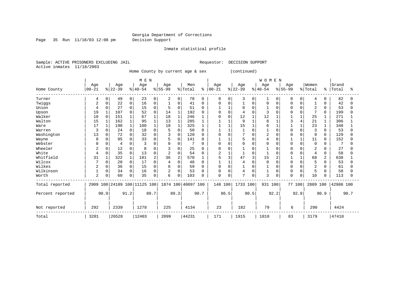Page 35 Run 11/18/03 12:08 pm Decision Support

Inmate statistical profile

Sample: ACTIVE PRISONERS EXCLUDING JAIL **Requestor: DECISION SUPPORT** Active inmates 11/18/2003

Home County by current age & sex (continued)

|                  |                |          |          |                | M E N                        |              |                |                |                    |          |            |          |              |          | <b>WOMEN</b>   |          |           |          |                |          |           |      |
|------------------|----------------|----------|----------|----------------|------------------------------|--------------|----------------|----------------|--------------------|----------|------------|----------|--------------|----------|----------------|----------|-----------|----------|----------------|----------|-----------|------|
|                  | Age            |          | Age      |                | Age                          |              | Age            |                | Men                |          | Age        |          | Age          |          | Age            |          | Age       |          | Women          |          | Grand     |      |
| Home County      | $00 - 21$      |          | $ 22-39$ |                | $ 40-54 $                    |              | $8 55-99$      |                | % Total            | ៖        | $ 00 - 21$ |          | $ 22-39 $    |          | $ 40-54$       |          | $8 55-99$ |          | % Total        | °        | Total     | °≈   |
| Turner           | 4              | 0        | 49       | $\overline{0}$ | 23                           | 0            | 2              | 0              | 78                 | $\Omega$ | 0          | 0        | 3            | 0        |                | $\Omega$ | 0         | 0        | 4              | 0        | 82        |      |
| Twiggs           | 2              | 0        | 22       | 0              | 16                           | 0            |                | $\Omega$       | 41                 | $\Omega$ | 0          | $\Omega$ |              | 0        | 0              |          |           |          |                | U        | 42        |      |
| Union            | 4              | U        | 27       | $\Omega$       | 15                           | $\mathbf{0}$ |                | $\Omega$       | 51                 |          |            |          |              | $\Omega$ |                |          | U         | O        | $\overline{2}$ | $\Omega$ | 53        |      |
| Upson            | 19             |          | 107      | 0              | 52                           | 0            | 14             |                | 192                |          | 0          | $\Omega$ |              | U        |                |          |           | O        | 7              | $\Omega$ | 199       |      |
| Walker           | 10             | $\Omega$ | 151      | $\mathbf{1}$   | 67                           | 1            | 18             | $\mathbf{1}$   | 246                |          | O          | 0        | 12           |          | 12             |          |           |          | 25             |          | 271       |      |
| Walton           | 15             |          | 162      | 1              | 95                           |              | 13             | 1              | 285                |          |            |          | 9            |          | 8              |          |           | 4        | 21             | 1        | 306       |      |
| Ware             | 17             |          | 190      | 1              | 100                          |              | 18             |                | 325                |          |            |          | 15           |          | 6              |          |           |          | 23             |          | 348       |      |
| Warren           | 3              | 0        | 24       | $\Omega$       | 18                           | 0            |                | $\Omega$       | 50                 |          |            |          |              | O        |                |          | U         |          | 3              | 0        | 53        |      |
| Washington       | 13             | 0        | 72       | 0              | 32                           | 0            |                | 0              | 120                |          | 0          | $\Omega$ | $\mathbf{r}$ | O        | $\overline{2}$ |          |           | U        | 9              | 0        | 129       |      |
| Wayne            | 8              | 0        | 95       | $\Omega$       | 33                           | 0            |                | $\Omega$       | 141                | $\Omega$ |            |          | 5            | 0        | 4              | C        |           |          | 11             | $\Omega$ | 152       |      |
| Webster          | U              | O        | 4        | 0              |                              | O            |                | $\Omega$       |                    | $\Omega$ | O          | $\Omega$ | U            | $\Omega$ | $\Omega$       |          | U         | O        | $\mathbf 0$    | O        |           |      |
| Wheeler          | 2              | U        | 12       | O              | 8                            |              |                | $\Omega$       | 25                 |          | O          | C        |              |          |                |          | O         |          | 2              |          | 27        |      |
| White            | 4              | 0        | 35       | $\Omega$       | 13                           | 0            | $\overline{2}$ | 0              | 54                 |          | 2          |          |              | $\Omega$ |                |          |           | $\Omega$ | 4              | $\Omega$ | 58        |      |
| Whitfield        | 31             |          | 322      | 1              | 181                          | 2            | 36             | $\overline{2}$ | 570                |          | 5          | 3        | 47           | 3        | 15             |          |           |          | 68             | 2        | 638       |      |
| Wilcox           |                | 0        | 20       | $\Omega$       | 17                           | 0            |                | $\Omega$       | 48                 |          |            |          |              | $\Omega$ | $\Omega$       |          | U         |          | 5              | 0        | 53        |      |
| Wilkes           | ∠              | 0        | 36       | 0              | 15                           | $\Omega$     | 6              | 0              | 59                 |          | 0          | $\Omega$ |              | O        |                |          |           | O        | $\overline{2}$ | U        | 61        |      |
| Wilkinson        |                | 0        | 34       | 0              | 16                           | 0            | $\overline{2}$ | $\Omega$       | 53                 |          | $\Omega$   | $\Omega$ | 4            | 0        |                | $\Omega$ | 0         | O        | 5              | 0        | 58        |      |
| Worth            | $\overline{2}$ | 0        | 60       | 0              | 35                           | 0            | 6              | 0              | 103                | O        | 0          | $\Omega$ | 7            | 0        | 3              | 0        | 0         | 0        | 10             | 0        | 113       |      |
| Total reported   |                |          |          |                | 2909 100 24189 100 11125 100 |              |                |                | 1874 100 40097 100 |          | 148 100    |          | 1733 100     |          | 931 100        |          | 77 100    |          | 2889 100       |          | 42986 100 |      |
| Percent reported |                | 90.9     |          | 91.2           |                              | 89.7         |                | 89.3           |                    | 90.7     |            | 86.5     | 90.5         |          |                | 92.2     |           | 92.8     |                | 90.9     |           | 90.7 |
| Not reported     | 292            |          | 2339     |                | 1278                         |              | 225            |                | 4134               |          | 23         |          | 182          |          | 79             |          | 6         |          | 290            |          | 4424      |      |
| Total            | 3201           |          | 26528    |                | 12403                        |              | 2099           |                | 44231              |          | 171        |          | 1915         |          | 1010           |          | 83        |          | 3179           |          | 47410     |      |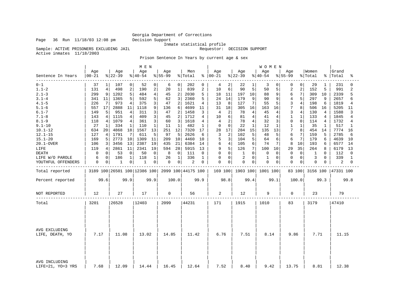Sample: ACTIVE PRISONERS EXCLUDING JAIL

Inmate statistical profile<br>Requestor: DECISION SUPPORT

Active inmates 11/18/2003

Prison Sentence In Years by current age & sex

|                                    |                   |                 |                              |                | M E N            |              |                 |                |                    |      |                      |                |                  |          | WOMEN            |          |                  |                |                  |          |                      |                |
|------------------------------------|-------------------|-----------------|------------------------------|----------------|------------------|--------------|-----------------|----------------|--------------------|------|----------------------|----------------|------------------|----------|------------------|----------|------------------|----------------|------------------|----------|----------------------|----------------|
| Sentence In Years                  | Age<br>$ 00 - 21$ |                 | Age<br>$ 22-39$              |                | Age<br>$ 40-54 $ |              | Age<br>$ 55-99$ |                | Men<br>% Total     |      | Age<br>$8   00 - 21$ |                | Age<br>$ 22-39$  |          | Age<br>$ 40-54 $ |          | Age<br>$8 55-99$ |                | Women<br>% Total |          | Grand<br>%   Total   | ిక             |
| $0 - 1$                            | 37                | 1               | 107                          | 0              | 52               | 0            | 6               | 0              | 202                | 0    | 4                    | $\overline{2}$ | 22               | 1        | 3                | 0        | 0                | 0              | 29               | 1        | 231                  | 0              |
| $1.1 - 2$                          | 131               | 4               | 498                          | 2              | 190              | $\sqrt{2}$   | 20              | $\mathbf{1}$   | 839                | 2    | 10                   | 6              | 90               | 5        | 50               | 5        | $\overline{2}$   | 2              | 152              | 5        | 991                  | $\overline{a}$ |
| $2.1 - 3$                          | 299               | 9               | 1202                         | 5              | 484              | 4            | 45              | $\overline{2}$ | 2030               | 5    | 18                   | 11             | 197              | 10       | 88               | 9        | 6                | 7              | 309              | 10       | 2339                 | 5              |
| $3.1 - 4$                          | 341               | 11              | 1365                         | 5              | 592              | 5            | 62              | 3              | 2360               | 5    | 24                   | 14             | 179              | 9        | 90               | 9        | $\overline{4}$   | 5              | 297              | 9        | 2657                 | б              |
| $4.1 - 5$                          | 226               | $7\phantom{.0}$ | 973                          | 4              | 375              | 3            | 47              | $\overline{2}$ | 1621               | 4    | 13                   | 8              | 127              | 7        | 55               | 5        | 3                | 4              | 198              | 6        | 1819                 | 4              |
| $5.1 - 6$                          | 557               | 17              | 2888                         | 11             | 1118             | 9            | 136             | 6              | 4699               | 11   | 31                   | 18             | 305              | 16       | 163              | 16       | 7                | 8              | 506              | 16       | 5205                 | 11             |
| $6.1 - 7$                          | 149               | 5               | 951                          | 4              | 311              | 3            | 47              | 2              | 1458               | 3    | 4                    | 2              | 78               | 4        | 45               | 4        | 3                | 4              | 130              | 4        | 1588                 | 3              |
| $7.1 - 8$                          | 143               | 4               | 1115                         | $\overline{4}$ | 409              | 3            | 45              | $\overline{2}$ | 1712               | 4    | 10                   | 6              | 81               | 4        | 41               | 4        | $\mathbf{1}$     | 1              | 133              | 4        | 1845                 | 4              |
| $8.1 - 9$                          | 118               | 4               | 1079                         | 4              | 361              | 3            | 60              | 3              | 1618               | 4    | 4                    | 2              | 78               | 4        | 32               | 3        | $\mathbf 0$      | 0              | 114              | 4        | 1732                 | 4              |
| $9.1 - 10$                         | 27                | 1               | 334                          | 1              | 110              | 1            | 11              | 1              | 482                | 1    | 0                    | 0              | 22               | 1        | 12               | 1        | 1                | $\mathbf{1}$   | 35               | 1        | 517                  | 1              |
| $10.1 - 12$                        | 634               | 20              | 4868                         | 18             | 1567             | 13           | 251             | 12             | 7320               | 17   | 28                   | 17             | 284              | 15       | 135              | 13       | 7                | 8              | 454              | 14       | 7774                 | 16             |
| $12.1 - 15$                        | 127               | 4               | 1791                         | 7              | 611              | 5            | 97              | 5              | 2626               | 6    | 3                    | 2              | 102              | 5        | 48               | 5        | 6                |                | 159              | 5        | 2785                 | 6              |
| $15.1 - 20$                        | 169               | 5               | 2773                         | 10             | 1309             | 11           | 209             | 10             | 4460               | 10   | 5                    | 3              | 104              | 5        | 64               | 6        | 6                | 7              | 179              | 6        | 4639                 | 10             |
| 20.1-OVER                          | 106               | 3               | 3456                         | 13             | 2387             | 19           | 435             | 21             | 6384               | 14   | 6                    | 4              | 105              | 6        | 74               | 7        | 8                | 10             | 193              | 6        | 6577                 | 14             |
| LIFE                               | 119               | 4               | 2861                         | 11             | 2341             | 19           | 594             | 28             | 5915               | 13   | 9                    | 5              | 126              | 7        | 100              | 10       | 29               | 35             | 264              | 8        | 6179                 | 13             |
| <b>DEATH</b>                       | 0                 | 0               | 53                           | 0              | 50               | 0            | 8               | $\mathbf 0$    | 111                | 0    | 0                    | 0              | 1                | $\Omega$ | $\mathbf 0$      | $\Omega$ | $\mathbf 0$      | $\Omega$       | 1                | $\Omega$ | 112                  | $\Omega$       |
| LIFE W/O PAROLE                    | 6                 | 0               | 186                          | $\mathbf{1}$   | 118              | $\mathbf{1}$ | 26              | $\mathbf{1}$   | 336                | 1    | 0                    | 0              | $\overline{2}$   | $\Omega$ | 1                | $\Omega$ | $\Omega$         | $\Omega$       | 3                | $\Omega$ | 339                  | $\mathbf{1}$   |
| YOUTHFUL OFFENDERS                 | 0                 | 0               | $\mathbf{1}$                 | 0              | 1                | 0            | 0               | $\mathbf 0$    | 2                  | 0    | 0                    | 0              | 0                | 0        | $\mathbf 0$      | 0        | $\mathbf 0$      | $\overline{0}$ | 0                | 0        | 2                    | 0              |
| Total reported                     |                   |                 | 3189 100 26501 100 12386 100 |                |                  |              |                 |                | 2099 100 44175 100 |      |                      |                | 169 100 1903 100 |          | 1001 100         |          |                  | 83 100         |                  |          | 3156 100   47331 100 |                |
| Percent reported                   |                   | 99.6            |                              | 99.9           |                  | 99.9         |                 | 100.0          |                    | 99.9 |                      | 98.8           |                  | 99.4     |                  | 99.1     |                  | 100.0          |                  | 99.3     |                      | 99.8           |
| <b>NOT REPORTED</b>                | 12                |                 | 27                           |                | 17               |              | 0               |                | 56                 |      | 2                    |                | 12               |          | 9                |          | $\mathbf 0$      |                | 23               |          | 79                   |                |
| Total                              | 3201              |                 | 26528                        |                | 12403            |              | 2099            |                | 44231              |      | 171                  |                | 1915             |          | 1010             |          | 83               |                | 3179             |          | 47410                |                |
|                                    |                   |                 |                              |                |                  |              |                 |                |                    |      |                      |                |                  |          |                  |          |                  |                |                  |          |                      |                |
| AVG EXCLUDING<br>LIFE, DEATH, YO   | 7.17              |                 | 11.08                        |                | 13.02            |              | 14.85           |                | 11.42              |      | 6.76                 |                | 7.51             |          | 8.14             |          | 9.86             |                | 7.71             |          | 11.15                |                |
| AVG INCLUDING<br>LIFE=21, YO=3 YRS | 7.68              |                 | 12.09                        |                | 14.44            |              | 16.45           |                | 12.64              |      | 7.52                 |                | 8.40             |          | 9.42             |          | 13.75            |                | 8.81             |          | 12.38                |                |

Page 36 Run 11/18/03 12:08 pm Decision Support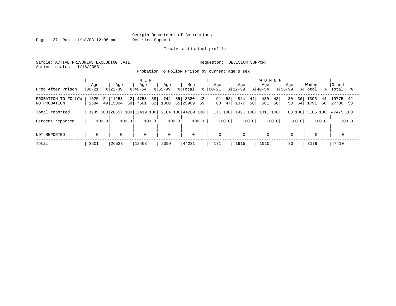Page 37 Run 11/18/03 12:08 pm Decision Support

Inmate statistical profile

Sample: ACTIVE PRISONERS EXCLUDING JAIL **Requestor: DECISION SUPPORT** Active inmates 11/18/2003

Probation To Follow Prison by current age & sex

|                                     | Age          | Aqe                               | M E N<br>Age                          | Aqe         | Men                              | Aqe                  | Age                     | <b>WOMEN</b><br>Aqe<br>Aqe |                      | Women                    | Grand                      |
|-------------------------------------|--------------|-----------------------------------|---------------------------------------|-------------|----------------------------------|----------------------|-------------------------|----------------------------|----------------------|--------------------------|----------------------------|
| Prob After Prison                   | $ 00 - 21$   | $ 22-39 $                         | $8140 - 54$                           | $8155 - 99$ | % Total<br>ွေ                    | $ 00-21$             | $ 22-39 $               | $8155 - 99$<br>$8140 - 54$ |                      | % Total<br>- န ၂         | Total                      |
| PROBATION TO FOLLOW<br>NO PROBATION | 1625<br>1584 | 51 11253<br>42 <br>49 15304<br>58 | 38 <sup>1</sup><br>4758<br>62<br>7661 | 744<br>1360 | 35 18380<br>42<br>65 25909<br>59 | 53<br>91<br>47<br>80 | 844<br>44<br>1077<br>56 | 43<br>430<br>58<br>581     | 30<br>36<br>53<br>64 | 1395<br>44<br>1791<br>56 | 19775<br>42<br>27700<br>58 |
| Total reported                      |              |                                   | 3209 100 26557 100 12419 100          |             | 2104 100 44289 100               | 171<br>100           |                         | 1921 100 1011 100          | 83 100               | 3186 100                 | 47475 100                  |
| Percent reported                    | 100.0        | 100.0                             | 100.0                                 | 100.0       | 100.0                            | 100.0                | 100.0                   | 100.0                      | 100.0                | 100.0                    | 100.0                      |
| NOT REPORTED                        | $\mathbf 0$  | $\mathbf 0$                       | 0                                     | $\Omega$    | $\mathbf 0$                      | $\mathbf 0$          | $\Omega$                | $\mathbf 0$                | $\mathbf 0$          | $\mathbf 0$              |                            |
| Total                               | 3201         | 26528                             | 12403                                 | 2099        | 44231                            | 171                  | 1915                    | 1010                       | 83                   | 3179                     | 47410                      |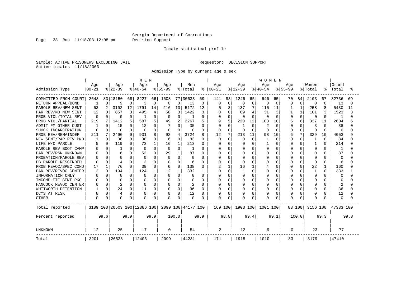Page 38 Run 11/18/03 12:08 pm Decision Support

#### Inmate statistical profile

Sample: ACTIVE PRISONERS EXCLUDING JAIL **Requestor: DECISION SUPPORT** Active inmates 11/18/2003

Admission Type by current age & sex

|                        |           |          |              |          | M E N                        |             |          |          |                    |               |              |          |          |              | <b>WOMEN</b> |          |             |              |          |              |              |        |
|------------------------|-----------|----------|--------------|----------|------------------------------|-------------|----------|----------|--------------------|---------------|--------------|----------|----------|--------------|--------------|----------|-------------|--------------|----------|--------------|--------------|--------|
|                        | Age       |          | Age          |          | Age                          |             | Age      |          | Men                |               | Aqe          |          | Age      |              | Aqe          |          | Aqe         |              | Women    |              | Grand        |        |
| Admission Type         | $00 - 21$ |          | $ 22-39$     |          | $ 40-54$                     |             | $ 55-99$ |          | % Total            | $\frac{8}{6}$ | $00 - 21$    |          | $ 22-39$ |              | $8 40-54$    |          | $8155 - 99$ |              | % Total  | ႜ            | Total        |        |
| COMMITTED FROM COURT   | 2648      |          | 83 18150     | 68       | 8227                         | 66          | 1608     |          | 77 30633           | 69            | 141          | 83       | 1246     | 65           | 646          | 65       | 70          | 84           | 2103     | 67           | 32736        | 69     |
| RETURN APPEAL/BOND     |           | $\Omega$ | 9            | $\Omega$ | 3                            | $\mathbf 0$ | 0        | $\Omega$ | 13                 | 0             | <sup>0</sup> | 0        | 0        | $\mathbf 0$  | 0            | $\Omega$ | 0           | $\Omega$     | 0        | $\Omega$     | 13           | $\cap$ |
| PAROLE REV/NEW SENT    | 63        |          | 3102         | 12       | 1791                         | 14          | 216      | 10       | 5172               | 12            |              | 3        | 137      | 7            | 115          | 11       |             |              | 258      |              | 5430         | 11     |
| PAR REV/NO NEW SENT    | 12        | 0        | 857          |          | 495                          | 4           | 58       | 3        | 1422               | 3             |              | $\Omega$ | 69       | 4            | 31           | 3        |             | $\mathbf{1}$ | 101      |              | 1523         |        |
| PROB VIOL/TOTAL REV    | $\Omega$  |          | $\Omega$     |          |                              |             | 0        | $\Omega$ | -1                 | 0             |              | $\Omega$ |          | $\Omega$     | 0            | $\Omega$ | 0           | $\Omega$     | $\Omega$ | $\Omega$     | -1           |        |
| PROB VIOL/PARTIAL      | 219       | 7        | 1412         |          | 587                          | 5.          | 49       | 2        | 2267               | 5             |              | 5        | 220      | 12           | 103          | 10       |             | 6            | 337      | 11           | 2604         |        |
| FM OTHER CUST<br>ADMIT |           | n.       | 15           | O        | 12                           |             |          | O        | 35                 | 0             |              | $\Omega$ |          | $\Omega$     | 2            | $\Omega$ |             | O            | 3        | <sup>0</sup> | 38           |        |
| SHOCK INCARCERATION    | $\Omega$  | 0        | $\Omega$     | U        | $\Omega$                     | O           | 0        | $\Omega$ | O                  | 0             | <sup>0</sup> | $\Omega$ | n        | $\cap$       | O            | $\Omega$ | U           | $\Omega$     | $\Omega$ | $\Omega$     | $\Omega$     |        |
| PROB REV/REMAINDER     | 211       | 7        | 2490         | 9        | 931                          | 8           | 92       | 4        | 3724               | 8             | 12           | 7        | 213      | 11           | 98           | 10       | 6           | 7            | 329      | 10           | 4053         |        |
| NEW SENT/PAR REV PND   |           | $\Omega$ | 38           | O        | 38                           | $\Omega$    | 6        | $\Omega$ | 83                 | 0             | $\Omega$     | $\Omega$ | $\Omega$ | $\Omega$     |              | $\Omega$ | 0           | $\Omega$     | 1        | $\Omega$     | 84           |        |
| LIFE W/O PAROLE        |           | $\Omega$ | 119          | O        | 73                           | 1           | 16       |          | 213                | 0             |              | $\Omega$ |          | $\Omega$     |              | $\Omega$ |             | $\Omega$     |          | $\Omega$     | 214          |        |
| PAROLE REV BOOT CAMP   | O         | 0        |              | ∩        | $\Omega$                     | $\Omega$    | $\Omega$ | O        | -1                 | 0             |              | $\Omega$ |          | $\Omega$     | O            | $\Omega$ |             | $\cap$       | 0        | U            | -1           |        |
| PAR REV/RSN UNKNOWN    |           | n.       | 6            | U        | 52                           |             | 29       | 1        | 87                 | 0             |              | $\Omega$ | O        | <sup>n</sup> | O            | $\Omega$ |             | O            | O        | U            | 87           |        |
| PROBATION/PAROLE REV   |           |          | <sup>0</sup> |          | $\Omega$                     |             | $\Omega$ | U        | O                  | 0             |              | $\Omega$ |          | <sup>n</sup> | O            | $\Omega$ |             | O            | O        |              | $\Omega$     |        |
| PB PAROLE RESCINDED    | U         | U        | 4            |          |                              |             | $\Omega$ | O        | 6                  | O             |              | $\Omega$ |          | U            | U            | $\Omega$ |             | O            | $\Omega$ | O            | 6            |        |
| PROB REVOC/SPEC COND   | 17        | 1        | 76           |          | 39                           |             | 6        | $\Omega$ | 138                | 0             |              |          | 16       | 1            |              | $\Omega$ |             | $\Omega$     | 22       | 1            | 160          |        |
| PAR REV/REVOC CENTER   |           | $\Omega$ | 194          |          | 124                          |             | 12       |          | 332                |               |              | $\Omega$ |          | $\Omega$     |              | 0        |             |              |          | $\Omega$     | 333          |        |
| INFORMATION ONLY       |           | O        | $\Omega$     | n        | O                            |             | 0        | $\Omega$ | O                  | 0             |              | $\Omega$ |          | $\Omega$     |              | $\Omega$ |             | O            | O        | O            | 0            |        |
| INCOMPLETE SENT PKG    |           | 0        | <sup>0</sup> | n        |                              |             | 0        | O        | O                  | 0             |              | O        |          | $\Omega$     |              | $\Omega$ |             | O            | O        | O            | <sup>0</sup> |        |
| HANCOCK REVOC CENTER   |           | $\Omega$ | 2            | U        | 0                            | O           | 0        | O        | 2                  | 0             |              | O        |          | $\Omega$     |              | $\Omega$ |             | O            | O        | U            | 2            |        |
| WHITWORTH DETENTION    |           | $\Omega$ | 24           | 0        | 11                           | 0           | 0        | $\Omega$ | 36                 | 0             |              | O        | 0        | $\Omega$     |              | 0        |             | O            | 0        | O            | 36           |        |
| DCYS AT RISK           | 8         | 0        | 4            | $\Omega$ | $\Omega$                     | $\Omega$    | $\Omega$ | $\Omega$ | 12                 | 0             |              | $\Omega$ |          | $\Omega$     | Λ            | 0        |             | $\Omega$     | 0        | 0            | 12           |        |
| <b>OTHER</b>           | 0         | 0        | $\Omega$     | 0        | $\Omega$                     | $\Omega$    | 0        | 0        | 0                  | O             | $\Omega$     | $\Omega$ |          | 0            | N            | $\Omega$ |             | $\Omega$     | $\Omega$ |              | $\Omega$     |        |
| Total reported         |           |          |              |          | 3189 100 26503 100 12386 100 |             |          |          | 2099 100 44177 100 |               | 169 100      |          | 1903 100 |              | 1001 100     |          |             | 83 100       | 3156 100 |              | 47333 100    |        |
| Percent reported       |           | 99.6     |              | 99.9     |                              | 99.9        |          | 100.0    |                    | 99.9          |              | 98.8     |          | 99.4         |              | 99.1     |             | 100.0        |          | 99.3         |              | 99.8   |
| <b>UNKNOWN</b>         | 12        |          | 25           |          | 17                           |             | 0        |          | 54                 |               | 2            |          | 12       |              | 9            |          | 0           |              | 23       |              | 77           |        |
| Total                  | 3201      |          | 26528        |          | 12403                        |             | 2099     |          | 44231              |               | 171          |          | 1915     |              | 1010         |          | 83          |              | 3179     |              | 47410        |        |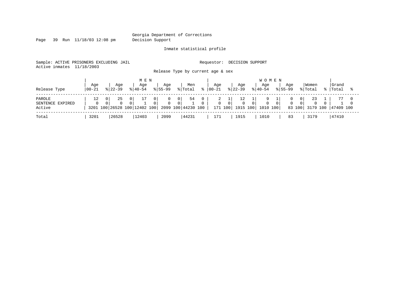Page 39 Run 11/18/03 12:08 pm Decision Support

Inmate statistical profile

Sample: ACTIVE PRISONERS EXCLUDING JAIL **Requestor: DECISION SUPPORT** Active inmates 11/18/2003

Release Type by current age & sex

| Release Type                         | Age<br>  00-21 |   | Aqe<br>$8122 - 39$                 |                            | M E N<br>Aqe<br>$8140 - 54$ |   | Aqe<br>$8155 - 99$ |               | Men<br>% Total           | °≈ | Aqe<br>$ 00 - 21$ |        | Aqe<br>$ 22-39 $             | <b>WOMEN</b><br>Aqe<br>$ 40-54 $ | Aqe<br>$8155 - 99$ |                          | Women<br>% Total | Grand<br>%   Total  |  |
|--------------------------------------|----------------|---|------------------------------------|----------------------------|-----------------------------|---|--------------------|---------------|--------------------------|----|-------------------|--------|------------------------------|----------------------------------|--------------------|--------------------------|------------------|---------------------|--|
| PAROLE<br>SENTENCE EXPIRED<br>Active | 12<br>$\Omega$ | 0 | 25<br>3201 100 26528 100 12402 100 | $\overline{0}$<br>$\Omega$ |                             | 0 |                    | 0<br>$\Omega$ | 54<br>2099 100 44230 100 |    | ∠                 | $\cap$ | $\Omega$<br>171 100 1915 100 | 1010 100                         | $\Omega$           | 01<br>$\Omega$<br>83 100 | 23               | 3179 100  47409 100 |  |
| Total                                | 3201           |   | 26528                              |                            | 12403                       |   | 2099               |               | 44231                    |    | 171               |        | 1915                         | 1010                             | 83                 |                          | 3179             | 47410               |  |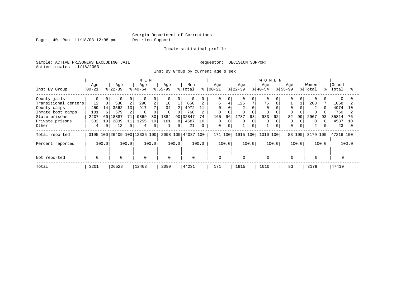Page 40 Run 11/18/03 12:08 pm Decision Support

#### Inmate statistical profile

Sample: ACTIVE PRISONERS EXCLUDING JAIL **Requestor: DECISION SUPPORT** Active inmates 11/18/2003

Inst By Group by current age & sex

|                      |             |                |           |                 | M E N                        |                |             |                |                    |          |            |          |                |          | <b>WOMEN</b> |       |             |          |                |       |           |       |
|----------------------|-------------|----------------|-----------|-----------------|------------------------------|----------------|-------------|----------------|--------------------|----------|------------|----------|----------------|----------|--------------|-------|-------------|----------|----------------|-------|-----------|-------|
|                      | Age         |                | Age       |                 | Age                          |                | Age         |                | Men                |          | Age        |          | Age            |          | Age          |       | Age         |          | Women          |       | Grand     |       |
| Inst By Group        | $ 00-21$    |                | $8 22-39$ |                 | $8 40-54$                    |                | $8155 - 99$ |                | % Total            | ႜ        | $ 00 - 21$ |          | $8 22-39$      |          | $ 40-54$     |       | $8155 - 99$ |          | % Total        | °≈    | Total     |       |
| County jails         | 0           | 0              | $\Omega$  | 0               | 0                            | 0              |             | 0              |                    |          | 0          | 0        |                | $\Omega$ |              |       |             | $\Omega$ | $\Omega$       |       |           |       |
| Transitional centers | 12          | $\overline{0}$ | 530       | 2               | 290                          | 2              | 18          |                | 850                |          | б          | 4        | 125            | 7        | 76           | 8     |             |          | 208            |       | 1058      |       |
| County camps         | 459         | 14             | 3562      | 13 <sub>1</sub> | 917                          | $\overline{ }$ | 34          | $\overline{2}$ | 4972               | 11       |            |          | $\overline{a}$ |          | $\Omega$     |       |             |          | $\overline{2}$ |       | 4974      | 1 O   |
| Inmate boot camps    | 181         | 6              | 579       |                 | 0                            |                | $\Omega$    |                | 760                |          | 0          |          |                |          |              |       |             |          | $\Omega$       |       | 760       |       |
| State prisons        | 2207        | 69             | 18887     | 71              | 9869                         | 80             | 1884        |                | 90 32847           | 74       | 165        | 96       | 1787           | 93       | 933          | 92    | 82          | 99       | 2967           | 93    | 35814     |       |
| Private prisons      | 332         | 10             | 2839      |                 | 1255                         | 10             | 161         | 8 I            | 4587               | 10       | $\Omega$   |          | 0              |          | $\Omega$     |       |             |          | $\Omega$       |       | 4587      | 1 O   |
| Other                | 4           | $\Omega$       | 12        | 0               | 4                            | $\mathbf 0$    |             | 0              | 21                 | $\Omega$ | 0          | $\Omega$ |                | $\Omega$ |              |       | $\Omega$    | 0        | 2              |       | 23        |       |
| Total reported       |             |                |           |                 | 3195 100 26409 100 12335 100 |                |             |                | 2098 100 44037 100 |          | 171 100    |          | 1915 100       |          | 1010         | 100   | 83 100      |          | 3179 100       |       | 47216 100 |       |
| Percent reported     |             | 100.0          |           | 100.0           |                              | 100.0          |             | 100.0          |                    | 100.0    |            | 100.0    |                | 100.0    |              | 100.0 |             | 100.0    |                | 100.0 |           | 100.0 |
| Not reported         | $\mathbf 0$ |                | $\Omega$  |                 | $\Omega$                     |                | $\Omega$    |                | $\mathbf 0$        |          | 0          |          | $\Omega$       |          | $\Omega$     |       | $\Omega$    |          | $\Omega$       |       |           |       |
|                      |             |                |           |                 |                              |                |             |                |                    |          |            |          |                |          |              |       |             |          |                |       |           |       |
| Total                | 3201        |                | 26528     |                 | 12403                        |                | 2099        |                | 44231              |          | 171        |          | 1915           |          | 1010         |       | 83          |          | 3179           |       | 47410     |       |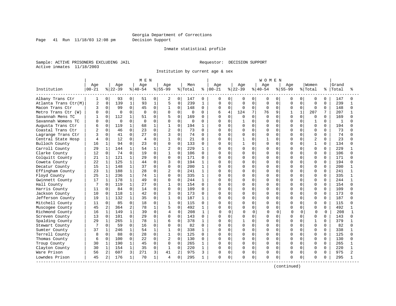Page 41 Run 11/18/03 12:08 pm Decision Support

#### Inmate statistical profile

Sample: ACTIVE PRISONERS EXCLUDING JAIL **Requestor: DECISION SUPPORT** Active inmates 11/18/2003

Institution by current age & sex

|                      |                |              |          |              | M E N     |              |                |                |          |              |               |                |           |             | W O M E N |             |              |              |                |          |       |              |
|----------------------|----------------|--------------|----------|--------------|-----------|--------------|----------------|----------------|----------|--------------|---------------|----------------|-----------|-------------|-----------|-------------|--------------|--------------|----------------|----------|-------|--------------|
|                      | Age            |              | Age      |              | Age       |              | Age            |                | Men      |              | Age           |                | Age       |             | Age       |             | Age          |              | Women          |          | Grand |              |
| Institution          | $00 - 21$      |              | $ 22-39$ |              | $8 40-54$ |              | $8 55-99$      |                | % Total  |              | $8   00 - 21$ |                | $ 22-39 $ |             | $8 40-54$ |             | $8 55-99$    |              | % Total        | ႜ        | Total |              |
| Albany Trans Ctr     | 1              | 0            | 93       | 0            | 51        | 0            | 2              | $\overline{0}$ | 147      | $\Omega$     | 0             | $\mathbf{0}$   | 0         | 0           | 0         | 0           | 0            | 0            | 0              | $\Omega$ | 147   |              |
| Atlanta Trans Ctr(M) | $\overline{2}$ | $\mathbf 0$  | 139      | $\mathbf{1}$ | 93        | $\mathbf{1}$ | 5              | $\mathbf 0$    | 239      | $\mathbf{1}$ | O             | $\mathbf 0$    | 0         | $\mathbf 0$ | $\Omega$  | $\Omega$    | $\Omega$     | $\Omega$     | $\Omega$       | $\Omega$ | 239   | 1            |
| Macon Trans Ctr      | 3              | $\Omega$     | 99       | $\mathbf 0$  | 45        | 0            | 1              | 0              | 148      | 0            | $\Omega$      | $\Omega$       | $\Omega$  | $\mathbf 0$ | 0         | 0           | 0            | $\Omega$     | 0              | $\Omega$ | 148   | <sup>0</sup> |
| Metro Trans Ctr (W)  |                | 0            | $\Omega$ | $\mathbf 0$  | $\Omega$  | $\Omega$     | $\Omega$       | $\Omega$       | $\Omega$ | $\Omega$     | б             | $\overline{4}$ | 124       | 7           | 76        | 9           | $\mathbf{1}$ | $\mathbf{1}$ | 207            |          | 207   |              |
| Savannah Mens TC     |                | $\Omega$     | 112      | 1            | 51        | 0            | 5              | $\Omega$       | 169      | 0            | $\cap$        | $\Omega$       | O         | $\Omega$    | $\Omega$  | $\Omega$    | U            | $\Omega$     | $\Omega$       | $\Omega$ | 169   |              |
| Savannah Womens TC   | n              | $\Omega$     | $\Omega$ | $\Omega$     | $\Omega$  | 0            | $\mathbf 0$    | $\Omega$       | 0        | $\Omega$     | U             | $\Omega$       |           | $\Omega$    | U         | $\Omega$    | $\Omega$     | 0            | $\mathbf{1}$   | $\Omega$ | 1     |              |
| Augusta Trans Ctr    |                | 0            | 119      | 1            | 68        | 1            | $\mathbf{1}$   | 0              | 194      | 1            |               | $\mathbf 0$    | O         | $\mathbf 0$ | 0         | 0           | O            | 0            | $\Omega$       | 0        | 194   |              |
| Coastal Trans Ctr    |                | $\Omega$     | 46       | $\mathbf 0$  | 23        | $\Omega$     | $\overline{2}$ | $\Omega$       | 73       | $\Omega$     | U             | $\Omega$       | O         | $\Omega$    | U         | $\Omega$    | <sup>0</sup> | U            | $\Omega$       | $\Omega$ | 73    |              |
| Lagrange Trans Ctr   |                | 0            | 41       | $\mathbf 0$  | 27        | 0            | 3              | $\Omega$       | 74       | $\Omega$     | $\Omega$      | $\Omega$       | 0         | $\Omega$    | 0         | $\Omega$    | O            | U            | $\Omega$       | $\Omega$ | 74    |              |
| Central State Hosp   |                | 0            | 12       | $\mathbf 0$  | 4         | 0            | $\mathbf{1}$   | $\Omega$       | 21       | $\Omega$     | U             | $\Omega$       |           | $\Omega$    |           | $\Omega$    | U            | U            | $\overline{2}$ | $\Omega$ | 23    |              |
| Bulloch County       | 16             | $\mathbf{1}$ | 94       | $\Omega$     | 23        | $\Omega$     | $\Omega$       | $\Omega$       | 133      | 0            | O             | $\Omega$       |           | $\Omega$    | $\Omega$  | $\Omega$    | <sup>0</sup> | 0            | $\mathbf{1}$   | $\Omega$ | 134   |              |
| Carroll County       | 29             | 1            | 144      | $\mathbf{1}$ | 54        | $\mathbf{1}$ | 2              | $\Omega$       | 229      | 1            | Ω             | $\Omega$       | O         | $\Omega$    | O         | $\Omega$    | O            | 0            | $\Omega$       | $\Omega$ | 229   |              |
| Clarke County        | 12             | $\mathbf 0$  | 74       | $\mathbf 0$  | 19        | 0            | $\mathbf{1}$   | $\Omega$       | 106      | 0            |               | $\mathbf 0$    | 0         | $\mathbf 0$ | $\Omega$  | $\mathbf 0$ | $\Omega$     | $\Omega$     | $\Omega$       | 0        | 106   |              |
| Colquitt County      | 21             | 1            | 121      | $\mathbf{1}$ | 29        | $\Omega$     | $\mathbf 0$    | $\Omega$       | 171      | 0            | Λ             | $\mathbf 0$    | 0         | $\Omega$    | O         | $\Omega$    | <sup>0</sup> | O            | $\Omega$       | $\Omega$ | 171   |              |
| Coweta County        | 22             | 1            | 125      | $\mathbf{1}$ | 44        | 0            | 3              | $\Omega$       | 194      | 1            | Ω             | $\mathbf 0$    | 0         | $\Omega$    | O         | $\Omega$    | 0            | U            | $\Omega$       | 0        | 194   |              |
| Decatur County       | 15             | 1            | 148      | 1            | 37        | 0            | 0              | $\Omega$       | 200      | 1            | Λ             | 0              | O         | 0           | U         | $\Omega$    | O            |              | $\Omega$       | 0        | 200   |              |
| Effingham County     | 23             | $\mathbf{1}$ | 188      | $\mathbf{1}$ | 28        | $\Omega$     | $\overline{2}$ | $\Omega$       | 241      | 1            | U             | $\Omega$       | O         | $\Omega$    | $\cap$    | $\Omega$    | <sup>0</sup> | U            | $\Omega$       | $\Omega$ | 241   |              |
| Floyd County         | 25             | 1            | 236      | $\mathbf{1}$ | 74        | $\mathbf{1}$ | $\Omega$       | $\Omega$       | 335      | $\mathbf{1}$ | Ω             | $\Omega$       | 0         | $\Omega$    | O         | $\Omega$    | $\Omega$     | 0            | $\Omega$       | $\Omega$ | 335   |              |
| Gwinnett County      | 17             | $\mathbf{1}$ | 178      | $\mathbf{1}$ | 49        | $\Omega$     | $\mathbf 0$    | $\Omega$       | 244      | $\mathbf{1}$ |               | $\mathbf 0$    | O         | $\Omega$    | $\Omega$  | $\Omega$    | O            | O            | $\Omega$       | $\Omega$ | 244   |              |
| Hall County          | 7              | $\Omega$     | 119      | $\mathbf{1}$ | 27        | $\Omega$     | $\mathbf{1}$   | $\Omega$       | 154      | $\Omega$     | U             | $\Omega$       | O         | $\Omega$    | 0         | $\Omega$    | O            | O            | $\Omega$       | $\Omega$ | 154   | <sup>n</sup> |
| Harris County        | 11             | $\Omega$     | 84       | $\Omega$     | 14        | $\Omega$     | $\Omega$       | $\Omega$       | 109      | $\Omega$     | O             | $\mathbf 0$    | O         | $\Omega$    | 0         | $\Omega$    | O            |              | $\Omega$       | $\Omega$ | 109   |              |
| Jackson County       | 10             | $\Omega$     | 118      | 1            | 42        | $\Omega$     | 3              | $\Omega$       | 173      | 0            | U             | $\Omega$       | O         | $\Omega$    | U         | $\cap$      | U            | U            | $\Omega$       | $\Omega$ | 173   |              |
| Jefferson County     | 19             | 1            | 132      | 1            | 35        | $\Omega$     | 1              | $\Omega$       | 187      | 1            | Λ             | $\mathbf 0$    | O         | $\Omega$    | U         | $\Omega$    | <sup>0</sup> | $\Omega$     | $\Omega$       | $\Omega$ | 187   |              |
| Mitchell County      | 11             | $\Omega$     | 85       | $\Omega$     | 18        | $\Omega$     | $\mathbf{1}$   | $\Omega$       | 115      | 0            |               | $\Omega$       | 0         | $\Omega$    | O         | $\Omega$    | 0            | $\Omega$     | $\Omega$       | $\Omega$ | 115   |              |
| Muscogee County      | 45             | 2            | 364      | 2            | 78        | $\mathbf 1$  | 5              | $\Omega$       | 492      | 1            |               | $\mathbf 0$    | 0         | $\Omega$    | 0         | $\mathbf 0$ | $\Omega$     | 0            | $\Omega$       | $\Omega$ | 492   |              |
| Richmond County      | 16             | $\mathbf{1}$ | 149      | $\mathbf{1}$ | 39        | $\Omega$     | 4              | $\Omega$       | 208      | 1            | O             | $\Omega$       | $\Omega$  | 0           | $\Omega$  | $\Omega$    | $\sqrt{ }$   | 0            | $\mathbf 0$    | $\Omega$ | 208   | $\mathbf{1}$ |
| Screven County       | 13             | $\Omega$     | 101      | $\mathbf 0$  | 29        | 0            | $\mathbf 0$    | $\Omega$       | 143      | $\Omega$     | O             | $\mathbf 0$    | 0         | $\Omega$    | O         | $\Omega$    | <sup>0</sup> | O            | $\mathbf 0$    | $\Omega$ | 143   | U            |
| Spalding County      | 29             | $\mathbf{1}$ | 265      | 1            | 78        | $\mathbf{1}$ | 6              | $\Omega$       | 378      | 1            | Λ             | 0              |           | $\Omega$    | $\Omega$  | $\Omega$    | U            |              | 1              | $\Omega$ | 379   |              |
| Stewart County       |                | $\Omega$     | 59       | $\Omega$     | 16        | $\Omega$     | $\Omega$       | $\Omega$       | 82       | $\Omega$     | N             | $\Omega$       | O         | $\Omega$    | U         | $\Omega$    | U            | U            | $\Omega$       | $\Omega$ | 82    |              |
| Sumter County        | 37             | 1            | 246      | 1            | 54        | $\mathbf{1}$ | 1              | $\Omega$       | 338      | 1            | Ω             | $\Omega$       | 0         | $\Omega$    | 0         | $\Omega$    | <sup>0</sup> | U            | $\Omega$       | 0        | 338   |              |
| Terrell County       | 8              | $\Omega$     | 88       | $\mathbf 0$  | 28        | 0            | $\mathbf{1}$   | 0              | 125      | $\Omega$     |               | $\mathbf 0$    | O         | $\mathbf 0$ | U         | $\Omega$    | <sup>0</sup> | 0            | $\Omega$       | 0        | 125   |              |
| Thomas County        | 6              | 0            | 100      | 0            | 22        | 0            | 2              | 0              | 130      | 0            | O             | 0              | 0         | 0           | O         | 0           | <sup>0</sup> | $\Omega$     | $\Omega$       | 0        | 130   |              |
| Troup County         | 30             | 1            | 190      | 1            | 45        | 0            | 0              | 0              | 265      | 1            | O             | 0              | 0         | 0           | 0         | $\Omega$    | O            | O            | $\Omega$       | 0        | 265   |              |
| Clayton County       | 30             | $\mathbf 1$  | 154      | $\mathbf{1}$ | 35        | $\Omega$     | $\mathbf{1}$   | $\Omega$       | 220      | 1            | O             | $\Omega$       | 0         | $\Omega$    | $\Omega$  | $\Omega$    | $\Omega$     | $\Omega$     | $\Omega$       | $\Omega$ | 220   |              |
| Ware Prison          | 56             | 2            | 607      | 3            | 271       | 3            | 41             | 2              | 975      | 3            | 0             | 0              | 0         | $\mathbf 0$ | 0         | $\mathbf 0$ | $\Omega$     | $\Omega$     | $\Omega$       | $\Omega$ | 975   |              |
| Lowndes Prison       | 45             | 2            | 176      | $\mathbf{1}$ | 70        | $\mathbf{1}$ | 4              | $\mathbf{0}$   | 295      | 1            | O             | 0              | O         | 0           | $\Omega$  | 0           | <sup>0</sup> | 0            | $\Omega$       | 0        | 295   |              |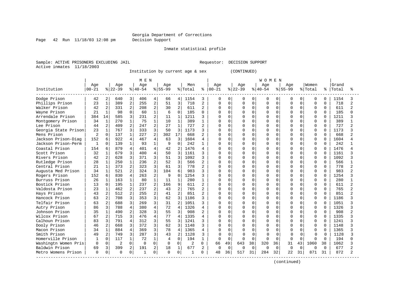Page 42 Run 11/18/03 12:08 pm Decision Support

Inmate statistical profile

Sample: ACTIVE PRISONERS EXCLUDING JAIL REGUESTOR: DECISION SUPPORT Active inmates 11/18/2003

Institution by current age & sex (CONTINUED)

|                      |              |                |                |                | MEN       |                |           |                |         |                |           |              |              |              | <b>WOMEN</b> |          |              |              |             |              |       |                |
|----------------------|--------------|----------------|----------------|----------------|-----------|----------------|-----------|----------------|---------|----------------|-----------|--------------|--------------|--------------|--------------|----------|--------------|--------------|-------------|--------------|-------|----------------|
|                      | Age          |                | Age            |                | Age       |                | Age       |                | Men     |                | Age       |              | Age          |              | Age          |          | Age          |              | Women       |              | Grand |                |
| Institution          | $00 - 21$    |                | $ 22-39$       |                | $8 40-54$ |                | $8 55-99$ |                | % Total | ႜ              | $00 - 21$ |              | $ 22-39$     |              | $ 40-54$     |          | $8 55-99$    |              | % Total     | နွ           | Total | °              |
| Dodge Prison         | 42           | 2              | 640            | 3              | 406       | 4              | 66        | 4              | 1154    | 3              | $\Omega$  | 0            | 0            | $\Omega$     | 0            | 0        | <sup>0</sup> | 0            | $\Omega$    | $\Omega$     | 1154  | 3              |
| Phillips Prison      | 23           | 1              | 389            | 2              | 255       | $\overline{c}$ | 51        | 3              | 718     | 2              | 0         | $\Omega$     | 0            | $\Omega$     | $\Omega$     | $\Omega$ | $\Omega$     | $\Omega$     | $\Omega$    | $\Omega$     | 718   | $\overline{a}$ |
| Walker Prison        | 42           | 2              | 331            | $\overline{2}$ | 208       | $\overline{c}$ | 30        | $\overline{2}$ | 611     | 2              | U         | $\Omega$     | O            | $\Omega$     | $\Omega$     | $\Omega$ | $\cap$       | $\Omega$     | $\mathbf 0$ | $\Omega$     | 611   | $\overline{c}$ |
| Wayne Prison         | 21           | $\mathbf{1}$   | 98             | 0              | 60        | $\mathbf{1}$   | 6         | $\Omega$       | 185     | $\Omega$       |           | $\Omega$     | O            | $\Omega$     | $\Omega$     | $\Omega$ |              | $\Omega$     | $\mathbf 0$ | $\Omega$     | 185   | በ              |
| Arrendale Prison     | 384          | 14             | 585            | 3              | 231       | 2              | 11        | $\mathbf 1$    | 1211    | ζ              |           | $\Omega$     | $\Omega$     | 0            | $\Omega$     | $\Omega$ |              | $\Omega$     | $\mathbf 0$ | $\Omega$     | 1211  |                |
| Montgomery Prison    | 34           | $\mathbf{1}$   | 270            | $\mathbf{1}$   | 75        | $\mathbf{1}$   | 10        | $\mathbf{1}$   | 389     | $\mathbf{1}$   | U         | U            | $\Omega$     | 0            | $\Omega$     | $\Omega$ |              | U            | $\mathbf 0$ | $\Omega$     | 389   |                |
| Lee Prison           | 44           | $\overline{2}$ | 409            | 2              | 247       | $\overline{2}$ | 27        | 1              | 727     | 2              | U         | <sup>0</sup> | $\Omega$     | 0            | $\Omega$     | $\Omega$ |              |              | $\mathbf 0$ | $\Omega$     | 727   | $\overline{a}$ |
| Georgia State Prison | 23           |                | 767            | 3              | 333       | 3              | 50        | 3              | 1173    | 3              | U         | O            | $\Omega$     | 0            | $\Omega$     | O        |              |              | $\mathbf 0$ |              | 1173  | ς              |
| Mens Prison          | 2            | $\Omega$       | 137            | $\mathbf{1}$   | 227       | 2              | 302       | 17             | 668     |                | U         | C            | $\Omega$     | <sup>n</sup> | $\Omega$     | $\Omega$ |              |              | $\Omega$    | $\Omega$     | 668   | 2              |
| Jackson Prison-Diag  | 152          | 6              | 922            | 4              | 467       | 4              | 63        | 3              | 1604    | 4              | U         | U            | <sup>0</sup> | 0            | $\Omega$     | O        |              | $\Omega$     | $\Omega$    | U            | 1604  |                |
| Jackson Prison-Perm  | $\mathbf{1}$ | $\Omega$       | 139            | $\mathbf{1}$   | 93        | $\mathbf{1}$   | 9         | $\Omega$       | 242     | 1              | O         | U            | O            | $\Omega$     | $\Omega$     | $\Omega$ |              | $\Omega$     | $\Omega$    | $\Omega$     | 242   |                |
| Coastal Prison       | 154          | 6              | 879            | 4              | 401       | $\overline{4}$ | 42        | $\mathcal{L}$  | 1476    | 4              |           | U            | O            | 0            | $\Omega$     | $\Omega$ |              | $\Omega$     | $\mathbf 0$ | $\Omega$     | 1476  |                |
| Scott Prison         | 32           | 1              | 679            | 3              | 400       | $\overline{4}$ | 50        | 3              | 1161    | 3              | U         | <sup>0</sup> | $\Omega$     | 0            | $\Omega$     | $\Omega$ |              | $\Omega$     | $\Omega$    | $\Omega$     | 1161  | 3              |
| Rivers Prison        | 42           | 2              | 628            | 3              | 371       | 3              | 51        | 3              | 1092    | 3              |           | 0            | 0            | 0            | $\Omega$     | $\Omega$ |              | 0            | $\mathbf 0$ | $\Omega$     | 1092  | 3              |
| Rutledge Prison      | 28           | $\mathbf{1}$   | 250            | $\mathbf{1}$   | 236       | $\overline{c}$ | 52        | 3              | 566     | $\overline{a}$ | U         | $\Omega$     | O            | 0            | $\Omega$     | O        |              | $\Omega$     | $\Omega$    | $\Omega$     | 566   | $\mathbf{1}$   |
| Central Prison       | 21           | $\mathbf{1}$   | 373            | 2              | 323       | 3              | 61        | 3              | 778     | 2              | U         | <sup>0</sup> | O            | 0            | $\Omega$     | $\Omega$ |              | $\Omega$     | $\Omega$    | $\Omega$     | 778   | $\overline{a}$ |
| Augusta Med Prison   | 34           | $\mathbf 1$    | 521            | $\overline{a}$ | 324       | 3              | 104       | 6              | 983     | 3              | U         | <sup>0</sup> | $\Omega$     | 0            | $\Omega$     | $\Omega$ |              | $\Omega$     | $\mathbf 0$ | $\Omega$     | 983   | 2              |
| Rogers Prison        | 152          | 6              | 830            | 4              | 263       | $\overline{2}$ | 9         | $\Omega$       | 1254    | ζ              | U         | $\Omega$     | $\Omega$     | $\Omega$     | $\Omega$     | $\Omega$ |              |              | $\mathbf 0$ |              | 1254  | ς              |
| Burruss Prison       | 26           | 1              | 163            | $\mathbf{1}$   | 80        | $\mathbf{1}$   | 11        | $\mathbf{1}$   | 280     |                | U         | U            | O            | 0            | $\Omega$     | $\cap$   |              | $\cap$       | $\Omega$    | $\cap$       | 280   |                |
| Bostick Prison       | 13           | $\Omega$       | 195            | $\mathbf{1}$   | 237       | $\overline{2}$ | 166       | 9              | 611     | 2              | U         | U            | $\Omega$     | $\Omega$     | $\Omega$     | $\Omega$ |              | $\Omega$     | $\Omega$    | $\Omega$     | 611   | 2              |
| Valdosta Prison      | 23           | $\mathbf{1}$   | 462            | $\overline{2}$ | 237       | $\overline{a}$ | 43        | $\overline{a}$ | 765     | $\overline{a}$ | U         | <sup>0</sup> | O            | $\Omega$     | $\Omega$     | $\Omega$ |              | $\Omega$     | $\Omega$    | $\Omega$     | 765   | $\overline{c}$ |
| Hays Prison          | 43           | 2              | 512            | $\overline{2}$ | 255       | 2              | 41        | $\overline{2}$ | 851     | $\overline{c}$ | 0         | 0            | $\Omega$     | 0            | $\Omega$     | $\Omega$ |              | $\Omega$     | $\mathbf 0$ | $\Omega$     | 851   | 2              |
| Hancock Prison       | 63           | 2              | 708            | 3              | 353       | 3              | 62        | 3              | 1186    | ζ              | U         | <sup>0</sup> | $\Omega$     | 0            | $\Omega$     | $\Omega$ |              | $\Omega$     | $\mathbf 0$ | $\Omega$     | 1186  |                |
| Telfair Prison       | 63           | $\overline{2}$ | 688            | 3              | 269       | 3              | 31        | $\overline{2}$ | 1051    | 3              | O         | <sup>0</sup> | 0            | $\Omega$     | $\Omega$     | $\Omega$ |              | <sup>0</sup> | $\mathbf 0$ | $\Omega$     | 1051  |                |
| Autry Prison         | 86           | 3              | 788            | $\overline{4}$ | 380       | $\overline{4}$ | 72        | $\overline{4}$ | 1326    | 4              | U         | $\Omega$     | $\Omega$     | 0            | $\Omega$     | $\Omega$ |              | <sup>0</sup> | $\Omega$    | $\Omega$     | 1326  | ς              |
| Johnson Prison       | 35           | $\mathbf{1}$   | 490            | 2              | 328       | 3              | 55        | 3              | 908     | 2              | U         | O            | 0            | 0            | $\Omega$     | $\Omega$ |              | $\Omega$     | $\mathbf 0$ | $\Omega$     | 908   | 2              |
| Wilcox Prison        | 67           | $\overline{a}$ | 715            | 3              | 476       | $\overline{4}$ | 77        | $\overline{4}$ | 1335    | $\overline{4}$ | U         | <sup>0</sup> | O            | 0            | $\Omega$     | $\Omega$ |              |              | $\mathbf 0$ | <sup>0</sup> | 1335  | ς              |
| Calhoun Prison       | 83           | 3              | 791            | 4              | 312       | 3              | 55        | 3              | 1241    |                | O         | O            | O            | 0            | $\Omega$     | $\Omega$ |              |              | $\mathbf 0$ |              | 1241  | ς              |
| Dooly Prison         | 46           | 2              | 668            | 3              | 372       | 3              | 62        | 3              | 1148    |                | U         | U            | $\Omega$     | U            | $\Omega$     | $\cap$   |              |              | $\Omega$    | $\Omega$     | 1148  | ς              |
| Macon Prison         | 34           | 1              | 884            | 4              | 369       | 3              | 78        | $\overline{4}$ | 1365    | 4              | U         | U            | U            | <sup>n</sup> | $\Omega$     | U        |              |              | $\Omega$    | $\Omega$     | 1365  | 3              |
| Smith Prison         | 49           | $\overline{a}$ | 749            | 3              | 287       | 3              | 43        | $\overline{2}$ | 1128    | 3              | O         | 0            | ∩            | $\Omega$     | $\Omega$     | $\Omega$ | n            | $\Omega$     | 0           | O            | 1128  | ζ              |
| Homerville Prison    |              | $\Omega$       | 117            | $\mathbf{1}$   | 72        | $\mathbf{1}$   | 4         | $\Omega$       | 194     | $\mathbf{1}$   | O         | $\Omega$     | $\Omega$     | $\Omega$     | $\Omega$     | $\Omega$ | $\Omega$     | $\Omega$     | $\Omega$    | $\Omega$     | 194   |                |
| Washingtn Women Pris | $\Omega$     | 0              | $\overline{2}$ | $\Omega$       | $\Omega$  | $\Omega$       | $\Omega$  | $\Omega$       | 2       | $\Omega$       | 66        | 49           | 643          | 38           | 320          | 36       | 31           | 43           | 1060        | 38           | 1062  |                |
| Baldwin Prison       | 69           | 3              | 399            | 2              | 191       | 2              | 18        | 1              | 677     | 2              | $\Omega$  | $\Omega$     | $\Omega$     | $\Omega$     | $\Omega$     | $\Omega$ | $\Omega$     | $\Omega$     | $\Omega$    | <sup>0</sup> | 677   | $\mathfrak{D}$ |
| Metro Womens Prison  | $\Omega$     | 0              | $\Omega$       | 0              | -1        | 0              | $\Omega$  | 0              | 1       | U              | 48        | 36           | 517          | 31           | 284          | 32       | 22           | 31           | 871         | 31           | 872   | $\mathfrak{D}$ |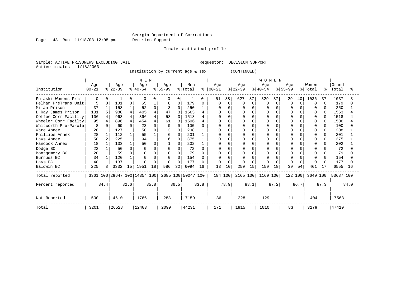Page 43 Run 11/18/03 12:08 pm Decision Support

Inmate statistical profile

Sample: ACTIVE PRISONERS EXCLUDING JAIL **Requestor: DECISION SUPPORT** Active inmates 11/18/2003

Institution by current age & sex (CONTINUED)

|                      |          |          |          |      | M E N                        |      |          |      |                    |      |               |          |           |             | <b>WOMEN</b> |          |           |          |              |              |           |      |
|----------------------|----------|----------|----------|------|------------------------------|------|----------|------|--------------------|------|---------------|----------|-----------|-------------|--------------|----------|-----------|----------|--------------|--------------|-----------|------|
|                      | Age      |          | Age      |      | Age                          |      | Age      |      | Men                |      | Age           |          | Age       |             | Age          |          | Age       |          | Women        |              | Grand     |      |
| Institution          | $ 00-21$ |          | $ 22-39$ |      | $ 40-54 $                    |      | $ 55-99$ |      | % Total            |      | $8   00 - 21$ |          | $ 22-39 $ |             | $ 40-54 $    |          | $ 55-99 $ |          | % Total      | ፠            | Total     |      |
| Pulaski Womens Pris  |          |          |          |      | n                            |      | $\Omega$ |      |                    | 0    | 51            | 38       | 627       | 37          | 329          | 37       | 29        | 40       | 1036         | 37           | 1037      |      |
| Pelham PreTrans Unit |          | $\Omega$ | 101      |      | 65                           |      | 8        | 0    | 179                | 0    | O             | $\Omega$ | ∩         | $\mathbf 0$ |              | $\Omega$ | $\Omega$  | $\Omega$ | 0            | $\Omega$     | 179       |      |
| Milan Prison         | 37       |          | 158      |      | 52                           |      | 3        | 0    | 250                |      | O             |          |           | $\Omega$    |              |          |           | $\Omega$ | 0            | $\Omega$     | 250       |      |
| D Ray James Prison   | 131      |          | 980      |      | 405                          |      | 47       |      | 1563               |      | <sup>0</sup>  |          |           | $\Omega$    |              |          |           | $\Omega$ | 0            |              | 1563      |      |
| Coffee Corr Facility | 106      | 4        | 963      |      | 396                          |      | 53       |      | 1518               |      |               |          |           | $\Omega$    |              |          |           | $\Omega$ | $\Omega$     |              | 1518      |      |
| Wheeler Corr Facilty | 95       |          | 896      |      | 454                          |      | 61       |      | 1506               |      |               |          |           | $\Omega$    |              |          |           | $\Omega$ | 0            |              | 1506      |      |
| Whitworth Pre-Parole | 8        |          | 69       |      | 23                           |      | $\Omega$ |      | 100                |      |               |          |           | $\Omega$    |              |          |           | $\Omega$ |              |              | 100       |      |
| Ware Annex           | 28       |          | 127      |      | 50                           |      | 3        |      | 208                |      | O             |          |           | $\Omega$    |              |          |           | $\Omega$ |              |              | 208       |      |
| Phillips Annex       | 28       |          | 112      |      | 55                           |      | 6        |      | 201                |      |               |          |           | $\Omega$    |              | $\cap$   |           | $\Omega$ | O            | O            | 201       |      |
| Hays Annex           | 50       |          | 225      |      | 94                           |      | 6        | 0    | 375                |      |               |          |           | $\Omega$    |              |          |           |          | 0            | 0            | 375       |      |
| Hancock Annex        | 18       |          | 133      |      | 50                           |      |          |      | 202                |      | 0             |          |           | $\Omega$    |              | $\Omega$ |           | $\Omega$ | <sup>0</sup> | <sup>n</sup> | 202       |      |
| Dodge BC             | 22       |          | 50       |      |                              |      | $\Omega$ |      | 72                 |      | $\Omega$      |          |           | $\Omega$    |              | $\Omega$ |           | $\Omega$ |              |              | 72        |      |
| Montgomery BC        | 20       |          | 59       |      |                              |      | $\Omega$ |      | 79                 |      | $\Omega$      |          |           | $\Omega$    |              |          |           | $\Omega$ |              |              | 79        |      |
| Burruss BC           | 34       |          | 120      |      |                              |      | $\Omega$ | 0    | 154                |      | O             |          |           | $\cap$      |              |          |           | $\cap$   |              | U            | 154       |      |
| Hays BC              | 40       |          | 137      |      |                              |      | $\Omega$ |      | 177                | n.   | $\cap$        |          |           | $\cap$      |              |          |           | $\Omega$ | $\Omega$     |              | 177       |      |
| Baldwin BC           | 225      |          | 3332     | 15   | 1951                         | 18   | 586      | 32   | 6094               | 16   | 13            | 10       | 250       | 15          | 159          | 18       | 39        | 54       | 461          |              | 6555      | 16   |
| Total reported       |          |          |          |      | 3361 100 29647 100 14354 100 |      |          |      | 2685 100 50047 100 |      | 184 100       |          | 2165 100  |             | 1169 100     |          | 122 100   |          | 3640 100     |              | 53687 100 |      |
| Percent reported     |          | 84.4     |          | 82.6 |                              | 85.8 |          | 86.5 |                    | 83.8 |               | 78.9     |           | 88.1        |              | 87.2     |           | 86.7     |              | 87.3         |           | 84.0 |
| Not Reported         | 500      |          | 4610     |      | 1766                         |      | 283      |      | 7159               |      | 36            |          | 228       |             | 129          |          | 11        |          | 404          |              | 7563      |      |
| Total                | 3201     |          | 26528    |      | 12403                        |      | 2099     |      | 44231              |      | 171           |          | 1915      |             | 1010         |          | 83        |          | 3179         |              | 47410     |      |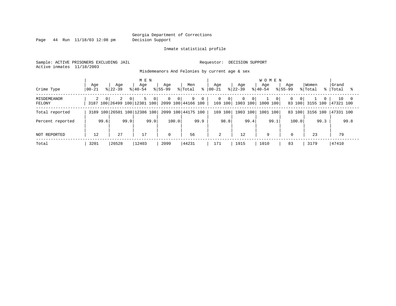Page 44 Run 11/18/03 12:08 pm Decision Support

#### Inmate statistical profile

Sample: ACTIVE PRISONERS EXCLUDING JAIL **Requestor: DECISION SUPPORT** Active inmates 11/18/2003

Misdemeanors And Felonies by current age & sex

| Crime Type                   | Age<br>  00-21             | Aqe<br>$8122 - 39$ | M E N<br>Age<br>$8140 - 54$  | Age<br>$8155 - 99$        | Men<br>% Total<br>⊱                                                  | Aqe<br>$ 00-21 $    | Age<br>$ 22-39 $                                         | <b>WOMEN</b><br>Aqe<br>$8140 - 54$ | Aqe<br>$8155 - 99$                   | Women<br>% Total     | Grand<br>%   Total |
|------------------------------|----------------------------|--------------------|------------------------------|---------------------------|----------------------------------------------------------------------|---------------------|----------------------------------------------------------|------------------------------------|--------------------------------------|----------------------|--------------------|
| <b>MISDEMEANOR</b><br>FELONY | $\overline{2}$<br>$\Omega$ | 2<br>$\Omega$      | 5<br>$\overline{0}$          | $\circ$<br>0 <sup>1</sup> | 9<br>$\mathbf{0}$<br>3187 100 26499 100 12381 100 2099 100 44166 100 | 0<br>$\overline{0}$ | $\overline{0}$<br>- 0 I<br>169 100   1903 100   1000 100 | - 0 I                              | $\Omega$<br>0 <sup>1</sup><br>83 100 | $\Omega$<br>3155 100 | 10<br>47321 100    |
| Total reported               |                            |                    | 3189 100 26501 100 12386 100 |                           | 2099 100 44175 100                                                   | 169 100             | 1903 100                                                 | 1001 100                           | 83 100                               | 3156 100             | 47331 100          |
| Percent reported             | 99.6                       | 99.9               | 99.9                         | 100.0                     | 99.9                                                                 | 98.8                | 99.4                                                     | 99.1                               | 100.0                                | 99.3                 | 99.8               |
| NOT REPORTED                 | 12                         | 27                 | 17                           | $\Omega$                  | 56                                                                   | 2                   | 12                                                       | 9                                  | $\mathbf 0$                          | 23                   | 79                 |
| Total                        | 3201                       | 26528              | 12403                        | 2099                      | 44231                                                                | 171                 | 1915                                                     | 1010                               | 83                                   | 3179                 | 47410              |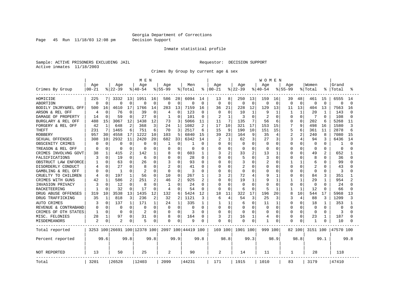Page 45 Run 11/18/03 12:08 pm Decision Support

#### Inmate statistical profile

Sample: ACTIVE PRISONERS EXCLUDING JAIL **Requestor: DECISION SUPPORT** Active inmates 11/18/2003

Crimes By Group by current age & sex

|                      |                  |              |                    |              | M E N                        |             |                  |          |                    |                |                 |                |                  |              | <b>WOMEN</b>    |                |                    |              |                  |                |                |          |
|----------------------|------------------|--------------|--------------------|--------------|------------------------------|-------------|------------------|----------|--------------------|----------------|-----------------|----------------|------------------|--------------|-----------------|----------------|--------------------|--------------|------------------|----------------|----------------|----------|
| Crimes By Group      | Age<br>$00 - 21$ |              | Age<br>$8$   22-39 |              | Age<br>$8140 - 54$           |             | Age<br>$8 55-99$ |          | Men<br>% Total     | ႜ              | Age<br>$ 00-21$ |                | Age<br>$ 22-39 $ |              | Age<br>$ 40-54$ |                | Age<br>$8155 - 99$ |              | Women<br>% Total |                | Grand<br>Total |          |
| HOMICIDE             | 225              | 7            | 3332               | 13           | 1951                         | 16          | 586              | 28       | 6094               | 14             | 13              | 8              | 250              | 13           | 159             | 16             | 39                 | 48           | 461              | 15             | 6555           | 14       |
| <b>ABORTION</b>      | $\mathbf 0$      | $\Omega$     | $\Omega$           | $\mathbf 0$  | 0                            | $\mathbf 0$ | $\mathbf 0$      | 0        | $\Omega$           | $\mathbf 0$    | 0               | $\Omega$       | $\Omega$         | $\mathbf 0$  | 0               | $\overline{0}$ | $\Omega$           | $\Omega$     | $\Omega$         | $\Omega$       | $\Omega$       | $\Omega$ |
| BODILY INJRY&REL OFF | 500              | 16           | 4610               | 17           | 1766                         | 14          | 283              | 13       | 7159               | 16             | 36              | 21             | 228              | 12           | 129             | 13             | 11                 | 13           | 404              | 13             | 7563           | 16       |
| ARSON & REL OFF      | 4                | $\Omega$     | 76                 | $\Omega$     | 39                           | $\Omega$    | 4                | $\Omega$ | 123                | $\Omega$       | 0               | 0              | 10               | 1            | 9               |                | 1                  | $\mathbf{1}$ | 20               | 1              | 143            |          |
| DAMAGE OF PROPERTY   | 14               | $\Omega$     | 59                 | $\Omega$     | 27                           | 0           | 1                | U        | 101                | $\Omega$       | 2               | $\mathbf{1}$   | 3                | $\Omega$     |                 | $\Omega$       | U                  | U            | 7                | <sup>0</sup>   | 108            |          |
| BURGLARY & REL OFF   | 488              | 15           | 3067               | 12           | 1438                         | 12          | 73               | ζ        | 5066               | 11             | 11              | 7              | 135              | 7            | 56              | 6              | 0                  | $\Omega$     | 202              | 6              | 5268           | 11       |
| FORGERY & REL OFF    | 42               | $\mathbf{1}$ | 648                | 2            | 368                          | 3           | 24               | 1        | 1082               | 2              | 17              | 10             | 321              | 17           | 153             | 15             |                    | 9            | 498              | 16             | 1580           | ζ        |
| <b>THEFT</b>         | 231              | 7            | 1465               | 6            | 751                          | 6           | 70               | 3        | 2517               | 6              | 15              | 9              | 190              | 10           | 151             | 15             | 5                  | 6            | 361              | 11             | 2878           | б        |
| <b>ROBBERY</b>       | 957              | 30           | 4558               | 17           | 1222                         | 10          | 103              | 5        | 6840               | 15             | 39              | 23             | 164              | 9            | 35              | 4              | 2                  | 2            | 240              | 8              | 7080           | 15       |
| SEXUAL OFFENSES      | 308              | 10           | 2932               | 11           | 2420                         | 20          | 682              | 33       | 6342               | 14             | 2               | $\mathbf{1}$   | 62               | 3            | 27              | 3              |                    | 4            | 94               |                | 6436           | 14       |
| OBSCENITY CRIMES     | 0                | $\Omega$     | ∩                  | $\Omega$     | O                            | 0           | 1                | 0        |                    | 0              | 0               | $\Omega$       | U                | $\Omega$     | $\Omega$        | $\Omega$       | $\Omega$           | 0            | $\Omega$         | O              |                |          |
| TREASON & REL OFF    | 0                | $\Omega$     | 0                  | 0            | O                            | O           | 0                | 0        | O                  | O              | 0               | $\Omega$       | $\Omega$         | $\Omega$     | O               | $\Omega$       | O                  | 0            | $\Omega$         | $\Omega$       | 0              |          |
| CRIMES INVOLVNG GOVT | 38               | 1            | 415                | 2            | 142                          | 1           | 8                | U        | 603                | 1              | 3               | 2              | 33               | 2            | 13              |                | $\Omega$           | O            | 49               | $\overline{c}$ | 652            |          |
| FALSIFICATIONS       | 3                | $\Omega$     | 19                 | $\Omega$     | 6                            | O           | 0                | 0        | 28                 | $\Omega$       | O               | $\Omega$       | 5                | $\Omega$     | 3               | $\Omega$       | O                  | 0            | 8                | $\cap$         | 36             |          |
| OBSTRUCT LAW ENFORCE |                  | $\Omega$     | 63                 | 0            | 26                           | 0           | 3                | U        | 93                 | $\Omega$       | $\Omega$        | $\Omega$       | 3                | $\Omega$     | 2               | 0              | 1                  | 1            | 6                | $\Omega$       | 99             |          |
| DISORDERLY CONDUCT   |                  |              | 27                 | 0            | 8                            | O           | 2                | U        | 41                 | O              | U               | 0              | 2                | $\Omega$     | U               | 0              | 0                  | 0            | 2                | O              | 43             |          |
| GAMBLING & REL OFF   |                  | $\Omega$     | $\mathbf{1}$       | $\Omega$     |                              | 0           | $\Omega$         | $\Omega$ | 3                  | O              | 0               | $\Omega$       | $\Omega$         | $\Omega$     | 0               | O              | $\Omega$           | U            | $\Omega$         | $\Omega$       | 3              |          |
| CRUELTY TO CHILDREN  | 4                | $\Omega$     | 197                | 1            | 56                           | 0           | 10               | $\Omega$ | 267                | 1              | 3               | $\overline{a}$ | 72               | 4            | 9               |                | 0                  | 0            | 84               | 3              | 351            |          |
| CRIMES WITH GUNS     | 42               | 1            | 586                | 2            | 251                          | 2           | 46               | 2        | 925                | $\overline{2}$ | O               | $\mathbf 0$    | 19               | $\mathbf{1}$ | 9               | $\mathbf{1}$   |                    | $\mathbf{1}$ | 29               | $\mathbf{1}$   | 954            |          |
| INVASION PRIVACY     | 3                | $\Omega$     | 12                 | $\Omega$     | 8                            | $\Omega$    | $\mathbf{1}$     | $\Omega$ | 24                 | $\Omega$       | O               | $\Omega$       | U                | $\Omega$     | U               | $\Omega$       | <sup>0</sup>       | 0            | $\Omega$         | <sup>0</sup>   | 24             |          |
| RACKETEERING         |                  |              | 32                 | $\Omega$     | 17                           | $\Omega$    | $\overline{4}$   | O        | 54                 | $\Omega$       | <sup>0</sup>    | $\Omega$       | 6                | $\Omega$     | 5               |                | 1                  | $\mathbf{1}$ | 12               | <sup>0</sup>   | 66             |          |
| DRUG ABUSE OFFENSES  | 319              | 10           | 3538               | 13           | 1435                         | 12          | 132              | 6        | 5424               | 12             | 18              | 11             | 322              | 17           | 196             | 20             | 8                  | 10           | 544              | 17             | 5968           | 13       |
| DRUG TRAFFICKING     | 35               | 1            | 818                | 3            | 236                          | 2           | 32               | 2        | 1121               | 3              | 6               | 4              | 54               | 3            | 25              | 3              | 3                  | 4            | 88               | 3              | 1209           | 3        |
| AUTO CRIMES          | 3                | $\Omega$     | 137                | $\mathbf{1}$ | 171                          | 1           | 24               | 1        | 335                | 1              | 1               | 1              | 6                | $\Omega$     | 11              | -1             | 0                  | $\Omega$     | 18               | 1              | 353            |          |
| REVENUE & CONTRABAND | 0                | $\Omega$     | $\Omega$           | $\mathbf 0$  | 0                            | $\Omega$    | $\Omega$         | $\Omega$ | 0                  | $\Omega$       | $\Omega$        | $\Omega$       | 0                | $\Omega$     | $\Omega$        | $\Omega$       | $\Omega$           | 0            | $\Omega$         | $\Omega$       | 0              |          |
| CRIMES OF OTH STATES | $\mathbf{1}$     | $\Omega$     | $\Omega$           | $\Omega$     |                              | O           | $\Omega$         | $\Omega$ | κ                  | $\Omega$       | <sup>0</sup>    | $\Omega$       | Ω                | $\Omega$     | $\Omega$        | O              | $\Omega$           | $\Omega$     | $\Omega$         | $\Omega$       | 3              |          |
| MISC. FELONIES       | 28               | 1            | 97                 | 0            | 31                           | 0           | 8                | 0        | 164                | 0              | 3               | 2              | 16               | 1            | 4               | 0              | <sup>0</sup>       | 0            | 23               | 1              | 187            |          |
| MISDEMEANORS         | $\overline{2}$   | 0            | 2                  | 0            | 5                            | 0           | 0                | 0        | 9                  | 0              | 0               | $\Omega$       | Ω                | 0            |                 | 0              | 0                  | 0            | $\mathbf{1}$     |                | 10             |          |
| Total reported       |                  |              |                    |              | 3253 100 26691 100 12378 100 |             |                  |          | 2097 100 44419 100 |                | 169 100         |                | 1901 100         |              | 999 100         |                |                    | 82 100       | 3151 100         |                | 47570 100      |          |
| Percent reported     |                  | 99.6         |                    | 99.8         |                              | 99.8        |                  | 99.9     |                    | 99.8           |                 | 98.8           |                  | 99.3         |                 | 98.9           |                    | 98.8         |                  | 99.1           |                | 99.8     |
| NOT REPORTED         | 13               |              | 50                 |              | 25                           |             | 2                |          | 90                 |                | 2               |                | 14               |              | 11              |                | 1                  |              | 28               |                | 118            |          |
| Total                | 3201             |              | 26528              |              | 12403                        |             | 2099             |          | 44231              |                | 171             |                | 1915             |              | 1010            |                | 83                 |              | 3179             |                | 47410          |          |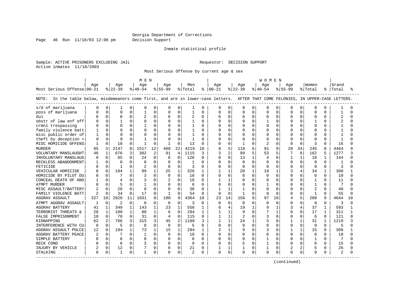Page 46 Run 11/18/03 12:08 pm Decision Support

#### Inmate statistical profile

Sample: ACTIVE PRISONERS EXCLUDING JAIL **Requestor: DECISION SUPPORT** Active inmates 11/18/2003

Most Serious Offense by current age & sex

|                                                                                                                                   |                |              |           |              | M E N        |                |                |                |              |              |               |              |                |              | W O M E N      |              |             |              |                |              |                |          |
|-----------------------------------------------------------------------------------------------------------------------------------|----------------|--------------|-----------|--------------|--------------|----------------|----------------|----------------|--------------|--------------|---------------|--------------|----------------|--------------|----------------|--------------|-------------|--------------|----------------|--------------|----------------|----------|
|                                                                                                                                   | Aqe            |              | Age       |              | Age          |                | Age            |                | Men          |              | Age           |              | Aqe            |              | Aqe            |              | Aqe         |              | Women          |              | Grand          |          |
| Most Serious Offense 00-21                                                                                                        |                |              | $ 22-39 $ |              | $ 40-54$     |                | $8155 - 99$    |                | % Total      |              | $8   00 - 21$ |              | % 22-39        |              | $8 40-54$      |              | $8155 - 99$ |              | % Total        | ႜၟ           | Total          | ႜ        |
| NOTE: In the table below, misdemeanors come first, and are in lower-case letters. AFTER THAT COME FELONIES, IN UPPER-CASE LETTERS |                |              |           |              |              |                |                |                |              |              |               |              |                |              |                |              |             |              |                |              |                |          |
| s/d of marijuana                                                                                                                  |                | 0            |           | 0            | $\Omega$     | 0              | 0              | 0              | 1            | O            | $\Omega$      | $\Omega$     | 0              | 0            | $\Omega$       | 0            | O           | $\Omega$     | $\Omega$       | O            |                | O        |
| poss of marijuana                                                                                                                 |                | $\Omega$     | U         | $\Omega$     |              | $\Omega$       | U              | $\Omega$       | $\mathbf{1}$ | 0            | $\Omega$      | $\cap$       | $\cap$         | $\Omega$     | $\Omega$       | $\Omega$     | O           | $\Omega$     | $\Omega$       | 0            |                | ∩        |
| dui                                                                                                                               |                | $\Omega$     | $\Omega$  | $\Omega$     | 2            | $\Omega$       | 0              | $\Omega$       | 2            | $\Omega$     | <sup>0</sup>  | $\Omega$     | $\Omega$       | $\Omega$     | $\Omega$       | $\Omega$     | $\Omega$    | $\Omega$     | $\Omega$       | 0            | $\overline{2}$ | $\cap$   |
| obstr of law enf off                                                                                                              |                | $\Omega$     |           | $\Omega$     | $\Omega$     | $\Omega$       | 0              | $\Omega$       | $\mathbf{1}$ | $\Omega$     | $\Omega$      | $\Omega$     |                | $\Omega$     | 1              | $\Omega$     | $\Omega$    | $\Omega$     | 1              | 0            | $\overline{2}$ | $\cap$   |
| crmnl trespassing                                                                                                                 |                | $\Omega$     | $\Omega$  | $\Omega$     |              | $\Omega$       | 0              | $\Omega$       | 1            | <sup>0</sup> | $\Omega$      | $\Omega$     | $\Omega$       | $\Omega$     | $\Omega$       | $\Omega$     | O           | $\Omega$     | $\Omega$       | 0            |                |          |
| family violence batt                                                                                                              |                | $\Omega$     | $\Omega$  | $\Omega$     | $\Omega$     | $\Omega$       | O              | $\Omega$       | 1            | $\Omega$     | $\Omega$      | $\Omega$     | $\cap$         | $\Omega$     | $\Omega$       | $\Omega$     | $\cap$      | $\Omega$     | $\Omega$       | 0            |                | ∩        |
| misc public order of                                                                                                              |                | $\Omega$     |           | $\Omega$     | $\Omega$     | $\Omega$       | 0              | $\Omega$       | 1            | O            | O             | <sup>0</sup> |                | U            | $\Omega$       | $\Omega$     | n           | $\Omega$     | O              | 0            |                |          |
| theft by deception <                                                                                                              | $\Omega$       | $\mathbf 0$  |           | $\Omega$     |              | $\Omega$       | O              | $\Omega$       | $\mathbf{1}$ | O            | $\Omega$      | <sup>0</sup> | $\Omega$       |              | $\Omega$       | $\Omega$     |             | $\Omega$     | $\Omega$       | U            |                | ∩        |
| MISC HOMICIDE OFFENS                                                                                                              | 1              | 0            | 10        | $\Omega$     | $\mathbf{1}$ | $\Omega$       | $\mathbf{1}$   | $\Omega$       | 13           | $\Omega$     | <sup>0</sup>  | $\Omega$     | 1              | $\Omega$     | $\overline{2}$ | $\Omega$     | $\Omega$    | $\Omega$     | 3              | 0            | 16             | U        |
| <b>MURDER</b>                                                                                                                     | 95             | 3            | 2147      | $\mathsf{R}$ | 1517         | 12             | 460            | 22.2           | 4219         | 10           | 8             |              | 118            | 6            | 91             | 9            | 28          | 34           | 245            | 8            | 4464           |          |
| VOLUNTARY MANSLAUGHT                                                                                                              | 46             | $\mathbf{1}$ | 676       | 3            | 302          | $\overline{2}$ | 91             | $\overline{4}$ | 1115         | κ            | 3             | 2            | 99             | 5            | 53             | 5            | 7           | 8            | 162            | 5            | 1277           | ζ        |
| INVOLUNTARY MANSLAUG                                                                                                              | 9              | $\Omega$     | 85        | $\Omega$     | 24           | $\Omega$       | 8              | $\Omega$       | 126          | $\Omega$     | $\Omega$      | $\Omega$     | 13             | $\mathbf{1}$ | $\overline{4}$ | $\Omega$     | 1           | $\mathbf{1}$ | 18             | $\mathbf{1}$ | 144            | $\cap$   |
| RECKLESS ABANDONMENT                                                                                                              | $\mathbf{1}$   | $\Omega$     | $\Omega$  | $\Omega$     | $\Omega$     | $\Omega$       | $\Omega$       | $\Omega$       | 1            | $\Omega$     | <sup>0</sup>  | $\Omega$     | $\Omega$       | $\Omega$     | $\Omega$       | $\Omega$     | $\Omega$    | $\Omega$     | $\Omega$       | $\Omega$     | -1             | ∩        |
| FETICIDE                                                                                                                          |                | $\Omega$     |           | $\Omega$     |              | $\Omega$       | 0              | $\Omega$       | ζ            | $\Omega$     | <sup>0</sup>  | $\Omega$     | $\Omega$       | $\Omega$     | $\Omega$       | $\Omega$     | $\Omega$    | $\Omega$     | $\Omega$       | $\Omega$     | 3              | ∩        |
| VEHICULAR HOMICIDE                                                                                                                |                | $\Omega$     | 194       | 1            | 99           | $\mathbf{1}$   | 25             | $\mathbf{1}$   | 326          | 1            | 1             | $\mathbf{1}$ | 20             |              | 10             |              |             | 4            | 34             | 1            | 360            |          |
| HOMICIDE BY PILOT DU                                                                                                              |                | $\Omega$     |           | $\Omega$     | ζ            | $\Omega$       | $\Omega$       | $\Omega$       | 10           | <sup>0</sup> | $\Omega$      | $\Omega$     | $\Omega$       | $\Omega$     | $\Omega$       | $\Omega$     | $\Omega$    | $\Omega$     | $\Omega$       | 0            | 10             | $\Omega$ |
| CONCEAL DEATH OF ANO                                                                                                              |                | $\Omega$     | 4         | $\Omega$     | 3            | $\Omega$       | $\overline{c}$ | $\Omega$       | 10           | $\Omega$     | 1             | 1            | n              | <sup>0</sup> | $\Omega$       | $\Omega$     | $\Omega$    | $\Omega$     | -1             | 0            | 11             | ∩        |
| ATMPT MURDER                                                                                                                      |                | $\Omega$     | 5         | $\Omega$     |              | $\Omega$       | $\Omega$       | $\Omega$       | 6            | $\Omega$     | <sup>0</sup>  | $\Omega$     | $\Omega$       | $\Omega$     | $\mathbf{1}$   | $\Omega$     | O           | $\Omega$     | $\mathbf{1}$   | 0            | 7              | $\cap$   |
| MISC ASSAULT/BATTERY                                                                                                              |                | $\Omega$     | 28        | $\Omega$     |              | $\Omega$       | $\Omega$       | $\Omega$       | 38           | $\Omega$     |               | -1           |                | $\Omega$     | $\Omega$       | $\Omega$     | $\Omega$    | $\Omega$     | $\overline{2}$ | 0            | 40             | ∩        |
| FAMILY VIOLENCE BATT                                                                                                              | $\overline{c}$ | 0            | 34        | $\Omega$     | 17           | $\Omega$       | 1              | $\Omega$       | 54           | $\Omega$     | $\Omega$      | $\Omega$     | $\mathbf{1}$   | $\Omega$     | $\Omega$       | $\Omega$     | $\Omega$    | $\Omega$     | 1              | 0            | 55             | ∩        |
| <b>AGGRAV ASSAULT</b>                                                                                                             | 327            | 10           | 2826      | 11           | 1031         | 8              | 180            | 9              | 4364         | 10           | 23            | 14           | 156            | $\mathsf{R}$ | 97             | 10           | 4           | 5            | 280            | 9            | 4644           | 1 O      |
| ATMPT AGGRAV ASSAULT                                                                                                              | $\mathbf{1}$   | $\Omega$     | 2         | $\Omega$     | $\Omega$     | $\Omega$       | $\Omega$       | $\Omega$       | 3            | $\Omega$     | <sup>0</sup>  | $\Omega$     | $\Omega$       | $\Omega$     | $\Omega$       | $\Omega$     | $\Omega$    | $\Omega$     | $\Omega$       | 0            | 3              | $\cap$   |
| <b>AGGRAV BATTERY</b>                                                                                                             | 41             | $\mathbf{1}$ | 349       | $\mathbf{1}$ | 143          | $\mathbf{1}$   | 23             | $\mathbf{1}$   | 556          | 1            | 6             | 4            | 19             |              | 9              | 1            | 3           | 4            | 37             | 1            | 593            | 1        |
| TERRORIST THREATS &                                                                                                               | 28             | $\mathbf{1}$ | 180       | $\mathbf{1}$ | 80           | $\mathbf{1}$   | 6              | $\Omega$       | 294          | 1            | 1             | $\mathbf{1}$ | $\mathsf{Q}$   | $\Omega$     | 7              | $\mathbf{1}$ | $\Omega$    | $\Omega$     | 17             | $\mathbf{1}$ | 311            | 1        |
| FALSE IMPRISONMENT                                                                                                                | 10             | $\Omega$     | 70        | $\Omega$     | 31           | $\Omega$       | $\overline{4}$ | $\Omega$       | 115          | $\Omega$     | 1             | $\mathbf{1}$ | $\overline{2}$ | $\Omega$     | 3              | $\Omega$     | $\Omega$    | $\Omega$     | 6              | $\Omega$     | 121            | U        |
| KIDNAPPING                                                                                                                        | 62             | 2            | 766       | 3            | 315          | 3              | 45             | 2              | 1188         | 3            | $\mathbf{1}$  | $\mathbf{1}$ | 24             |              | 5              | $\Omega$     |             | $\mathbf 1$  | 31             |              | 1219           | κ        |
| INTERFERENCE WITH CU                                                                                                              | $\Omega$       | $\Omega$     | 5         | $\Omega$     | $\Omega$     | $\Omega$       | $\Omega$       | $\Omega$       | 5            | $\Omega$     | $\Omega$      | $\Omega$     | $\Omega$       | $\Omega$     | $\Omega$       | $\Omega$     | $\Omega$    | $\Omega$     | $\Omega$       | $\Omega$     | 5              | $\cap$   |
| AGGRAV ASSAULT POLCE                                                                                                              | 12             | 0            | 194       | $\mathbf{1}$ | 73           | 1              | 15             | $\mathbf{1}$   | 294          | -1           | 2             | 1            | q              | $\Omega$     | 3              | 0            | -1          | $\mathbf{1}$ | 15             | 0            | 309            |          |
| AGGRAV BATTERY PEACE                                                                                                              | $\overline{2}$ | $\Omega$     |           | $\Omega$     |              | $\Omega$       | $\mathbf 0$    | $\Omega$       | 10           | $\Omega$     | $\Omega$      | $\Omega$     |                |              | $\Omega$       | $\Omega$     | $\Omega$    | $\Omega$     | $\Omega$       | $\Omega$     | 10             | $\cap$   |
| SIMPLE BATTERY                                                                                                                    | U              | $\Omega$     | б         | $\Omega$     | $\Omega$     | $\Omega$       | 0              | $\Omega$       | 6            | $\Omega$     | U             | $\Omega$     | $\Omega$       | $\Omega$     | $\mathbf{1}$   | $\Omega$     | O           | $\Omega$     | $\mathbf{1}$   | U            |                | ∩        |
| RECK COND                                                                                                                         |                | $\Omega$     | 6         | $\Omega$     | ζ            | $\Omega$       | $\Omega$       | $\Omega$       | 9            | $\Omega$     | <sup>0</sup>  | $\Omega$     | 5              | $\Omega$     | $\mathbf{1}$   | $\Omega$     | $\Omega$    | $\Omega$     | 6              | 0            | 15             | U        |
| INJURY BY VEHICLE                                                                                                                 |                | $\Omega$     | 12        | $\Omega$     |              | $\Omega$       | 0              | $\Omega$       | 21           | $\Omega$     | 1             | 1            |                | $\Omega$     | 1              | $\Omega$     | 2           | 2            | 5              | 0            | 26             | U        |
| STALKING                                                                                                                          | $\Omega$       | 0            |           | 0            | $\mathbf{1}$ | 0              | $\Omega$       | $\mathbf 0$    | 2            | 0            | $\Omega$      | $\Omega$     | $\Omega$       | 0            | $\Omega$       | 0            | $\Omega$    | 0            | $\Omega$       | 0            | 2              | $\cap$   |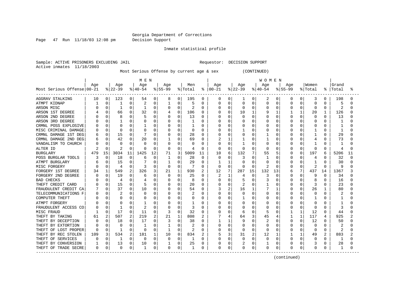Page 47 Run 11/18/03 12:08 pm Decision Support

Inmate statistical profile

Sample: ACTIVE PRISONERS EXCLUDING JAIL **Requestor: DECISION SUPPORT** Active inmates 11/18/2003

Most Serious Offense by current age & sex (CONTINUED)

|                            |     |          |              |                | M E N      |             |           |          |         |              |               |          |                |              | W O M E N    |          |             |              |          |               |              |    |
|----------------------------|-----|----------|--------------|----------------|------------|-------------|-----------|----------|---------|--------------|---------------|----------|----------------|--------------|--------------|----------|-------------|--------------|----------|---------------|--------------|----|
|                            | Age |          | Age          |                | Age        |             | Age       |          | Men     |              | Age           |          | Age            |              | Age          |          | Age         |              | Women    |               | Grand        |    |
| Most Serious Offense 00-21 |     |          | $ 22-39$     |                | $ 40-54$   |             | $8 55-99$ |          | % Total |              | $8   00 - 21$ |          | $ 22-39$       |              | $ 40-54 $    |          | $8155 - 99$ |              | % Total  | $\frac{1}{6}$ | Total        | ిన |
| AGGRAV STALKING            | 10  | 0        | 123          | 0              | 54         | 0           | 8         | 0        | 195     | 0            | 0             | 0        | 1              | 0            | 2            | 0        | 0           | 0            | 3        | 0             | 198          | O  |
| ATMPT KIDNAP               |     | 0        | 1            | 0              |            | 0           |           | $\Omega$ | 5       | $\Omega$     | 0             | 0        | 0              | 0            | $\Omega$     | $\Omega$ |             | 0            | 0        | O             | 5            | ∩  |
| ARSON MISC                 |     | 0        | $\mathbf{1}$ | O              |            | 0           | $\Omega$  | $\Omega$ | 2       | $\Omega$     | U             | $\Omega$ | 0              | O            | $\Omega$     | $\Omega$ |             | $\Omega$     | 0        | $\Omega$      | 2            | U  |
| ARSON 1ST DEGREE           |     | 0        | 66           | $\Omega$       | 32         | $\Omega$    |           | $\Omega$ | 106     | $\Omega$     |               | $\Omega$ | 10             | $\mathbf{1}$ | 9            | 1        |             | 1            | 20       | 1             | 126          | U  |
| ARSON 2ND DEGREE           |     | 0        | 8            | O              |            | $\Omega$    |           | $\Omega$ | 13      | <sup>0</sup> |               | $\Omega$ | 0              | 0            | <sup>0</sup> | $\Omega$ |             | $\Omega$     | $\Omega$ | 0             | 13           |    |
| ARSON 3RD DEGREE           |     | 0        | $\mathbf{1}$ | O              |            | $\Omega$    |           | $\Omega$ |         | U            |               | $\Omega$ | O              | 0            | $\Omega$     | $\Omega$ |             | $\Omega$     | 0        |               | -1           |    |
| CRMNL POSS EXPLOSIVE       |     | O        |              | O              |            | 0           |           | 0        |         | O            |               | 0        |                | O            | $\Omega$     | O        |             | $\Omega$     | C        |               |              |    |
| MISC CRIMINAL DAMAGE       |     | 0        |              | 0              |            | 0           |           | $\Omega$ | 0       | $\Omega$     |               | 0        |                | O            | $\Omega$     | 0        |             | $\Omega$     |          | 0             | $\mathbf{1}$ |    |
| CRMNL DAMAGE 1ST DEG       |     | 0        | 15           | $\Omega$       |            | $\Omega$    |           | $\Omega$ | 28      | $\Omega$     |               | $\Omega$ | O              | U            |              | $\Omega$ |             | $\Omega$     |          | $\Omega$      | 29           |    |
| CRMNL DAMAGE 2ND DEG       |     | 0        | 42           | 0              | 20         | 0           |           | 0        | 69      | $\Omega$     |               |          |                | O            |              | 0        |             | 0            |          | O             | 73           |    |
| VANDALISM TO CHURCH        |     | 0        | $\Omega$     | 0              | n          | 0           | 0         | $\Omega$ | 0       | n            | U             | 0        |                | 0            | $\Omega$     | 0        |             | 0            |          |               | -1           |    |
| ALTER ID                   |     | $\Omega$ | 2            | 0              |            | $\Omega$    | 0         | 0        | 4       | $\Omega$     | O             | $\Omega$ | 0              | 0            | $\Omega$     | $\Omega$ |             | $\Omega$     | $\Omega$ | 0             | 4            |    |
| <b>BURGLARY</b>            | 479 | 15       | 3034         | 11             | 1425       | 12          | 71        | 3        | 5009    | 11           | 10            | 6        | 132            |              | 55           | 5        |             | $\Omega$     | 197      | 6             | 5206         | 11 |
| POSS BURGLAR TOOLS         | 3   | 0        | 18           | 0              | 6          | 0           |           | 0        | 28      | $\Omega$     | O             | O        | 3              |              |              | O        |             |              | 4        |               | 32           | U  |
| ATMPT BURGLARY             |     | 0        | 15           | 0              |            | $\mathbf 0$ |           | 0        | 29      | O            |               |          | 0              |              | $\Omega$     | $\Omega$ |             |              |          |               | 30           |    |
| MISC FORGERY               |     | 0        | 4            | O              |            | 0           | $\cap$    | $\Omega$ |         | $\Omega$     | 0             | $\Omega$ | $\Omega$       | O            |              | $\cap$   |             | $\Omega$     |          | $\cap$        | 9            |    |
| FORGERY 1ST DEGREE         | 34  |          | 549          | 2              | 326        | 3           | 21        | 1        | 930     | 2            | 12            | 7        | 287            | 15           | 132          | 13       |             | 7            | 437      | 14            | 1367         |    |
| FORGERY 2ND DEGREE         |     | 0        | 19           | $\Omega$       | $\sqrt{2}$ | $\Omega$    | $\Omega$  | $\cap$   | 25      | $\Omega$     | 2             |          | 4              | 0            | 3            | $\Omega$ |             | $\Omega$     | <b>q</b> | U             | 34           | U  |
| <b>BAD CHECKS</b>          |     | 0        | 4            | O              |            | 0           |           | O        | 8       |              | U             | $\Omega$ | 5              | 0            | 3            | $\Omega$ |             | $\Omega$     | 8        |               | 16           | U  |
| THEFT CREDIT CARD          |     | $\Omega$ | 15           | $\Omega$       |            | $\Omega$    |           | $\Omega$ | 20      | $\Omega$     |               | 0        | $\overline{2}$ | 0            |              | 0        |             | $\Omega$     | 3        | O             | 23           |    |
| FRAUDULENT CREDIT CA       |     | 0        | 37           | 0              | 10         | 0           |           | $\Omega$ | 54      | $\Omega$     |               | 2        | 16             | 1            |              |          |             | $\Omega$     | 26       |               | 80           |    |
| TELECOMMUNICATIONS F       |     | 0        |              | 0              |            | 0           |           | O        | 2       | O            |               | O        | 0              | 0            | $\Omega$     | O        |             | $\Omega$     | 0        | U             |              |    |
| <b>COMPUTER THEFT</b>      |     | 0        | 0            | 0              |            | $\Omega$    |           | 0        | 0       | $\Omega$     |               | 0        | 1              | 0            | $\Omega$     | $\Omega$ |             | $\Omega$     | -1       | U             |              |    |
| ATMPT FORGERY              |     | O        | <sup>0</sup> | O              |            | 0           |           | O        |         | O            |               | $\Omega$ | U              | 0            | $\Omega$     | $\Omega$ |             | <sup>0</sup> | $\Omega$ | U             |              |    |
| FRAUDULENT ACCESS CO       |     | 0        | -1           | $\Omega$       |            | 0           |           | $\Omega$ | 3       | <sup>0</sup> |               | 0        | 0              | 0            | $\Omega$     | $\Omega$ |             | $\Omega$     | 0        | 0             | 3            |    |
| MISC FRAUD                 |     | 0        | 17           | 0              | -11        | 0           | 3         | $\Omega$ | 32      | O            |               | n        | 6              | 0            | 5            | 0        |             |              | 12       | 0             | 44           | U  |
| THEFT BY TAKING            | 61  | 2        | 507          | $\overline{2}$ | 219        | 2           | 21        | 1        | 808     | 2            |               | 4        | 64             | 3            | 45           | 4        |             |              | 117      | 4             | 925          |    |
| THEFT BY DECEPTION         |     | 0        | 18           | 0              | 17         | $\Omega$    | 3         | $\Omega$ | 38      | O            |               |          | 9              |              | 2            | 0        |             | 0            | 12       |               | 50           |    |
| THEFT BY EXTORTION         |     | O        | $\Omega$     | O              |            | $\Omega$    |           | O        | 2       |              |               | n        | 0              |              | $\Omega$     | O        |             |              | 0        |               |              |    |
| THEFT OF LOST PROPER       |     | 0        | -1           | O              | 0          | $\Omega$    |           | $\Omega$ | 2       | ∩            | Ω             | 0        | $\Omega$       | O            | $\Omega$     | O        |             | $\Omega$     | $\Omega$ | U             | 2            |    |
| THEFT BY REC STOLEN        | 109 | 3        | 534          | 2              | 181        | 1           | 10        | 0        | 834     |              | 5             | 3        | 31             | 2            | 12           |          |             |              | 49       | 2             | 883          |    |
| THEFT OF SERVICES          |     | 0        | -1           | $\Omega$       | $\Omega$   | $\Omega$    | $\Omega$  | O        | 1       | <sup>0</sup> | U             | n        | O              | 0            | $\Omega$     | $\Omega$ |             | <sup>0</sup> | $\Omega$ | U             | -1           | N  |
| THEFT BY CONVERSION        |     | 0        | 13           | 0              | 10         | $\mathbf 0$ |           | 0        | 25      | O            |               | $\Omega$ | 2              | 0            |              | $\Omega$ |             | $\Omega$     | 3        |               | 28           |    |
| THEFT OF TRADE SECRE       | 0   | 0        | $\Omega$     | 0              |            | 0           |           | 0        | 1       |              | 0             | 0        | 0              | 0            | $\Omega$     | 0        | 0           | 0            | 0        |               | 1            | N  |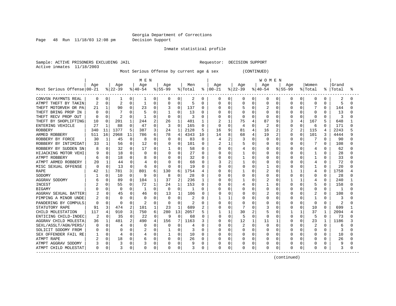Page 48 Run 11/18/03 12:08 pm Decision Support

Inmate statistical profile

Sample: ACTIVE PRISONERS EXCLUDING JAIL **Requestor: DECISION SUPPORT** Active inmates 11/18/2003

Most Serious Offense by current age & sex (CONTINUED)

|                            |     |          |                |                | M E N    |             |              |                |              |              |            |                |          |          | <b>WOMEN</b> |                |                |          |              |              |       |   |
|----------------------------|-----|----------|----------------|----------------|----------|-------------|--------------|----------------|--------------|--------------|------------|----------------|----------|----------|--------------|----------------|----------------|----------|--------------|--------------|-------|---|
|                            | Age |          | Age            |                | Age      |             | Age          |                | Men          |              | Age        |                | Age      |          | Age          |                | Age            |          | Women        |              | Grand |   |
| Most Serious Offense 00-21 |     |          | $ 22-39$       |                | $ 40-54$ |             | $8155 - 99$  |                | % Total      | ႜ            | $ 00 - 21$ |                | $ 22-39$ |          | $ 40-54$     |                | $8155 - 99$    |          | % Total      | ႜ            | Total | ႜ |
| CONVSN PAYMNTS REAL        | 0   | 0        |                | 0              | 1        | 0           | 0            | 0              | 2            | 0            | 0          | 0              | 0        | 0        | 0            | 0              | 0              | 0        | 0            | 0            | 2     |   |
| ATMPT THEFT BY TAKIN       |     | 0        | $\overline{2}$ | 0              | 1        | 0           | $\Omega$     | $\mathbf 0$    |              | $\Omega$     | 0          | 0              | 0        | 0        | 0            | 0              | $\Omega$       | 0        | $\Omega$     | 0            | 5     |   |
| THEFT MOTORVEH OR PA       | 21  |          | 90             | 0              | 23       | 0           |              | $\Omega$       | 137          | $\Omega$     | O          | $\mathbf 0$    | 5        | $\Omega$ |              | 0              | <sup>0</sup>   |          |              | <sup>0</sup> | 144   |   |
| THEFT BRING PROP IN        |     | O        |                | O              |          | O           |              | O              | 13           | O            | U          | $\Omega$       | U        | O        | U            | O              | U              | U        | <sup>0</sup> | U            | 13    |   |
| THEFT RECV PROP OUT        | C   | O        | $\overline{2}$ | O              | 1        | 0           | $\Omega$     | $\Omega$       | 3            | O            | Ω          | $\Omega$       | 0        | U        | O            | O              | O              | O        | $\Omega$     | $\Omega$     | 3     |   |
| THEFT BY SHOPLIFTING       | 10  | 0        | 201            |                | 244      | 2           | 26           | 1              | 481          |              |            | 1              | 75       |          | 87           | 9              | 3              | 4        | 167          | 5            | 648   |   |
| ENTERING VEHICLE           | 27  | 1        | 88             | O              | 47       | 0           | 3            | $\Omega$       | 165          | $\Omega$     | 0          | $\overline{0}$ | 4        | O        | 2            | O              | 0              | U        | 6            | O            | 171   |   |
| <b>ROBBERY</b>             | 340 | 11       | 1377           | 5              | 387      | 3           | 24           | $\mathbf{1}$   | 2128         | 5            | 16         | 9              | 81       | 4        | 16           | $\overline{2}$ | $\overline{2}$ | 2        | 115          | 4            | 2243  |   |
| ARMED ROBBERY              | 511 | 16       | 2968           | 11             | 786      | 6           | 78           | 4              | 4343         | 10           | 14         | 8              | 68       | 4        | 19           | 2              | $\Omega$       | O        | 101          | κ            | 4444  |   |
| ROBBERY BY FORCE           | 30  | 1        | 45             | $\Omega$       |          | $\Omega$    | 0            | $\Omega$       | 83           | $\Omega$     | 4          | 2              | 3        | O        | $\Omega$     | 0              | O              | O        | 7            | $\Omega$     | 90    |   |
| ROBBERY BY INTIMIDAT       | 33  | 1        | 56             | 0              | 12       | 0           | 0            | $\Omega$       | 101          | $\Omega$     | 2          | 1              | 5        | O        | 0            | 0              | O              | 0        | 7            | $\Omega$     | 108   |   |
| ROBBERY BY SUDDEN SN       |     | 0        | 32             | 0              | 17       | $\Omega$    |              | $\Omega$       | 58           | $\Omega$     | U          | $\Omega$       | 4        | O        | 0            | O              | O              | O        | 4            | O            | 62    |   |
| HIJACKING MOTOR VEHI       |     | 0        | 18             | 0              | ∩        | 0           | 0            | $\Omega$       | 27           | $\Omega$     | U          | O              |          | O        | O            | U              | O              | O        |              | <sup>0</sup> | 28    |   |
| ATMPT ROBBERY              | 6   | $\Omega$ | 18             | 0              |          | 0           |              | $\Omega$       | 32           | $\Omega$     | 0          | $\Omega$       |          | 0        | 0            | 0              | O              |          |              | O            | 33    |   |
| ATMPT ARMED ROBBERY        | 20  | 1        | 44             | $\Omega$       |          | $\Omega$    |              | $\cap$         | 68           | $\Omega$     | 3          | 2              |          |          | 0            | U              |                |          |              | O            | 72    |   |
| MISC SEXUAL OFFENSE        | O   | $\Omega$ | 13             | $\Omega$       | 6        | $\Omega$    | <sup>0</sup> | $\cap$         | 19           | <sup>0</sup> | O          | C              | $\Omega$ | N        |              | U              | n              |          |              | $\Omega$     | 20    |   |
| <b>RAPE</b>                | 42  | 1        | 781            | 3              | 801      | 6           | 130          | 6              | 1754         |              | N          | $\Omega$       |          | O        | 2            | $\Omega$       |                |          | 4            | U            | 1758  |   |
| SODOMY                     |     | 0        | 10             | 0              | 9        | $\Omega$    | 8            | $\Omega$       | 28           | <sup>0</sup> | Ω          | $\Omega$       | U        | O        | O            | O              | O              | O        | <sup>0</sup> | <sup>0</sup> | 28    |   |
| AGGRAV SODOMY              |     | 0        | 89             | $\Omega$       | 104      | 1           | 37           | $\overline{2}$ | 236          | 1            | 0          | $\Omega$       |          | O        |              | $\Omega$       |                | 1        | 4            | $\Omega$     | 240   |   |
| INCEST                     |     | 0        | 55             | 0              | 72       | 1           | 24           | 1              | 153          | $\Omega$     | 0          | 0              |          | $\Omega$ |              | $\Omega$       | O              | U        | 5            | $\Omega$     | 158   |   |
| <b>BIGAMY</b>              |     | U        | $\Omega$       | 0              | 1        | $\Omega$    | $\Omega$     | $\Omega$       | $\mathbf{1}$ | $\Omega$     |            | 0              |          | $\Omega$ | O            | $\Omega$       | O              | O        | $\Omega$     | $\Omega$     | 1     |   |
| AGGRAV SEXUAL BATTER       |     | 0        | 45             | 0              | 46       | 0           | 13           | 1              | 106          | 0            | 0          | 0              | O        | O        | 2            | 0              | C              | 0        | 2            | $\Omega$     | 108   |   |
| PIMPING A MINOR UNDE       |     | 0        | <sup>0</sup>   | U              | O        | 0           | $\Omega$     | $\Omega$       | 2            | <sup>0</sup> |            | 1              |          | O        | O            | O              | O              | O        | -1           | O            | З     |   |
| PANDERING BY COMPULS       | O   | 0        | $\Omega$       | O              |          | 0           | $\Omega$     | $\Omega$       | 2            | $\Omega$     | Ω          | $\mathbf 0$    |          | O        | O            | N              | $\Omega$       | O        | 0            | $\Omega$     |       |   |
| STATUTORY RAPE             | 91  | 3        | 474            | $\overline{a}$ | 101      | $\mathbf 1$ | 23           | $\mathbf{1}$   | 689          | 2            | U          | $\Omega$       |          | O        | 3            | O              | O              | $\Omega$ | 10           | $\Omega$     | 699   |   |
| CHILD MOLESTATION          | 117 | 4        | 910            | 3              | 750      | 6           | 280          | 13             | 2057         | 5            |            | 1              | 30       | 2        | 5            | 0              |                | 1        | 37           | -1           | 2094  |   |
| ENTICING CHILD-INDEC       | 2   | 0        | 35             | $\Omega$       | 22       | 0           | 9            | $\Omega$       | 68           | 0            | U          | $\Omega$       | 5        | O        | O            | O              | <sup>0</sup>   | 0        | 5            | $\Omega$     | 73    |   |
| AGGRAV CHILD MOLESTA       | 36  | 1        | 481            | 2              | 490      | 4           | 156          |                | 1163         | 3            | 0          | $\Omega$       | 12       |          | 11           |                | 0              | 0        | 23           |              | 1186  |   |
| SEXL/ASSLT/AGN/PERS/       |     | 0        |                | 0              |          | 0           |              | $\Omega$       |              | $\cap$       | Ω          | $\Omega$       |          | O        | 0            | O              | ∩              |          |              | O            | 6     |   |
| SOLICIT SODOMY FROM        |     | $\Omega$ | O              | O              |          | 0           |              | $\Omega$       | 3            | <sup>0</sup> | Ω          | ∩              | O        | O        | O            | O              | O              | O        | $\Omega$     | O            | Р     |   |
| SEX OFFENDER FAIL RE       |     | 0        |                | 0              |          | 0           |              | $\mathbf 0$    | 10           | $\Omega$     | U          | $\Omega$       | O        | O        | O            | 0              | O              | O        | $\Omega$     | O            | 10    |   |
| ATMPT RAPE                 |     | 0        | 18             | 0              |          | 0           | $\Omega$     | 0              | 26           | 0            | Ω          | $\Omega$       | U        | O        | O            | O              | O              | O        | $\Omega$     | O            | 26    |   |
| ATMPT AGGRAV SODOMY        |     | 0        | 3              | 0              |          | $\mathbf 0$ |              | 0              |              | $\Omega$     | 0          | $\Omega$       |          | 0        | 0            | 0              |                |          | $\Omega$     | O            | 9     |   |
| ATMPT CHILD MOLESTAT       | 0   | 0        |                | 0              | $\Omega$ | 0           |              | 0              | 3            | $\Omega$     | 0          | 0              | O        | 0        | 0            | 0              | $\Omega$       | 0        | $\Omega$     | 0            | 3     |   |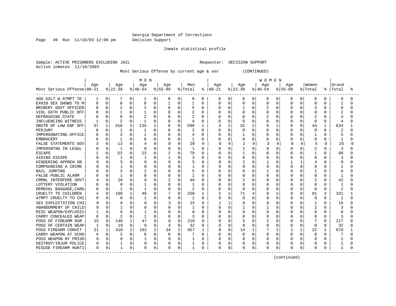Page 49 Run 11/18/03 12:08 pm Decision Support

Inmate statistical profile

Sample: ACTIVE PRISONERS EXCLUDING JAIL **Requestor: DECISION SUPPORT** Active inmates 11/18/2003

Most Serious Offense by current age & sex (CONTINUED)

|                            |          |          |              |          | M E N        |          |              |              |         |              |          |              |          |          | <b>WOMEN</b> |          |           |          |              |              |           |   |
|----------------------------|----------|----------|--------------|----------|--------------|----------|--------------|--------------|---------|--------------|----------|--------------|----------|----------|--------------|----------|-----------|----------|--------------|--------------|-----------|---|
|                            | Age      |          | Age          |          | Age          |          | Age          |              | Men     |              | Age      |              | Age      |          | Age          |          | Age       |          | Women        |              | Grand     |   |
| Most Serious Offense 00-21 |          |          | $ 22-39 $    |          | $ 40-54$     |          | $8 55-99$    |              | % Total | ႜ            | $ 00-21$ |              | $ 22-39$ |          | $ 40-54$     |          | $8 55-99$ |          | % Total      |              | %   Total | ႜ |
| AGG ASLT W ATMPT TO        | ı        | 0        |              | 0        | 1            | 0        | 0            | 0            | 9       | 0            | 0        | 0            | 0        | 0        | 0            | 0        | 0         | 0        | 0            | 0            | 9         | O |
| EXHIB SEX SHOWS TO M       |          | $\Omega$ | 0            | $\Omega$ |              | 0        |              | 0            |         | 0            | 0        | $\mathbf 0$  | 0        | 0        | 0            | Ω        | 0         | 0        | $\Omega$     |              |           |   |
| BRIBERY GOVT OFFICER       |          | $\Omega$ |              | $\Omega$ |              | 0        | 0            | 0            | 5       | $\Omega$     | Ω        | $\mathbf 0$  |          | $\Omega$ |              | $\Omega$ | $\Omega$  | O        | 3            | 0            | 8         | ∩ |
| VIOL OATH PUBLIC OFF       |          |          | -1           | $\Omega$ |              | O        | O            | O            |         | $\Omega$     | Λ        | $\Omega$     | N        | O        | O            | 0        | O         |          | $\Omega$     | <sup>0</sup> |           |   |
| DEFRAUDING STATE           |          |          | n            | $\Omega$ |              | O        | 0            | O            |         | $\Omega$     |          | $\Omega$     | O        | U        |              | 0        |           | O        |              | 0            |           |   |
| INFLUENCING WITNESS        |          | $\Omega$ | 2            | $\Omega$ | -1           | 0        | 0            | 0            | 4       | $\Omega$     |          | 0            | 0        | $\Omega$ | O            | U        |           | $\Omega$ | $\Omega$     | 0            | 4         |   |
| OBSTR OF LAW ENF OFF       | 37       | 1        | 410          | 2        | 135          | 1        | 8            | 0            | 590     |              | 3        | $\sqrt{2}$   | 32       | 2        | 9            |          | O         | 0        | 44           |              | 634       |   |
| PERJURY                    |          | $\Omega$ |              | $\Omega$ | 1            | 0        |              | 0            | 2       | $\Omega$     |          | $\mathbf 0$  | 0        | $\Omega$ | 0            | $\Omega$ | O         | 0        | $\Omega$     | $\Omega$     | 2         |   |
| IMPERSONATING OFFICE       |          | O        | 3            | O        |              | 0        | 0            | 0            |         | $\Omega$     |          | 0            |          | O        | O            | O        | O         | O        |              | 0            | 5         | ∩ |
| <b>EMBRACERY</b>           |          | 0        | 1            | 0        |              | 0        | 0            | 0            |         | 0            |          | 0            | 0        | O        | 0            | O        | O         | 0        | $\Omega$     | 0            |           | ∩ |
| FALSE STATEMENTS GOV       |          | 0        | 13           | 0        |              | 0        |              | 0            | 20      | 0            | U        | 0            |          | 0        | 3            | 0        | C         | 0        | 5            | 0            | 25        | n |
| IMPERSNTNG IN LEGAL        |          | 0        | -1           | 0        | $\Omega$     | 0        |              | $\Omega$     | 1       | $\Omega$     | U        | 0            | 2        | 0        | O            | O        | O         | 0        | 2            | 0            | 3         | ∩ |
| <b>ESCAPE</b>              |          | O        | 53           | 0        | 23           | 0        |              | 0            | 79      | 0            | U        | 0            |          | O        | 0            | 0        | O         | O        |              | 0            | 80        | U |
| AIDING ESCAPE              |          | O        |              | 0        | 1            | 0        |              | 0            | 3       | 0            | Ω        | $\Omega$     | 0        | 0        | 0            | Ω        | O         | O        | $\Omega$     | 0            | 3         |   |
| HINDERING APPREH OR        |          | 0        |              | 0        |              | 0        |              | $\Omega$     |         | $\Omega$     | ი        | $\Omega$     | 2        |          |              |          |           |          |              |              | 9         |   |
| COMPOUNDING A CRIME        |          | U        |              | 0        |              | 0        |              | O            |         | $\Omega$     | Ω        | ∩            | O        | O        | O            |          | O         | O        | $\Omega$     |              |           |   |
| <b>BAIL JUMPING</b>        |          | U        | 3            | 0        |              | U        | O            | <sup>0</sup> | 5       | <sup>0</sup> | U        | $\Omega$     | N        | U        |              | U        | U         | U        |              | <sup>0</sup> | 6         |   |
| FALSE PUBLIC ALARM         |          | 0        |              | U        |              | U        | O            | <sup>0</sup> |         | <sup>0</sup> | ი        | $\Omega$     | N        | O        | O            | O        | O         | O        | $\Omega$     | <sup>0</sup> |           |   |
| CRMNL INTERFERE GOVT       |          | 0        | 26           | 0        |              | O        |              | $\Omega$     | 40      | $\Omega$     | Ω        | $\Omega$     |          | O        | 0            | O        |           | 0        | 2            | 0            | 42        |   |
| LOTTERY VIOLATION          |          | $\Omega$ | $\Omega$     | 0        |              | U        | O            | 0            | -1      | $\Omega$     | Ω        | 0            | O        | $\Omega$ | O            | U        | O         | $\Omega$ | $\Omega$     | 0            |           |   |
| REMOVAL BAGGAGE, CARG      |          | 0        | -1           | U        |              | U        |              | 0            | 2       | <sup>0</sup> | ი        | 0            | Ω        | U        | O            | N        |           | $\Omega$ | $\Omega$     | 0            | 2         |   |
| CRUELTY TO CHILDREN        |          | 0        | 190          | 1        | 49           | 0        |              | 0            | 250     | 1            |          | $\mathbf{1}$ | 71       | 4        | 8            | 1        |           | 0        | 81           | 3            | 331       |   |
| ATMPT CRUELTY TO CHI       |          | $\Omega$ | O            | 0        | $\mathbf{1}$ | O        | <sup>0</sup> | $\Omega$     | 1       | <sup>0</sup> | O        | 0            | N        | O        | O            | 0        | O         | 0        | $\Omega$     | <sup>0</sup> | -1        | ∩ |
| SEX EXPLOITATION CHI       |          | $\Omega$ | 6            | 0        |              | 0        |              | $\Omega$     | 15      | $\Omega$     |          | 1            |          | U        | <sup>0</sup> | 0        |           | O        | 1            | 0            | 16        |   |
| ABANDONMENT OF CHILD       |          | 0        | 1            | 0        |              | $\Omega$ |              | O            |         | <sup>0</sup> | N        | ∩            |          | O        |              | U        |           | O        | 2            | <sup>0</sup> | 3         |   |
| MISC WEAPON/EXPLOSIV       |          | 0        | 6            | 0        |              | 0        |              | $\Omega$     | 8       | 0            | U        | $\Omega$     | 0        | O        | O            | 0        | O         | O        | $\Omega$     | 0            | 8         |   |
| CARRY CONCEALED WEAP       | $\Omega$ | 0        | 2            | O        | -1           | 0        | 0            | 0            | 3       | 0            | U        | $\Omega$     | N        | O        | 0            | N        | O         | 0        | $\Omega$     | 0            | 3         | U |
| POSS OF FIREARM DUR        | 15       | 0        | 140          | 1        | 47           | 0        | 8            | $\Omega$     | 210     | $\Omega$     | O        | 0            |          |          | 2            |          |           | O        |              | 0            | 217       |   |
| POSS OF CERTAIN WEAP       | -1       | 0        | 19           | 0        | 8            | 0        |              | $\Omega$     | 32      | $\Omega$     | ი        | $\Omega$     | O        |          | O            | N        |           | O        | $\Omega$     | O            | 32        |   |
| POSS FIREARM CONVCT        | 21       |          | 410          | 2        | 192          | 2        | 34           | 2            | 657     |              | N        | $\Omega$     | 14       |          |              | 1        |           | 1        | 22           |              | 679       |   |
| CARRY WEAPON AT SCHO       |          | $\Omega$ | 3            | 0        | 0            | 0        | O            | O            |         | O            | U        | 0            | N        | $\Omega$ | O            | 0        | O         | O        | ∩            | 0            |           |   |
| POSS WEAPON BY PRISO       |          | 0        | 0            | 0        |              | 0        |              | $\Omega$     |         | <sup>0</sup> | Ω        | $\Omega$     | U        | O        | O            | 0        | O         | $\Omega$ | <sup>0</sup> | 0            |           |   |
| DESTROY/INJUR POLICE       | 0        | 0        | 1            | 0        |              | 0        |              | 0            |         | $\Omega$     | Ω        | 0            |          | 0        | 0            | 0        |           | $\Omega$ | 0            | 0            |           |   |
| MISUSE FIREARM HUNTI       | 0        | 0        | $\mathbf{1}$ | 0        | $\Omega$     | 0        | 0            | 0            | 1       | 0            | 0        | 0            | 0        | 0        | 0            | 0        | $\Omega$  | 0        | $\Omega$     | 0            |           |   |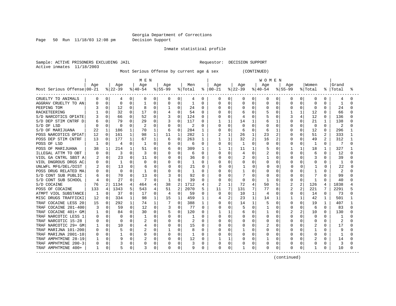Page 50 Run 11/18/03 12:08 pm Decision Support

Inmate statistical profile

Sample: ACTIVE PRISONERS EXCLUDING JAIL **Requestor: DECISION SUPPORT** Active inmates 11/18/2003

Most Serious Offense by current age & sex (CONTINUED)

|                            | M E N |             |              |              |              |              |           |                |         |              | W O M E N     |              |              |              |          |          |                |              |          |              |                |  |
|----------------------------|-------|-------------|--------------|--------------|--------------|--------------|-----------|----------------|---------|--------------|---------------|--------------|--------------|--------------|----------|----------|----------------|--------------|----------|--------------|----------------|--|
|                            | Age   |             | Age          |              | Age          |              | Age       |                | Men     |              | Age           |              | Age          |              | Age      |          | Aqe            |              | Women    |              | Grand          |  |
| Most Serious Offense 00-21 |       |             | $ 22-39$     |              | $ 40-54$     |              | $8 55-99$ |                | % Total |              | $8   00 - 21$ |              | $ 22-39 $    |              | $ 40-54$ |          | $8155 - 99$    |              | % Total  | ႜ            | Total          |  |
| CRUELTY TO ANIMALS         | 0     | 0           | 4            | 0            | 0            | 0            | 0         | 0              | 4       | 0            | 0             | 0            | 0            | 0            | 0        | 0        | 0              | 0            | 0        | 0            | $\overline{4}$ |  |
| AGGRAV CRUELTY TO AN       |       | $\Omega$    | 0            | 0            |              | 0            | $\Omega$  | $\mathbf 0$    |         | $\Omega$     | 0             | 0            | 0            | 0            | 0        | O        | $\Omega$       | O            | $\Omega$ | U            |                |  |
| PEEPING TOM                |       | 0           | 12           | $\Omega$     | 8            | $\Omega$     |           | $\Omega$       | 24      | $\Omega$     | U             | $\Omega$     | 0            | $\Omega$     | U        | $\Omega$ | <sup>0</sup>   | O            | $\Omega$ | $\cap$       | 24             |  |
| RACKETEERING               |       | 0           | 32           | 0            | 17           | $\Omega$     |           | $\Omega$       | 54      | 0            | Ω             | $\Omega$     | б            | O            |          | $\Omega$ |                | 1            | 12       | <sup>0</sup> | 66             |  |
| S/D NARCOTICS OPIATE       |       | 0           | 66           | $\Omega$     | 52           | $\Omega$     | 3         | $\Omega$       | 124     | 0            | 0             | $\Omega$     | 4            | O            | 5        | 0        | 3              | 4            | 12       | 0            | 136            |  |
| S/D DEP STIM CNTRF D       | 6     | $\Omega$    | 79           | $\Omega$     | 29           | $\Omega$     | 3         | 0              | 117     | 0            |               | $\mathbf{1}$ | 14           |              | б        |          | 0              | 0            | 21       | 1            | 138            |  |
| S/D OF LSD                 |       | $\Omega$    | $\Omega$     | O            |              | 0            |           | 0              | 2       | 0            |               | 0            | U            | O            | O        | O        | O              | 0            | 0        | $\Omega$     | 2              |  |
| S/D OF MARIJUANA           | 22    | $\mathbf 1$ | 186          | $\mathbf{1}$ | 70           | $\mathbf{1}$ | 6         | $\mathbf 0$    | 284     | 1            |               | $\mathbf 0$  | 6            | $\Omega$     | 6        | 1        | 0              | 0            | 12       | $\Omega$     | 296            |  |
| POSS NARCOTICS OPIAT       | 12    | $\Omega$    | 161          | $\mathbf{1}$ | 98           | 1            | 11        | $\mathbf{1}$   | 282     | 1            |               | 1            | 26           | 1            | 23       | 2        | <sup>0</sup>   | 0            | 51       | 2            | 333            |  |
| POSS DEP STIM CNTRF        | 13    | $\Omega$    | 177          | 1            | 67           | 1            | 6         | $\Omega$       | 263     | 1            |               | 1            | 32           | 2            | 16       | 2        | 0              | 0            | 49       | $\mathbf{2}$ | 312            |  |
| POSS OF LSD                |       | 0           | 4            | 0            | -1           | 0            | 0         | $\mathbf 0$    | 6       | 0            | 0             | $\mathbf 0$  | 1            | $\Omega$     | 0        | 0        | O              | 0            | 1        | $\Omega$     | 7              |  |
| POSS OF MARIJUANA          | 38    | 1           | 214          | 1            | 51           | $\Omega$     | 6         | $\Omega$       | 309     | 1            |               | -1           | 11           | 1            |          | 0        |                | $\mathbf{1}$ | 18       | 1            | 327            |  |
| ILLEGAL ATTM TO OBT        | O     | 0           | 3            | $\Omega$     | 3            | 0            | 0         | $\Omega$       | 6       | 0            | O             | 0            | 4            | 0            | 2        | 0        | $\Omega$       | O            | 6        | $\Omega$     | 12             |  |
| VIOL GA CNTRL SBST A       |       | $\Omega$    | 23           | $\Omega$     | 11           | $\Omega$     |           | $\Omega$       | 36      | $\Omega$     | U             | $\Omega$     | 2            | U            |          |          | O              |              | 3        |              | 39             |  |
| VIOL DNGROUS DRGS AC       |       | 0           | $\mathbf{1}$ | 0            | 0            | 0            |           | 0              |         | <sup>0</sup> | 0             | $\Omega$     | 0            |              | 0        |          | 0              |              | 0        |              |                |  |
| UNLWFL MFG/DEL/DIST        |       | 0           | 13           | $\Omega$     | 6            | $\Omega$     | $\Omega$  | $\Omega$       | 21      | ∩            | $\cap$        | U            |              | U            | $\cap$   | U        |                | <sup>0</sup> |          |              | 22             |  |
| POSS DRUG RELATED MA       |       | 0           | $\Omega$     | O            |              | $\Omega$     |           | $\cap$         | 1       | <sup>0</sup> | Ω             | ∩            |              | U            | O        | U        | O              |              |          | <sup>0</sup> | 2              |  |
| S/D CONT SUB PUBLIC        |       | 0           | 70           | $\Omega$     | 13           | 0            |           | $\cap$         | 92      | $\Omega$     |               | $\Omega$     |              | 0            | O        | U        |                | 0            |          | U            | 99             |  |
| S/D CONT SUB SCHOOL        |       | $\Omega$    | 27           | $\cap$       |              | $\Omega$     | -1        | $\Omega$       | 39      | $\Omega$     |               | $\Omega$     | <sup>0</sup> | 0            | -1       | U        | O              | $\Omega$     | 1        | U            | 40             |  |
| S/D COCAINE                | 76    | 2           | 1134         | 4            | 464          | 4            | 38        | $\overline{c}$ | 1712    | 4            | 2             | $\mathbf{1}$ | 72           |              | 50       | 5        | 2              | 2            | 126      | 4            | 1838           |  |
| POSS OF COCAINE            | 133   | 4           | 1343         | 5            | 543          | 4            | 51        | $\overline{2}$ | 2070    | 5            | 11            | 7            | 131          | 7            | 77       | 8        | $\overline{2}$ | 2            | 221      |              | 2291           |  |
| ATMPT VIOL SUBSTANCE       | 1     | 0           | 37           | $\Omega$     | 17           | 0            | 4         | $\Omega$       | 59      | $\Omega$     | O             | $\Omega$     | 10           | 1            | 4        | 0        | O              | 0            | 14       | $\Omega$     | 73             |  |
| MISC DRUGS TRAFFICKI       | 12    | 0           | 334          | 1            | 98           | 1            | 15        | $\mathbf{1}$   | 459     | 1            |               | 2            | 23           | $\mathbf{1}$ | 14       | 1        |                | $\mathbf{1}$ | 42       | $\mathbf{1}$ | 501            |  |
| TRAF COCAINE LESS 20       | 15    | 0           | 292          | $\mathbf 1$  | 74           | 1            |           | $\Omega$       | 388     | 1            | U             | $\Omega$     | 14           | $\mathbf{1}$ | 5        | 0        | O              | 0            | 19       | 1            | 407            |  |
| TRAF COCAINE 201-400       |       | 0           | 59           | $\Omega$     | 12           | $\mathbf 0$  | 3         | $\Omega$       | 77      | $\Omega$     | U             | $\Omega$     | 5            | $\Omega$     |          | U        | O              | 0            | 6        | $\Omega$     | 83             |  |
| TRAF COCAINE 401+ GM       |       | 0           | 84           | 0            | 30           | 0            |           | <sup>0</sup>   | 120     | 0            |               |              | 6            | 0            |          | 0        |                | 2            | 10       | $\Omega$     | 130            |  |
| TRAF NARCOTIC LESS 1       | O     | 0           | $\Omega$     | $\Omega$     |              | $\Omega$     |           | $\Omega$       | 1       | 0            |               | $\Omega$     | 0            | O            | 0        | 0        | O              | 0            | 0        | O            | 1              |  |
| TRAF NARCOTIC 15-28        |       | 0           |              | 0            | 2            | $\Omega$     |           | $\Omega$       | 2       |              |               | $\Omega$     | 0            | O            | 0        |          |                | O            |          |              | 2              |  |
| TRAF NARCOTIC 29+ GM       |       | 0           | 10           | $\Omega$     |              | 0            |           | 0              | 15      | $\Omega$     | U             | O            | 0            | U            |          |          | O              |              |          | O            | 17             |  |
| TRAF MARIJNA 101-200       |       | $\Omega$    |              | 0            |              | $\Omega$     |           | $\Omega$       | 8       | <sup>0</sup> | Ω             | $\Omega$     |              | O            | O        | 0        | $\Omega$       | O            |          | O            |                |  |
| TRAF MARIJNA 2001-10       |       | 0           |              | 0            | <sup>0</sup> | 0            | $\Omega$  | $\Omega$       |         | <sup>0</sup> | Ω             | $\Omega$     | U            | $\Omega$     | O        | 0        | O              | O            | $\Omega$ | O            |                |  |
| TRAF AMPHTMINE 28-19       |       | $\Omega$    | 9            | $\Omega$     |              | $\Omega$     | O         | $\Omega$       | 12      | $\Omega$     |               |              | U            | O            |          | 0        | O              | $\Omega$     | 2        | $\Omega$     | 14             |  |
| TRAF AMPHTMINE 200-3       | 0     | $\Omega$    | 3            | 0            |              | $\mathbf 0$  |           | $\Omega$       | 3       |              | 0             | 0            |              | 0            | 0        | 0        |                | 0            | 0        | O            | 3              |  |
| TRAF AMPHTMINE 400+        |       | 0           |              | 0            | 3            | 0            |           | 0              | 9       | 0            | 0             | 0            |              | 0            | 0        | 0        | $\Omega$       | 0            |          | 0            | 10             |  |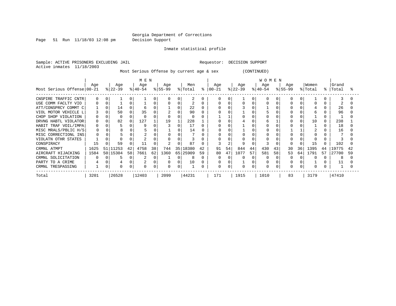Page 51 Run 11/18/03 12:08 pm Decision Support

Inmate statistical profile

Sample: ACTIVE PRISONERS EXCLUDING JAIL **Requestor: DECISION SUPPORT** Active inmates 11/18/2003

Most Serious Offense by current age & sex (CONTINUED)

|                            | M E N |     |           |    |           |          |           |    |          |    |             | WOMEN |           |          |           |    |           |    |          |    |       |    |  |
|----------------------------|-------|-----|-----------|----|-----------|----------|-----------|----|----------|----|-------------|-------|-----------|----------|-----------|----|-----------|----|----------|----|-------|----|--|
|                            | Age   |     | Age       |    | Age       |          | Age       |    | Men      |    | Age         |       | Age       |          | Age       |    | Aqe       |    | Women    |    | Grand |    |  |
| Most Serious Offense 00-21 |       |     | $ 22-39 $ |    | $ 40-54 $ |          | $ 55-99 $ |    | % Total  | ႜ  | $ 00 - 21 $ |       | $ 22-39 $ |          | $ 40-54 $ |    | $ 55-99 $ |    | % Total  | °≈ | Total |    |  |
| CNSPIRE TRAFFIC CNTR       |       |     |           |    |           |          |           |    |          |    |             |       |           |          |           |    |           |    |          |    |       |    |  |
| USE COMM FACLTY VIO        |       |     |           |    |           |          |           |    |          |    |             |       |           |          |           |    |           |    |          |    |       |    |  |
| ATT/CONSPRCY COMMT C       |       |     | 14        |    |           |          |           |    | 22       |    |             |       |           |          |           |    |           |    |          |    | 26    |    |  |
| VIOL MOTOR VEHICLE L       |       |     | 50        |    | 35        |          |           |    | 90       |    |             |       |           |          |           |    |           |    |          |    | 96    |    |  |
| CHOP SHOP VIOLATION        |       |     |           |    |           |          |           |    |          |    |             |       |           |          |           |    |           |    |          |    |       |    |  |
| DRVNG HABTL VIOLATOR       |       |     | 82        |    | 127       |          | 19        |    | 228      |    |             |       |           |          |           |    |           |    | 10       |    | 238   |    |  |
| HABIT TRAF VOIL/IMPA       | 0     |     |           |    | 9         |          |           | 0  | 17       |    |             |       |           |          |           |    |           |    |          |    | 18    |    |  |
| MISC MRALS/PBLIC H/S       |       |     |           |    |           |          |           |    | 14       |    |             |       |           |          |           |    |           |    |          |    | 16    |    |  |
| MISC CORRECTIONL INS       |       |     |           |    |           |          |           |    |          |    |             |       |           |          |           |    |           |    |          |    |       |    |  |
| VIOLATN OTHR STATES        |       |     |           |    |           |          |           |    |          |    |             |       |           |          |           |    |           |    |          |    |       |    |  |
| CONSPIRACY                 | 15    |     | 59        |    |           |          |           |    | 87       |    |             |       |           |          |           |    |           |    | 15       |    | 102   |    |  |
| CRMNL ATMPT                | 1625  | 51  | 1253      | 42 | 4758      | 38       | 744       | 35 | 18380    | 42 | 91          | 54    | 844       | 44       | 430       | 43 | 30        | 36 | 1395     | 44 | 19775 | 42 |  |
| AIRCRAFT HIJACKING         | 1584  | 501 | 15304     | 58 | 7661      | 62       | 1360      |    | 65 25909 | 59 | 80          | 47    | 1077      | 57       | 581       | 58 | 53        | 64 | 1791     | 57 | 27700 | 59 |  |
| CRMNL SOLICITATION         |       |     |           |    |           | 0        |           |    |          |    | 0           |       |           |          | 0         |    |           |    |          |    | 8     |    |  |
| PARTY TO A CRIME           |       |     |           |    |           |          |           | O  | 10       |    | 0           |       |           |          |           |    |           |    |          |    |       |    |  |
| CRMNL TRESPASSING          |       | 0   | $\Omega$  |    | 0         | $\Omega$ | O         | 0  |          |    | 0           | C.    |           | $\Omega$ | $\Omega$  |    |           |    | $\Omega$ |    |       |    |  |
| Total                      | 3201  |     | 26528     |    | 12403     |          | 2099      |    | 44231    |    | 171         |       | 1915      |          | 1010      |    | 83        |    | 3179     |    | 47410 |    |  |